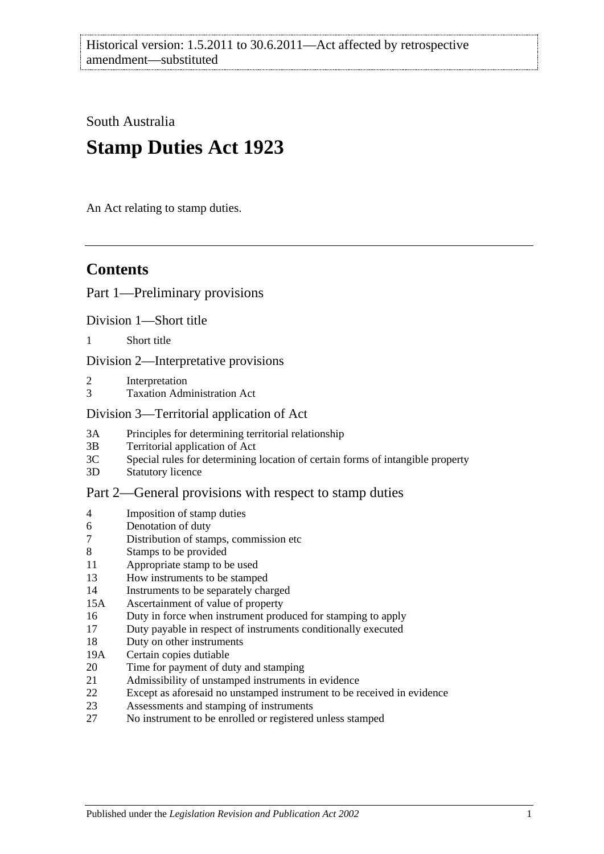South Australia

# **Stamp Duties Act 1923**

An Act relating to stamp duties.

## **Contents**

## [Part 1—Preliminary provisions](#page-6-0)

[Division 1—Short title](#page-6-1)

1 [Short title](#page-6-2)

[Division 2—Interpretative provisions](#page-6-3)

- 2 [Interpretation](#page-6-4)
- 3 [Taxation Administration Act](#page-9-0)

[Division 3—Territorial application of Act](#page-9-1)

- 3A [Principles for determining territorial relationship](#page-9-2)
- 3B [Territorial application of Act](#page-9-3)
- 3C [Special rules for determining location of certain forms of intangible property](#page-10-0)
- 3D [Statutory licence](#page-11-0)

## [Part 2—General provisions with respect to stamp duties](#page-12-0)

- 4 [Imposition of stamp duties](#page-12-1)
- 6 [Denotation of duty](#page-12-2)
- 7 [Distribution of stamps, commission etc](#page-12-3)
- 8 [Stamps to be provided](#page-12-4)
- 11 [Appropriate stamp to be used](#page-12-5)
- 13 [How instruments to be stamped](#page-12-6)
- 14 [Instruments to be separately charged](#page-13-0)
- 15A [Ascertainment of value of property](#page-13-1)
- 16 [Duty in force when instrument produced for stamping to apply](#page-13-2)
- 17 [Duty payable in respect of instruments conditionally executed](#page-13-3)
- 18 [Duty on other instruments](#page-13-4)
- 19A [Certain copies dutiable](#page-14-0)
- 20 [Time for payment of duty and stamping](#page-14-1)
- 21 [Admissibility of unstamped instruments in evidence](#page-15-0)
- 22 [Except as aforesaid no unstamped instrument to be received in evidence](#page-15-1)
- 23 [Assessments and stamping of instruments](#page-15-2)
- 27 [No instrument to be enrolled or registered unless stamped](#page-16-0)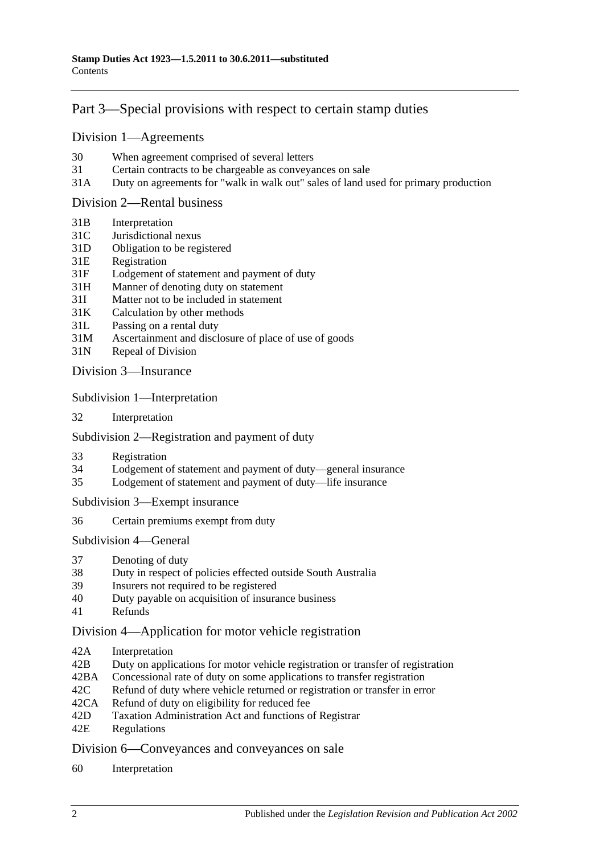## [Part 3—Special provisions with respect to certain stamp duties](#page-18-0)

#### [Division 1—Agreements](#page-18-1)

- 30 [When agreement comprised of several letters](#page-18-2)
- 31 [Certain contracts to be chargeable as conveyances on sale](#page-18-3)
- 31A [Duty on agreements for "walk in walk out" sales of land used for primary production](#page-19-0)

#### [Division 2—Rental business](#page-19-1)

- 31B [Interpretation](#page-19-2)
- 31C [Jurisdictional nexus](#page-21-0)
- 31D [Obligation to be registered](#page-21-1)
- 31E [Registration](#page-21-2)
- 31F [Lodgement of statement and payment of duty](#page-21-3)
- 31H [Manner of denoting duty on statement](#page-23-0)
- 31I [Matter not to be included in statement](#page-23-1)
- 31K [Calculation by other methods](#page-25-0)
- 31L [Passing on a rental duty](#page-25-1)
- 31M [Ascertainment and disclosure of place of use of goods](#page-26-0)
- 31N [Repeal of Division](#page-26-1)

Division [3—Insurance](#page-26-2)

Subdivision [1—Interpretation](#page-26-3)

32 [Interpretation](#page-26-4)

#### Subdivision [2—Registration and payment of duty](#page-28-0)

- 33 [Registration](#page-28-1)
- 34 [Lodgement of statement and payment of duty—general insurance](#page-28-2)
- 35 [Lodgement of statement and payment of duty—life insurance](#page-29-0)

Subdivision [3—Exempt insurance](#page-31-0)

36 [Certain premiums exempt from duty](#page-31-1)

[Subdivision](#page-31-2) 4—General

- 37 [Denoting of duty](#page-31-3)
- 38 [Duty in respect of policies effected outside South Australia](#page-32-0)
- 39 [Insurers not required to be registered](#page-32-1)
- 40 [Duty payable on acquisition of insurance business](#page-33-0)
- 41 [Refunds](#page-33-1)

#### [Division 4—Application for motor vehicle registration](#page-33-2)

- 42A [Interpretation](#page-33-3)
- 42B [Duty on applications for motor vehicle registration or transfer of registration](#page-34-0)
- 42BA [Concessional rate of duty on some applications to transfer registration](#page-36-0)
- 42C [Refund of duty where vehicle returned or registration or transfer in error](#page-37-0)
- 42CA [Refund of duty on eligibility for reduced fee](#page-37-1)
- 42D [Taxation Administration Act and functions of Registrar](#page-37-2)
- 42E [Regulations](#page-37-3)

[Division 6—Conveyances and conveyances on sale](#page-38-0)

60 [Interpretation](#page-38-1)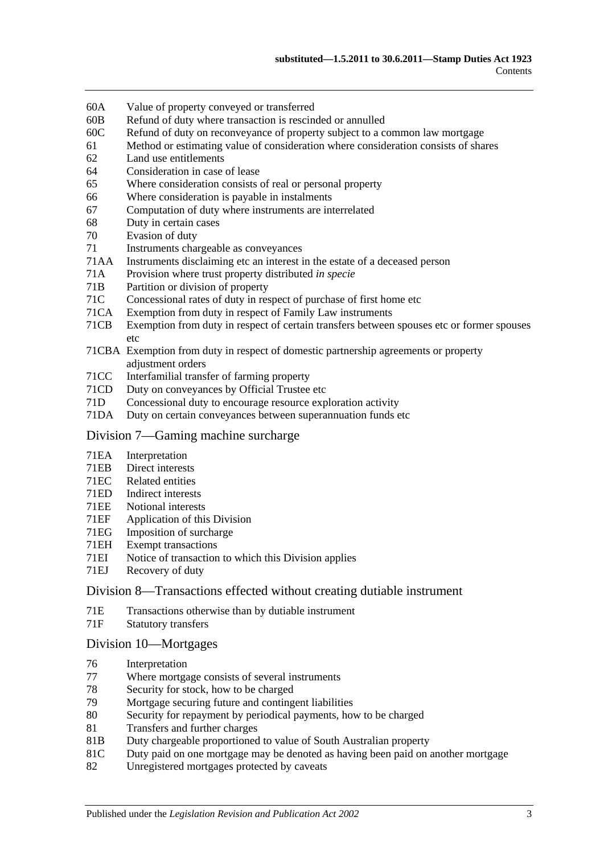- 60A [Value of property conveyed or transferred](#page-38-2)
- 60B [Refund of duty where transaction is rescinded or annulled](#page-40-0)
- 60C [Refund of duty on reconveyance of property subject to a common law mortgage](#page-40-1)
- 61 [Method or estimating value of consideration where consideration consists of shares](#page-41-0)
- 62 [Land use entitlements](#page-41-1)
- 64 [Consideration in case of lease](#page-42-0)
- 65 [Where consideration consists of real or personal property](#page-42-1)
- 66 [Where consideration is payable in instalments](#page-42-2)
- 67 [Computation of duty where instruments are interrelated](#page-42-3)
- 68 [Duty in certain cases](#page-43-0)
- 70 [Evasion of duty](#page-43-1)
- 71 [Instruments chargeable as conveyances](#page-44-0)
- 71AA [Instruments disclaiming etc an interest in the estate of a deceased person](#page-49-0)
- 71A [Provision where trust property distributed](#page-49-1) *in specie*
- 71B [Partition or division of property](#page-49-2)
- 71C [Concessional rates of duty in respect of purchase of first home etc](#page-50-0)
- 71CA [Exemption from duty in respect of Family Law instruments](#page-54-0)
- 71CB [Exemption from duty in respect of certain transfers between spouses etc or former spouses](#page-56-0)  [etc](#page-56-0)
- 71CBA [Exemption from duty in respect of domestic partnership agreements or property](#page-57-0)  [adjustment orders](#page-57-0)
- 71CC [Interfamilial transfer of farming property](#page-59-0)
- 71CD [Duty on conveyances by Official Trustee etc](#page-61-0)
- 71D [Concessional duty to encourage resource exploration activity](#page-61-1)
- 71DA [Duty on certain conveyances between superannuation funds etc](#page-62-0)

#### [Division 7—Gaming machine surcharge](#page-64-0)

- 71EA [Interpretation](#page-64-1)
- 71EB [Direct interests](#page-65-0)
- 71EC [Related entities](#page-66-0)
- 71ED [Indirect interests](#page-66-1)
- 71EE [Notional interests](#page-66-2)
- 71EF [Application of this Division](#page-67-0)
- 71EG [Imposition of surcharge](#page-67-1)<br>71EH Exempt transactions
- [Exempt transactions](#page-68-0)
- 71EI [Notice of transaction to which this Division applies](#page-68-1)
- 71EJ [Recovery of duty](#page-68-2)

#### [Division 8—Transactions effected without creating dutiable instrument](#page-69-0)

- 71E [Transactions otherwise than by dutiable instrument](#page-69-1)
- 71F [Statutory transfers](#page-70-0)

#### [Division 10—Mortgages](#page-71-0)

- 76 [Interpretation](#page-71-1)
- 77 [Where mortgage consists of several instruments](#page-72-0)
- 78 [Security for stock, how to be charged](#page-72-1)<br>79 Mortgage securing future and conting
- [Mortgage securing future and contingent liabilities](#page-72-2)
- 80 [Security for repayment by periodical payments, how to be charged](#page-74-0)
- 81 [Transfers and further charges](#page-74-1)
- 81B [Duty chargeable proportioned to value of South Australian property](#page-74-2)
- 81C [Duty paid on one mortgage may be denoted as having been paid on another mortgage](#page-75-0)
- 82 [Unregistered mortgages protected by caveats](#page-75-1)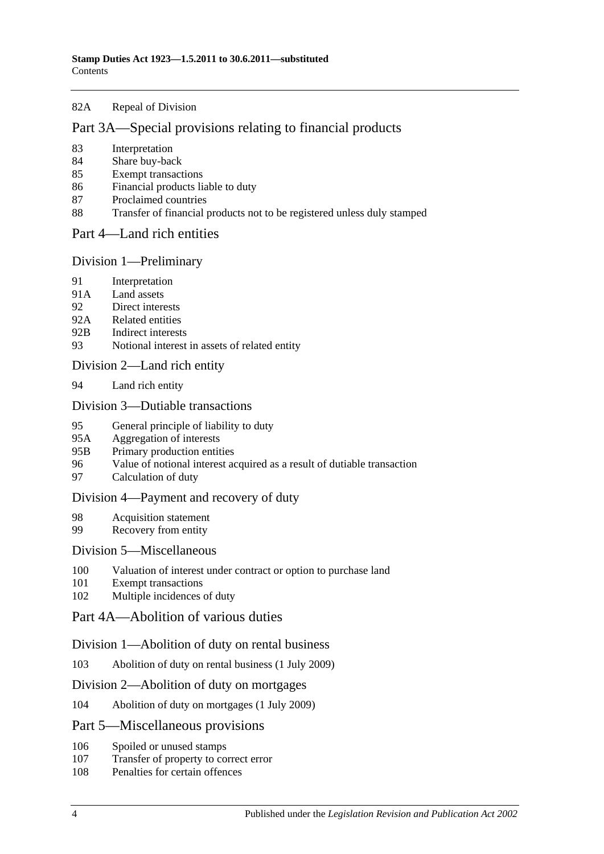#### 82A [Repeal of Division](#page-76-0)

#### [Part 3A—Special provisions relating to financial products](#page-78-0)

- 83 [Interpretation](#page-78-1)
- 84 [Share buy-back](#page-78-2)
- 85 [Exempt transactions](#page-78-3)
- 86 [Financial products liable to duty](#page-78-4)
- 87 [Proclaimed countries](#page-79-0)
- 88 [Transfer of financial products not to be registered unless duly stamped](#page-79-1)
- [Part 4—Land rich entities](#page-82-0)

#### [Division 1—Preliminary](#page-82-1)

- 91 [Interpretation](#page-82-2)
- 91A [Land assets](#page-84-0)
- 92 [Direct interests](#page-85-0)
- 92A [Related entities](#page-85-1)
- 92B [Indirect interests](#page-86-0)
- 93 [Notional interest in assets of related entity](#page-86-1)

#### [Division 2—Land rich entity](#page-86-2)

94 [Land rich entity](#page-86-3)

#### [Division 3—Dutiable transactions](#page-87-0)

- 95 [General principle of liability to duty](#page-87-1)
- 95A [Aggregation of interests](#page-88-0)
- 95B [Primary production entities](#page-88-1)
- 96 [Value of notional interest acquired as a result of dutiable transaction](#page-89-0)
- 97 [Calculation of duty](#page-89-1)

#### [Division 4—Payment and recovery of duty](#page-90-0)

- 98 [Acquisition statement](#page-90-1)
- 99 [Recovery from entity](#page-91-0)

### [Division 5—Miscellaneous](#page-92-0)

- 100 [Valuation of interest under contract or option to purchase land](#page-92-1)
- 101 [Exempt transactions](#page-92-2)<br>102 Multiple incidences
- [Multiple incidences of duty](#page-92-3)

## [Part 4A—Abolition of various duties](#page-94-0)

#### [Division 1—Abolition of duty on rental business](#page-94-1)

103 [Abolition of duty on rental business \(1](#page-94-2) July 2009)

#### [Division 2—Abolition of duty on mortgages](#page-94-3)

104 [Abolition of duty on mortgages \(1 July 2009\)](#page-94-4)

#### [Part 5—Miscellaneous provisions](#page-96-0)

- 106 [Spoiled or unused stamps](#page-96-1)
- 107 [Transfer of property to correct error](#page-96-2)
- 108 [Penalties for certain offences](#page-96-3)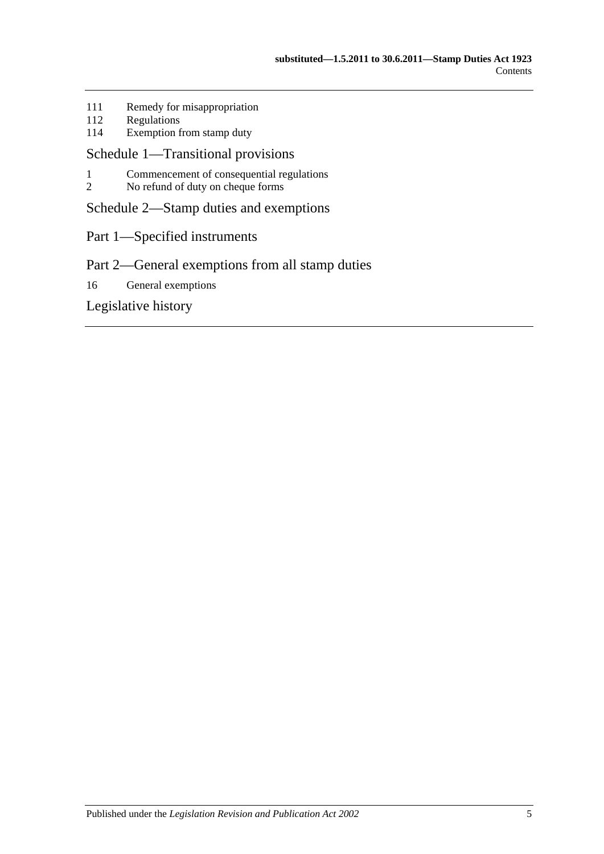- 111 [Remedy for misappropriation](#page-97-0)<br>112 Regulations
- 112 [Regulations](#page-97-1)<br>114 Exemption f
- [Exemption from stamp duty](#page-98-0)

### [Schedule 1—Transitional provisions](#page-100-0)

- 1 [Commencement of consequential regulations](#page-100-1)<br>2 No refund of duty on cheque forms
- [No refund of duty on cheque forms](#page-100-2)

[Schedule 2—Stamp duties and exemptions](#page-100-3)

Part 1—Specified instruments

## Part 2—General exemptions from all stamp duties

16 [General exemptions](#page-109-0)

[Legislative history](#page-114-0)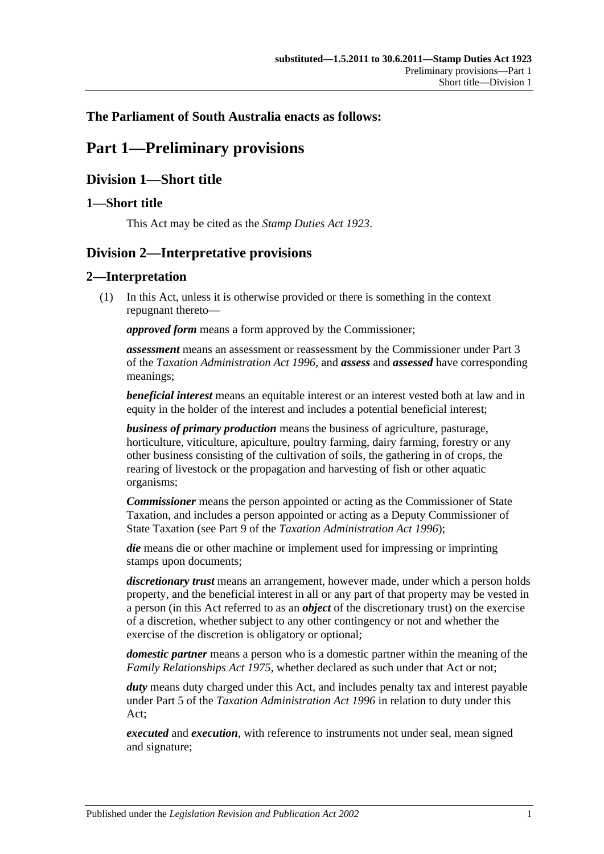### <span id="page-6-0"></span>**The Parliament of South Australia enacts as follows:**

## **Part 1—Preliminary provisions**

## <span id="page-6-1"></span>**Division 1—Short title**

#### <span id="page-6-2"></span>**1—Short title**

This Act may be cited as the *Stamp Duties Act 1923*.

## <span id="page-6-3"></span>**Division 2—Interpretative provisions**

#### <span id="page-6-4"></span>**2—Interpretation**

(1) In this Act, unless it is otherwise provided or there is something in the context repugnant thereto—

*approved form* means a form approved by the Commissioner;

*assessment* means an assessment or reassessment by the Commissioner under Part 3 of the *[Taxation Administration Act](http://www.legislation.sa.gov.au/index.aspx?action=legref&type=act&legtitle=Taxation%20Administration%20Act%201996) 1996*, and *assess* and *assessed* have corresponding meanings;

*beneficial interest* means an equitable interest or an interest vested both at law and in equity in the holder of the interest and includes a potential beneficial interest;

*business of primary production* means the business of agriculture, pasturage, horticulture, viticulture, apiculture, poultry farming, dairy farming, forestry or any other business consisting of the cultivation of soils, the gathering in of crops, the rearing of livestock or the propagation and harvesting of fish or other aquatic organisms;

*Commissioner* means the person appointed or acting as the Commissioner of State Taxation, and includes a person appointed or acting as a Deputy Commissioner of State Taxation (see Part 9 of the *[Taxation Administration Act](http://www.legislation.sa.gov.au/index.aspx?action=legref&type=act&legtitle=Taxation%20Administration%20Act%201996) 1996*);

*die* means die or other machine or implement used for impressing or imprinting stamps upon documents;

*discretionary trust* means an arrangement, however made, under which a person holds property, and the beneficial interest in all or any part of that property may be vested in a person (in this Act referred to as an *object* of the discretionary trust) on the exercise of a discretion, whether subject to any other contingency or not and whether the exercise of the discretion is obligatory or optional;

*domestic partner* means a person who is a domestic partner within the meaning of the *[Family Relationships Act](http://www.legislation.sa.gov.au/index.aspx?action=legref&type=act&legtitle=Family%20Relationships%20Act%201975) 1975*, whether declared as such under that Act or not;

*duty* means duty charged under this Act, and includes penalty tax and interest payable under Part 5 of the *[Taxation Administration Act](http://www.legislation.sa.gov.au/index.aspx?action=legref&type=act&legtitle=Taxation%20Administration%20Act%201996) 1996* in relation to duty under this Act;

*executed* and *execution*, with reference to instruments not under seal, mean signed and signature;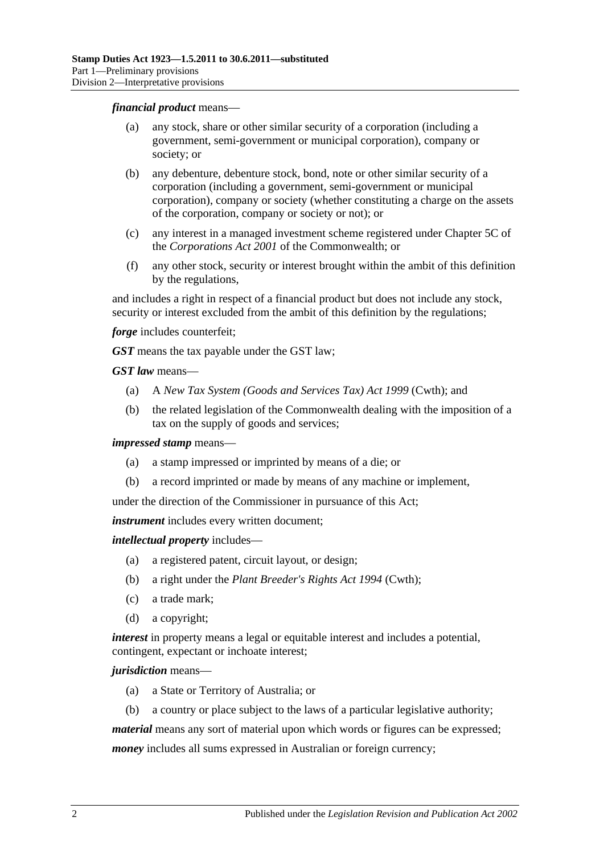#### *financial product* means—

- (a) any stock, share or other similar security of a corporation (including a government, semi-government or municipal corporation), company or society; or
- (b) any debenture, debenture stock, bond, note or other similar security of a corporation (including a government, semi-government or municipal corporation), company or society (whether constituting a charge on the assets of the corporation, company or society or not); or
- (c) any interest in a managed investment scheme registered under Chapter 5C of the *Corporations Act 2001* of the Commonwealth; or
- (f) any other stock, security or interest brought within the ambit of this definition by the regulations,

and includes a right in respect of a financial product but does not include any stock, security or interest excluded from the ambit of this definition by the regulations;

*forge* includes counterfeit;

*GST* means the tax payable under the GST law;

*GST law* means—

- (a) A *New Tax System (Goods and Services Tax) Act 1999* (Cwth); and
- (b) the related legislation of the Commonwealth dealing with the imposition of a tax on the supply of goods and services;

*impressed stamp* means—

- (a) a stamp impressed or imprinted by means of a die; or
- (b) a record imprinted or made by means of any machine or implement,

under the direction of the Commissioner in pursuance of this Act;

*instrument* includes every written document;

*intellectual property* includes—

- (a) a registered patent, circuit layout, or design;
- (b) a right under the *Plant Breeder's Rights Act 1994* (Cwth);
- (c) a trade mark;
- (d) a copyright;

*interest* in property means a legal or equitable interest and includes a potential, contingent, expectant or inchoate interest;

#### *jurisdiction* means—

- (a) a State or Territory of Australia; or
- (b) a country or place subject to the laws of a particular legislative authority;

*material* means any sort of material upon which words or figures can be expressed;

*money* includes all sums expressed in Australian or foreign currency;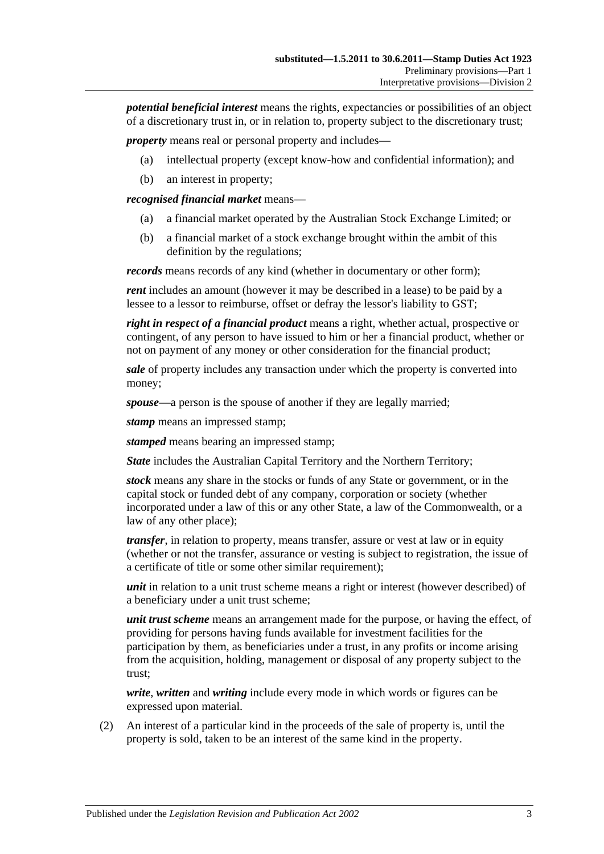*potential beneficial interest* means the rights, expectancies or possibilities of an object of a discretionary trust in, or in relation to, property subject to the discretionary trust;

*property* means real or personal property and includes—

- (a) intellectual property (except know-how and confidential information); and
- (b) an interest in property;

*recognised financial market* means—

- (a) a financial market operated by the Australian Stock Exchange Limited; or
- (b) a financial market of a stock exchange brought within the ambit of this definition by the regulations;

*records* means records of any kind (whether in documentary or other form);

*rent* includes an amount (however it may be described in a lease) to be paid by a lessee to a lessor to reimburse, offset or defray the lessor's liability to GST;

*right in respect of a financial product* means a right, whether actual, prospective or contingent, of any person to have issued to him or her a financial product, whether or not on payment of any money or other consideration for the financial product;

*sale* of property includes any transaction under which the property is converted into money;

*spouse*—a person is the spouse of another if they are legally married;

*stamp* means an impressed stamp;

*stamped* means bearing an impressed stamp;

*State* includes the Australian Capital Territory and the Northern Territory;

*stock* means any share in the stocks or funds of any State or government, or in the capital stock or funded debt of any company, corporation or society (whether incorporated under a law of this or any other State, a law of the Commonwealth, or a law of any other place);

*transfer*, in relation to property, means transfer, assure or vest at law or in equity (whether or not the transfer, assurance or vesting is subject to registration, the issue of a certificate of title or some other similar requirement);

*unit* in relation to a unit trust scheme means a right or interest (however described) of a beneficiary under a unit trust scheme;

*unit trust scheme* means an arrangement made for the purpose, or having the effect, of providing for persons having funds available for investment facilities for the participation by them, as beneficiaries under a trust, in any profits or income arising from the acquisition, holding, management or disposal of any property subject to the trust;

*write*, *written* and *writing* include every mode in which words or figures can be expressed upon material.

(2) An interest of a particular kind in the proceeds of the sale of property is, until the property is sold, taken to be an interest of the same kind in the property.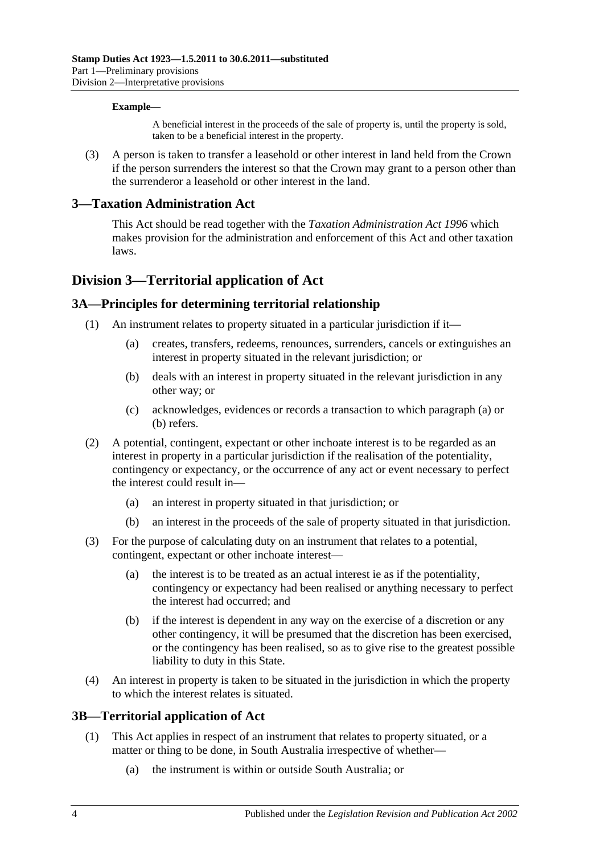#### **Example—**

A beneficial interest in the proceeds of the sale of property is, until the property is sold, taken to be a beneficial interest in the property.

(3) A person is taken to transfer a leasehold or other interest in land held from the Crown if the person surrenders the interest so that the Crown may grant to a person other than the surrenderor a leasehold or other interest in the land.

#### <span id="page-9-0"></span>**3—Taxation Administration Act**

This Act should be read together with the *[Taxation Administration Act](http://www.legislation.sa.gov.au/index.aspx?action=legref&type=act&legtitle=Taxation%20Administration%20Act%201996) 1996* which makes provision for the administration and enforcement of this Act and other taxation laws.

## <span id="page-9-1"></span>**Division 3—Territorial application of Act**

#### <span id="page-9-2"></span>**3A—Principles for determining territorial relationship**

- <span id="page-9-5"></span><span id="page-9-4"></span>(1) An instrument relates to property situated in a particular jurisdiction if it—
	- (a) creates, transfers, redeems, renounces, surrenders, cancels or extinguishes an interest in property situated in the relevant jurisdiction; or
	- (b) deals with an interest in property situated in the relevant jurisdiction in any other way; or
	- (c) acknowledges, evidences or records a transaction to which [paragraph](#page-9-4) (a) or [\(b\)](#page-9-5) refers.
- (2) A potential, contingent, expectant or other inchoate interest is to be regarded as an interest in property in a particular jurisdiction if the realisation of the potentiality, contingency or expectancy, or the occurrence of any act or event necessary to perfect the interest could result in—
	- (a) an interest in property situated in that jurisdiction; or
	- (b) an interest in the proceeds of the sale of property situated in that jurisdiction.
- (3) For the purpose of calculating duty on an instrument that relates to a potential, contingent, expectant or other inchoate interest-
	- (a) the interest is to be treated as an actual interest ie as if the potentiality, contingency or expectancy had been realised or anything necessary to perfect the interest had occurred; and
	- (b) if the interest is dependent in any way on the exercise of a discretion or any other contingency, it will be presumed that the discretion has been exercised, or the contingency has been realised, so as to give rise to the greatest possible liability to duty in this State.
- (4) An interest in property is taken to be situated in the jurisdiction in which the property to which the interest relates is situated.

#### <span id="page-9-3"></span>**3B—Territorial application of Act**

- (1) This Act applies in respect of an instrument that relates to property situated, or a matter or thing to be done, in South Australia irrespective of whether—
	- (a) the instrument is within or outside South Australia; or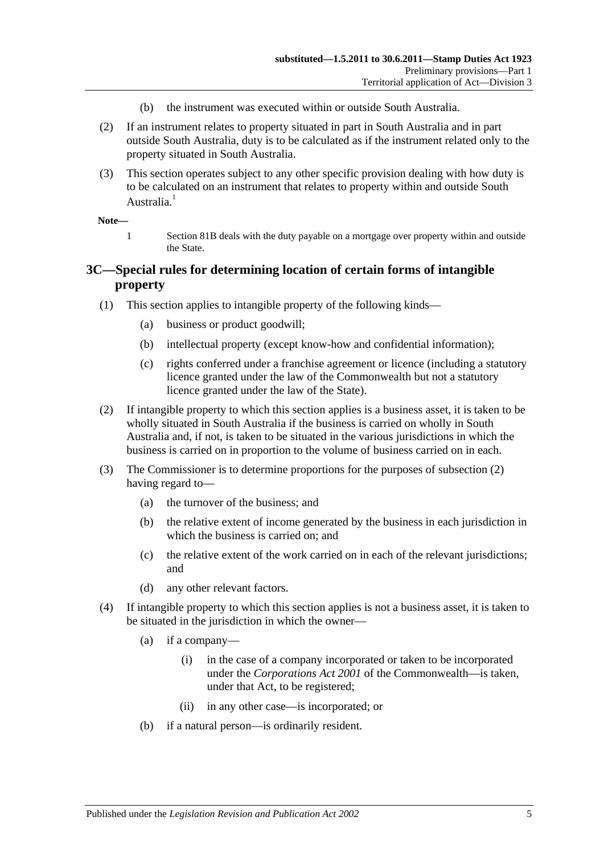- (b) the instrument was executed within or outside South Australia.
- (2) If an instrument relates to property situated in part in South Australia and in part outside South Australia, duty is to be calculated as if the instrument related only to the property situated in South Australia.
- (3) This section operates subject to any other specific provision dealing with how duty is to be calculated on an instrument that relates to property within and outside South Australia.<sup>1</sup>

#### **Note—**

1 [Section](#page-74-2) 81B deals with the duty payable on a mortgage over property within and outside the State.

#### <span id="page-10-0"></span>**3C—Special rules for determining location of certain forms of intangible property**

- (1) This section applies to intangible property of the following kinds—
	- (a) business or product goodwill;
	- (b) intellectual property (except know-how and confidential information);
	- (c) rights conferred under a franchise agreement or licence (including a statutory licence granted under the law of the Commonwealth but not a statutory licence granted under the law of the State).
- <span id="page-10-1"></span>(2) If intangible property to which this section applies is a business asset, it is taken to be wholly situated in South Australia if the business is carried on wholly in South Australia and, if not, is taken to be situated in the various jurisdictions in which the business is carried on in proportion to the volume of business carried on in each.
- (3) The Commissioner is to determine proportions for the purposes of [subsection](#page-10-1) (2) having regard to—
	- (a) the turnover of the business; and
	- (b) the relative extent of income generated by the business in each jurisdiction in which the business is carried on; and
	- (c) the relative extent of the work carried on in each of the relevant jurisdictions; and
	- (d) any other relevant factors.
- (4) If intangible property to which this section applies is not a business asset, it is taken to be situated in the jurisdiction in which the owner—
	- (a) if a company—
		- (i) in the case of a company incorporated or taken to be incorporated under the *Corporations Act 2001* of the Commonwealth—is taken, under that Act, to be registered;
		- (ii) in any other case—is incorporated; or
	- (b) if a natural person—is ordinarily resident.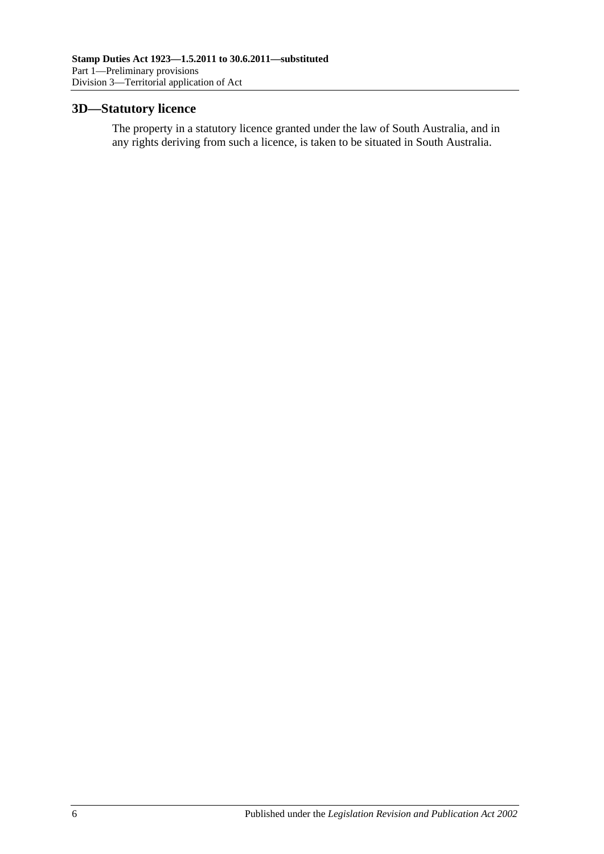### <span id="page-11-0"></span>**3D—Statutory licence**

The property in a statutory licence granted under the law of South Australia, and in any rights deriving from such a licence, is taken to be situated in South Australia.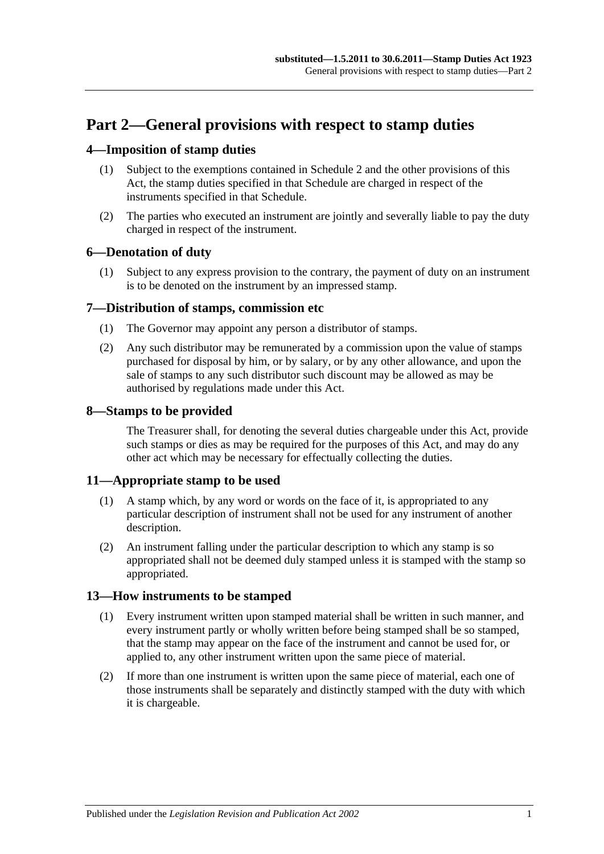## <span id="page-12-0"></span>**Part 2—General provisions with respect to stamp duties**

#### <span id="page-12-1"></span>**4—Imposition of stamp duties**

- (1) Subject to the exemptions contained in [Schedule 2](#page-100-3) and the other provisions of this Act, the stamp duties specified in that Schedule are charged in respect of the instruments specified in that Schedule.
- (2) The parties who executed an instrument are jointly and severally liable to pay the duty charged in respect of the instrument.

#### <span id="page-12-2"></span>**6—Denotation of duty**

(1) Subject to any express provision to the contrary, the payment of duty on an instrument is to be denoted on the instrument by an impressed stamp.

#### <span id="page-12-3"></span>**7—Distribution of stamps, commission etc**

- (1) The Governor may appoint any person a distributor of stamps.
- (2) Any such distributor may be remunerated by a commission upon the value of stamps purchased for disposal by him, or by salary, or by any other allowance, and upon the sale of stamps to any such distributor such discount may be allowed as may be authorised by regulations made under this Act.

#### <span id="page-12-4"></span>**8—Stamps to be provided**

The Treasurer shall, for denoting the several duties chargeable under this Act, provide such stamps or dies as may be required for the purposes of this Act, and may do any other act which may be necessary for effectually collecting the duties.

#### <span id="page-12-5"></span>**11—Appropriate stamp to be used**

- (1) A stamp which, by any word or words on the face of it, is appropriated to any particular description of instrument shall not be used for any instrument of another description.
- (2) An instrument falling under the particular description to which any stamp is so appropriated shall not be deemed duly stamped unless it is stamped with the stamp so appropriated.

#### <span id="page-12-6"></span>**13—How instruments to be stamped**

- (1) Every instrument written upon stamped material shall be written in such manner, and every instrument partly or wholly written before being stamped shall be so stamped, that the stamp may appear on the face of the instrument and cannot be used for, or applied to, any other instrument written upon the same piece of material.
- (2) If more than one instrument is written upon the same piece of material, each one of those instruments shall be separately and distinctly stamped with the duty with which it is chargeable.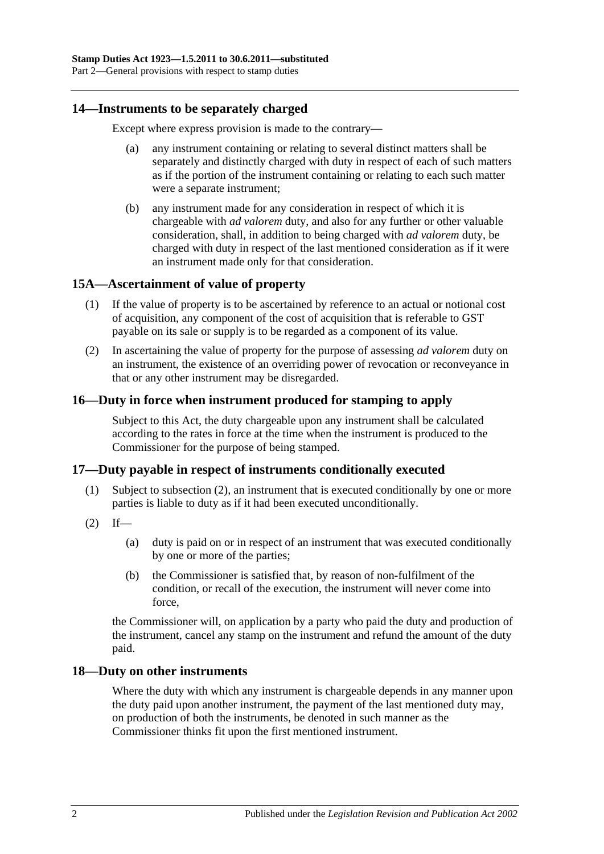#### <span id="page-13-0"></span>**14—Instruments to be separately charged**

Except where express provision is made to the contrary—

- (a) any instrument containing or relating to several distinct matters shall be separately and distinctly charged with duty in respect of each of such matters as if the portion of the instrument containing or relating to each such matter were a separate instrument;
- (b) any instrument made for any consideration in respect of which it is chargeable with *ad valorem* duty, and also for any further or other valuable consideration, shall, in addition to being charged with *ad valorem* duty, be charged with duty in respect of the last mentioned consideration as if it were an instrument made only for that consideration.

#### <span id="page-13-1"></span>**15A—Ascertainment of value of property**

- (1) If the value of property is to be ascertained by reference to an actual or notional cost of acquisition, any component of the cost of acquisition that is referable to GST payable on its sale or supply is to be regarded as a component of its value.
- (2) In ascertaining the value of property for the purpose of assessing *ad valorem* duty on an instrument, the existence of an overriding power of revocation or reconveyance in that or any other instrument may be disregarded.

### <span id="page-13-2"></span>**16—Duty in force when instrument produced for stamping to apply**

Subject to this Act, the duty chargeable upon any instrument shall be calculated according to the rates in force at the time when the instrument is produced to the Commissioner for the purpose of being stamped.

#### <span id="page-13-3"></span>**17—Duty payable in respect of instruments conditionally executed**

- (1) Subject to [subsection](#page-13-5) (2), an instrument that is executed conditionally by one or more parties is liable to duty as if it had been executed unconditionally.
- <span id="page-13-5"></span> $(2)$  If—
	- (a) duty is paid on or in respect of an instrument that was executed conditionally by one or more of the parties;
	- (b) the Commissioner is satisfied that, by reason of non-fulfilment of the condition, or recall of the execution, the instrument will never come into force,

the Commissioner will, on application by a party who paid the duty and production of the instrument, cancel any stamp on the instrument and refund the amount of the duty paid.

#### <span id="page-13-4"></span>**18—Duty on other instruments**

Where the duty with which any instrument is chargeable depends in any manner upon the duty paid upon another instrument, the payment of the last mentioned duty may, on production of both the instruments, be denoted in such manner as the Commissioner thinks fit upon the first mentioned instrument.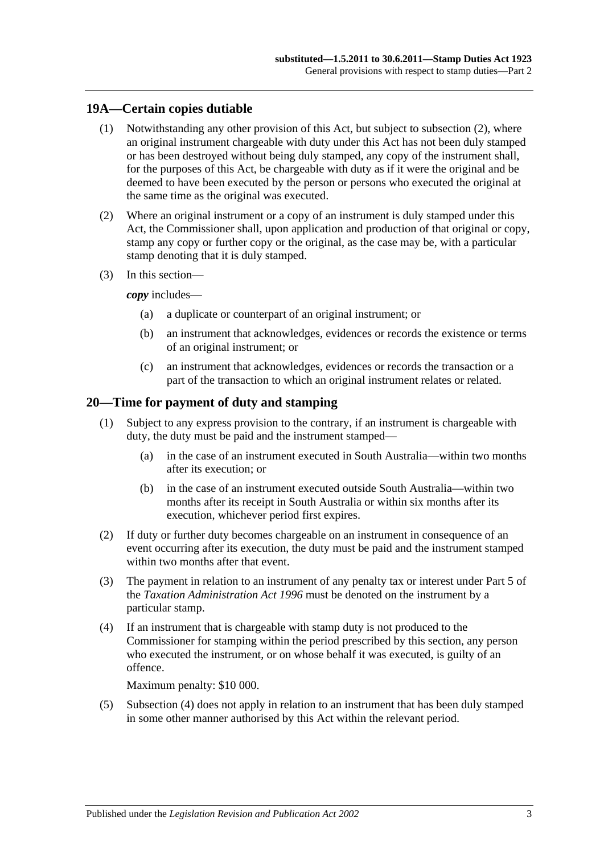### <span id="page-14-0"></span>**19A—Certain copies dutiable**

- (1) Notwithstanding any other provision of this Act, but subject to [subsection](#page-14-2) (2), where an original instrument chargeable with duty under this Act has not been duly stamped or has been destroyed without being duly stamped, any copy of the instrument shall, for the purposes of this Act, be chargeable with duty as if it were the original and be deemed to have been executed by the person or persons who executed the original at the same time as the original was executed.
- <span id="page-14-2"></span>(2) Where an original instrument or a copy of an instrument is duly stamped under this Act, the Commissioner shall, upon application and production of that original or copy, stamp any copy or further copy or the original, as the case may be, with a particular stamp denoting that it is duly stamped.
- (3) In this section—

*copy* includes—

- (a) a duplicate or counterpart of an original instrument; or
- (b) an instrument that acknowledges, evidences or records the existence or terms of an original instrument; or
- (c) an instrument that acknowledges, evidences or records the transaction or a part of the transaction to which an original instrument relates or related.

#### <span id="page-14-1"></span>**20—Time for payment of duty and stamping**

- (1) Subject to any express provision to the contrary, if an instrument is chargeable with duty, the duty must be paid and the instrument stamped—
	- (a) in the case of an instrument executed in South Australia—within two months after its execution; or
	- (b) in the case of an instrument executed outside South Australia—within two months after its receipt in South Australia or within six months after its execution, whichever period first expires.
- (2) If duty or further duty becomes chargeable on an instrument in consequence of an event occurring after its execution, the duty must be paid and the instrument stamped within two months after that event.
- (3) The payment in relation to an instrument of any penalty tax or interest under Part 5 of the *[Taxation Administration Act](http://www.legislation.sa.gov.au/index.aspx?action=legref&type=act&legtitle=Taxation%20Administration%20Act%201996) 1996* must be denoted on the instrument by a particular stamp.
- <span id="page-14-3"></span>(4) If an instrument that is chargeable with stamp duty is not produced to the Commissioner for stamping within the period prescribed by this section, any person who executed the instrument, or on whose behalf it was executed, is guilty of an offence.

Maximum penalty: \$10 000.

(5) [Subsection](#page-14-3) (4) does not apply in relation to an instrument that has been duly stamped in some other manner authorised by this Act within the relevant period.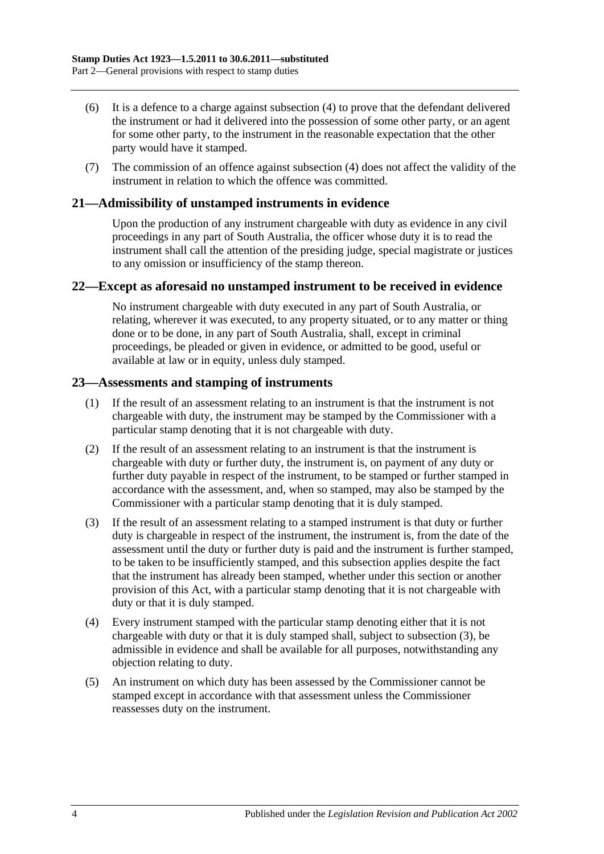- (6) It is a defence to a charge against [subsection](#page-14-3) (4) to prove that the defendant delivered the instrument or had it delivered into the possession of some other party, or an agent for some other party, to the instrument in the reasonable expectation that the other party would have it stamped.
- (7) The commission of an offence against [subsection](#page-14-3) (4) does not affect the validity of the instrument in relation to which the offence was committed.

#### <span id="page-15-0"></span>**21—Admissibility of unstamped instruments in evidence**

Upon the production of any instrument chargeable with duty as evidence in any civil proceedings in any part of South Australia, the officer whose duty it is to read the instrument shall call the attention of the presiding judge, special magistrate or justices to any omission or insufficiency of the stamp thereon.

#### <span id="page-15-1"></span>**22—Except as aforesaid no unstamped instrument to be received in evidence**

No instrument chargeable with duty executed in any part of South Australia, or relating, wherever it was executed, to any property situated, or to any matter or thing done or to be done, in any part of South Australia, shall, except in criminal proceedings, be pleaded or given in evidence, or admitted to be good, useful or available at law or in equity, unless duly stamped.

#### <span id="page-15-2"></span>**23—Assessments and stamping of instruments**

- (1) If the result of an assessment relating to an instrument is that the instrument is not chargeable with duty, the instrument may be stamped by the Commissioner with a particular stamp denoting that it is not chargeable with duty.
- (2) If the result of an assessment relating to an instrument is that the instrument is chargeable with duty or further duty, the instrument is, on payment of any duty or further duty payable in respect of the instrument, to be stamped or further stamped in accordance with the assessment, and, when so stamped, may also be stamped by the Commissioner with a particular stamp denoting that it is duly stamped.
- <span id="page-15-3"></span>(3) If the result of an assessment relating to a stamped instrument is that duty or further duty is chargeable in respect of the instrument, the instrument is, from the date of the assessment until the duty or further duty is paid and the instrument is further stamped, to be taken to be insufficiently stamped, and this subsection applies despite the fact that the instrument has already been stamped, whether under this section or another provision of this Act, with a particular stamp denoting that it is not chargeable with duty or that it is duly stamped.
- (4) Every instrument stamped with the particular stamp denoting either that it is not chargeable with duty or that it is duly stamped shall, subject to [subsection](#page-15-3) (3), be admissible in evidence and shall be available for all purposes, notwithstanding any objection relating to duty.
- (5) An instrument on which duty has been assessed by the Commissioner cannot be stamped except in accordance with that assessment unless the Commissioner reassesses duty on the instrument.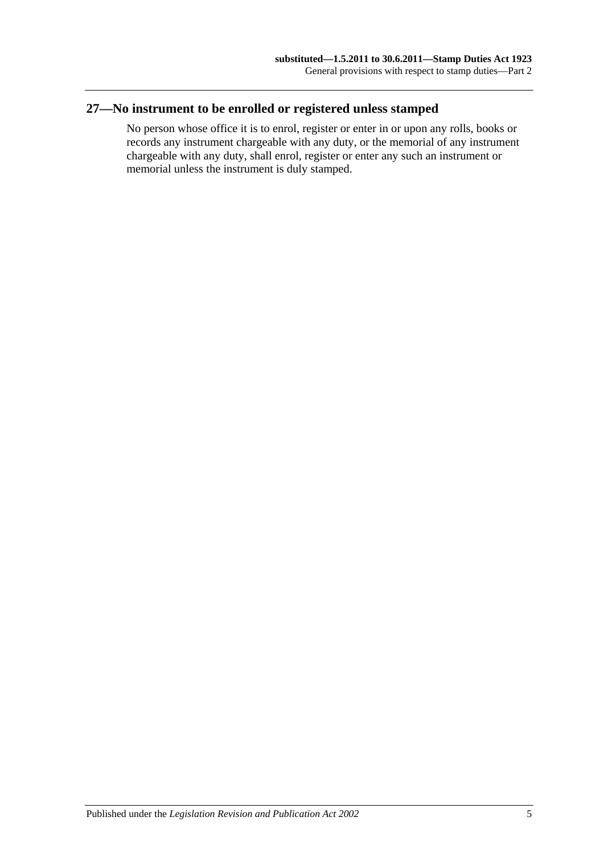## <span id="page-16-0"></span>**27—No instrument to be enrolled or registered unless stamped**

No person whose office it is to enrol, register or enter in or upon any rolls, books or records any instrument chargeable with any duty, or the memorial of any instrument chargeable with any duty, shall enrol, register or enter any such an instrument or memorial unless the instrument is duly stamped.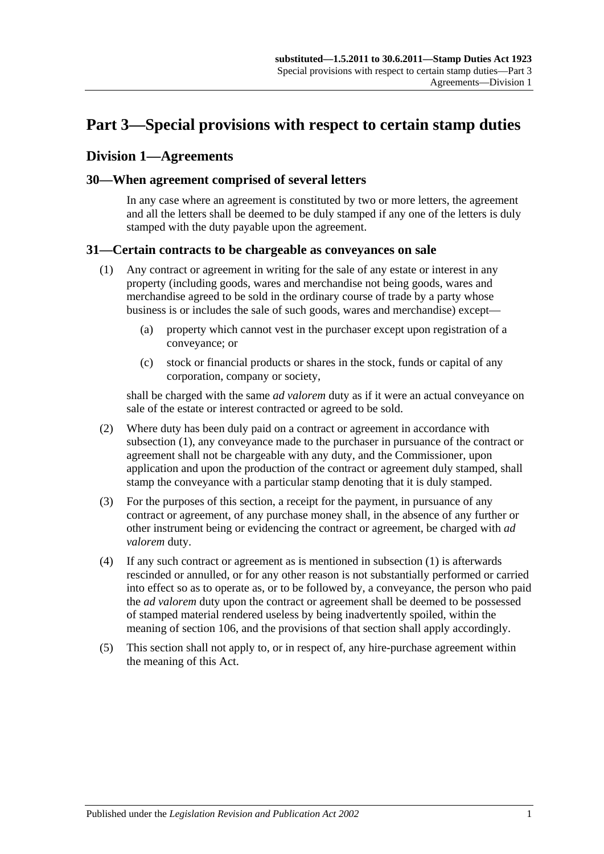## <span id="page-18-0"></span>**Part 3—Special provisions with respect to certain stamp duties**

### <span id="page-18-1"></span>**Division 1—Agreements**

#### <span id="page-18-2"></span>**30—When agreement comprised of several letters**

In any case where an agreement is constituted by two or more letters, the agreement and all the letters shall be deemed to be duly stamped if any one of the letters is duly stamped with the duty payable upon the agreement.

#### <span id="page-18-4"></span><span id="page-18-3"></span>**31—Certain contracts to be chargeable as conveyances on sale**

- (1) Any contract or agreement in writing for the sale of any estate or interest in any property (including goods, wares and merchandise not being goods, wares and merchandise agreed to be sold in the ordinary course of trade by a party whose business is or includes the sale of such goods, wares and merchandise) except—
	- (a) property which cannot vest in the purchaser except upon registration of a conveyance; or
	- (c) stock or financial products or shares in the stock, funds or capital of any corporation, company or society,

shall be charged with the same *ad valorem* duty as if it were an actual conveyance on sale of the estate or interest contracted or agreed to be sold.

- (2) Where duty has been duly paid on a contract or agreement in accordance with [subsection](#page-18-4) (1), any conveyance made to the purchaser in pursuance of the contract or agreement shall not be chargeable with any duty, and the Commissioner, upon application and upon the production of the contract or agreement duly stamped, shall stamp the conveyance with a particular stamp denoting that it is duly stamped.
- (3) For the purposes of this section, a receipt for the payment, in pursuance of any contract or agreement, of any purchase money shall, in the absence of any further or other instrument being or evidencing the contract or agreement, be charged with *ad valorem* duty.
- (4) If any such contract or agreement as is mentioned in [subsection](#page-18-4) (1) is afterwards rescinded or annulled, or for any other reason is not substantially performed or carried into effect so as to operate as, or to be followed by, a conveyance, the person who paid the *ad valorem* duty upon the contract or agreement shall be deemed to be possessed of stamped material rendered useless by being inadvertently spoiled, within the meaning of [section](#page-96-1) 106, and the provisions of that section shall apply accordingly.
- (5) This section shall not apply to, or in respect of, any hire-purchase agreement within the meaning of this Act.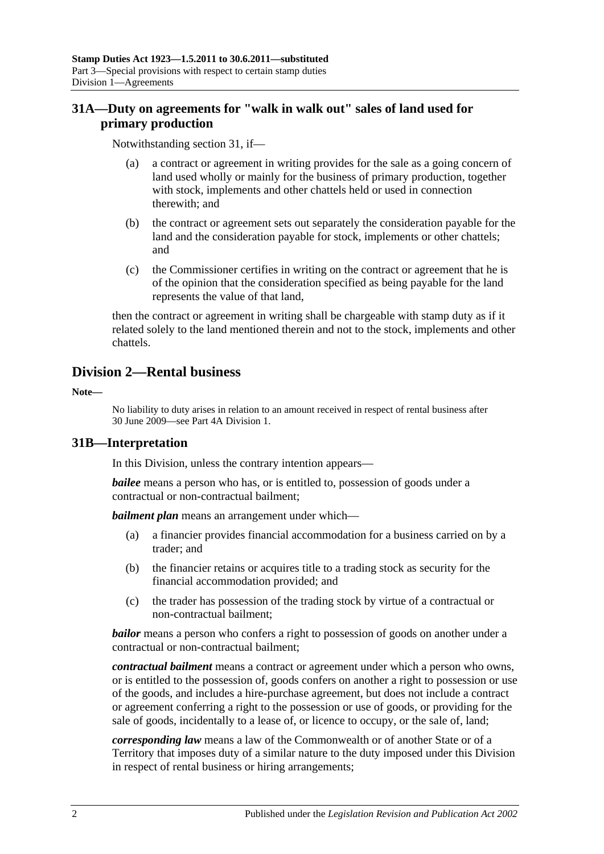## <span id="page-19-0"></span>**31A—Duty on agreements for "walk in walk out" sales of land used for primary production**

Notwithstanding [section](#page-18-3) 31, if—

- (a) a contract or agreement in writing provides for the sale as a going concern of land used wholly or mainly for the business of primary production, together with stock, implements and other chattels held or used in connection therewith; and
- (b) the contract or agreement sets out separately the consideration payable for the land and the consideration payable for stock, implements or other chattels; and
- (c) the Commissioner certifies in writing on the contract or agreement that he is of the opinion that the consideration specified as being payable for the land represents the value of that land,

then the contract or agreement in writing shall be chargeable with stamp duty as if it related solely to the land mentioned therein and not to the stock, implements and other chattels.

## <span id="page-19-1"></span>**Division 2—Rental business**

**Note—**

No liability to duty arises in relation to an amount received in respect of rental business after 30 June 2009—see [Part 4A Division 1.](#page-94-1)

#### <span id="page-19-2"></span>**31B—Interpretation**

In this Division, unless the contrary intention appears—

*bailee* means a person who has, or is entitled to, possession of goods under a contractual or non-contractual bailment;

*bailment plan* means an arrangement under which—

- (a) a financier provides financial accommodation for a business carried on by a trader; and
- (b) the financier retains or acquires title to a trading stock as security for the financial accommodation provided; and
- (c) the trader has possession of the trading stock by virtue of a contractual or non-contractual bailment;

*bailor* means a person who confers a right to possession of goods on another under a contractual or non-contractual bailment;

*contractual bailment* means a contract or agreement under which a person who owns, or is entitled to the possession of, goods confers on another a right to possession or use of the goods, and includes a hire-purchase agreement, but does not include a contract or agreement conferring a right to the possession or use of goods, or providing for the sale of goods, incidentally to a lease of, or licence to occupy, or the sale of, land;

*corresponding law* means a law of the Commonwealth or of another State or of a Territory that imposes duty of a similar nature to the duty imposed under this Division in respect of rental business or hiring arrangements;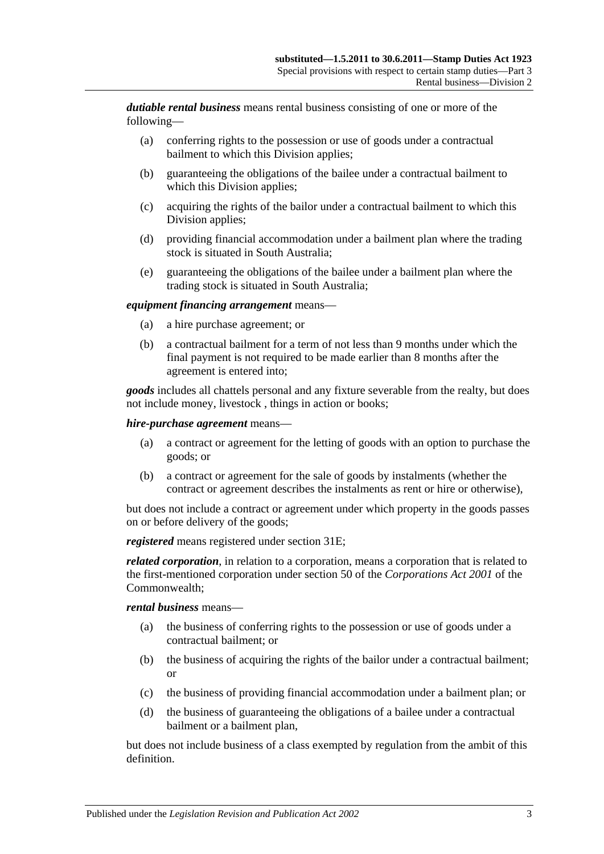*dutiable rental business* means rental business consisting of one or more of the following—

- (a) conferring rights to the possession or use of goods under a contractual bailment to which this Division applies;
- (b) guaranteeing the obligations of the bailee under a contractual bailment to which this Division applies;
- (c) acquiring the rights of the bailor under a contractual bailment to which this Division applies;
- (d) providing financial accommodation under a bailment plan where the trading stock is situated in South Australia;
- (e) guaranteeing the obligations of the bailee under a bailment plan where the trading stock is situated in South Australia;

#### *equipment financing arrangement* means—

- (a) a hire purchase agreement; or
- (b) a contractual bailment for a term of not less than 9 months under which the final payment is not required to be made earlier than 8 months after the agreement is entered into;

*goods* includes all chattels personal and any fixture severable from the realty, but does not include money, livestock , things in action or books;

#### *hire-purchase agreement* means—

- (a) a contract or agreement for the letting of goods with an option to purchase the goods; or
- (b) a contract or agreement for the sale of goods by instalments (whether the contract or agreement describes the instalments as rent or hire or otherwise),

but does not include a contract or agreement under which property in the goods passes on or before delivery of the goods;

*registered* means registered under [section](#page-21-2) 31E;

*related corporation*, in relation to a corporation, means a corporation that is related to the first-mentioned corporation under section 50 of the *Corporations Act 2001* of the Commonwealth;

#### *rental business* means—

- (a) the business of conferring rights to the possession or use of goods under a contractual bailment; or
- (b) the business of acquiring the rights of the bailor under a contractual bailment; or
- (c) the business of providing financial accommodation under a bailment plan; or
- (d) the business of guaranteeing the obligations of a bailee under a contractual bailment or a bailment plan,

but does not include business of a class exempted by regulation from the ambit of this definition.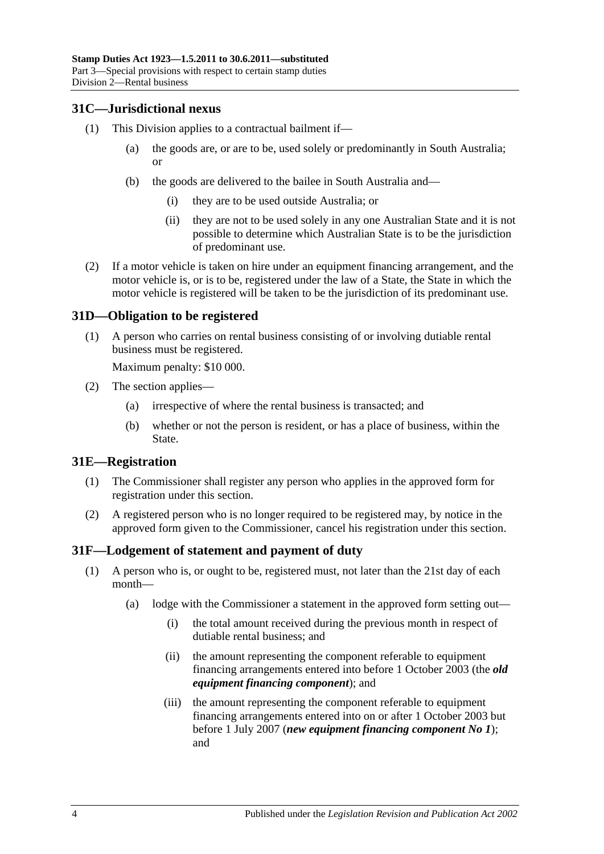#### <span id="page-21-0"></span>**31C—Jurisdictional nexus**

- (1) This Division applies to a contractual bailment if—
	- (a) the goods are, or are to be, used solely or predominantly in South Australia; or
	- (b) the goods are delivered to the bailee in South Australia and—
		- (i) they are to be used outside Australia; or
		- (ii) they are not to be used solely in any one Australian State and it is not possible to determine which Australian State is to be the jurisdiction of predominant use.
- (2) If a motor vehicle is taken on hire under an equipment financing arrangement, and the motor vehicle is, or is to be, registered under the law of a State, the State in which the motor vehicle is registered will be taken to be the jurisdiction of its predominant use.

#### <span id="page-21-1"></span>**31D—Obligation to be registered**

(1) A person who carries on rental business consisting of or involving dutiable rental business must be registered.

Maximum penalty: \$10 000.

- (2) The section applies—
	- (a) irrespective of where the rental business is transacted; and
	- (b) whether or not the person is resident, or has a place of business, within the State.

#### <span id="page-21-2"></span>**31E—Registration**

- (1) The Commissioner shall register any person who applies in the approved form for registration under this section.
- (2) A registered person who is no longer required to be registered may, by notice in the approved form given to the Commissioner, cancel his registration under this section.

#### <span id="page-21-4"></span><span id="page-21-3"></span>**31F—Lodgement of statement and payment of duty**

- (1) A person who is, or ought to be, registered must, not later than the 21st day of each month—
	- (a) lodge with the Commissioner a statement in the approved form setting out—
		- (i) the total amount received during the previous month in respect of dutiable rental business; and
		- (ii) the amount representing the component referable to equipment financing arrangements entered into before 1 October 2003 (the *old equipment financing component*); and
		- (iii) the amount representing the component referable to equipment financing arrangements entered into on or after 1 October 2003 but before 1 July 2007 (*new equipment financing component No 1*); and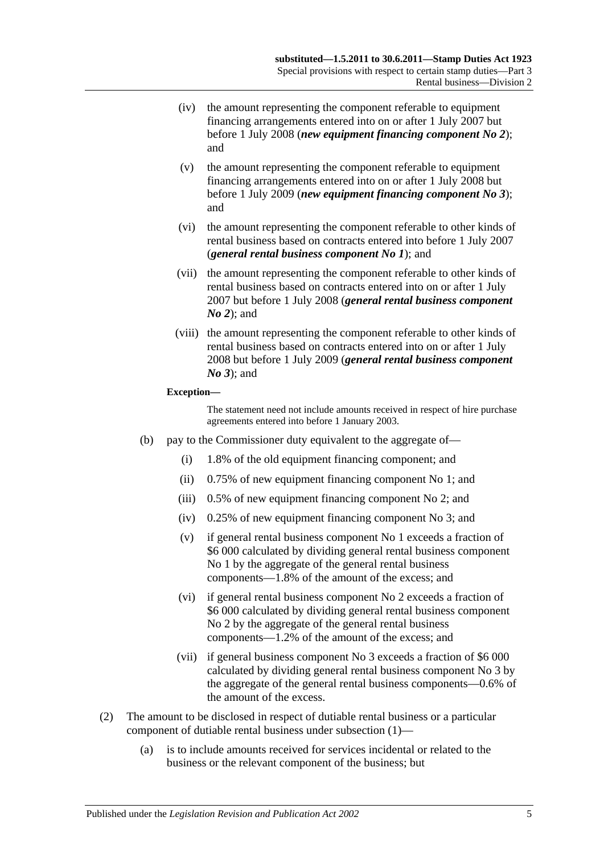- (iv) the amount representing the component referable to equipment financing arrangements entered into on or after 1 July 2007 but before 1 July 2008 (*new equipment financing component No 2*); and
- (v) the amount representing the component referable to equipment financing arrangements entered into on or after 1 July 2008 but before 1 July 2009 (*new equipment financing component No 3*); and
- (vi) the amount representing the component referable to other kinds of rental business based on contracts entered into before 1 July 2007 (*general rental business component No 1*); and
- (vii) the amount representing the component referable to other kinds of rental business based on contracts entered into on or after 1 July 2007 but before 1 July 2008 (*general rental business component No 2*); and
- (viii) the amount representing the component referable to other kinds of rental business based on contracts entered into on or after 1 July 2008 but before 1 July 2009 (*general rental business component No 3*); and

#### **Exception—**

The statement need not include amounts received in respect of hire purchase agreements entered into before 1 January 2003.

- (b) pay to the Commissioner duty equivalent to the aggregate of—
	- (i) 1.8% of the old equipment financing component; and
	- (ii) 0.75% of new equipment financing component No 1; and
	- (iii) 0.5% of new equipment financing component No 2; and
	- (iv) 0.25% of new equipment financing component No 3; and
	- (v) if general rental business component No 1 exceeds a fraction of \$6 000 calculated by dividing general rental business component No 1 by the aggregate of the general rental business components—1.8% of the amount of the excess; and
	- (vi) if general rental business component No 2 exceeds a fraction of \$6 000 calculated by dividing general rental business component No 2 by the aggregate of the general rental business components—1.2% of the amount of the excess; and
	- (vii) if general business component No 3 exceeds a fraction of \$6 000 calculated by dividing general rental business component No 3 by the aggregate of the general rental business components—0.6% of the amount of the excess.
- (2) The amount to be disclosed in respect of dutiable rental business or a particular component of dutiable rental business under [subsection](#page-21-4) (1)—
	- (a) is to include amounts received for services incidental or related to the business or the relevant component of the business; but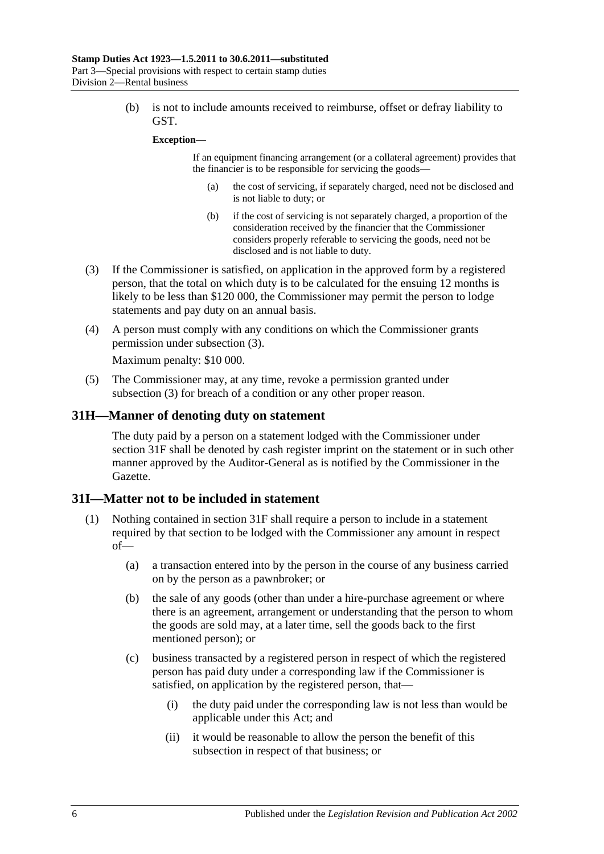(b) is not to include amounts received to reimburse, offset or defray liability to GST.

#### **Exception—**

If an equipment financing arrangement (or a collateral agreement) provides that the financier is to be responsible for servicing the goods—

- (a) the cost of servicing, if separately charged, need not be disclosed and is not liable to duty; or
- (b) if the cost of servicing is not separately charged, a proportion of the consideration received by the financier that the Commissioner considers properly referable to servicing the goods, need not be disclosed and is not liable to duty.
- <span id="page-23-2"></span>(3) If the Commissioner is satisfied, on application in the approved form by a registered person, that the total on which duty is to be calculated for the ensuing 12 months is likely to be less than \$120 000, the Commissioner may permit the person to lodge statements and pay duty on an annual basis.
- (4) A person must comply with any conditions on which the Commissioner grants permission under [subsection](#page-23-2) (3).

Maximum penalty: \$10 000.

(5) The Commissioner may, at any time, revoke a permission granted under [subsection](#page-23-2) (3) for breach of a condition or any other proper reason.

#### <span id="page-23-0"></span>**31H—Manner of denoting duty on statement**

The duty paid by a person on a statement lodged with the Commissioner under [section](#page-21-3) 31F shall be denoted by cash register imprint on the statement or in such other manner approved by the Auditor-General as is notified by the Commissioner in the Gazette.

#### <span id="page-23-1"></span>**31I—Matter not to be included in statement**

- <span id="page-23-3"></span>(1) Nothing contained in [section](#page-21-3) 31F shall require a person to include in a statement required by that section to be lodged with the Commissioner any amount in respect of—
	- (a) a transaction entered into by the person in the course of any business carried on by the person as a pawnbroker; or
	- (b) the sale of any goods (other than under a hire-purchase agreement or where there is an agreement, arrangement or understanding that the person to whom the goods are sold may, at a later time, sell the goods back to the first mentioned person); or
	- (c) business transacted by a registered person in respect of which the registered person has paid duty under a corresponding law if the Commissioner is satisfied, on application by the registered person, that—
		- (i) the duty paid under the corresponding law is not less than would be applicable under this Act; and
		- (ii) it would be reasonable to allow the person the benefit of this subsection in respect of that business; or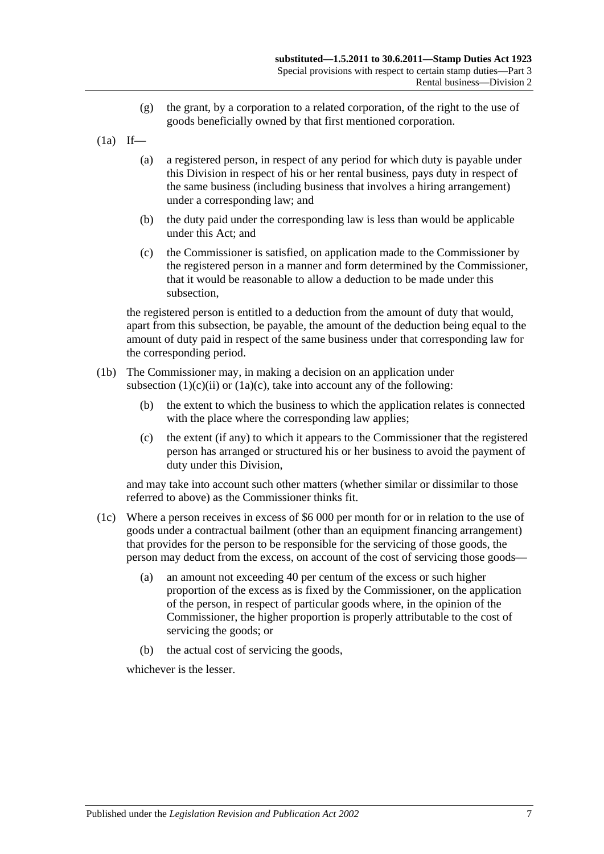- (g) the grant, by a corporation to a related corporation, of the right to the use of goods beneficially owned by that first mentioned corporation.
- $(1a)$  If—
	- (a) a registered person, in respect of any period for which duty is payable under this Division in respect of his or her rental business, pays duty in respect of the same business (including business that involves a hiring arrangement) under a corresponding law; and
	- (b) the duty paid under the corresponding law is less than would be applicable under this Act; and
	- (c) the Commissioner is satisfied, on application made to the Commissioner by the registered person in a manner and form determined by the Commissioner, that it would be reasonable to allow a deduction to be made under this subsection,

<span id="page-24-0"></span>the registered person is entitled to a deduction from the amount of duty that would, apart from this subsection, be payable, the amount of the deduction being equal to the amount of duty paid in respect of the same business under that corresponding law for the corresponding period.

- (1b) The Commissioner may, in making a decision on an application under [subsection](#page-23-3)  $(1)(c)(ii)$  or  $(1a)(c)$ , take into account any of the following:
	- (b) the extent to which the business to which the application relates is connected with the place where the corresponding law applies:
	- (c) the extent (if any) to which it appears to the Commissioner that the registered person has arranged or structured his or her business to avoid the payment of duty under this Division,

and may take into account such other matters (whether similar or dissimilar to those referred to above) as the Commissioner thinks fit.

- (1c) Where a person receives in excess of \$6 000 per month for or in relation to the use of goods under a contractual bailment (other than an equipment financing arrangement) that provides for the person to be responsible for the servicing of those goods, the person may deduct from the excess, on account of the cost of servicing those goods—
	- (a) an amount not exceeding 40 per centum of the excess or such higher proportion of the excess as is fixed by the Commissioner, on the application of the person, in respect of particular goods where, in the opinion of the Commissioner, the higher proportion is properly attributable to the cost of servicing the goods; or
	- (b) the actual cost of servicing the goods,

whichever is the lesser.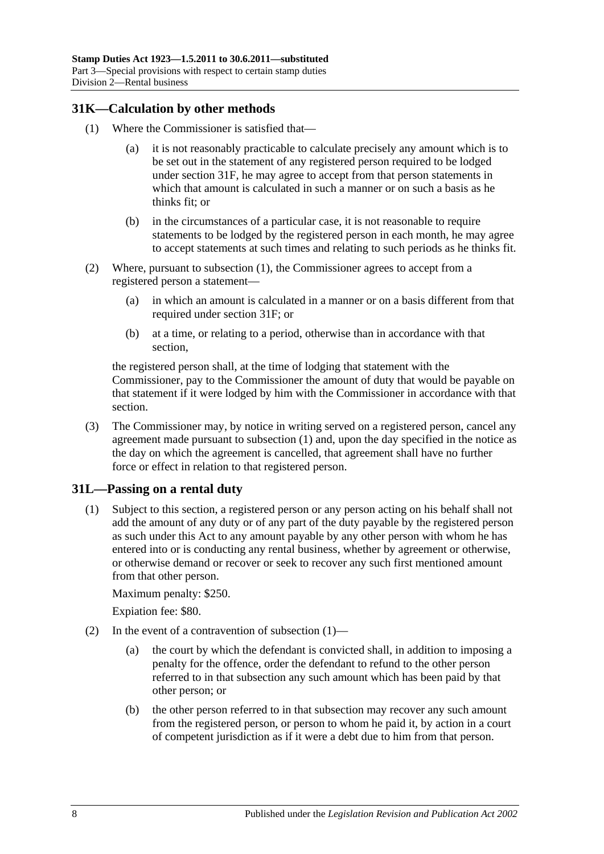#### <span id="page-25-2"></span><span id="page-25-0"></span>**31K—Calculation by other methods**

- (1) Where the Commissioner is satisfied that—
	- (a) it is not reasonably practicable to calculate precisely any amount which is to be set out in the statement of any registered person required to be lodged under [section](#page-21-3) 31F, he may agree to accept from that person statements in which that amount is calculated in such a manner or on such a basis as he thinks fit; or
	- (b) in the circumstances of a particular case, it is not reasonable to require statements to be lodged by the registered person in each month, he may agree to accept statements at such times and relating to such periods as he thinks fit.
- (2) Where, pursuant to [subsection](#page-25-2) (1), the Commissioner agrees to accept from a registered person a statement—
	- (a) in which an amount is calculated in a manner or on a basis different from that required under [section](#page-21-3) 31F; or
	- (b) at a time, or relating to a period, otherwise than in accordance with that section,

the registered person shall, at the time of lodging that statement with the Commissioner, pay to the Commissioner the amount of duty that would be payable on that statement if it were lodged by him with the Commissioner in accordance with that section.

(3) The Commissioner may, by notice in writing served on a registered person, cancel any agreement made pursuant to [subsection](#page-25-2) (1) and, upon the day specified in the notice as the day on which the agreement is cancelled, that agreement shall have no further force or effect in relation to that registered person.

#### <span id="page-25-3"></span><span id="page-25-1"></span>**31L—Passing on a rental duty**

(1) Subject to this section, a registered person or any person acting on his behalf shall not add the amount of any duty or of any part of the duty payable by the registered person as such under this Act to any amount payable by any other person with whom he has entered into or is conducting any rental business, whether by agreement or otherwise, or otherwise demand or recover or seek to recover any such first mentioned amount from that other person.

Maximum penalty: \$250.

Expiation fee: \$80.

- (2) In the event of a contravention of [subsection](#page-25-3)  $(1)$ 
	- (a) the court by which the defendant is convicted shall, in addition to imposing a penalty for the offence, order the defendant to refund to the other person referred to in that subsection any such amount which has been paid by that other person; or
	- (b) the other person referred to in that subsection may recover any such amount from the registered person, or person to whom he paid it, by action in a court of competent jurisdiction as if it were a debt due to him from that person.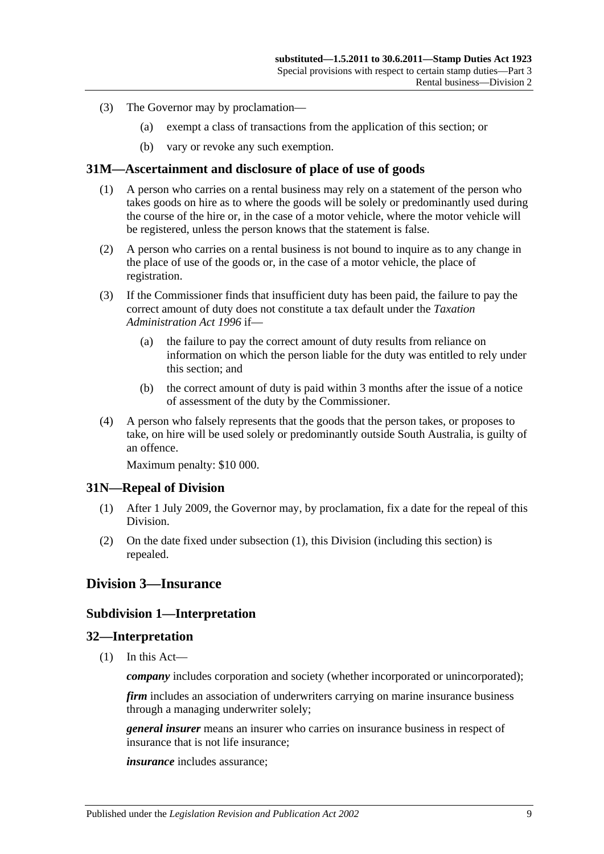- (3) The Governor may by proclamation—
	- (a) exempt a class of transactions from the application of this section; or
	- (b) vary or revoke any such exemption.

#### <span id="page-26-0"></span>**31M—Ascertainment and disclosure of place of use of goods**

- (1) A person who carries on a rental business may rely on a statement of the person who takes goods on hire as to where the goods will be solely or predominantly used during the course of the hire or, in the case of a motor vehicle, where the motor vehicle will be registered, unless the person knows that the statement is false.
- (2) A person who carries on a rental business is not bound to inquire as to any change in the place of use of the goods or, in the case of a motor vehicle, the place of registration.
- (3) If the Commissioner finds that insufficient duty has been paid, the failure to pay the correct amount of duty does not constitute a tax default under the *[Taxation](http://www.legislation.sa.gov.au/index.aspx?action=legref&type=act&legtitle=Taxation%20Administration%20Act%201996)  [Administration Act](http://www.legislation.sa.gov.au/index.aspx?action=legref&type=act&legtitle=Taxation%20Administration%20Act%201996) 1996* if—
	- (a) the failure to pay the correct amount of duty results from reliance on information on which the person liable for the duty was entitled to rely under this section; and
	- (b) the correct amount of duty is paid within 3 months after the issue of a notice of assessment of the duty by the Commissioner.
- (4) A person who falsely represents that the goods that the person takes, or proposes to take, on hire will be used solely or predominantly outside South Australia, is guilty of an offence.

Maximum penalty: \$10 000.

#### <span id="page-26-5"></span><span id="page-26-1"></span>**31N—Repeal of Division**

- (1) After 1 July 2009, the Governor may, by proclamation, fix a date for the repeal of this Division.
- (2) On the date fixed under [subsection](#page-26-5) (1), this Division (including this section) is repealed.

#### <span id="page-26-3"></span><span id="page-26-2"></span>**Division 3—Insurance**

#### **Subdivision 1—Interpretation**

#### <span id="page-26-4"></span>**32—Interpretation**

(1) In this Act—

*company* includes corporation and society (whether incorporated or unincorporated);

*firm* includes an association of underwriters carrying on marine insurance business through a managing underwriter solely;

*general insurer* means an insurer who carries on insurance business in respect of insurance that is not life insurance;

*insurance* includes assurance;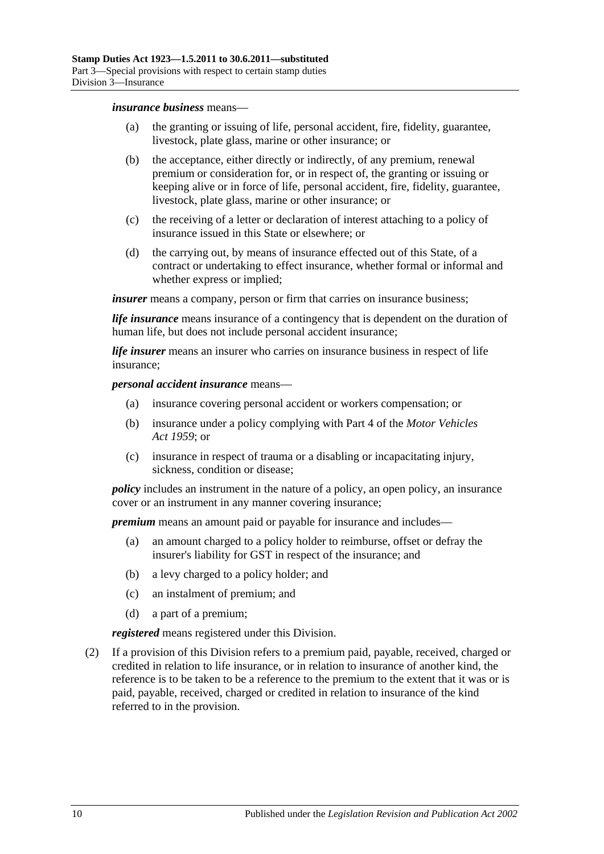#### *insurance business* means—

- (a) the granting or issuing of life, personal accident, fire, fidelity, guarantee, livestock, plate glass, marine or other insurance; or
- (b) the acceptance, either directly or indirectly, of any premium, renewal premium or consideration for, or in respect of, the granting or issuing or keeping alive or in force of life, personal accident, fire, fidelity, guarantee, livestock, plate glass, marine or other insurance; or
- (c) the receiving of a letter or declaration of interest attaching to a policy of insurance issued in this State or elsewhere; or
- (d) the carrying out, by means of insurance effected out of this State, of a contract or undertaking to effect insurance, whether formal or informal and whether express or implied;

*insurer* means a company, person or firm that carries on insurance business;

*life insurance* means insurance of a contingency that is dependent on the duration of human life, but does not include personal accident insurance;

*life insurer* means an insurer who carries on insurance business in respect of life insurance;

#### *personal accident insurance* means—

- (a) insurance covering personal accident or workers compensation; or
- (b) insurance under a policy complying with Part 4 of the *[Motor Vehicles](http://www.legislation.sa.gov.au/index.aspx?action=legref&type=act&legtitle=Motor%20Vehicles%20Act%201959)  Act [1959](http://www.legislation.sa.gov.au/index.aspx?action=legref&type=act&legtitle=Motor%20Vehicles%20Act%201959)*; or
- (c) insurance in respect of trauma or a disabling or incapacitating injury, sickness, condition or disease;

*policy* includes an instrument in the nature of a policy, an open policy, an insurance cover or an instrument in any manner covering insurance;

*premium* means an amount paid or payable for insurance and includes—

- (a) an amount charged to a policy holder to reimburse, offset or defray the insurer's liability for GST in respect of the insurance; and
- (b) a levy charged to a policy holder; and
- (c) an instalment of premium; and
- (d) a part of a premium;

*registered* means registered under this Division.

(2) If a provision of this Division refers to a premium paid, payable, received, charged or credited in relation to life insurance, or in relation to insurance of another kind, the reference is to be taken to be a reference to the premium to the extent that it was or is paid, payable, received, charged or credited in relation to insurance of the kind referred to in the provision.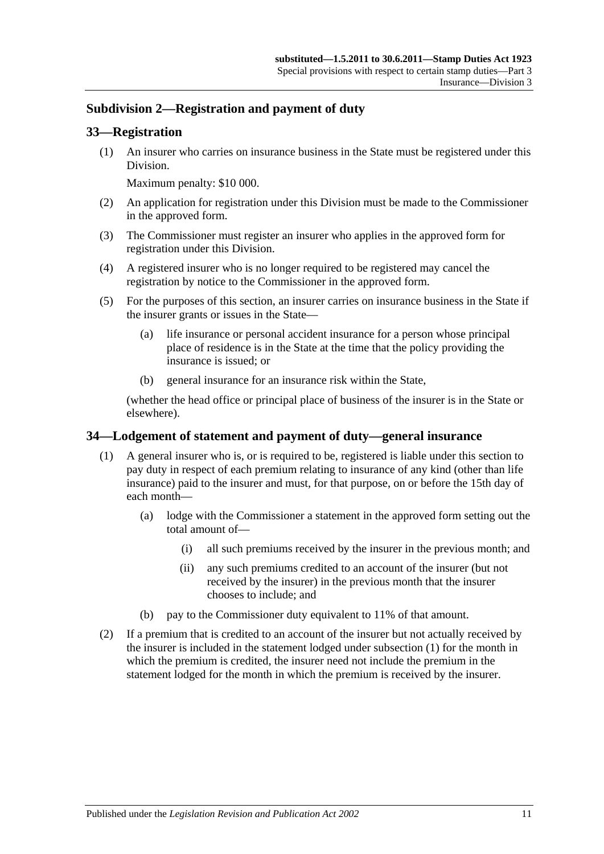### <span id="page-28-0"></span>**Subdivision 2—Registration and payment of duty**

#### <span id="page-28-1"></span>**33—Registration**

(1) An insurer who carries on insurance business in the State must be registered under this Division.

Maximum penalty: \$10 000.

- (2) An application for registration under this Division must be made to the Commissioner in the approved form.
- (3) The Commissioner must register an insurer who applies in the approved form for registration under this Division.
- (4) A registered insurer who is no longer required to be registered may cancel the registration by notice to the Commissioner in the approved form.
- (5) For the purposes of this section, an insurer carries on insurance business in the State if the insurer grants or issues in the State—
	- (a) life insurance or personal accident insurance for a person whose principal place of residence is in the State at the time that the policy providing the insurance is issued; or
	- (b) general insurance for an insurance risk within the State,

(whether the head office or principal place of business of the insurer is in the State or elsewhere).

#### <span id="page-28-3"></span><span id="page-28-2"></span>**34—Lodgement of statement and payment of duty—general insurance**

- (1) A general insurer who is, or is required to be, registered is liable under this section to pay duty in respect of each premium relating to insurance of any kind (other than life insurance) paid to the insurer and must, for that purpose, on or before the 15th day of each month—
	- (a) lodge with the Commissioner a statement in the approved form setting out the total amount of—
		- (i) all such premiums received by the insurer in the previous month; and
		- (ii) any such premiums credited to an account of the insurer (but not received by the insurer) in the previous month that the insurer chooses to include; and
	- (b) pay to the Commissioner duty equivalent to 11% of that amount.
- (2) If a premium that is credited to an account of the insurer but not actually received by the insurer is included in the statement lodged under [subsection](#page-28-3) (1) for the month in which the premium is credited, the insurer need not include the premium in the statement lodged for the month in which the premium is received by the insurer.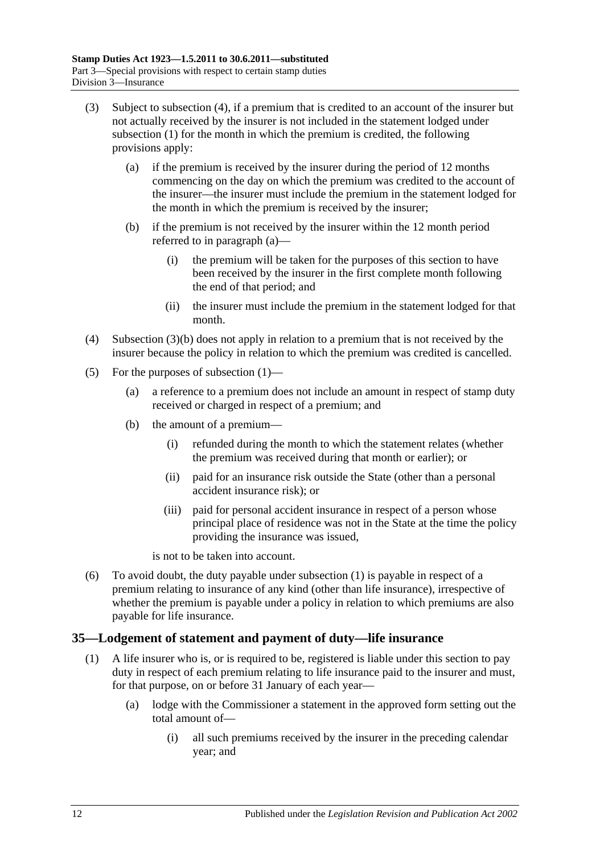- <span id="page-29-3"></span><span id="page-29-2"></span>(3) Subject to [subsection](#page-29-1) (4), if a premium that is credited to an account of the insurer but not actually received by the insurer is not included in the statement lodged under [subsection](#page-28-3) (1) for the month in which the premium is credited, the following provisions apply:
	- (a) if the premium is received by the insurer during the period of 12 months commencing on the day on which the premium was credited to the account of the insurer—the insurer must include the premium in the statement lodged for the month in which the premium is received by the insurer;
	- (b) if the premium is not received by the insurer within the 12 month period referred to in [paragraph](#page-29-2) (a)—
		- (i) the premium will be taken for the purposes of this section to have been received by the insurer in the first complete month following the end of that period; and
		- (ii) the insurer must include the premium in the statement lodged for that month.
- <span id="page-29-1"></span>(4) [Subsection](#page-29-3) (3)(b) does not apply in relation to a premium that is not received by the insurer because the policy in relation to which the premium was credited is cancelled.
- (5) For the purposes of [subsection](#page-28-3) (1)—
	- (a) a reference to a premium does not include an amount in respect of stamp duty received or charged in respect of a premium; and
	- (b) the amount of a premium—
		- (i) refunded during the month to which the statement relates (whether the premium was received during that month or earlier); or
		- (ii) paid for an insurance risk outside the State (other than a personal accident insurance risk); or
		- (iii) paid for personal accident insurance in respect of a person whose principal place of residence was not in the State at the time the policy providing the insurance was issued,

is not to be taken into account.

(6) To avoid doubt, the duty payable under [subsection](#page-28-3) (1) is payable in respect of a premium relating to insurance of any kind (other than life insurance), irrespective of whether the premium is payable under a policy in relation to which premiums are also payable for life insurance.

#### <span id="page-29-4"></span><span id="page-29-0"></span>**35—Lodgement of statement and payment of duty—life insurance**

- (1) A life insurer who is, or is required to be, registered is liable under this section to pay duty in respect of each premium relating to life insurance paid to the insurer and must, for that purpose, on or before 31 January of each year—
	- (a) lodge with the Commissioner a statement in the approved form setting out the total amount of—
		- (i) all such premiums received by the insurer in the preceding calendar year; and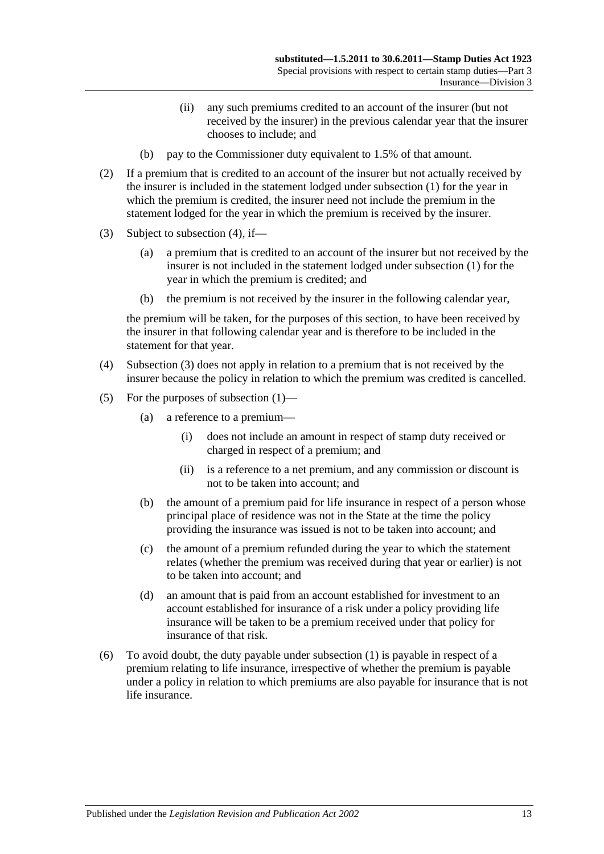- (ii) any such premiums credited to an account of the insurer (but not received by the insurer) in the previous calendar year that the insurer chooses to include; and
- (b) pay to the Commissioner duty equivalent to 1.5% of that amount.
- (2) If a premium that is credited to an account of the insurer but not actually received by the insurer is included in the statement lodged under [subsection](#page-29-4) (1) for the year in which the premium is credited, the insurer need not include the premium in the statement lodged for the year in which the premium is received by the insurer.
- <span id="page-30-1"></span>(3) Subject to [subsection](#page-30-0) (4), if—
	- (a) a premium that is credited to an account of the insurer but not received by the insurer is not included in the statement lodged under [subsection](#page-29-4) (1) for the year in which the premium is credited; and
	- (b) the premium is not received by the insurer in the following calendar year,

the premium will be taken, for the purposes of this section, to have been received by the insurer in that following calendar year and is therefore to be included in the statement for that year.

- <span id="page-30-0"></span>(4) [Subsection](#page-30-1) (3) does not apply in relation to a premium that is not received by the insurer because the policy in relation to which the premium was credited is cancelled.
- (5) For the purposes of [subsection](#page-29-4) (1)—
	- (a) a reference to a premium—
		- (i) does not include an amount in respect of stamp duty received or charged in respect of a premium; and
		- (ii) is a reference to a net premium, and any commission or discount is not to be taken into account; and
	- (b) the amount of a premium paid for life insurance in respect of a person whose principal place of residence was not in the State at the time the policy providing the insurance was issued is not to be taken into account; and
	- (c) the amount of a premium refunded during the year to which the statement relates (whether the premium was received during that year or earlier) is not to be taken into account; and
	- (d) an amount that is paid from an account established for investment to an account established for insurance of a risk under a policy providing life insurance will be taken to be a premium received under that policy for insurance of that risk.
- (6) To avoid doubt, the duty payable under [subsection](#page-29-4) (1) is payable in respect of a premium relating to life insurance, irrespective of whether the premium is payable under a policy in relation to which premiums are also payable for insurance that is not life insurance.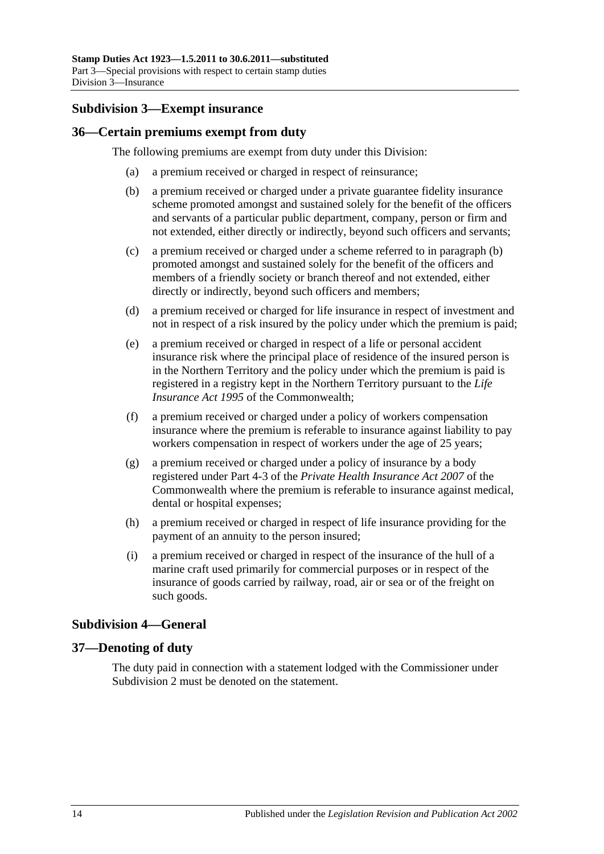#### <span id="page-31-0"></span>**Subdivision 3—Exempt insurance**

#### <span id="page-31-1"></span>**36—Certain premiums exempt from duty**

<span id="page-31-4"></span>The following premiums are exempt from duty under this Division:

- (a) a premium received or charged in respect of reinsurance;
- (b) a premium received or charged under a private guarantee fidelity insurance scheme promoted amongst and sustained solely for the benefit of the officers and servants of a particular public department, company, person or firm and not extended, either directly or indirectly, beyond such officers and servants;
- (c) a premium received or charged under a scheme referred to in [paragraph](#page-31-4) (b) promoted amongst and sustained solely for the benefit of the officers and members of a friendly society or branch thereof and not extended, either directly or indirectly, beyond such officers and members;
- (d) a premium received or charged for life insurance in respect of investment and not in respect of a risk insured by the policy under which the premium is paid;
- (e) a premium received or charged in respect of a life or personal accident insurance risk where the principal place of residence of the insured person is in the Northern Territory and the policy under which the premium is paid is registered in a registry kept in the Northern Territory pursuant to the *Life Insurance Act 1995* of the Commonwealth;
- (f) a premium received or charged under a policy of workers compensation insurance where the premium is referable to insurance against liability to pay workers compensation in respect of workers under the age of 25 years;
- (g) a premium received or charged under a policy of insurance by a body registered under Part 4-3 of the *Private Health Insurance Act 2007* of the Commonwealth where the premium is referable to insurance against medical, dental or hospital expenses;
- (h) a premium received or charged in respect of life insurance providing for the payment of an annuity to the person insured;
- (i) a premium received or charged in respect of the insurance of the hull of a marine craft used primarily for commercial purposes or in respect of the insurance of goods carried by railway, road, air or sea or of the freight on such goods.

## <span id="page-31-2"></span>**Subdivision 4—General**

#### <span id="page-31-3"></span>**37—Denoting of duty**

The duty paid in connection with a statement lodged with the Commissioner under [Subdivision](#page-28-0) 2 must be denoted on the statement.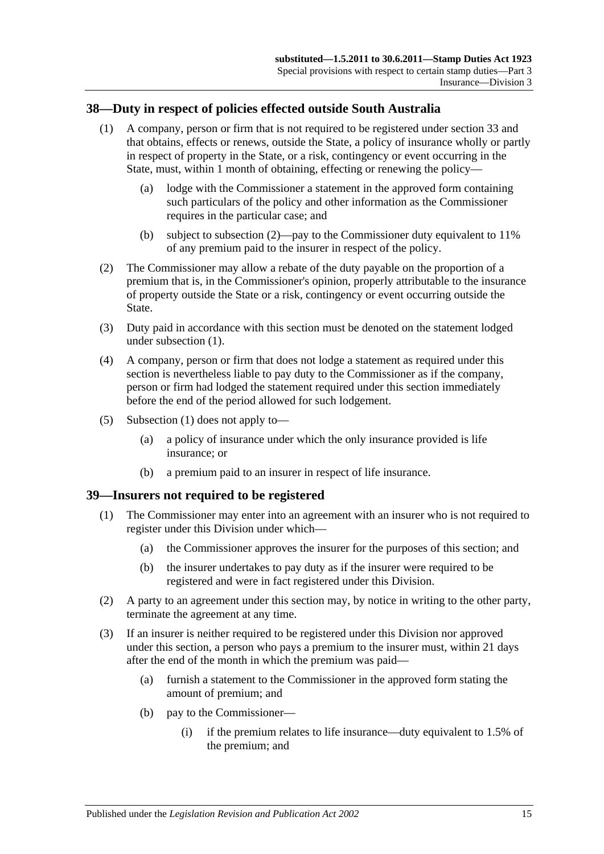#### <span id="page-32-3"></span><span id="page-32-0"></span>**38—Duty in respect of policies effected outside South Australia**

- (1) A company, person or firm that is not required to be registered under [section](#page-28-1) 33 and that obtains, effects or renews, outside the State, a policy of insurance wholly or partly in respect of property in the State, or a risk, contingency or event occurring in the State, must, within 1 month of obtaining, effecting or renewing the policy—
	- (a) lodge with the Commissioner a statement in the approved form containing such particulars of the policy and other information as the Commissioner requires in the particular case; and
	- (b) subject to [subsection](#page-32-2) (2)—pay to the Commissioner duty equivalent to 11% of any premium paid to the insurer in respect of the policy.
- <span id="page-32-2"></span>(2) The Commissioner may allow a rebate of the duty payable on the proportion of a premium that is, in the Commissioner's opinion, properly attributable to the insurance of property outside the State or a risk, contingency or event occurring outside the State.
- (3) Duty paid in accordance with this section must be denoted on the statement lodged under [subsection](#page-32-3) (1).
- (4) A company, person or firm that does not lodge a statement as required under this section is nevertheless liable to pay duty to the Commissioner as if the company, person or firm had lodged the statement required under this section immediately before the end of the period allowed for such lodgement.
- (5) [Subsection](#page-32-3) (1) does not apply to—
	- (a) a policy of insurance under which the only insurance provided is life insurance; or
	- (b) a premium paid to an insurer in respect of life insurance.

#### <span id="page-32-1"></span>**39—Insurers not required to be registered**

- (1) The Commissioner may enter into an agreement with an insurer who is not required to register under this Division under which—
	- (a) the Commissioner approves the insurer for the purposes of this section; and
	- (b) the insurer undertakes to pay duty as if the insurer were required to be registered and were in fact registered under this Division.
- (2) A party to an agreement under this section may, by notice in writing to the other party, terminate the agreement at any time.
- (3) If an insurer is neither required to be registered under this Division nor approved under this section, a person who pays a premium to the insurer must, within 21 days after the end of the month in which the premium was paid—
	- (a) furnish a statement to the Commissioner in the approved form stating the amount of premium; and
	- (b) pay to the Commissioner—
		- (i) if the premium relates to life insurance—duty equivalent to 1.5% of the premium; and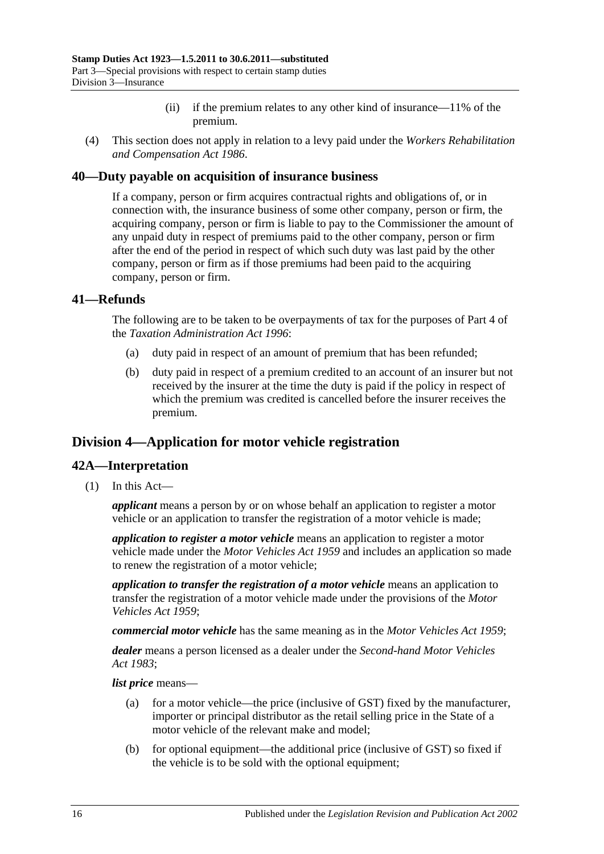- (ii) if the premium relates to any other kind of insurance—11% of the premium.
- (4) This section does not apply in relation to a levy paid under the *[Workers Rehabilitation](http://www.legislation.sa.gov.au/index.aspx?action=legref&type=act&legtitle=Workers%20Rehabilitation%20and%20Compensation%20Act%201986)  [and Compensation Act](http://www.legislation.sa.gov.au/index.aspx?action=legref&type=act&legtitle=Workers%20Rehabilitation%20and%20Compensation%20Act%201986) 1986*.

#### <span id="page-33-0"></span>**40—Duty payable on acquisition of insurance business**

If a company, person or firm acquires contractual rights and obligations of, or in connection with, the insurance business of some other company, person or firm, the acquiring company, person or firm is liable to pay to the Commissioner the amount of any unpaid duty in respect of premiums paid to the other company, person or firm after the end of the period in respect of which such duty was last paid by the other company, person or firm as if those premiums had been paid to the acquiring company, person or firm.

#### <span id="page-33-1"></span>**41—Refunds**

The following are to be taken to be overpayments of tax for the purposes of Part 4 of the *[Taxation Administration Act](http://www.legislation.sa.gov.au/index.aspx?action=legref&type=act&legtitle=Taxation%20Administration%20Act%201996) 1996*:

- (a) duty paid in respect of an amount of premium that has been refunded;
- (b) duty paid in respect of a premium credited to an account of an insurer but not received by the insurer at the time the duty is paid if the policy in respect of which the premium was credited is cancelled before the insurer receives the premium.

## <span id="page-33-2"></span>**Division 4—Application for motor vehicle registration**

#### <span id="page-33-3"></span>**42A—Interpretation**

(1) In this Act—

*applicant* means a person by or on whose behalf an application to register a motor vehicle or an application to transfer the registration of a motor vehicle is made;

*application to register a motor vehicle* means an application to register a motor vehicle made under the *[Motor Vehicles Act](http://www.legislation.sa.gov.au/index.aspx?action=legref&type=act&legtitle=Motor%20Vehicles%20Act%201959) 1959* and includes an application so made to renew the registration of a motor vehicle;

*application to transfer the registration of a motor vehicle* means an application to transfer the registration of a motor vehicle made under the provisions of the *[Motor](http://www.legislation.sa.gov.au/index.aspx?action=legref&type=act&legtitle=Motor%20Vehicles%20Act%201959)  [Vehicles Act](http://www.legislation.sa.gov.au/index.aspx?action=legref&type=act&legtitle=Motor%20Vehicles%20Act%201959) 1959*;

*commercial motor vehicle* has the same meaning as in the *[Motor Vehicles Act](http://www.legislation.sa.gov.au/index.aspx?action=legref&type=act&legtitle=Motor%20Vehicles%20Act%201959) 1959*;

*dealer* means a person licensed as a dealer under the *[Second-hand Motor Vehicles](http://www.legislation.sa.gov.au/index.aspx?action=legref&type=act&legtitle=Second-hand%20Motor%20Vehicles%20Act%201983)  Act [1983](http://www.legislation.sa.gov.au/index.aspx?action=legref&type=act&legtitle=Second-hand%20Motor%20Vehicles%20Act%201983)*;

*list price* means—

- (a) for a motor vehicle—the price (inclusive of GST) fixed by the manufacturer, importer or principal distributor as the retail selling price in the State of a motor vehicle of the relevant make and model;
- (b) for optional equipment—the additional price (inclusive of GST) so fixed if the vehicle is to be sold with the optional equipment;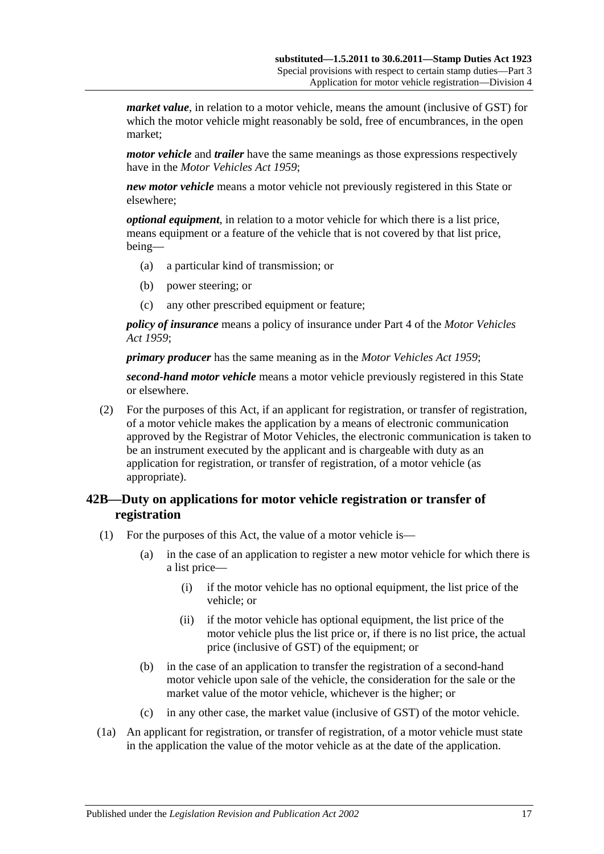*market value*, in relation to a motor vehicle, means the amount (inclusive of GST) for which the motor vehicle might reasonably be sold, free of encumbrances, in the open market;

*motor vehicle* and *trailer* have the same meanings as those expressions respectively have in the *[Motor Vehicles Act](http://www.legislation.sa.gov.au/index.aspx?action=legref&type=act&legtitle=Motor%20Vehicles%20Act%201959) 1959*;

*new motor vehicle* means a motor vehicle not previously registered in this State or elsewhere;

*optional equipment*, in relation to a motor vehicle for which there is a list price, means equipment or a feature of the vehicle that is not covered by that list price, being—

- (a) a particular kind of transmission; or
- (b) power steering; or
- (c) any other prescribed equipment or feature;

*policy of insurance* means a policy of insurance under Part 4 of the *[Motor Vehicles](http://www.legislation.sa.gov.au/index.aspx?action=legref&type=act&legtitle=Motor%20Vehicles%20Act%201959)  Act [1959](http://www.legislation.sa.gov.au/index.aspx?action=legref&type=act&legtitle=Motor%20Vehicles%20Act%201959)*;

*primary producer* has the same meaning as in the *[Motor Vehicles Act](http://www.legislation.sa.gov.au/index.aspx?action=legref&type=act&legtitle=Motor%20Vehicles%20Act%201959) 1959*;

*second-hand motor vehicle* means a motor vehicle previously registered in this State or elsewhere.

(2) For the purposes of this Act, if an applicant for registration, or transfer of registration, of a motor vehicle makes the application by a means of electronic communication approved by the Registrar of Motor Vehicles, the electronic communication is taken to be an instrument executed by the applicant and is chargeable with duty as an application for registration, or transfer of registration, of a motor vehicle (as appropriate).

### <span id="page-34-0"></span>**42B—Duty on applications for motor vehicle registration or transfer of registration**

- (1) For the purposes of this Act, the value of a motor vehicle is—
	- (a) in the case of an application to register a new motor vehicle for which there is a list price—
		- (i) if the motor vehicle has no optional equipment, the list price of the vehicle; or
		- (ii) if the motor vehicle has optional equipment, the list price of the motor vehicle plus the list price or, if there is no list price, the actual price (inclusive of GST) of the equipment; or
	- (b) in the case of an application to transfer the registration of a second-hand motor vehicle upon sale of the vehicle, the consideration for the sale or the market value of the motor vehicle, whichever is the higher; or
	- (c) in any other case, the market value (inclusive of GST) of the motor vehicle.
- (1a) An applicant for registration, or transfer of registration, of a motor vehicle must state in the application the value of the motor vehicle as at the date of the application.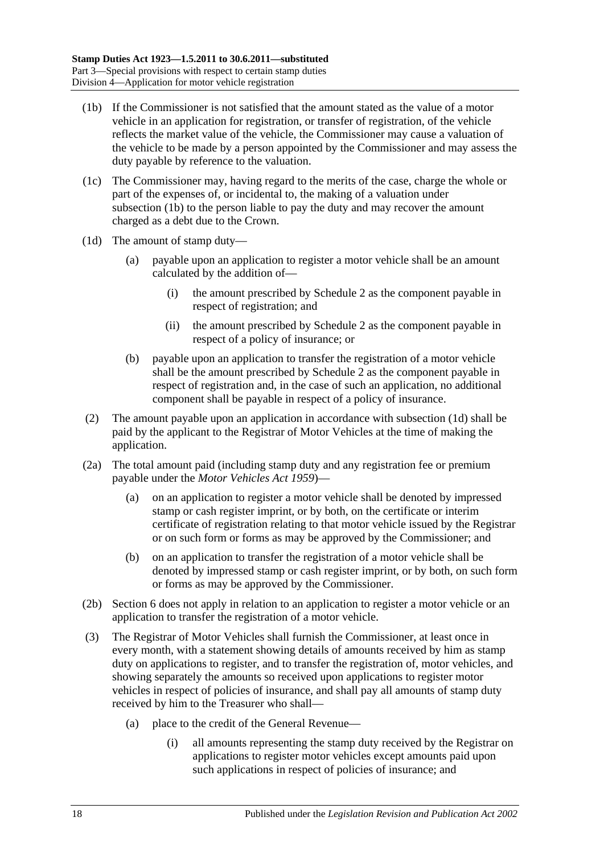- <span id="page-35-0"></span>(1b) If the Commissioner is not satisfied that the amount stated as the value of a motor vehicle in an application for registration, or transfer of registration, of the vehicle reflects the market value of the vehicle, the Commissioner may cause a valuation of the vehicle to be made by a person appointed by the Commissioner and may assess the duty payable by reference to the valuation.
- (1c) The Commissioner may, having regard to the merits of the case, charge the whole or part of the expenses of, or incidental to, the making of a valuation under [subsection](#page-35-0) (1b) to the person liable to pay the duty and may recover the amount charged as a debt due to the Crown.
- <span id="page-35-1"></span>(1d) The amount of stamp duty—
	- (a) payable upon an application to register a motor vehicle shall be an amount calculated by the addition of—
		- (i) the amount prescribed by [Schedule 2](#page-100-3) as the component payable in respect of registration; and
		- (ii) the amount prescribed by [Schedule 2](#page-100-3) as the component payable in respect of a policy of insurance; or
	- (b) payable upon an application to transfer the registration of a motor vehicle shall be the amount prescribed by [Schedule 2](#page-100-3) as the component payable in respect of registration and, in the case of such an application, no additional component shall be payable in respect of a policy of insurance.
- (2) The amount payable upon an application in accordance with [subsection](#page-35-1) (1d) shall be paid by the applicant to the Registrar of Motor Vehicles at the time of making the application.
- (2a) The total amount paid (including stamp duty and any registration fee or premium payable under the *[Motor Vehicles Act](http://www.legislation.sa.gov.au/index.aspx?action=legref&type=act&legtitle=Motor%20Vehicles%20Act%201959) 1959*)—
	- (a) on an application to register a motor vehicle shall be denoted by impressed stamp or cash register imprint, or by both, on the certificate or interim certificate of registration relating to that motor vehicle issued by the Registrar or on such form or forms as may be approved by the Commissioner; and
	- (b) on an application to transfer the registration of a motor vehicle shall be denoted by impressed stamp or cash register imprint, or by both, on such form or forms as may be approved by the Commissioner.
- (2b) Section 6 does not apply in relation to an application to register a motor vehicle or an application to transfer the registration of a motor vehicle.
- (3) The Registrar of Motor Vehicles shall furnish the Commissioner, at least once in every month, with a statement showing details of amounts received by him as stamp duty on applications to register, and to transfer the registration of, motor vehicles, and showing separately the amounts so received upon applications to register motor vehicles in respect of policies of insurance, and shall pay all amounts of stamp duty received by him to the Treasurer who shall—
	- (a) place to the credit of the General Revenue—
		- (i) all amounts representing the stamp duty received by the Registrar on applications to register motor vehicles except amounts paid upon such applications in respect of policies of insurance; and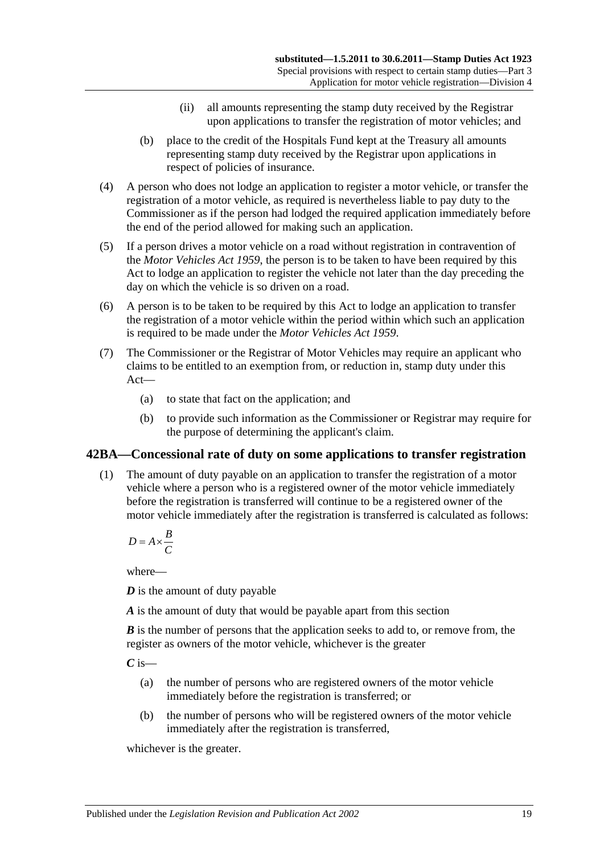- (ii) all amounts representing the stamp duty received by the Registrar upon applications to transfer the registration of motor vehicles; and
- (b) place to the credit of the Hospitals Fund kept at the Treasury all amounts representing stamp duty received by the Registrar upon applications in respect of policies of insurance.
- (4) A person who does not lodge an application to register a motor vehicle, or transfer the registration of a motor vehicle, as required is nevertheless liable to pay duty to the Commissioner as if the person had lodged the required application immediately before the end of the period allowed for making such an application.
- (5) If a person drives a motor vehicle on a road without registration in contravention of the *[Motor Vehicles Act](http://www.legislation.sa.gov.au/index.aspx?action=legref&type=act&legtitle=Motor%20Vehicles%20Act%201959) 1959*, the person is to be taken to have been required by this Act to lodge an application to register the vehicle not later than the day preceding the day on which the vehicle is so driven on a road.
- (6) A person is to be taken to be required by this Act to lodge an application to transfer the registration of a motor vehicle within the period within which such an application is required to be made under the *[Motor Vehicles Act](http://www.legislation.sa.gov.au/index.aspx?action=legref&type=act&legtitle=Motor%20Vehicles%20Act%201959) 1959*.
- (7) The Commissioner or the Registrar of Motor Vehicles may require an applicant who claims to be entitled to an exemption from, or reduction in, stamp duty under this Act—
	- (a) to state that fact on the application; and
	- (b) to provide such information as the Commissioner or Registrar may require for the purpose of determining the applicant's claim.

## <span id="page-36-0"></span>**42BA—Concessional rate of duty on some applications to transfer registration**

(1) The amount of duty payable on an application to transfer the registration of a motor vehicle where a person who is a registered owner of the motor vehicle immediately before the registration is transferred will continue to be a registered owner of the motor vehicle immediately after the registration is transferred is calculated as follows:

$$
D = A \times \frac{B}{C}
$$

where—

*D* is the amount of duty payable

*A* is the amount of duty that would be payable apart from this section

*B* is the number of persons that the application seeks to add to, or remove from, the register as owners of the motor vehicle, whichever is the greater

*C* is—

- (a) the number of persons who are registered owners of the motor vehicle immediately before the registration is transferred; or
- (b) the number of persons who will be registered owners of the motor vehicle immediately after the registration is transferred,

whichever is the greater.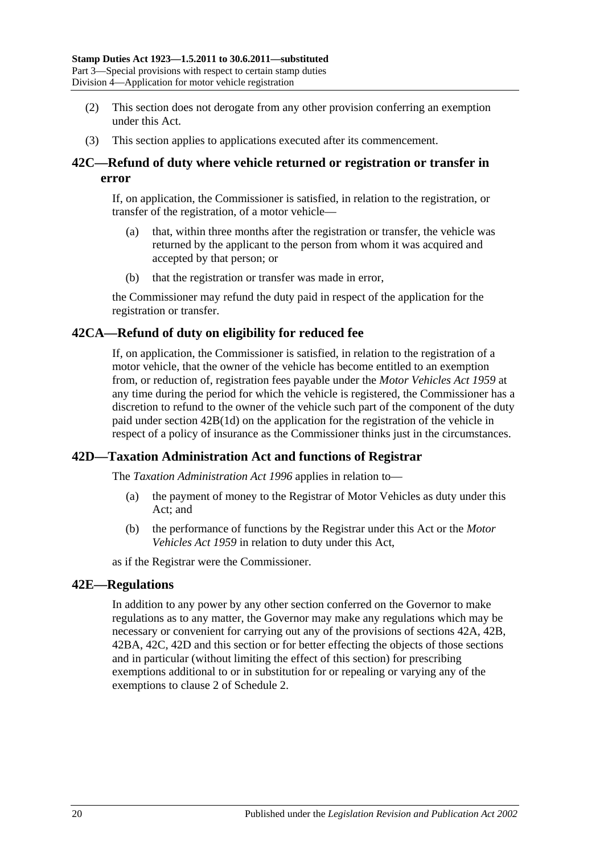- (2) This section does not derogate from any other provision conferring an exemption under this Act.
- (3) This section applies to applications executed after its commencement.

# <span id="page-37-0"></span>**42C—Refund of duty where vehicle returned or registration or transfer in error**

If, on application, the Commissioner is satisfied, in relation to the registration, or transfer of the registration, of a motor vehicle—

- (a) that, within three months after the registration or transfer, the vehicle was returned by the applicant to the person from whom it was acquired and accepted by that person; or
- (b) that the registration or transfer was made in error,

the Commissioner may refund the duty paid in respect of the application for the registration or transfer.

## **42CA—Refund of duty on eligibility for reduced fee**

If, on application, the Commissioner is satisfied, in relation to the registration of a motor vehicle, that the owner of the vehicle has become entitled to an exemption from, or reduction of, registration fees payable under the *[Motor Vehicles Act](http://www.legislation.sa.gov.au/index.aspx?action=legref&type=act&legtitle=Motor%20Vehicles%20Act%201959) 1959* at any time during the period for which the vehicle is registered, the Commissioner has a discretion to refund to the owner of the vehicle such part of the component of the duty paid under section [42B\(1d\)](#page-35-0) on the application for the registration of the vehicle in respect of a policy of insurance as the Commissioner thinks just in the circumstances.

## <span id="page-37-1"></span>**42D—Taxation Administration Act and functions of Registrar**

The *[Taxation Administration Act](http://www.legislation.sa.gov.au/index.aspx?action=legref&type=act&legtitle=Taxation%20Administration%20Act%201996) 1996* applies in relation to—

- (a) the payment of money to the Registrar of Motor Vehicles as duty under this Act; and
- (b) the performance of functions by the Registrar under this Act or the *[Motor](http://www.legislation.sa.gov.au/index.aspx?action=legref&type=act&legtitle=Motor%20Vehicles%20Act%201959)  [Vehicles Act](http://www.legislation.sa.gov.au/index.aspx?action=legref&type=act&legtitle=Motor%20Vehicles%20Act%201959) 1959* in relation to duty under this Act,

as if the Registrar were the Commissioner.

### **42E—Regulations**

In addition to any power by any other section conferred on the Governor to make regulations as to any matter, the Governor may make any regulations which may be necessary or convenient for carrying out any of the provisions of [sections](#page-33-0) 42A, [42B,](#page-34-0) [42BA,](#page-36-0) [42C,](#page-37-0) [42D](#page-37-1) and this section or for better effecting the objects of those sections and in particular (without limiting the effect of this section) for prescribing exemptions additional to or in substitution for or repealing or varying any of the exemptions to clause 2 of [Schedule 2.](#page-100-0)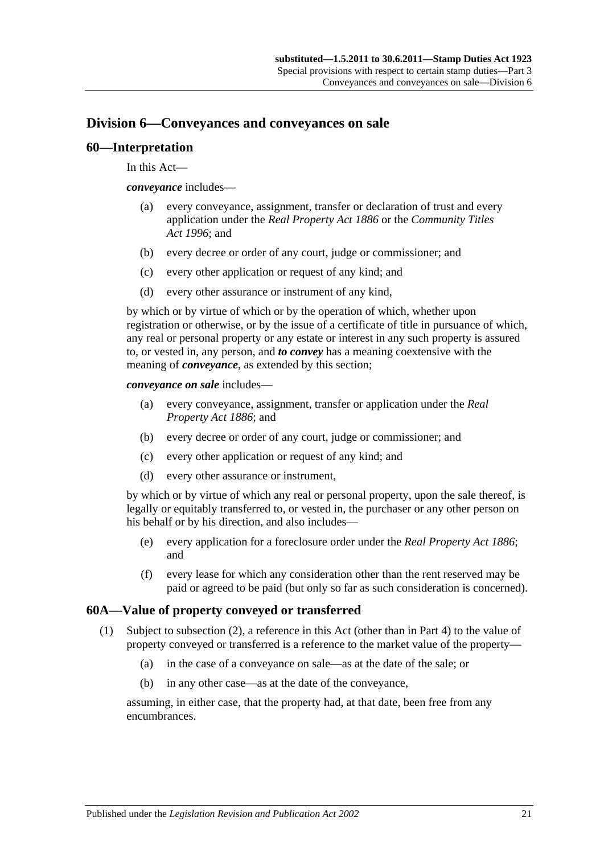# **Division 6—Conveyances and conveyances on sale**

### **60—Interpretation**

In this Act—

*conveyance* includes—

- (a) every conveyance, assignment, transfer or declaration of trust and every application under the *[Real Property Act](http://www.legislation.sa.gov.au/index.aspx?action=legref&type=act&legtitle=Real%20Property%20Act%201886) 1886* or the *[Community Titles](http://www.legislation.sa.gov.au/index.aspx?action=legref&type=act&legtitle=Community%20Titles%20Act%201996)  Act [1996](http://www.legislation.sa.gov.au/index.aspx?action=legref&type=act&legtitle=Community%20Titles%20Act%201996)*; and
- (b) every decree or order of any court, judge or commissioner; and
- (c) every other application or request of any kind; and
- (d) every other assurance or instrument of any kind,

by which or by virtue of which or by the operation of which, whether upon registration or otherwise, or by the issue of a certificate of title in pursuance of which, any real or personal property or any estate or interest in any such property is assured to, or vested in, any person, and *to convey* has a meaning coextensive with the meaning of *conveyance*, as extended by this section;

*conveyance on sale* includes—

- (a) every conveyance, assignment, transfer or application under the *[Real](http://www.legislation.sa.gov.au/index.aspx?action=legref&type=act&legtitle=Real%20Property%20Act%201886)  [Property Act](http://www.legislation.sa.gov.au/index.aspx?action=legref&type=act&legtitle=Real%20Property%20Act%201886) 1886*; and
- (b) every decree or order of any court, judge or commissioner; and
- (c) every other application or request of any kind; and
- (d) every other assurance or instrument,

by which or by virtue of which any real or personal property, upon the sale thereof, is legally or equitably transferred to, or vested in, the purchaser or any other person on his behalf or by his direction, and also includes—

- (e) every application for a foreclosure order under the *[Real Property Act](http://www.legislation.sa.gov.au/index.aspx?action=legref&type=act&legtitle=Real%20Property%20Act%201886) 1886*; and
- (f) every lease for which any consideration other than the rent reserved may be paid or agreed to be paid (but only so far as such consideration is concerned).

## <span id="page-38-0"></span>**60A—Value of property conveyed or transferred**

- (1) Subject to [subsection](#page-39-0) (2), a reference in this Act (other than in [Part 4\)](#page-82-0) to the value of property conveyed or transferred is a reference to the market value of the property—
	- (a) in the case of a conveyance on sale—as at the date of the sale; or
	- (b) in any other case—as at the date of the conveyance,

assuming, in either case, that the property had, at that date, been free from any encumbrances.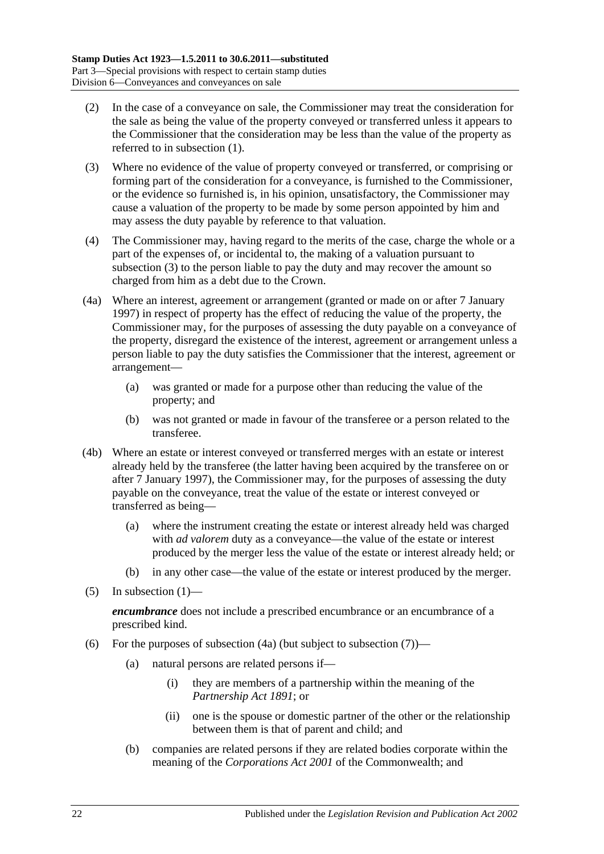- <span id="page-39-0"></span>(2) In the case of a conveyance on sale, the Commissioner may treat the consideration for the sale as being the value of the property conveyed or transferred unless it appears to the Commissioner that the consideration may be less than the value of the property as referred to in [subsection](#page-38-0) (1).
- <span id="page-39-1"></span>(3) Where no evidence of the value of property conveyed or transferred, or comprising or forming part of the consideration for a conveyance, is furnished to the Commissioner, or the evidence so furnished is, in his opinion, unsatisfactory, the Commissioner may cause a valuation of the property to be made by some person appointed by him and may assess the duty payable by reference to that valuation.
- (4) The Commissioner may, having regard to the merits of the case, charge the whole or a part of the expenses of, or incidental to, the making of a valuation pursuant to [subsection](#page-39-1) (3) to the person liable to pay the duty and may recover the amount so charged from him as a debt due to the Crown.
- <span id="page-39-2"></span>(4a) Where an interest, agreement or arrangement (granted or made on or after 7 January 1997) in respect of property has the effect of reducing the value of the property, the Commissioner may, for the purposes of assessing the duty payable on a conveyance of the property, disregard the existence of the interest, agreement or arrangement unless a person liable to pay the duty satisfies the Commissioner that the interest, agreement or arrangement—
	- (a) was granted or made for a purpose other than reducing the value of the property; and
	- (b) was not granted or made in favour of the transferee or a person related to the transferee.
- (4b) Where an estate or interest conveyed or transferred merges with an estate or interest already held by the transferee (the latter having been acquired by the transferee on or after 7 January 1997), the Commissioner may, for the purposes of assessing the duty payable on the conveyance, treat the value of the estate or interest conveyed or transferred as being—
	- (a) where the instrument creating the estate or interest already held was charged with *ad valorem* duty as a conveyance—the value of the estate or interest produced by the merger less the value of the estate or interest already held; or
	- (b) in any other case—the value of the estate or interest produced by the merger.
- (5) In [subsection](#page-38-0)  $(1)$ —

*encumbrance* does not include a prescribed encumbrance or an encumbrance of a prescribed kind.

- <span id="page-39-3"></span>(6) For the purposes of [subsection](#page-40-0)  $(4a)$  (but subject to subsection  $(7)$ )—
	- (a) natural persons are related persons if—
		- (i) they are members of a partnership within the meaning of the *[Partnership Act](http://www.legislation.sa.gov.au/index.aspx?action=legref&type=act&legtitle=Partnership%20Act%201891) 1891*; or
		- (ii) one is the spouse or domestic partner of the other or the relationship between them is that of parent and child; and
	- (b) companies are related persons if they are related bodies corporate within the meaning of the *Corporations Act 2001* of the Commonwealth; and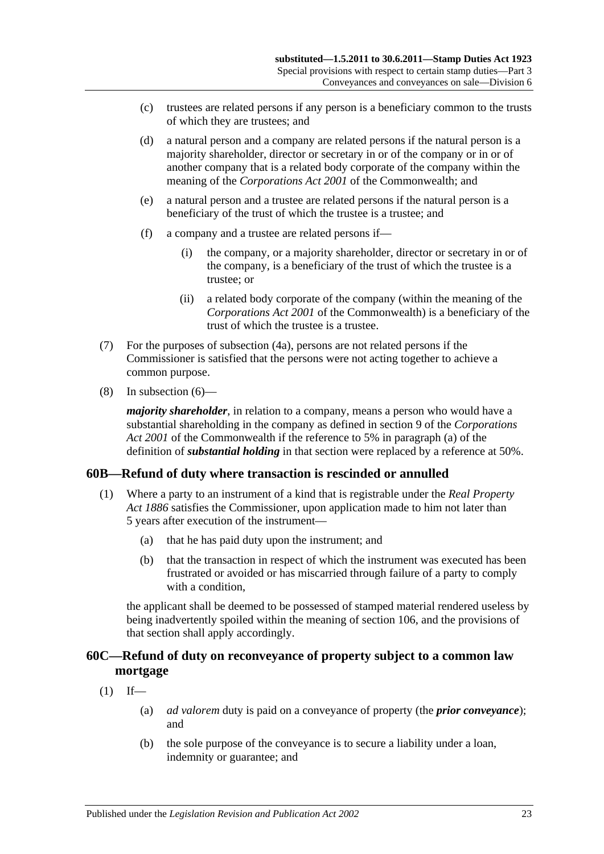- (c) trustees are related persons if any person is a beneficiary common to the trusts of which they are trustees; and
- (d) a natural person and a company are related persons if the natural person is a majority shareholder, director or secretary in or of the company or in or of another company that is a related body corporate of the company within the meaning of the *Corporations Act 2001* of the Commonwealth; and
- (e) a natural person and a trustee are related persons if the natural person is a beneficiary of the trust of which the trustee is a trustee; and
- (f) a company and a trustee are related persons if—
	- (i) the company, or a majority shareholder, director or secretary in or of the company, is a beneficiary of the trust of which the trustee is a trustee; or
	- (ii) a related body corporate of the company (within the meaning of the *Corporations Act 2001* of the Commonwealth) is a beneficiary of the trust of which the trustee is a trustee.
- <span id="page-40-0"></span>(7) For the purposes of [subsection](#page-39-2) (4a), persons are not related persons if the Commissioner is satisfied that the persons were not acting together to achieve a common purpose.
- (8) In [subsection](#page-39-3) (6)—

*majority shareholder*, in relation to a company, means a person who would have a substantial shareholding in the company as defined in section 9 of the *Corporations Act 2001* of the Commonwealth if the reference to 5% in paragraph (a) of the definition of *substantial holding* in that section were replaced by a reference at 50%.

## **60B—Refund of duty where transaction is rescinded or annulled**

- (1) Where a party to an instrument of a kind that is registrable under the *[Real Property](http://www.legislation.sa.gov.au/index.aspx?action=legref&type=act&legtitle=Real%20Property%20Act%201886)  Act [1886](http://www.legislation.sa.gov.au/index.aspx?action=legref&type=act&legtitle=Real%20Property%20Act%201886)* satisfies the Commissioner, upon application made to him not later than 5 years after execution of the instrument—
	- (a) that he has paid duty upon the instrument; and
	- (b) that the transaction in respect of which the instrument was executed has been frustrated or avoided or has miscarried through failure of a party to comply with a condition.

the applicant shall be deemed to be possessed of stamped material rendered useless by being inadvertently spoiled within the meaning of [section](#page-96-0) 106, and the provisions of that section shall apply accordingly.

# **60C—Refund of duty on reconveyance of property subject to a common law mortgage**

- $(1)$  If—
	- (a) *ad valorem* duty is paid on a conveyance of property (the *prior conveyance*); and
	- (b) the sole purpose of the conveyance is to secure a liability under a loan, indemnity or guarantee; and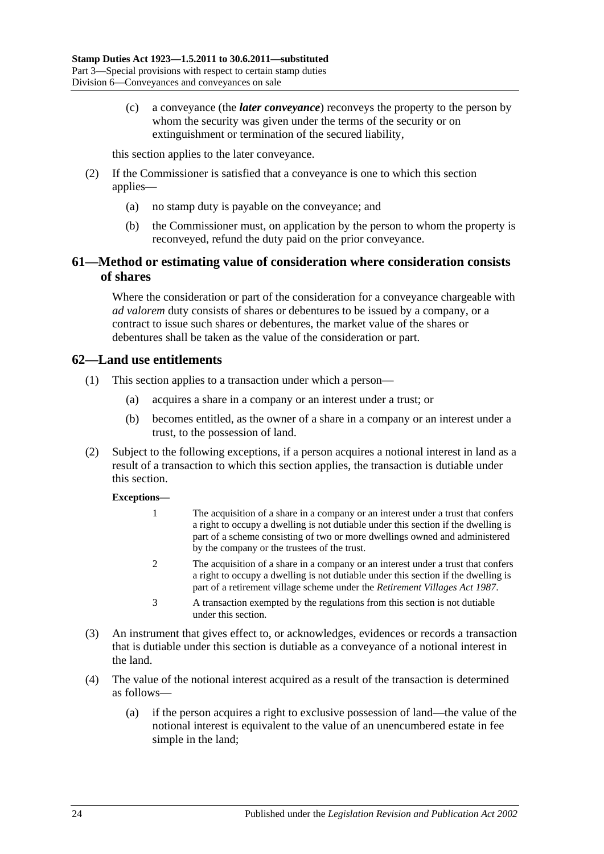(c) a conveyance (the *later conveyance*) reconveys the property to the person by whom the security was given under the terms of the security or on extinguishment or termination of the secured liability,

this section applies to the later conveyance.

- (2) If the Commissioner is satisfied that a conveyance is one to which this section applies—
	- (a) no stamp duty is payable on the conveyance; and
	- (b) the Commissioner must, on application by the person to whom the property is reconveyed, refund the duty paid on the prior conveyance.

# **61—Method or estimating value of consideration where consideration consists of shares**

Where the consideration or part of the consideration for a conveyance chargeable with *ad valorem* duty consists of shares or debentures to be issued by a company, or a contract to issue such shares or debentures, the market value of the shares or debentures shall be taken as the value of the consideration or part.

### **62—Land use entitlements**

- (1) This section applies to a transaction under which a person—
	- (a) acquires a share in a company or an interest under a trust; or
	- (b) becomes entitled, as the owner of a share in a company or an interest under a trust, to the possession of land.
- (2) Subject to the following exceptions, if a person acquires a notional interest in land as a result of a transaction to which this section applies, the transaction is dutiable under this section.

#### **Exceptions—**

- 1 The acquisition of a share in a company or an interest under a trust that confers a right to occupy a dwelling is not dutiable under this section if the dwelling is part of a scheme consisting of two or more dwellings owned and administered by the company or the trustees of the trust.
- 2 The acquisition of a share in a company or an interest under a trust that confers a right to occupy a dwelling is not dutiable under this section if the dwelling is part of a retirement village scheme under the *[Retirement Villages Act](http://www.legislation.sa.gov.au/index.aspx?action=legref&type=act&legtitle=Retirement%20Villages%20Act%201987) 1987*.
- 3 A transaction exempted by the regulations from this section is not dutiable under this section.
- (3) An instrument that gives effect to, or acknowledges, evidences or records a transaction that is dutiable under this section is dutiable as a conveyance of a notional interest in the land.
- (4) The value of the notional interest acquired as a result of the transaction is determined as follows—
	- (a) if the person acquires a right to exclusive possession of land—the value of the notional interest is equivalent to the value of an unencumbered estate in fee simple in the land;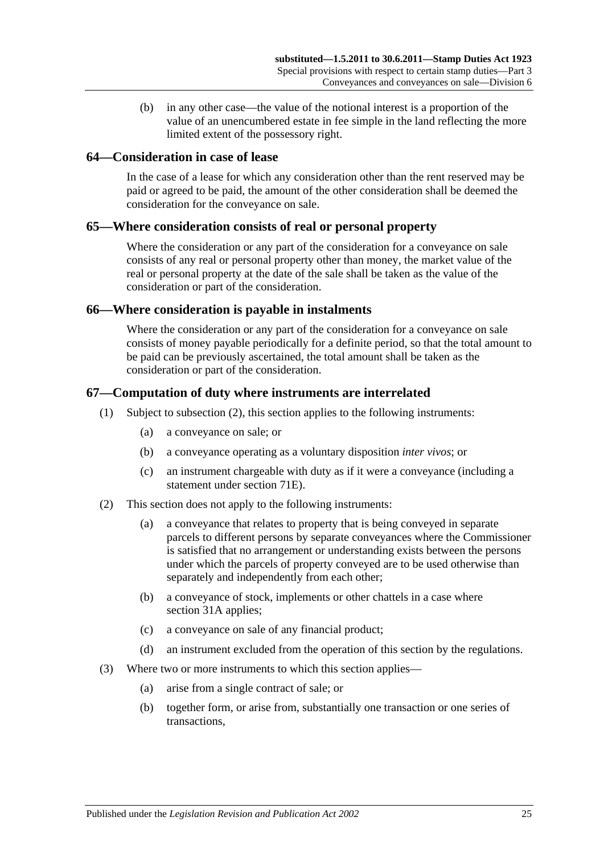(b) in any other case—the value of the notional interest is a proportion of the value of an unencumbered estate in fee simple in the land reflecting the more limited extent of the possessory right.

### **64—Consideration in case of lease**

In the case of a lease for which any consideration other than the rent reserved may be paid or agreed to be paid, the amount of the other consideration shall be deemed the consideration for the conveyance on sale.

### **65—Where consideration consists of real or personal property**

Where the consideration or any part of the consideration for a conveyance on sale consists of any real or personal property other than money, the market value of the real or personal property at the date of the sale shall be taken as the value of the consideration or part of the consideration.

### **66—Where consideration is payable in instalments**

Where the consideration or any part of the consideration for a conveyance on sale consists of money payable periodically for a definite period, so that the total amount to be paid can be previously ascertained, the total amount shall be taken as the consideration or part of the consideration.

### **67—Computation of duty where instruments are interrelated**

- (1) Subject to [subsection](#page-42-0) (2), this section applies to the following instruments:
	- (a) a conveyance on sale; or
	- (b) a conveyance operating as a voluntary disposition *inter vivos*; or
	- (c) an instrument chargeable with duty as if it were a conveyance (including a statement under [section](#page-69-0) 71E).
- <span id="page-42-0"></span>(2) This section does not apply to the following instruments:
	- (a) a conveyance that relates to property that is being conveyed in separate parcels to different persons by separate conveyances where the Commissioner is satisfied that no arrangement or understanding exists between the persons under which the parcels of property conveyed are to be used otherwise than separately and independently from each other;
	- (b) a conveyance of stock, implements or other chattels in a case where [section](#page-19-0) 31A applies;
	- (c) a conveyance on sale of any financial product;
	- (d) an instrument excluded from the operation of this section by the regulations.
- (3) Where two or more instruments to which this section applies—
	- (a) arise from a single contract of sale; or
	- (b) together form, or arise from, substantially one transaction or one series of transactions,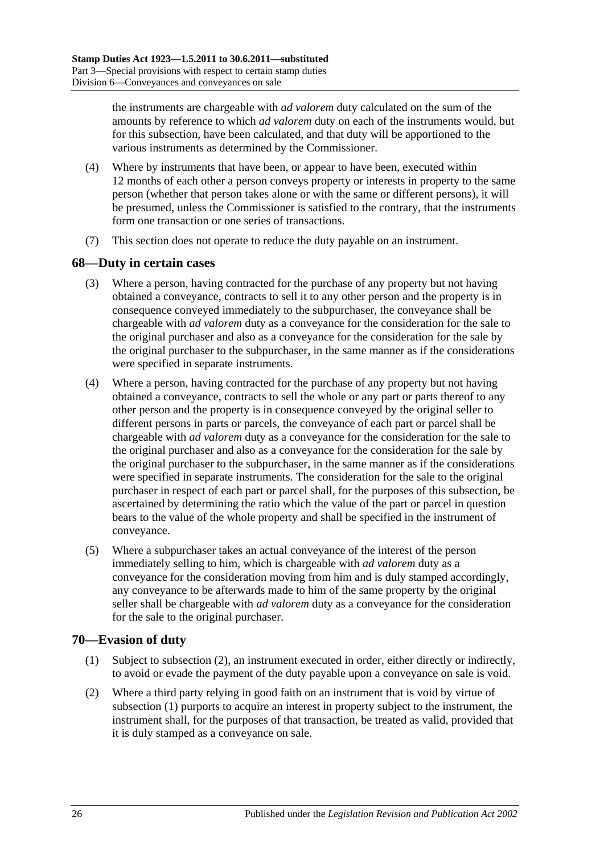the instruments are chargeable with *ad valorem* duty calculated on the sum of the amounts by reference to which *ad valorem* duty on each of the instruments would, but for this subsection, have been calculated, and that duty will be apportioned to the various instruments as determined by the Commissioner.

- (4) Where by instruments that have been, or appear to have been, executed within 12 months of each other a person conveys property or interests in property to the same person (whether that person takes alone or with the same or different persons), it will be presumed, unless the Commissioner is satisfied to the contrary, that the instruments form one transaction or one series of transactions.
- (7) This section does not operate to reduce the duty payable on an instrument.

### **68—Duty in certain cases**

- (3) Where a person, having contracted for the purchase of any property but not having obtained a conveyance, contracts to sell it to any other person and the property is in consequence conveyed immediately to the subpurchaser, the conveyance shall be chargeable with *ad valorem* duty as a conveyance for the consideration for the sale to the original purchaser and also as a conveyance for the consideration for the sale by the original purchaser to the subpurchaser, in the same manner as if the considerations were specified in separate instruments.
- (4) Where a person, having contracted for the purchase of any property but not having obtained a conveyance, contracts to sell the whole or any part or parts thereof to any other person and the property is in consequence conveyed by the original seller to different persons in parts or parcels, the conveyance of each part or parcel shall be chargeable with *ad valorem* duty as a conveyance for the consideration for the sale to the original purchaser and also as a conveyance for the consideration for the sale by the original purchaser to the subpurchaser, in the same manner as if the considerations were specified in separate instruments. The consideration for the sale to the original purchaser in respect of each part or parcel shall, for the purposes of this subsection, be ascertained by determining the ratio which the value of the part or parcel in question bears to the value of the whole property and shall be specified in the instrument of conveyance.
- (5) Where a subpurchaser takes an actual conveyance of the interest of the person immediately selling to him, which is chargeable with *ad valorem* duty as a conveyance for the consideration moving from him and is duly stamped accordingly, any conveyance to be afterwards made to him of the same property by the original seller shall be chargeable with *ad valorem* duty as a conveyance for the consideration for the sale to the original purchaser.

## <span id="page-43-1"></span>**70—Evasion of duty**

- (1) Subject to [subsection](#page-43-0) (2), an instrument executed in order, either directly or indirectly, to avoid or evade the payment of the duty payable upon a conveyance on sale is void.
- <span id="page-43-0"></span>(2) Where a third party relying in good faith on an instrument that is void by virtue of [subsection](#page-43-1) (1) purports to acquire an interest in property subject to the instrument, the instrument shall, for the purposes of that transaction, be treated as valid, provided that it is duly stamped as a conveyance on sale.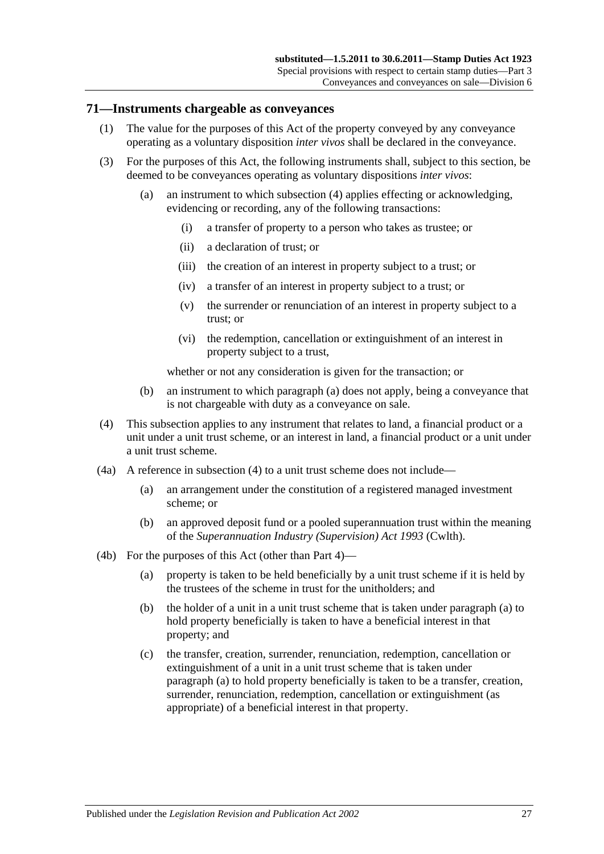### **71—Instruments chargeable as conveyances**

- (1) The value for the purposes of this Act of the property conveyed by any conveyance operating as a voluntary disposition *inter vivos* shall be declared in the conveyance.
- <span id="page-44-1"></span>(3) For the purposes of this Act, the following instruments shall, subject to this section, be deemed to be conveyances operating as voluntary dispositions *inter vivos*:
	- (a) an instrument to which [subsection](#page-44-0) (4) applies effecting or acknowledging, evidencing or recording, any of the following transactions:
		- (i) a transfer of property to a person who takes as trustee; or
		- (ii) a declaration of trust; or
		- (iii) the creation of an interest in property subject to a trust; or
		- (iv) a transfer of an interest in property subject to a trust; or
		- (v) the surrender or renunciation of an interest in property subject to a trust; or
		- (vi) the redemption, cancellation or extinguishment of an interest in property subject to a trust,

whether or not any consideration is given for the transaction; or

- (b) an instrument to which [paragraph](#page-44-1) (a) does not apply, being a conveyance that is not chargeable with duty as a conveyance on sale.
- <span id="page-44-0"></span>(4) This subsection applies to any instrument that relates to land, a financial product or a unit under a unit trust scheme, or an interest in land, a financial product or a unit under a unit trust scheme.
- (4a) A reference in [subsection](#page-44-0) (4) to a unit trust scheme does not include—
	- (a) an arrangement under the constitution of a registered managed investment scheme; or
	- (b) an approved deposit fund or a pooled superannuation trust within the meaning of the *Superannuation Industry (Supervision) Act 1993* (Cwlth).
- <span id="page-44-2"></span>(4b) For the purposes of this Act (other than [Part 4\)](#page-82-0)—
	- (a) property is taken to be held beneficially by a unit trust scheme if it is held by the trustees of the scheme in trust for the unitholders; and
	- (b) the holder of a unit in a unit trust scheme that is taken under [paragraph](#page-44-2) (a) to hold property beneficially is taken to have a beneficial interest in that property; and
	- (c) the transfer, creation, surrender, renunciation, redemption, cancellation or extinguishment of a unit in a unit trust scheme that is taken under [paragraph](#page-44-2) (a) to hold property beneficially is taken to be a transfer, creation, surrender, renunciation, redemption, cancellation or extinguishment (as appropriate) of a beneficial interest in that property.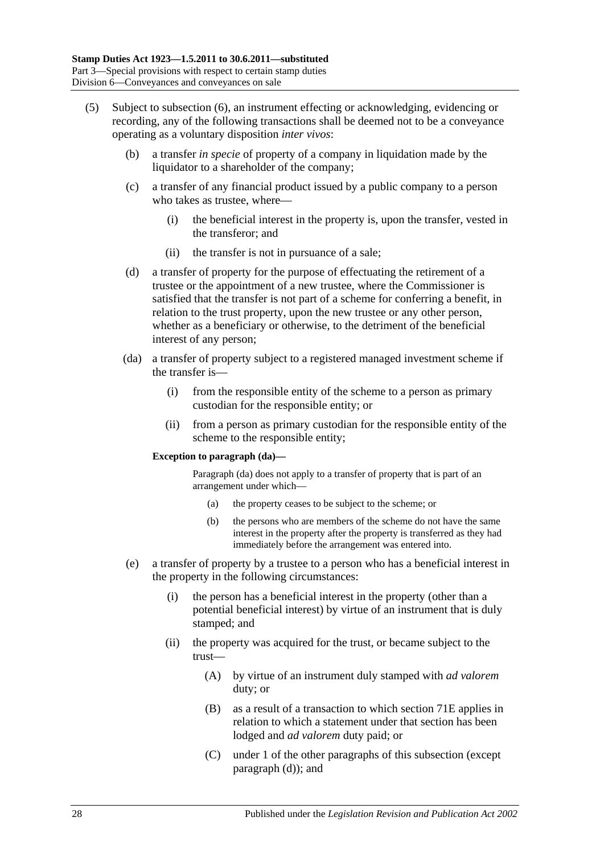- <span id="page-45-1"></span><span id="page-45-0"></span>(5) Subject to [subsection](#page-47-0) (6), an instrument effecting or acknowledging, evidencing or recording, any of the following transactions shall be deemed not to be a conveyance operating as a voluntary disposition *inter vivos*:
	- (b) a transfer *in specie* of property of a company in liquidation made by the liquidator to a shareholder of the company;
	- (c) a transfer of any financial product issued by a public company to a person who takes as trustee, where—
		- (i) the beneficial interest in the property is, upon the transfer, vested in the transferor; and
		- (ii) the transfer is not in pursuance of a sale;
	- (d) a transfer of property for the purpose of effectuating the retirement of a trustee or the appointment of a new trustee, where the Commissioner is satisfied that the transfer is not part of a scheme for conferring a benefit, in relation to the trust property, upon the new trustee or any other person, whether as a beneficiary or otherwise, to the detriment of the beneficial interest of any person;
	- (da) a transfer of property subject to a registered managed investment scheme if the transfer is—
		- (i) from the responsible entity of the scheme to a person as primary custodian for the responsible entity; or
		- (ii) from a person as primary custodian for the responsible entity of the scheme to the responsible entity;

#### **Exception to paragraph (da)—**

Paragraph (da) does not apply to a transfer of property that is part of an arrangement under which—

- (a) the property ceases to be subject to the scheme; or
- (b) the persons who are members of the scheme do not have the same interest in the property after the property is transferred as they had immediately before the arrangement was entered into.
- <span id="page-45-2"></span>(e) a transfer of property by a trustee to a person who has a beneficial interest in the property in the following circumstances:
	- (i) the person has a beneficial interest in the property (other than a potential beneficial interest) by virtue of an instrument that is duly stamped; and
	- (ii) the property was acquired for the trust, or became subject to the trust—
		- (A) by virtue of an instrument duly stamped with *ad valorem* duty; or
		- (B) as a result of a transaction to which section 71E applies in relation to which a statement under that section has been lodged and *ad valorem* duty paid; or
		- (C) under 1 of the other paragraphs of this subsection (except [paragraph](#page-45-0) (d)); and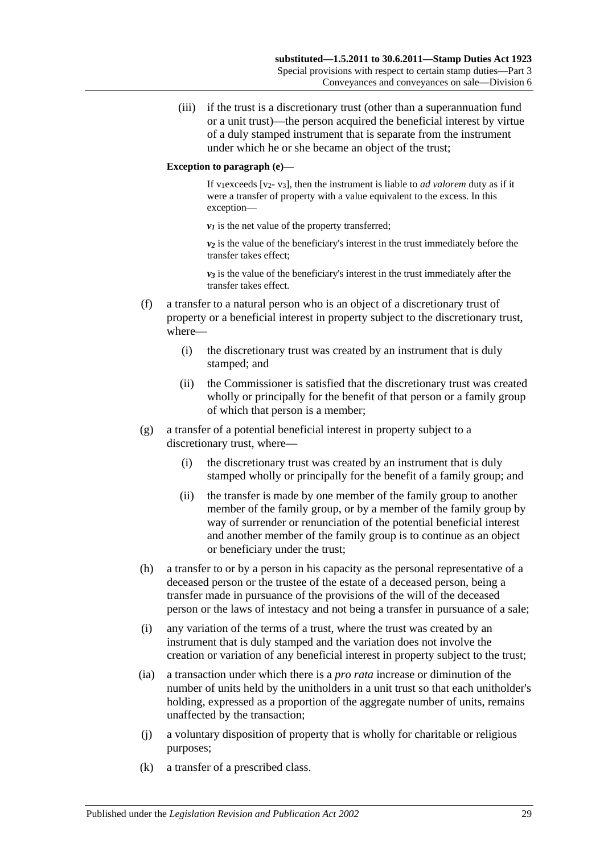(iii) if the trust is a discretionary trust (other than a superannuation fund or a unit trust)—the person acquired the beneficial interest by virtue of a duly stamped instrument that is separate from the instrument under which he or she became an object of the trust;

### **Exception to paragraph (e)—**

If v<sub>1</sub>exceeds [v<sub>2</sub>- v<sub>3</sub>], then the instrument is liable to *ad valorem* duty as if it were a transfer of property with a value equivalent to the excess. In this exception—

 $v_1$  is the net value of the property transferred;

*v2* is the value of the beneficiary's interest in the trust immediately before the transfer takes effect;

 $v_3$  is the value of the beneficiary's interest in the trust immediately after the transfer takes effect.

- (f) a transfer to a natural person who is an object of a discretionary trust of property or a beneficial interest in property subject to the discretionary trust, where—
	- (i) the discretionary trust was created by an instrument that is duly stamped; and
	- (ii) the Commissioner is satisfied that the discretionary trust was created wholly or principally for the benefit of that person or a family group of which that person is a member;
- (g) a transfer of a potential beneficial interest in property subject to a discretionary trust, where—
	- (i) the discretionary trust was created by an instrument that is duly stamped wholly or principally for the benefit of a family group; and
	- (ii) the transfer is made by one member of the family group to another member of the family group, or by a member of the family group by way of surrender or renunciation of the potential beneficial interest and another member of the family group is to continue as an object or beneficiary under the trust;
- (h) a transfer to or by a person in his capacity as the personal representative of a deceased person or the trustee of the estate of a deceased person, being a transfer made in pursuance of the provisions of the will of the deceased person or the laws of intestacy and not being a transfer in pursuance of a sale;
- (i) any variation of the terms of a trust, where the trust was created by an instrument that is duly stamped and the variation does not involve the creation or variation of any beneficial interest in property subject to the trust;
- (ia) a transaction under which there is a *pro rata* increase or diminution of the number of units held by the unitholders in a unit trust so that each unitholder's holding, expressed as a proportion of the aggregate number of units, remains unaffected by the transaction;
- (j) a voluntary disposition of property that is wholly for charitable or religious purposes;
- (k) a transfer of a prescribed class.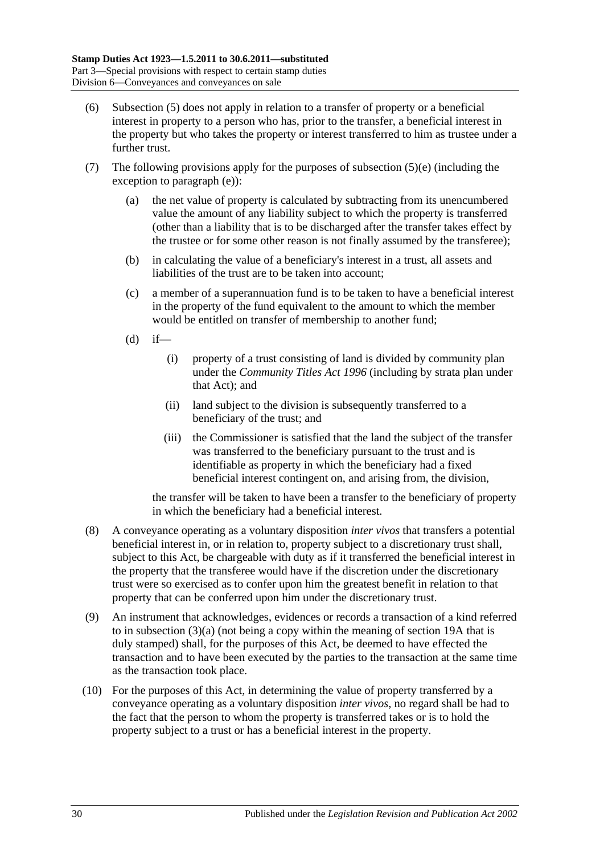- <span id="page-47-0"></span>(6) [Subsection](#page-45-1) (5) does not apply in relation to a transfer of property or a beneficial interest in property to a person who has, prior to the transfer, a beneficial interest in the property but who takes the property or interest transferred to him as trustee under a further trust.
- (7) The following provisions apply for the purposes of [subsection](#page-45-2)  $(5)(e)$  (including the exception to [paragraph](#page-45-2) (e)):
	- (a) the net value of property is calculated by subtracting from its unencumbered value the amount of any liability subject to which the property is transferred (other than a liability that is to be discharged after the transfer takes effect by the trustee or for some other reason is not finally assumed by the transferee);
	- (b) in calculating the value of a beneficiary's interest in a trust, all assets and liabilities of the trust are to be taken into account;
	- (c) a member of a superannuation fund is to be taken to have a beneficial interest in the property of the fund equivalent to the amount to which the member would be entitled on transfer of membership to another fund;
	- $(d)$  if—
		- (i) property of a trust consisting of land is divided by community plan under the *[Community Titles Act](http://www.legislation.sa.gov.au/index.aspx?action=legref&type=act&legtitle=Community%20Titles%20Act%201996) 1996* (including by strata plan under that Act); and
		- (ii) land subject to the division is subsequently transferred to a beneficiary of the trust; and
		- (iii) the Commissioner is satisfied that the land the subject of the transfer was transferred to the beneficiary pursuant to the trust and is identifiable as property in which the beneficiary had a fixed beneficial interest contingent on, and arising from, the division,

the transfer will be taken to have been a transfer to the beneficiary of property in which the beneficiary had a beneficial interest.

- (8) A conveyance operating as a voluntary disposition *inter vivos* that transfers a potential beneficial interest in, or in relation to, property subject to a discretionary trust shall, subject to this Act, be chargeable with duty as if it transferred the beneficial interest in the property that the transferee would have if the discretion under the discretionary trust were so exercised as to confer upon him the greatest benefit in relation to that property that can be conferred upon him under the discretionary trust.
- (9) An instrument that acknowledges, evidences or records a transaction of a kind referred to in [subsection](#page-44-1) (3)(a) (not being a copy within the meaning of [section](#page-14-0) 19A that is duly stamped) shall, for the purposes of this Act, be deemed to have effected the transaction and to have been executed by the parties to the transaction at the same time as the transaction took place.
- (10) For the purposes of this Act, in determining the value of property transferred by a conveyance operating as a voluntary disposition *inter vivos*, no regard shall be had to the fact that the person to whom the property is transferred takes or is to hold the property subject to a trust or has a beneficial interest in the property.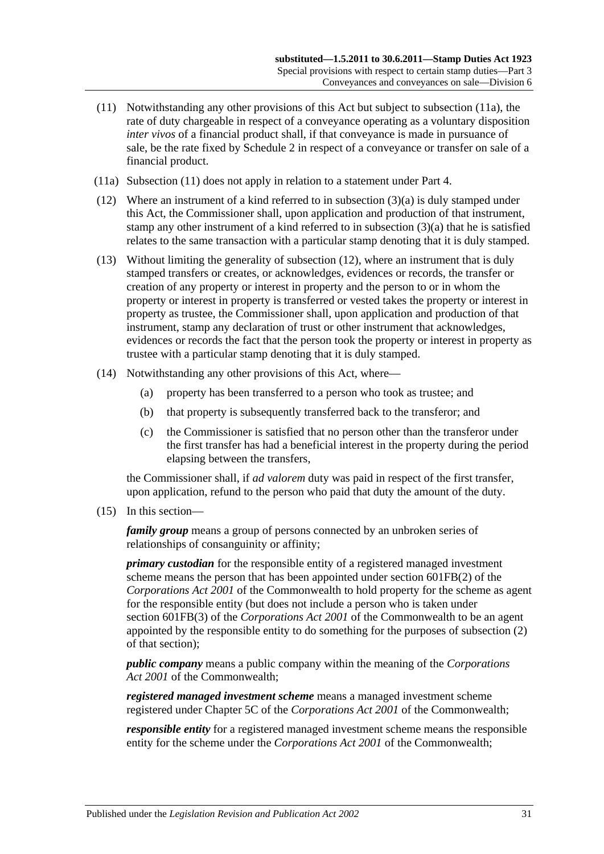- <span id="page-48-1"></span>(11) Notwithstanding any other provisions of this Act but subject to [subsection](#page-48-0) (11a), the rate of duty chargeable in respect of a conveyance operating as a voluntary disposition *inter vivos* of a financial product shall, if that conveyance is made in pursuance of sale, be the rate fixed by [Schedule 2](#page-100-0) in respect of a conveyance or transfer on sale of a financial product.
- <span id="page-48-0"></span>(11a) [Subsection](#page-48-1) (11) does not apply in relation to a statement under [Part 4.](#page-82-0)
- <span id="page-48-2"></span>(12) Where an instrument of a kind referred to in [subsection](#page-44-1) (3)(a) is duly stamped under this Act, the Commissioner shall, upon application and production of that instrument, stamp any other instrument of a kind referred to in [subsection](#page-44-1) (3)(a) that he is satisfied relates to the same transaction with a particular stamp denoting that it is duly stamped.
- (13) Without limiting the generality of [subsection](#page-48-2) (12), where an instrument that is duly stamped transfers or creates, or acknowledges, evidences or records, the transfer or creation of any property or interest in property and the person to or in whom the property or interest in property is transferred or vested takes the property or interest in property as trustee, the Commissioner shall, upon application and production of that instrument, stamp any declaration of trust or other instrument that acknowledges, evidences or records the fact that the person took the property or interest in property as trustee with a particular stamp denoting that it is duly stamped.
- (14) Notwithstanding any other provisions of this Act, where—
	- (a) property has been transferred to a person who took as trustee; and
	- (b) that property is subsequently transferred back to the transferor; and
	- (c) the Commissioner is satisfied that no person other than the transferor under the first transfer has had a beneficial interest in the property during the period elapsing between the transfers,

the Commissioner shall, if *ad valorem* duty was paid in respect of the first transfer, upon application, refund to the person who paid that duty the amount of the duty.

<span id="page-48-3"></span>(15) In this section—

*family group* means a group of persons connected by an unbroken series of relationships of consanguinity or affinity;

*primary custodian* for the responsible entity of a registered managed investment scheme means the person that has been appointed under section 601FB(2) of the *Corporations Act 2001* of the Commonwealth to hold property for the scheme as agent for the responsible entity (but does not include a person who is taken under section 601FB(3) of the *Corporations Act 2001* of the Commonwealth to be an agent appointed by the responsible entity to do something for the purposes of subsection (2) of that section);

*public company* means a public company within the meaning of the *Corporations Act 2001* of the Commonwealth;

*registered managed investment scheme* means a managed investment scheme registered under Chapter 5C of the *Corporations Act 2001* of the Commonwealth;

*responsible entity* for a registered managed investment scheme means the responsible entity for the scheme under the *Corporations Act 2001* of the Commonwealth;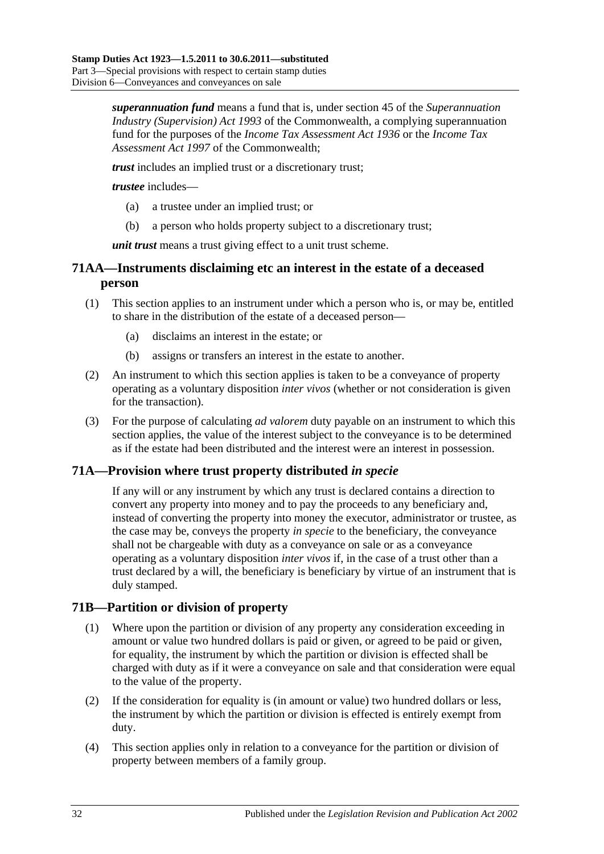*superannuation fund* means a fund that is, under section 45 of the *Superannuation Industry (Supervision) Act 1993* of the Commonwealth, a complying superannuation fund for the purposes of the *Income Tax Assessment Act 1936* or the *Income Tax Assessment Act 1997* of the Commonwealth;

*trust* includes an implied trust or a discretionary trust;

*trustee* includes—

- (a) a trustee under an implied trust; or
- (b) a person who holds property subject to a discretionary trust;

*unit trust* means a trust giving effect to a unit trust scheme.

# **71AA—Instruments disclaiming etc an interest in the estate of a deceased person**

- (1) This section applies to an instrument under which a person who is, or may be, entitled to share in the distribution of the estate of a deceased person—
	- (a) disclaims an interest in the estate; or
	- (b) assigns or transfers an interest in the estate to another.
- (2) An instrument to which this section applies is taken to be a conveyance of property operating as a voluntary disposition *inter vivos* (whether or not consideration is given for the transaction).
- (3) For the purpose of calculating *ad valorem* duty payable on an instrument to which this section applies, the value of the interest subject to the conveyance is to be determined as if the estate had been distributed and the interest were an interest in possession.

## **71A—Provision where trust property distributed** *in specie*

If any will or any instrument by which any trust is declared contains a direction to convert any property into money and to pay the proceeds to any beneficiary and, instead of converting the property into money the executor, administrator or trustee, as the case may be, conveys the property *in specie* to the beneficiary, the conveyance shall not be chargeable with duty as a conveyance on sale or as a conveyance operating as a voluntary disposition *inter vivos* if, in the case of a trust other than a trust declared by a will, the beneficiary is beneficiary by virtue of an instrument that is duly stamped.

## **71B—Partition or division of property**

- (1) Where upon the partition or division of any property any consideration exceeding in amount or value two hundred dollars is paid or given, or agreed to be paid or given, for equality, the instrument by which the partition or division is effected shall be charged with duty as if it were a conveyance on sale and that consideration were equal to the value of the property.
- (2) If the consideration for equality is (in amount or value) two hundred dollars or less, the instrument by which the partition or division is effected is entirely exempt from duty.
- (4) This section applies only in relation to a conveyance for the partition or division of property between members of a family group.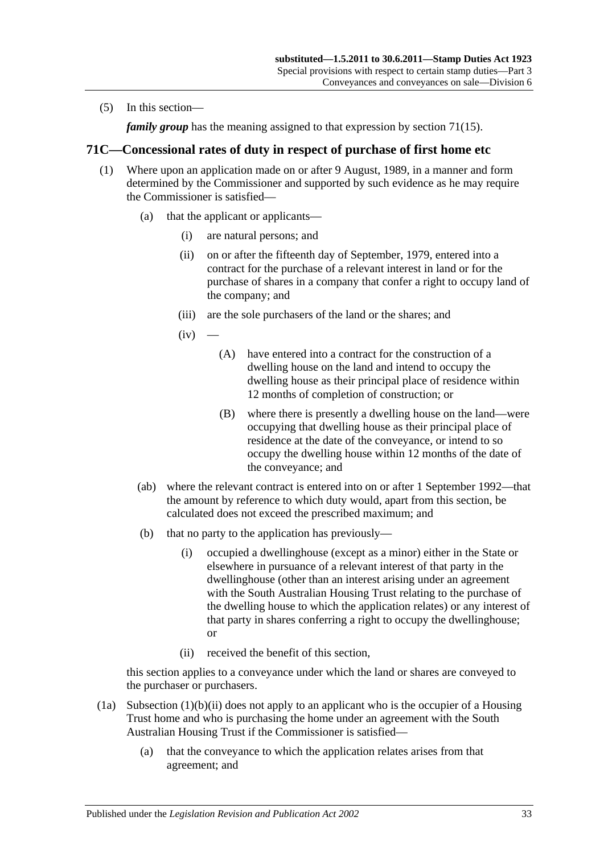(5) In this section—

*family group* has the meaning assigned to that expression by [section](#page-48-3) 71(15).

# **71C—Concessional rates of duty in respect of purchase of first home etc**

- <span id="page-50-2"></span>(1) Where upon an application made on or after 9 August, 1989, in a manner and form determined by the Commissioner and supported by such evidence as he may require the Commissioner is satisfied—
	- (a) that the applicant or applicants—
		- (i) are natural persons; and
		- (ii) on or after the fifteenth day of September, 1979, entered into a contract for the purchase of a relevant interest in land or for the purchase of shares in a company that confer a right to occupy land of the company; and
		- (iii) are the sole purchasers of the land or the shares; and
		- $(iv)$
- <span id="page-50-3"></span><span id="page-50-1"></span>(A) have entered into a contract for the construction of a dwelling house on the land and intend to occupy the dwelling house as their principal place of residence within 12 months of completion of construction; or
- (B) where there is presently a dwelling house on the land—were occupying that dwelling house as their principal place of residence at the date of the conveyance, or intend to so occupy the dwelling house within 12 months of the date of the conveyance; and
- (ab) where the relevant contract is entered into on or after 1 September 1992—that the amount by reference to which duty would, apart from this section, be calculated does not exceed the prescribed maximum; and
- (b) that no party to the application has previously—
	- (i) occupied a dwellinghouse (except as a minor) either in the State or elsewhere in pursuance of a relevant interest of that party in the dwellinghouse (other than an interest arising under an agreement with the South Australian Housing Trust relating to the purchase of the dwelling house to which the application relates) or any interest of that party in shares conferring a right to occupy the dwellinghouse; or
	- (ii) received the benefit of this section,

<span id="page-50-0"></span>this section applies to a conveyance under which the land or shares are conveyed to the purchaser or purchasers.

- (1a) [Subsection](#page-50-0) (1)(b)(ii) does not apply to an applicant who is the occupier of a Housing Trust home and who is purchasing the home under an agreement with the South Australian Housing Trust if the Commissioner is satisfied—
	- (a) that the conveyance to which the application relates arises from that agreement; and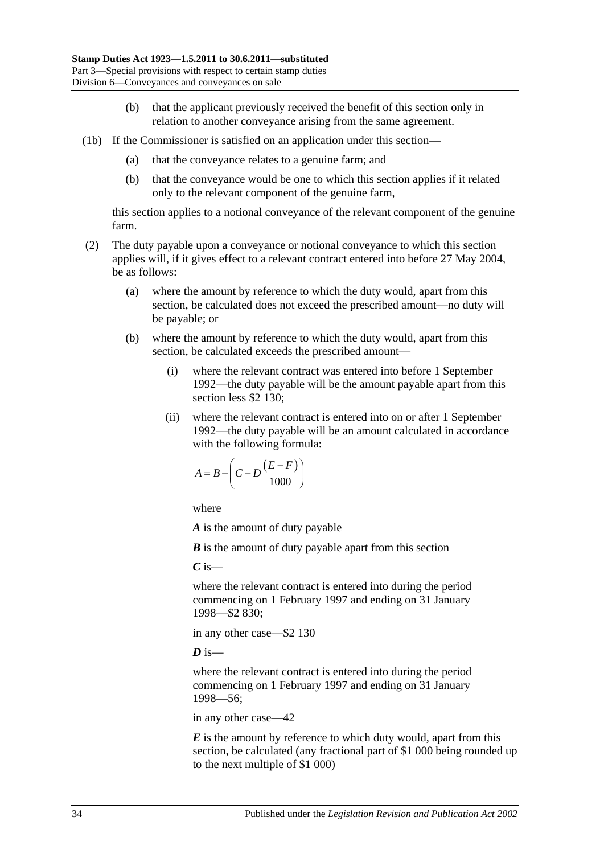- (b) that the applicant previously received the benefit of this section only in relation to another conveyance arising from the same agreement.
- (1b) If the Commissioner is satisfied on an application under this section—
	- (a) that the conveyance relates to a genuine farm; and
	- (b) that the conveyance would be one to which this section applies if it related only to the relevant component of the genuine farm,

this section applies to a notional conveyance of the relevant component of the genuine farm.

- (2) The duty payable upon a conveyance or notional conveyance to which this section applies will, if it gives effect to a relevant contract entered into before 27 May 2004, be as follows:
	- (a) where the amount by reference to which the duty would, apart from this section, be calculated does not exceed the prescribed amount—no duty will be payable; or
	- (b) where the amount by reference to which the duty would, apart from this section, be calculated exceeds the prescribed amount—
		- (i) where the relevant contract was entered into before 1 September 1992—the duty payable will be the amount payable apart from this section less \$2 130;
		- (ii) where the relevant contract is entered into on or after 1 September 1992—the duty payable will be an amount calculated in accordance with the following formula:

$$
A = B - \left(C - D \frac{(E - F)}{1000}\right)
$$

where

*A* is the amount of duty payable

*B* is the amount of duty payable apart from this section

*C* is—

where the relevant contract is entered into during the period commencing on 1 February 1997 and ending on 31 January 1998—\$2 830;

in any other case—\$2 130

 $\overline{D}$  is—

where the relevant contract is entered into during the period commencing on 1 February 1997 and ending on 31 January 1998—56;

in any other case—42

*E* is the amount by reference to which duty would, apart from this section, be calculated (any fractional part of \$1 000 being rounded up to the next multiple of \$1 000)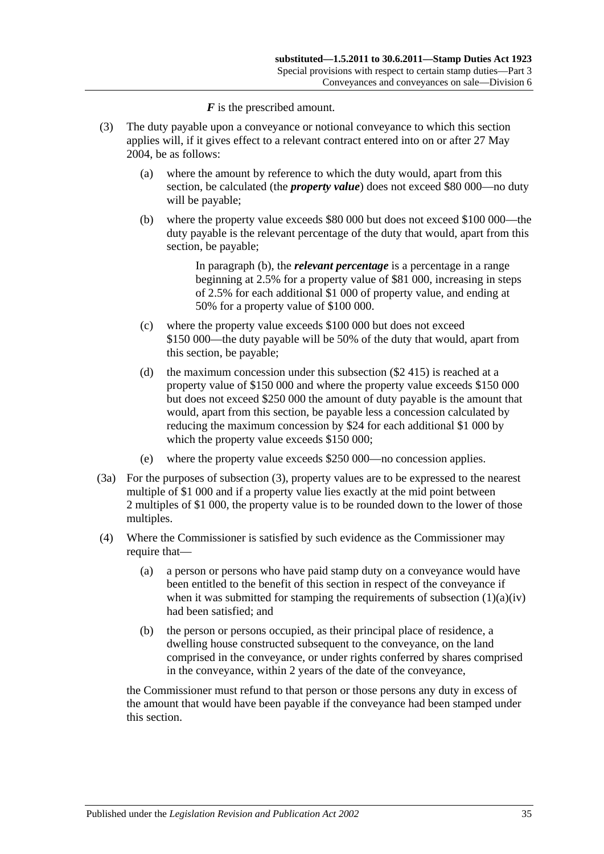*F* is the prescribed amount.

- <span id="page-52-1"></span><span id="page-52-0"></span>(3) The duty payable upon a conveyance or notional conveyance to which this section applies will, if it gives effect to a relevant contract entered into on or after 27 May 2004, be as follows:
	- (a) where the amount by reference to which the duty would, apart from this section, be calculated (the *property value*) does not exceed \$80 000—no duty will be payable;
	- (b) where the property value exceeds \$80 000 but does not exceed \$100 000—the duty payable is the relevant percentage of the duty that would, apart from this section, be payable;

In [paragraph](#page-52-0) (b), the *relevant percentage* is a percentage in a range beginning at 2.5% for a property value of \$81 000, increasing in steps of 2.5% for each additional \$1 000 of property value, and ending at 50% for a property value of \$100 000.

- (c) where the property value exceeds \$100 000 but does not exceed \$150 000—the duty payable will be 50% of the duty that would, apart from this section, be payable;
- (d) the maximum concession under this subsection (\$2 415) is reached at a property value of \$150 000 and where the property value exceeds \$150 000 but does not exceed \$250 000 the amount of duty payable is the amount that would, apart from this section, be payable less a concession calculated by reducing the maximum concession by \$24 for each additional \$1 000 by which the property value exceeds \$150 000;
- (e) where the property value exceeds \$250 000—no concession applies.
- (3a) For the purposes of [subsection](#page-52-1) (3), property values are to be expressed to the nearest multiple of \$1 000 and if a property value lies exactly at the mid point between 2 multiples of \$1 000, the property value is to be rounded down to the lower of those multiples.
- (4) Where the Commissioner is satisfied by such evidence as the Commissioner may require that—
	- (a) a person or persons who have paid stamp duty on a conveyance would have been entitled to the benefit of this section in respect of the conveyance if when it was submitted for stamping the requirements of [subsection](#page-50-1)  $(1)(a)(iv)$ had been satisfied; and
	- (b) the person or persons occupied, as their principal place of residence, a dwelling house constructed subsequent to the conveyance, on the land comprised in the conveyance, or under rights conferred by shares comprised in the conveyance, within 2 years of the date of the conveyance,

the Commissioner must refund to that person or those persons any duty in excess of the amount that would have been payable if the conveyance had been stamped under this section.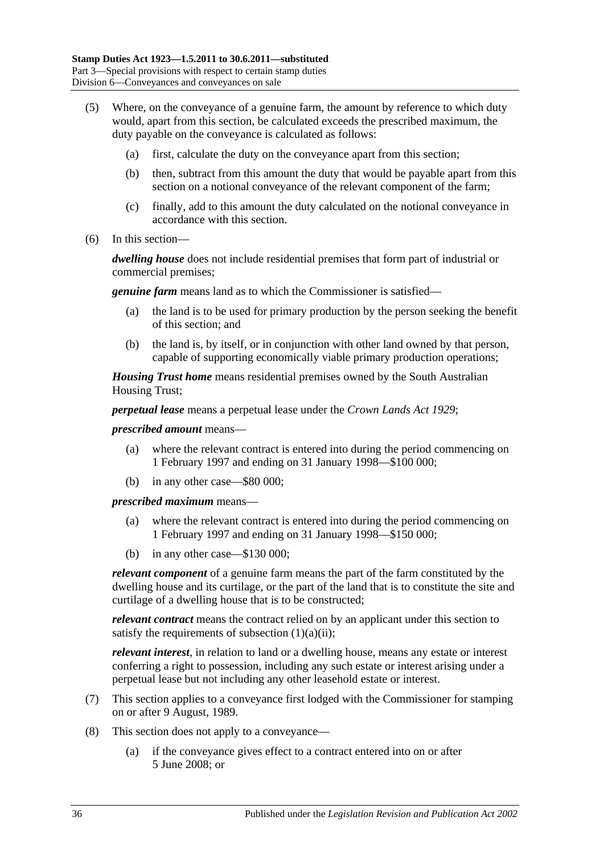- (5) Where, on the conveyance of a genuine farm, the amount by reference to which duty would, apart from this section, be calculated exceeds the prescribed maximum, the duty payable on the conveyance is calculated as follows:
	- (a) first, calculate the duty on the conveyance apart from this section;
	- (b) then, subtract from this amount the duty that would be payable apart from this section on a notional conveyance of the relevant component of the farm;
	- (c) finally, add to this amount the duty calculated on the notional conveyance in accordance with this section.
- (6) In this section—

*dwelling house* does not include residential premises that form part of industrial or commercial premises;

*genuine farm* means land as to which the Commissioner is satisfied—

- (a) the land is to be used for primary production by the person seeking the benefit of this section; and
- (b) the land is, by itself, or in conjunction with other land owned by that person, capable of supporting economically viable primary production operations;

*Housing Trust home* means residential premises owned by the South Australian Housing Trust;

*perpetual lease* means a perpetual lease under the *[Crown Lands Act](http://www.legislation.sa.gov.au/index.aspx?action=legref&type=act&legtitle=Crown%20Lands%20Act%201929) 1929*;

#### *prescribed amount* means—

- (a) where the relevant contract is entered into during the period commencing on 1 February 1997 and ending on 31 January 1998—\$100 000;
- (b) in any other case—\$80 000;

*prescribed maximum* means—

- (a) where the relevant contract is entered into during the period commencing on 1 February 1997 and ending on 31 January 1998—\$150 000;
- (b) in any other case—\$130 000;

*relevant component* of a genuine farm means the part of the farm constituted by the dwelling house and its curtilage, or the part of the land that is to constitute the site and curtilage of a dwelling house that is to be constructed;

*relevant contract* means the contract relied on by an applicant under this section to satisfy the requirements of [subsection](#page-50-2)  $(1)(a)(ii)$ ;

*relevant interest*, in relation to land or a dwelling house, means any estate or interest conferring a right to possession, including any such estate or interest arising under a perpetual lease but not including any other leasehold estate or interest.

- (7) This section applies to a conveyance first lodged with the Commissioner for stamping on or after 9 August, 1989.
- (8) This section does not apply to a conveyance—
	- (a) if the conveyance gives effect to a contract entered into on or after 5 June 2008; or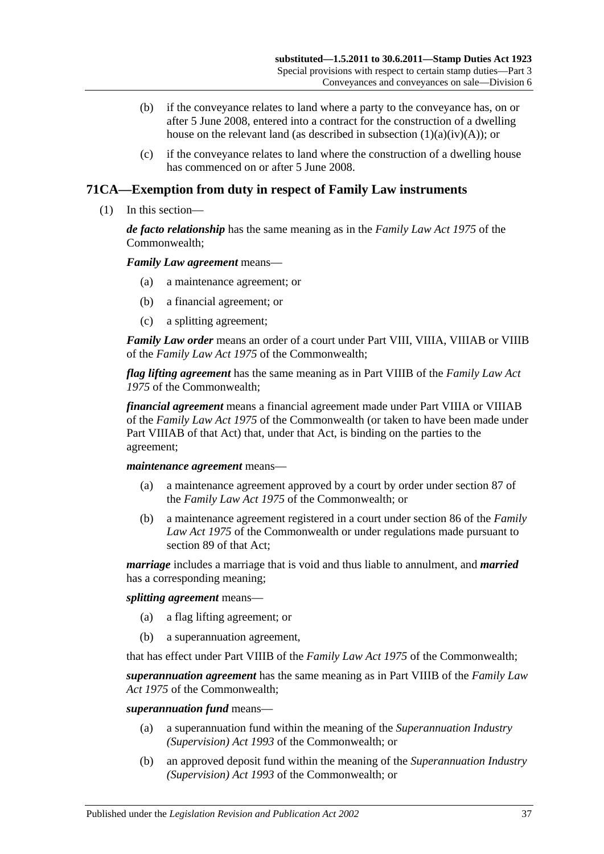- (b) if the conveyance relates to land where a party to the conveyance has, on or after 5 June 2008, entered into a contract for the construction of a dwelling house on the relevant land (as described in subsection  $(1)(a)(iv)(A)$ ); or
- (c) if the conveyance relates to land where the construction of a dwelling house has commenced on or after 5 June 2008.

# **71CA—Exemption from duty in respect of Family Law instruments**

(1) In this section—

*de facto relationship* has the same meaning as in the *Family Law Act 1975* of the Commonwealth;

*Family Law agreement* means—

- (a) a maintenance agreement; or
- (b) a financial agreement; or
- (c) a splitting agreement;

*Family Law order* means an order of a court under Part VIII, VIIIA, VIIIAB or VIIIB of the *Family Law Act 1975* of the Commonwealth;

*flag lifting agreement* has the same meaning as in Part VIIIB of the *Family Law Act 1975* of the Commonwealth;

*financial agreement* means a financial agreement made under Part VIIIA or VIIIAB of the *Family Law Act 1975* of the Commonwealth (or taken to have been made under Part VIIIAB of that Act) that, under that Act, is binding on the parties to the agreement;

#### *maintenance agreement* means—

- (a) a maintenance agreement approved by a court by order under section 87 of the *Family Law Act 1975* of the Commonwealth; or
- (b) a maintenance agreement registered in a court under section 86 of the *Family Law Act 1975* of the Commonwealth or under regulations made pursuant to section 89 of that Act;

*marriage* includes a marriage that is void and thus liable to annulment, and *married* has a corresponding meaning;

*splitting agreement* means—

- (a) a flag lifting agreement; or
- (b) a superannuation agreement,

that has effect under Part VIIIB of the *Family Law Act 1975* of the Commonwealth;

*superannuation agreement* has the same meaning as in Part VIIIB of the *Family Law Act 1975* of the Commonwealth;

#### *superannuation fund* means—

- (a) a superannuation fund within the meaning of the *Superannuation Industry (Supervision) Act 1993* of the Commonwealth; or
- (b) an approved deposit fund within the meaning of the *Superannuation Industry (Supervision) Act 1993* of the Commonwealth; or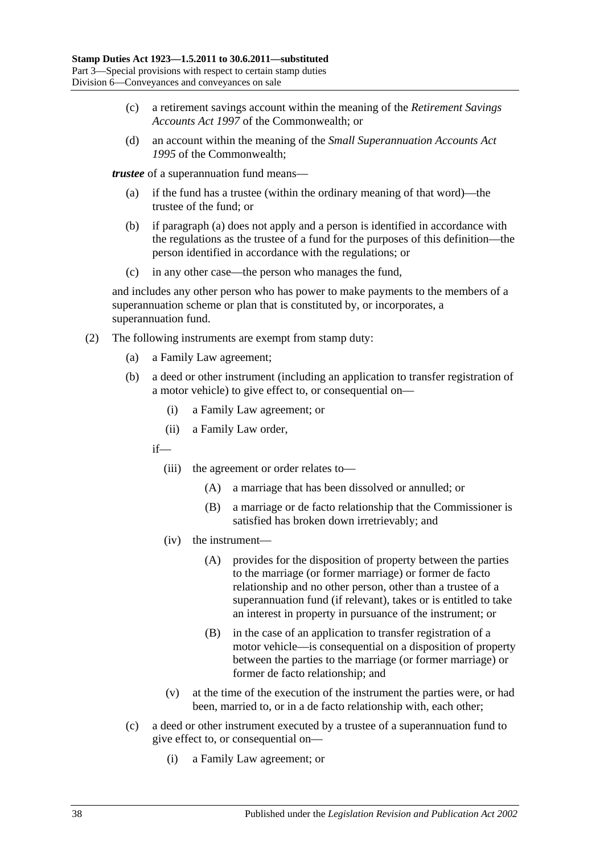- (c) a retirement savings account within the meaning of the *Retirement Savings Accounts Act 1997* of the Commonwealth; or
- (d) an account within the meaning of the *Small Superannuation Accounts Act 1995* of the Commonwealth;

<span id="page-55-0"></span>*trustee* of a superannuation fund means—

- (a) if the fund has a trustee (within the ordinary meaning of that word)—the trustee of the fund; or
- (b) if [paragraph](#page-55-0) (a) does not apply and a person is identified in accordance with the regulations as the trustee of a fund for the purposes of this definition—the person identified in accordance with the regulations; or
- (c) in any other case—the person who manages the fund,

and includes any other person who has power to make payments to the members of a superannuation scheme or plan that is constituted by, or incorporates, a superannuation fund.

- (2) The following instruments are exempt from stamp duty:
	- (a) a Family Law agreement;
	- (b) a deed or other instrument (including an application to transfer registration of a motor vehicle) to give effect to, or consequential on—
		- (i) a Family Law agreement; or
		- (ii) a Family Law order,

if—

- (iii) the agreement or order relates to—
	- (A) a marriage that has been dissolved or annulled; or
	- (B) a marriage or de facto relationship that the Commissioner is satisfied has broken down irretrievably; and
- (iv) the instrument—
	- (A) provides for the disposition of property between the parties to the marriage (or former marriage) or former de facto relationship and no other person, other than a trustee of a superannuation fund (if relevant), takes or is entitled to take an interest in property in pursuance of the instrument; or
	- (B) in the case of an application to transfer registration of a motor vehicle—is consequential on a disposition of property between the parties to the marriage (or former marriage) or former de facto relationship; and
- (v) at the time of the execution of the instrument the parties were, or had been, married to, or in a de facto relationship with, each other;
- (c) a deed or other instrument executed by a trustee of a superannuation fund to give effect to, or consequential on—
	- (i) a Family Law agreement; or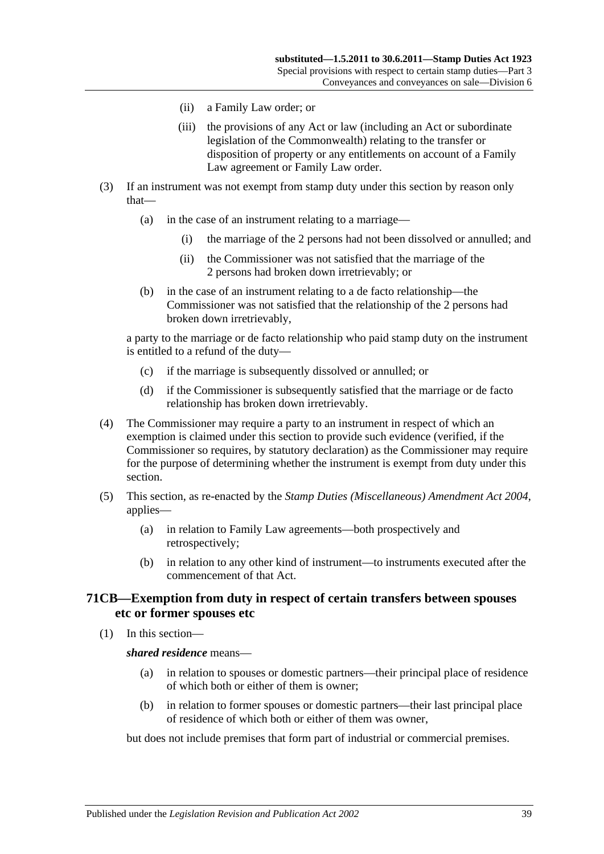- (ii) a Family Law order; or
- (iii) the provisions of any Act or law (including an Act or subordinate legislation of the Commonwealth) relating to the transfer or disposition of property or any entitlements on account of a Family Law agreement or Family Law order.
- (3) If an instrument was not exempt from stamp duty under this section by reason only that—
	- (a) in the case of an instrument relating to a marriage—
		- (i) the marriage of the 2 persons had not been dissolved or annulled; and
		- (ii) the Commissioner was not satisfied that the marriage of the 2 persons had broken down irretrievably; or
	- (b) in the case of an instrument relating to a de facto relationship—the Commissioner was not satisfied that the relationship of the 2 persons had broken down irretrievably,

a party to the marriage or de facto relationship who paid stamp duty on the instrument is entitled to a refund of the duty—

- (c) if the marriage is subsequently dissolved or annulled; or
- (d) if the Commissioner is subsequently satisfied that the marriage or de facto relationship has broken down irretrievably.
- (4) The Commissioner may require a party to an instrument in respect of which an exemption is claimed under this section to provide such evidence (verified, if the Commissioner so requires, by statutory declaration) as the Commissioner may require for the purpose of determining whether the instrument is exempt from duty under this section.
- (5) This section, as re-enacted by the *[Stamp Duties \(Miscellaneous\) Amendment Act 2004](http://www.legislation.sa.gov.au/index.aspx?action=legref&type=act&legtitle=Stamp%20Duties%20(Miscellaneous)%20Amendment%20Act%202004)*, applies—
	- (a) in relation to Family Law agreements—both prospectively and retrospectively;
	- (b) in relation to any other kind of instrument—to instruments executed after the commencement of that Act.

# **71CB—Exemption from duty in respect of certain transfers between spouses etc or former spouses etc**

(1) In this section—

#### *shared residence* means—

- (a) in relation to spouses or domestic partners—their principal place of residence of which both or either of them is owner;
- (b) in relation to former spouses or domestic partners—their last principal place of residence of which both or either of them was owner,

but does not include premises that form part of industrial or commercial premises.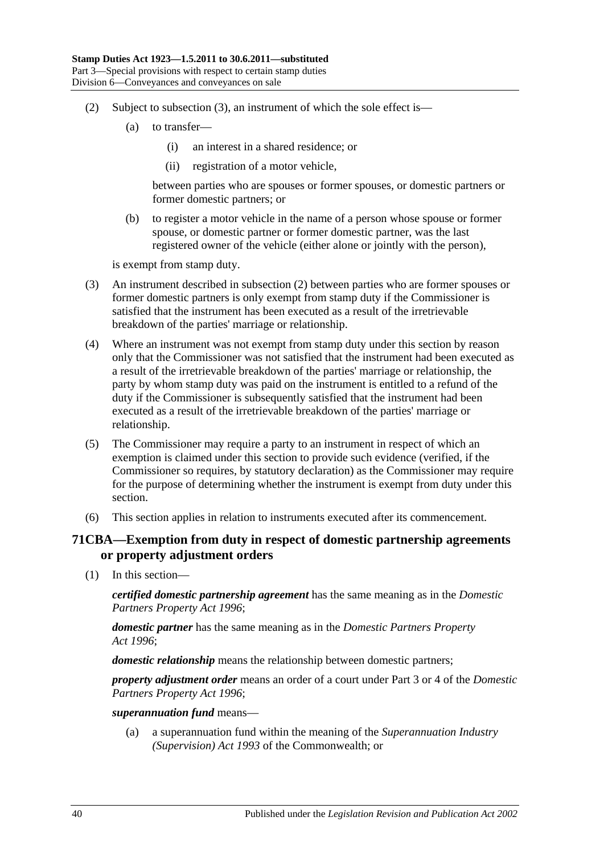- <span id="page-57-1"></span>(2) Subject to [subsection](#page-57-0) (3), an instrument of which the sole effect is—
	- (a) to transfer—
		- (i) an interest in a shared residence; or
		- (ii) registration of a motor vehicle,

between parties who are spouses or former spouses, or domestic partners or former domestic partners; or

(b) to register a motor vehicle in the name of a person whose spouse or former spouse, or domestic partner or former domestic partner, was the last registered owner of the vehicle (either alone or jointly with the person),

is exempt from stamp duty.

- <span id="page-57-0"></span>(3) An instrument described in [subsection](#page-57-1) (2) between parties who are former spouses or former domestic partners is only exempt from stamp duty if the Commissioner is satisfied that the instrument has been executed as a result of the irretrievable breakdown of the parties' marriage or relationship.
- (4) Where an instrument was not exempt from stamp duty under this section by reason only that the Commissioner was not satisfied that the instrument had been executed as a result of the irretrievable breakdown of the parties' marriage or relationship, the party by whom stamp duty was paid on the instrument is entitled to a refund of the duty if the Commissioner is subsequently satisfied that the instrument had been executed as a result of the irretrievable breakdown of the parties' marriage or relationship.
- (5) The Commissioner may require a party to an instrument in respect of which an exemption is claimed under this section to provide such evidence (verified, if the Commissioner so requires, by statutory declaration) as the Commissioner may require for the purpose of determining whether the instrument is exempt from duty under this section.
- (6) This section applies in relation to instruments executed after its commencement.

# **71CBA—Exemption from duty in respect of domestic partnership agreements or property adjustment orders**

(1) In this section—

*certified domestic partnership agreement* has the same meaning as in the *[Domestic](http://www.legislation.sa.gov.au/index.aspx?action=legref&type=act&legtitle=Domestic%20Partners%20Property%20Act%201996)  [Partners Property Act](http://www.legislation.sa.gov.au/index.aspx?action=legref&type=act&legtitle=Domestic%20Partners%20Property%20Act%201996) 1996*;

*domestic partner* has the same meaning as in the *[Domestic Partners Property](http://www.legislation.sa.gov.au/index.aspx?action=legref&type=act&legtitle=Domestic%20Partners%20Property%20Act%201996)  Act [1996](http://www.legislation.sa.gov.au/index.aspx?action=legref&type=act&legtitle=Domestic%20Partners%20Property%20Act%201996)*;

*domestic relationship* means the relationship between domestic partners;

*property adjustment order* means an order of a court under Part 3 or 4 of the *[Domestic](http://www.legislation.sa.gov.au/index.aspx?action=legref&type=act&legtitle=Domestic%20Partners%20Property%20Act%201996)  [Partners Property Act](http://www.legislation.sa.gov.au/index.aspx?action=legref&type=act&legtitle=Domestic%20Partners%20Property%20Act%201996) 1996*;

*superannuation fund* means—

(a) a superannuation fund within the meaning of the *Superannuation Industry (Supervision) Act 1993* of the Commonwealth; or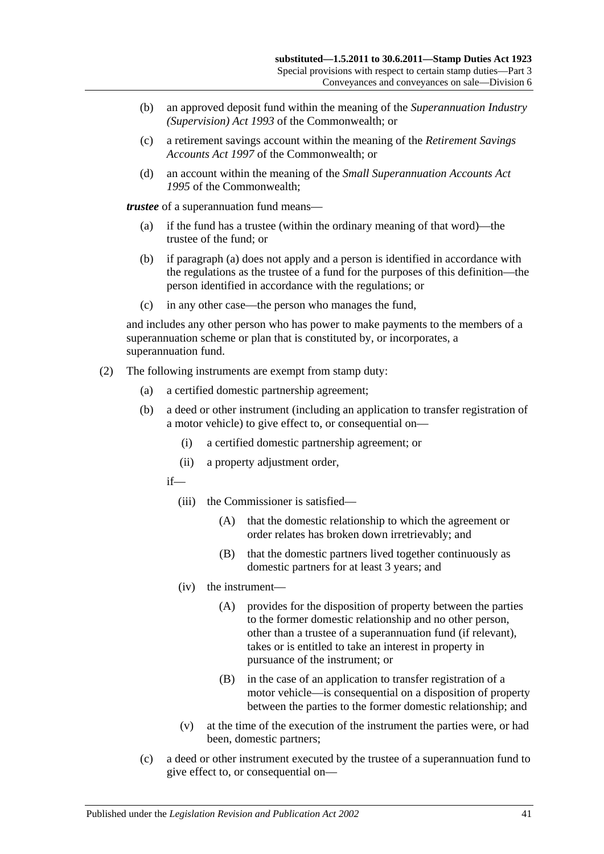- (b) an approved deposit fund within the meaning of the *Superannuation Industry (Supervision) Act 1993* of the Commonwealth; or
- (c) a retirement savings account within the meaning of the *Retirement Savings Accounts Act 1997* of the Commonwealth; or
- (d) an account within the meaning of the *Small Superannuation Accounts Act 1995* of the Commonwealth;

<span id="page-58-0"></span>*trustee* of a superannuation fund means—

- (a) if the fund has a trustee (within the ordinary meaning of that word)—the trustee of the fund; or
- (b) if [paragraph](#page-58-0) (a) does not apply and a person is identified in accordance with the regulations as the trustee of a fund for the purposes of this definition—the person identified in accordance with the regulations; or
- (c) in any other case—the person who manages the fund,

and includes any other person who has power to make payments to the members of a superannuation scheme or plan that is constituted by, or incorporates, a superannuation fund.

- (2) The following instruments are exempt from stamp duty:
	- (a) a certified domestic partnership agreement;
	- (b) a deed or other instrument (including an application to transfer registration of a motor vehicle) to give effect to, or consequential on—
		- (i) a certified domestic partnership agreement; or
		- (ii) a property adjustment order,
		- if—
			- (iii) the Commissioner is satisfied—
				- (A) that the domestic relationship to which the agreement or order relates has broken down irretrievably; and
				- (B) that the domestic partners lived together continuously as domestic partners for at least 3 years; and
			- (iv) the instrument—
				- (A) provides for the disposition of property between the parties to the former domestic relationship and no other person, other than a trustee of a superannuation fund (if relevant), takes or is entitled to take an interest in property in pursuance of the instrument; or
				- (B) in the case of an application to transfer registration of a motor vehicle—is consequential on a disposition of property between the parties to the former domestic relationship; and
			- (v) at the time of the execution of the instrument the parties were, or had been, domestic partners;
	- (c) a deed or other instrument executed by the trustee of a superannuation fund to give effect to, or consequential on—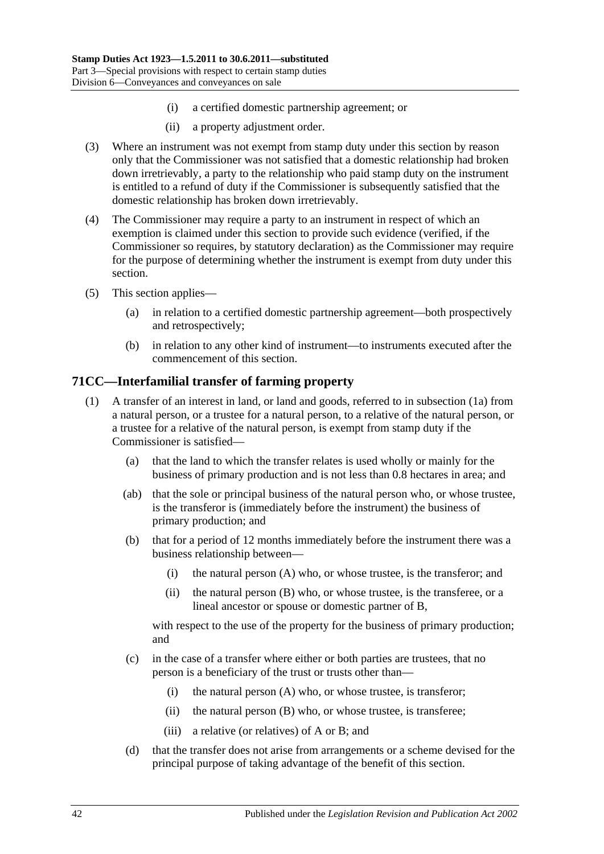- (i) a certified domestic partnership agreement; or
- (ii) a property adjustment order.
- (3) Where an instrument was not exempt from stamp duty under this section by reason only that the Commissioner was not satisfied that a domestic relationship had broken down irretrievably, a party to the relationship who paid stamp duty on the instrument is entitled to a refund of duty if the Commissioner is subsequently satisfied that the domestic relationship has broken down irretrievably.
- (4) The Commissioner may require a party to an instrument in respect of which an exemption is claimed under this section to provide such evidence (verified, if the Commissioner so requires, by statutory declaration) as the Commissioner may require for the purpose of determining whether the instrument is exempt from duty under this section.
- (5) This section applies—
	- (a) in relation to a certified domestic partnership agreement—both prospectively and retrospectively;
	- (b) in relation to any other kind of instrument—to instruments executed after the commencement of this section.

### <span id="page-59-0"></span>**71CC—Interfamilial transfer of farming property**

- (1) A transfer of an interest in land, or land and goods, referred to in [subsection](#page-60-0) (1a) from a natural person, or a trustee for a natural person, to a relative of the natural person, or a trustee for a relative of the natural person, is exempt from stamp duty if the Commissioner is satisfied—
	- (a) that the land to which the transfer relates is used wholly or mainly for the business of primary production and is not less than 0.8 hectares in area; and
	- (ab) that the sole or principal business of the natural person who, or whose trustee, is the transferor is (immediately before the instrument) the business of primary production; and
	- (b) that for a period of 12 months immediately before the instrument there was a business relationship between—
		- (i) the natural person (A) who, or whose trustee, is the transferor; and
		- (ii) the natural person (B) who, or whose trustee, is the transferee, or a lineal ancestor or spouse or domestic partner of B,

<span id="page-59-1"></span>with respect to the use of the property for the business of primary production; and

- (c) in the case of a transfer where either or both parties are trustees, that no person is a beneficiary of the trust or trusts other than—
	- (i) the natural person (A) who, or whose trustee, is transferor;
	- (ii) the natural person (B) who, or whose trustee, is transferee;
	- (iii) a relative (or relatives) of A or B; and
- (d) that the transfer does not arise from arrangements or a scheme devised for the principal purpose of taking advantage of the benefit of this section.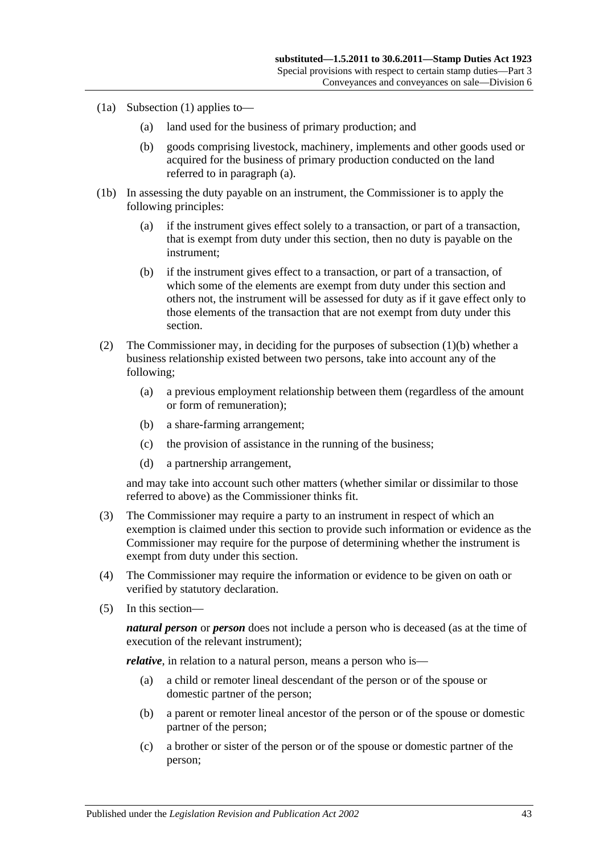- <span id="page-60-1"></span><span id="page-60-0"></span>(1a) [Subsection](#page-59-0) (1) applies to—
	- (a) land used for the business of primary production; and
	- (b) goods comprising livestock, machinery, implements and other goods used or acquired for the business of primary production conducted on the land referred to in [paragraph](#page-60-1) (a).
- (1b) In assessing the duty payable on an instrument, the Commissioner is to apply the following principles:
	- (a) if the instrument gives effect solely to a transaction, or part of a transaction, that is exempt from duty under this section, then no duty is payable on the instrument;
	- (b) if the instrument gives effect to a transaction, or part of a transaction, of which some of the elements are exempt from duty under this section and others not, the instrument will be assessed for duty as if it gave effect only to those elements of the transaction that are not exempt from duty under this section.
- (2) The Commissioner may, in deciding for the purposes of [subsection](#page-59-1) (1)(b) whether a business relationship existed between two persons, take into account any of the following;
	- (a) a previous employment relationship between them (regardless of the amount or form of remuneration);
	- (b) a share-farming arrangement;
	- (c) the provision of assistance in the running of the business;
	- (d) a partnership arrangement,

and may take into account such other matters (whether similar or dissimilar to those referred to above) as the Commissioner thinks fit.

- (3) The Commissioner may require a party to an instrument in respect of which an exemption is claimed under this section to provide such information or evidence as the Commissioner may require for the purpose of determining whether the instrument is exempt from duty under this section.
- (4) The Commissioner may require the information or evidence to be given on oath or verified by statutory declaration.
- (5) In this section—

*natural person* or *person* does not include a person who is deceased (as at the time of execution of the relevant instrument);

<span id="page-60-2"></span>*relative*, in relation to a natural person, means a person who is—

- (a) a child or remoter lineal descendant of the person or of the spouse or domestic partner of the person;
- <span id="page-60-3"></span>(b) a parent or remoter lineal ancestor of the person or of the spouse or domestic partner of the person;
- <span id="page-60-4"></span>(c) a brother or sister of the person or of the spouse or domestic partner of the person;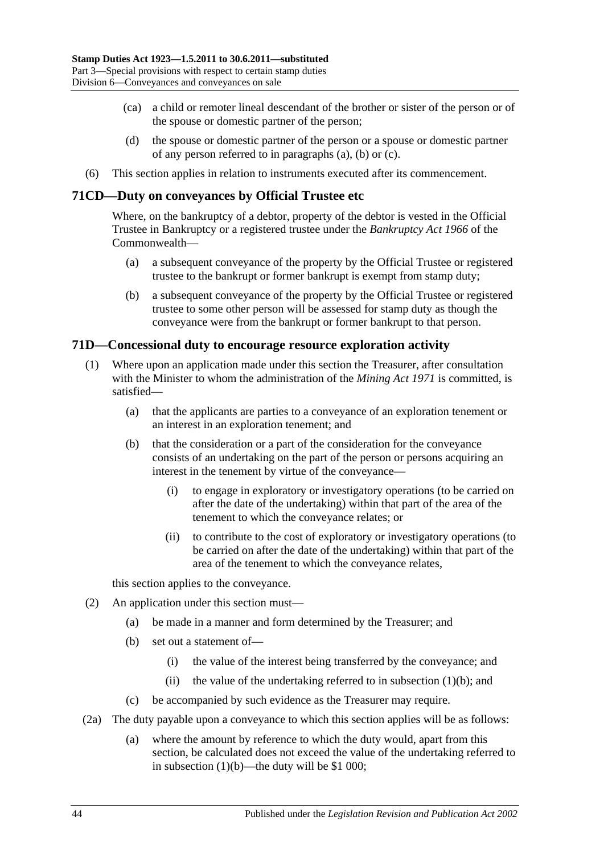- (ca) a child or remoter lineal descendant of the brother or sister of the person or of the spouse or domestic partner of the person;
- (d) the spouse or domestic partner of the person or a spouse or domestic partner of any person referred to in [paragraphs](#page-60-2) (a), [\(b\)](#page-60-3) or [\(c\).](#page-60-4)
- (6) This section applies in relation to instruments executed after its commencement.

### **71CD—Duty on conveyances by Official Trustee etc**

Where, on the bankruptcy of a debtor, property of the debtor is vested in the Official Trustee in Bankruptcy or a registered trustee under the *Bankruptcy Act 1966* of the Commonwealth—

- (a) a subsequent conveyance of the property by the Official Trustee or registered trustee to the bankrupt or former bankrupt is exempt from stamp duty;
- (b) a subsequent conveyance of the property by the Official Trustee or registered trustee to some other person will be assessed for stamp duty as though the conveyance were from the bankrupt or former bankrupt to that person.

### **71D—Concessional duty to encourage resource exploration activity**

- <span id="page-61-0"></span>(1) Where upon an application made under this section the Treasurer, after consultation with the Minister to whom the administration of the *[Mining Act](http://www.legislation.sa.gov.au/index.aspx?action=legref&type=act&legtitle=Mining%20Act%201971) 1971* is committed, is satisfied—
	- (a) that the applicants are parties to a conveyance of an exploration tenement or an interest in an exploration tenement; and
	- (b) that the consideration or a part of the consideration for the conveyance consists of an undertaking on the part of the person or persons acquiring an interest in the tenement by virtue of the conveyance—
		- (i) to engage in exploratory or investigatory operations (to be carried on after the date of the undertaking) within that part of the area of the tenement to which the conveyance relates; or
		- (ii) to contribute to the cost of exploratory or investigatory operations (to be carried on after the date of the undertaking) within that part of the area of the tenement to which the conveyance relates,

this section applies to the conveyance.

- (2) An application under this section must—
	- (a) be made in a manner and form determined by the Treasurer; and
	- (b) set out a statement of—
		- (i) the value of the interest being transferred by the conveyance; and
		- (ii) the value of the undertaking referred to in [subsection](#page-61-0)  $(1)(b)$ ; and
	- (c) be accompanied by such evidence as the Treasurer may require.
- (2a) The duty payable upon a conveyance to which this section applies will be as follows:
	- (a) where the amount by reference to which the duty would, apart from this section, be calculated does not exceed the value of the undertaking referred to in [subsection](#page-61-0)  $(1)(b)$ —the duty will be \$1 000;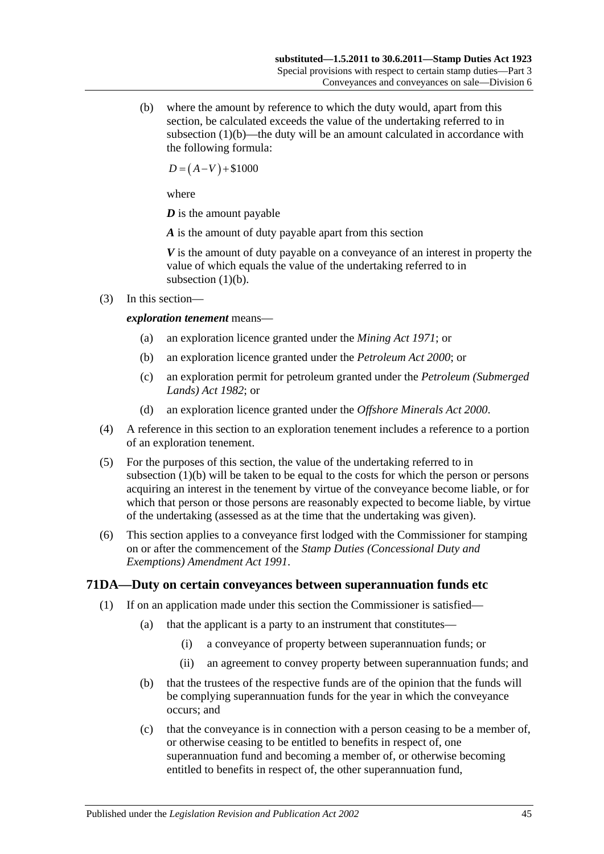(b) where the amount by reference to which the duty would, apart from this section, be calculated exceeds the value of the undertaking referred to in [subsection](#page-61-0)  $(1)(b)$ —the duty will be an amount calculated in accordance with the following formula:

 $D = (A-V) + $1000$ 

where

*D* is the amount payable

*A* is the amount of duty payable apart from this section

*V* is the amount of duty payable on a conveyance of an interest in property the value of which equals the value of the undertaking referred to in [subsection](#page-61-0)  $(1)(b)$ .

(3) In this section—

### *exploration tenement* means—

- (a) an exploration licence granted under the *[Mining Act](http://www.legislation.sa.gov.au/index.aspx?action=legref&type=act&legtitle=Mining%20Act%201971) 1971*; or
- (b) an exploration licence granted under the *[Petroleum Act](http://www.legislation.sa.gov.au/index.aspx?action=legref&type=act&legtitle=Petroleum%20Act%202000) 2000*; or
- (c) an exploration permit for petroleum granted under the *[Petroleum \(Submerged](http://www.legislation.sa.gov.au/index.aspx?action=legref&type=act&legtitle=Petroleum%20(Submerged%20Lands)%20Act%201982)  [Lands\) Act](http://www.legislation.sa.gov.au/index.aspx?action=legref&type=act&legtitle=Petroleum%20(Submerged%20Lands)%20Act%201982) 1982*; or
- (d) an exploration licence granted under the *[Offshore Minerals Act](http://www.legislation.sa.gov.au/index.aspx?action=legref&type=act&legtitle=Offshore%20Minerals%20Act%202000) 2000*.
- (4) A reference in this section to an exploration tenement includes a reference to a portion of an exploration tenement.
- (5) For the purposes of this section, the value of the undertaking referred to in [subsection](#page-61-0) (1)(b) will be taken to be equal to the costs for which the person or persons acquiring an interest in the tenement by virtue of the conveyance become liable, or for which that person or those persons are reasonably expected to become liable, by virtue of the undertaking (assessed as at the time that the undertaking was given).
- (6) This section applies to a conveyance first lodged with the Commissioner for stamping on or after the commencement of the *[Stamp Duties \(Concessional Duty and](http://www.legislation.sa.gov.au/index.aspx?action=legref&type=act&legtitle=Stamp%20Duties%20(Concessional%20Duty%20and%20Exemptions)%20Amendment%20Act%201991)  [Exemptions\) Amendment Act](http://www.legislation.sa.gov.au/index.aspx?action=legref&type=act&legtitle=Stamp%20Duties%20(Concessional%20Duty%20and%20Exemptions)%20Amendment%20Act%201991) 1991*.

## <span id="page-62-0"></span>**71DA—Duty on certain conveyances between superannuation funds etc**

- (1) If on an application made under this section the Commissioner is satisfied—
	- (a) that the applicant is a party to an instrument that constitutes—
		- (i) a conveyance of property between superannuation funds; or
		- (ii) an agreement to convey property between superannuation funds; and
	- (b) that the trustees of the respective funds are of the opinion that the funds will be complying superannuation funds for the year in which the conveyance occurs; and
	- (c) that the conveyance is in connection with a person ceasing to be a member of, or otherwise ceasing to be entitled to benefits in respect of, one superannuation fund and becoming a member of, or otherwise becoming entitled to benefits in respect of, the other superannuation fund,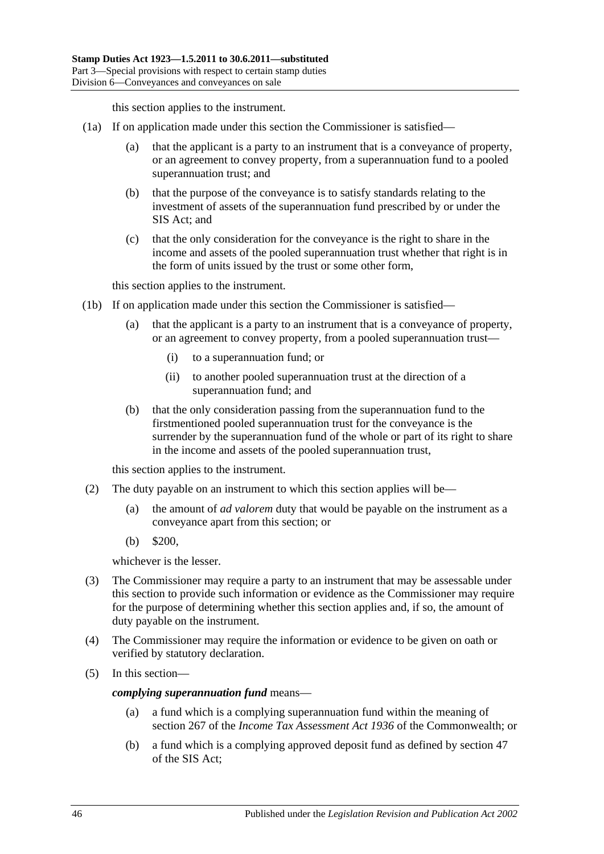this section applies to the instrument.

- <span id="page-63-0"></span>(1a) If on application made under this section the Commissioner is satisfied—
	- (a) that the applicant is a party to an instrument that is a conveyance of property, or an agreement to convey property, from a superannuation fund to a pooled superannuation trust; and
	- (b) that the purpose of the conveyance is to satisfy standards relating to the investment of assets of the superannuation fund prescribed by or under the SIS Act; and
	- (c) that the only consideration for the conveyance is the right to share in the income and assets of the pooled superannuation trust whether that right is in the form of units issued by the trust or some other form,

this section applies to the instrument.

- <span id="page-63-1"></span>(1b) If on application made under this section the Commissioner is satisfied—
	- (a) that the applicant is a party to an instrument that is a conveyance of property, or an agreement to convey property, from a pooled superannuation trust—
		- (i) to a superannuation fund; or
		- (ii) to another pooled superannuation trust at the direction of a superannuation fund; and
	- (b) that the only consideration passing from the superannuation fund to the firstmentioned pooled superannuation trust for the conveyance is the surrender by the superannuation fund of the whole or part of its right to share in the income and assets of the pooled superannuation trust,

this section applies to the instrument.

- (2) The duty payable on an instrument to which this section applies will be—
	- (a) the amount of *ad valorem* duty that would be payable on the instrument as a conveyance apart from this section; or
	- (b) \$200,

whichever is the lesser.

- (3) The Commissioner may require a party to an instrument that may be assessable under this section to provide such information or evidence as the Commissioner may require for the purpose of determining whether this section applies and, if so, the amount of duty payable on the instrument.
- (4) The Commissioner may require the information or evidence to be given on oath or verified by statutory declaration.
- (5) In this section—

*complying superannuation fund* means—

- (a) a fund which is a complying superannuation fund within the meaning of section 267 of the *Income Tax Assessment Act 1936* of the Commonwealth; or
- (b) a fund which is a complying approved deposit fund as defined by section 47 of the SIS Act;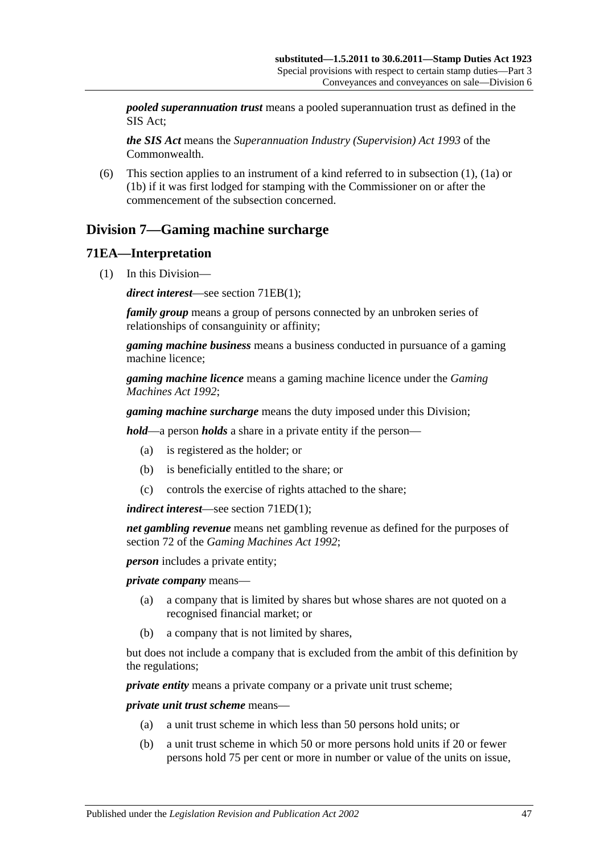*pooled superannuation trust* means a pooled superannuation trust as defined in the SIS Act;

*the SIS Act* means the *Superannuation Industry (Supervision) Act 1993* of the Commonwealth.

(6) This section applies to an instrument of a kind referred to in [subsection](#page-62-0) (1), [\(1a\)](#page-63-0) or [\(1b\)](#page-63-1) if it was first lodged for stamping with the Commissioner on or after the commencement of the subsection concerned.

# **Division 7—Gaming machine surcharge**

## **71EA—Interpretation**

(1) In this Division—

*direct interest*—see section [71EB\(1\);](#page-65-0)

*family group* means a group of persons connected by an unbroken series of relationships of consanguinity or affinity;

*gaming machine business* means a business conducted in pursuance of a gaming machine licence;

*gaming machine licence* means a gaming machine licence under the *[Gaming](http://www.legislation.sa.gov.au/index.aspx?action=legref&type=act&legtitle=Gaming%20Machines%20Act%201992)  [Machines Act](http://www.legislation.sa.gov.au/index.aspx?action=legref&type=act&legtitle=Gaming%20Machines%20Act%201992) 1992*;

*gaming machine surcharge* means the duty imposed under this Division;

*hold*—a person *holds* a share in a private entity if the person—

- (a) is registered as the holder; or
- (b) is beneficially entitled to the share; or
- (c) controls the exercise of rights attached to the share;

*indirect interest*—see section [71ED\(1\);](#page-66-0)

*net gambling revenue* means net gambling revenue as defined for the purposes of section 72 of the *[Gaming Machines Act](http://www.legislation.sa.gov.au/index.aspx?action=legref&type=act&legtitle=Gaming%20Machines%20Act%201992) 1992*;

*person* includes a private entity;

*private company* means—

- (a) a company that is limited by shares but whose shares are not quoted on a recognised financial market; or
- (b) a company that is not limited by shares,

but does not include a company that is excluded from the ambit of this definition by the regulations;

*private entity* means a private company or a private unit trust scheme:

*private unit trust scheme* means—

- (a) a unit trust scheme in which less than 50 persons hold units; or
- (b) a unit trust scheme in which 50 or more persons hold units if 20 or fewer persons hold 75 per cent or more in number or value of the units on issue,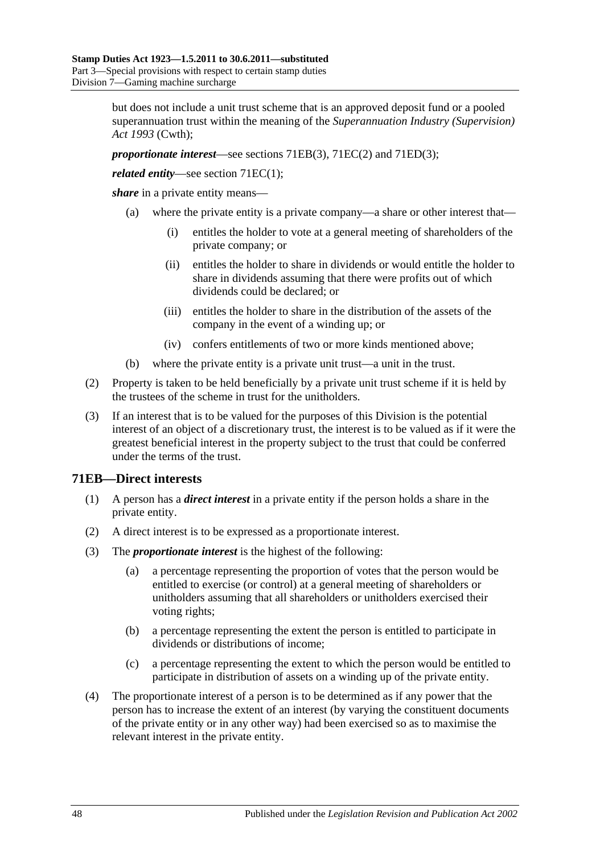but does not include a unit trust scheme that is an approved deposit fund or a pooled superannuation trust within the meaning of the *Superannuation Industry (Supervision) Act 1993* (Cwth);

*proportionate interest*—see sections [71EB\(3\),](#page-65-1) [71EC\(2\)](#page-66-1) and [71ED\(3\);](#page-66-2)

*related entity—see section [71EC\(1\);](#page-66-3)* 

*share* in a private entity means—

- (a) where the private entity is a private company—a share or other interest that—
	- (i) entitles the holder to vote at a general meeting of shareholders of the private company; or
	- (ii) entitles the holder to share in dividends or would entitle the holder to share in dividends assuming that there were profits out of which dividends could be declared; or
	- (iii) entitles the holder to share in the distribution of the assets of the company in the event of a winding up; or
	- (iv) confers entitlements of two or more kinds mentioned above;
- (b) where the private entity is a private unit trust—a unit in the trust.
- (2) Property is taken to be held beneficially by a private unit trust scheme if it is held by the trustees of the scheme in trust for the unitholders.
- (3) If an interest that is to be valued for the purposes of this Division is the potential interest of an object of a discretionary trust, the interest is to be valued as if it were the greatest beneficial interest in the property subject to the trust that could be conferred under the terms of the trust.

## <span id="page-65-0"></span>**71EB—Direct interests**

- (1) A person has a *direct interest* in a private entity if the person holds a share in the private entity.
- (2) A direct interest is to be expressed as a proportionate interest.
- <span id="page-65-1"></span>(3) The *proportionate interest* is the highest of the following:
	- (a) a percentage representing the proportion of votes that the person would be entitled to exercise (or control) at a general meeting of shareholders or unitholders assuming that all shareholders or unitholders exercised their voting rights;
	- (b) a percentage representing the extent the person is entitled to participate in dividends or distributions of income;
	- (c) a percentage representing the extent to which the person would be entitled to participate in distribution of assets on a winding up of the private entity.
- (4) The proportionate interest of a person is to be determined as if any power that the person has to increase the extent of an interest (by varying the constituent documents of the private entity or in any other way) had been exercised so as to maximise the relevant interest in the private entity.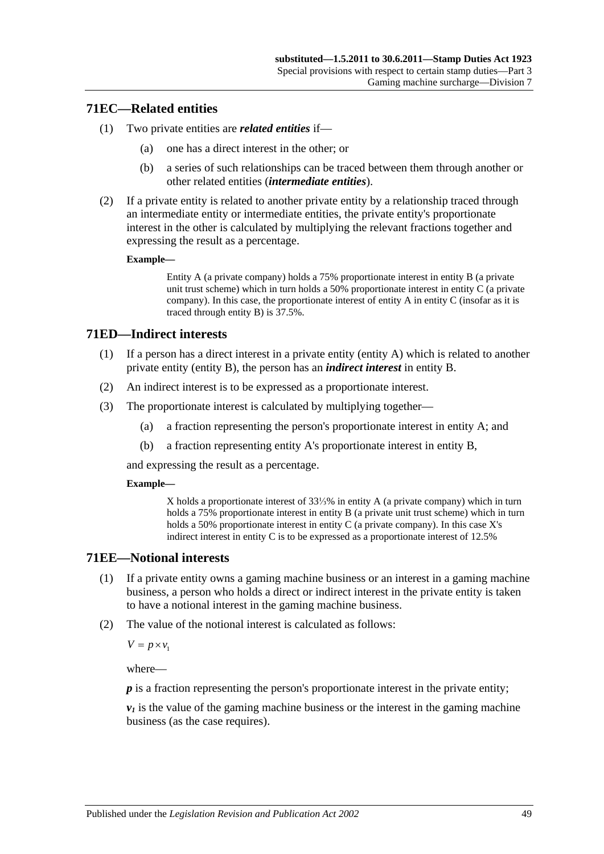### <span id="page-66-3"></span>**71EC—Related entities**

- (1) Two private entities are *related entities* if—
	- (a) one has a direct interest in the other; or
	- (b) a series of such relationships can be traced between them through another or other related entities (*intermediate entities*).
- <span id="page-66-1"></span>(2) If a private entity is related to another private entity by a relationship traced through an intermediate entity or intermediate entities, the private entity's proportionate interest in the other is calculated by multiplying the relevant fractions together and expressing the result as a percentage.

#### **Example—**

Entity A (a private company) holds a 75% proportionate interest in entity B (a private unit trust scheme) which in turn holds a 50% proportionate interest in entity C (a private company). In this case, the proportionate interest of entity A in entity C (insofar as it is traced through entity B) is 37.5%.

## <span id="page-66-0"></span>**71ED—Indirect interests**

- (1) If a person has a direct interest in a private entity (entity A) which is related to another private entity (entity B), the person has an *indirect interest* in entity B.
- (2) An indirect interest is to be expressed as a proportionate interest.
- <span id="page-66-2"></span>(3) The proportionate interest is calculated by multiplying together—
	- (a) a fraction representing the person's proportionate interest in entity A; and
	- (b) a fraction representing entity A's proportionate interest in entity B,

and expressing the result as a percentage.

#### **Example—**

X holds a proportionate interest of 33⅓% in entity A (a private company) which in turn holds a 75% proportionate interest in entity B (a private unit trust scheme) which in turn holds a 50% proportionate interest in entity C (a private company). In this case X's indirect interest in entity C is to be expressed as a proportionate interest of 12.5%

### **71EE—Notional interests**

- (1) If a private entity owns a gaming machine business or an interest in a gaming machine business, a person who holds a direct or indirect interest in the private entity is taken to have a notional interest in the gaming machine business.
- (2) The value of the notional interest is calculated as follows:

 $V = p \times v_1$ 

where—

*p* is a fraction representing the person's proportionate interest in the private entity;

 $v_1$  is the value of the gaming machine business or the interest in the gaming machine business (as the case requires).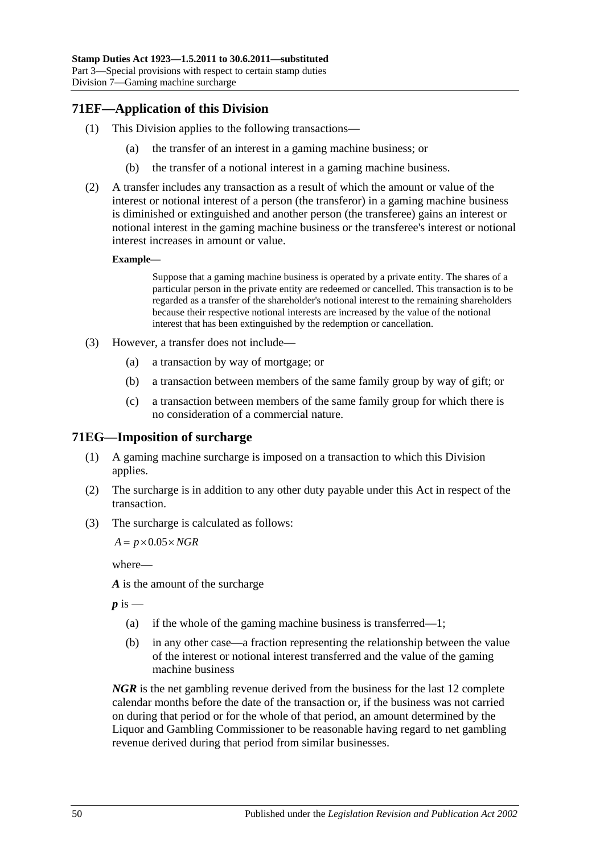# **71EF—Application of this Division**

- (1) This Division applies to the following transactions—
	- (a) the transfer of an interest in a gaming machine business; or
	- (b) the transfer of a notional interest in a gaming machine business.
- (2) A transfer includes any transaction as a result of which the amount or value of the interest or notional interest of a person (the transferor) in a gaming machine business is diminished or extinguished and another person (the transferee) gains an interest or notional interest in the gaming machine business or the transferee's interest or notional interest increases in amount or value.

#### **Example—**

Suppose that a gaming machine business is operated by a private entity. The shares of a particular person in the private entity are redeemed or cancelled. This transaction is to be regarded as a transfer of the shareholder's notional interest to the remaining shareholders because their respective notional interests are increased by the value of the notional interest that has been extinguished by the redemption or cancellation.

- (3) However, a transfer does not include—
	- (a) a transaction by way of mortgage; or
	- (b) a transaction between members of the same family group by way of gift; or
	- (c) a transaction between members of the same family group for which there is no consideration of a commercial nature.

### **71EG—Imposition of surcharge**

- (1) A gaming machine surcharge is imposed on a transaction to which this Division applies.
- (2) The surcharge is in addition to any other duty payable under this Act in respect of the transaction.
- (3) The surcharge is calculated as follows:

 $A = p \times 0.05 \times NGR$ 

where—

*A* is the amount of the surcharge

 $p$  is  $-$ 

- (a) if the whole of the gaming machine business is transferred—1;
- (b) in any other case—a fraction representing the relationship between the value of the interest or notional interest transferred and the value of the gaming machine business

*NGR* is the net gambling revenue derived from the business for the last 12 complete calendar months before the date of the transaction or, if the business was not carried on during that period or for the whole of that period, an amount determined by the Liquor and Gambling Commissioner to be reasonable having regard to net gambling revenue derived during that period from similar businesses.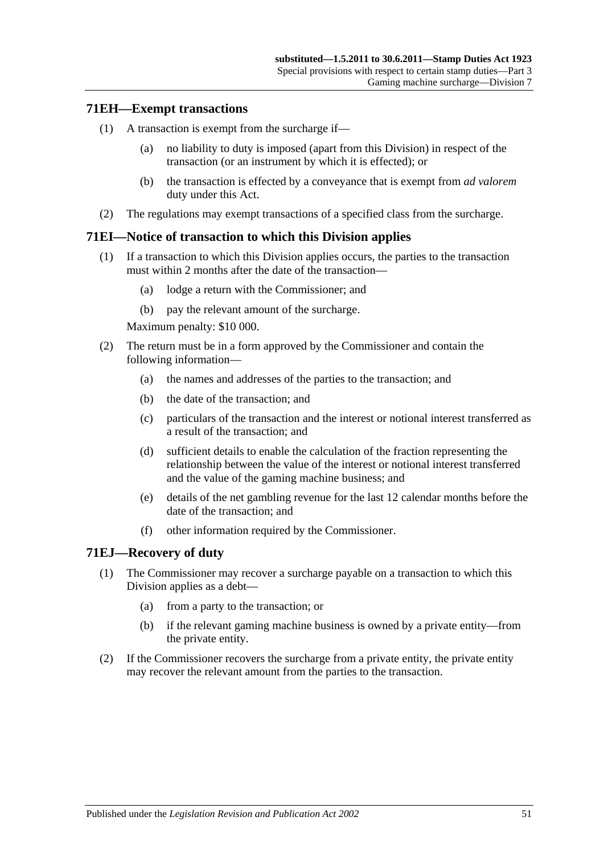### **71EH—Exempt transactions**

- (1) A transaction is exempt from the surcharge if—
	- (a) no liability to duty is imposed (apart from this Division) in respect of the transaction (or an instrument by which it is effected); or
	- (b) the transaction is effected by a conveyance that is exempt from *ad valorem* duty under this Act.
- (2) The regulations may exempt transactions of a specified class from the surcharge.

## **71EI—Notice of transaction to which this Division applies**

- (1) If a transaction to which this Division applies occurs, the parties to the transaction must within 2 months after the date of the transaction—
	- (a) lodge a return with the Commissioner; and
	- (b) pay the relevant amount of the surcharge.

Maximum penalty: \$10 000.

- (2) The return must be in a form approved by the Commissioner and contain the following information—
	- (a) the names and addresses of the parties to the transaction; and
	- (b) the date of the transaction; and
	- (c) particulars of the transaction and the interest or notional interest transferred as a result of the transaction; and
	- (d) sufficient details to enable the calculation of the fraction representing the relationship between the value of the interest or notional interest transferred and the value of the gaming machine business; and
	- (e) details of the net gambling revenue for the last 12 calendar months before the date of the transaction; and
	- (f) other information required by the Commissioner.

### **71EJ—Recovery of duty**

- (1) The Commissioner may recover a surcharge payable on a transaction to which this Division applies as a debt—
	- (a) from a party to the transaction; or
	- (b) if the relevant gaming machine business is owned by a private entity—from the private entity.
- (2) If the Commissioner recovers the surcharge from a private entity, the private entity may recover the relevant amount from the parties to the transaction.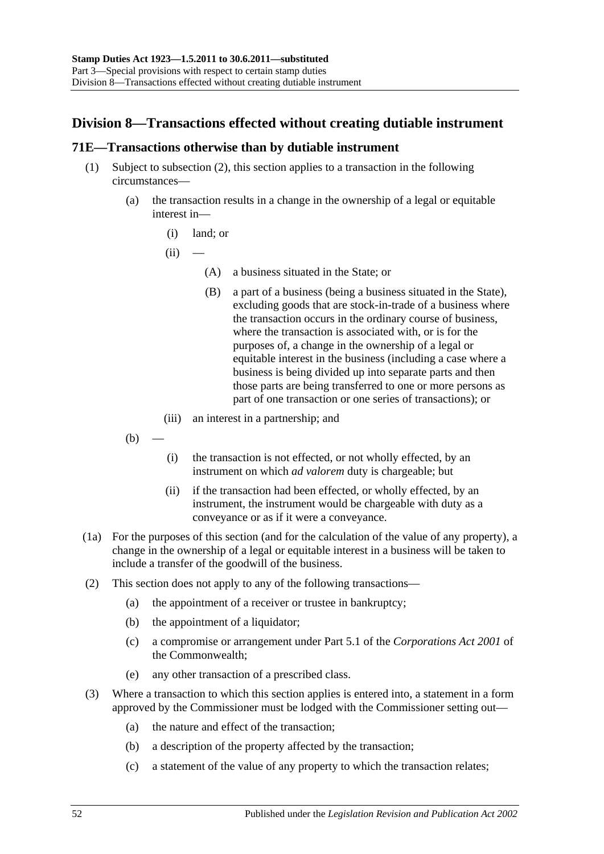# **Division 8—Transactions effected without creating dutiable instrument**

### <span id="page-69-0"></span>**71E—Transactions otherwise than by dutiable instrument**

- (1) Subject to [subsection](#page-69-1) (2), this section applies to a transaction in the following circumstances—
	- (a) the transaction results in a change in the ownership of a legal or equitable interest in—
		- (i) land; or
		- $(ii)$ 
			- (A) a business situated in the State; or
			- (B) a part of a business (being a business situated in the State), excluding goods that are stock-in-trade of a business where the transaction occurs in the ordinary course of business, where the transaction is associated with, or is for the purposes of, a change in the ownership of a legal or equitable interest in the business (including a case where a business is being divided up into separate parts and then those parts are being transferred to one or more persons as part of one transaction or one series of transactions); or
		- (iii) an interest in a partnership; and
	- $(b)$
- (i) the transaction is not effected, or not wholly effected, by an instrument on which *ad valorem* duty is chargeable; but
- (ii) if the transaction had been effected, or wholly effected, by an instrument, the instrument would be chargeable with duty as a conveyance or as if it were a conveyance.
- (1a) For the purposes of this section (and for the calculation of the value of any property), a change in the ownership of a legal or equitable interest in a business will be taken to include a transfer of the goodwill of the business.
- <span id="page-69-1"></span>(2) This section does not apply to any of the following transactions—
	- (a) the appointment of a receiver or trustee in bankruptcy;
	- (b) the appointment of a liquidator;
	- (c) a compromise or arrangement under Part 5.1 of the *Corporations Act 2001* of the Commonwealth;
	- (e) any other transaction of a prescribed class.
- (3) Where a transaction to which this section applies is entered into, a statement in a form approved by the Commissioner must be lodged with the Commissioner setting out—
	- (a) the nature and effect of the transaction;
	- (b) a description of the property affected by the transaction;
	- (c) a statement of the value of any property to which the transaction relates;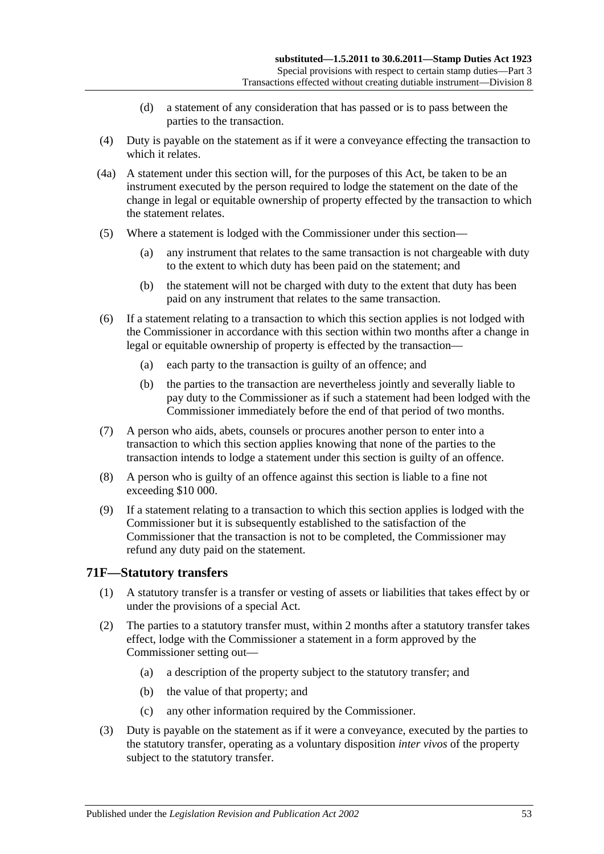- (d) a statement of any consideration that has passed or is to pass between the parties to the transaction.
- (4) Duty is payable on the statement as if it were a conveyance effecting the transaction to which it relates.
- (4a) A statement under this section will, for the purposes of this Act, be taken to be an instrument executed by the person required to lodge the statement on the date of the change in legal or equitable ownership of property effected by the transaction to which the statement relates.
- (5) Where a statement is lodged with the Commissioner under this section—
	- (a) any instrument that relates to the same transaction is not chargeable with duty to the extent to which duty has been paid on the statement; and
	- (b) the statement will not be charged with duty to the extent that duty has been paid on any instrument that relates to the same transaction.
- (6) If a statement relating to a transaction to which this section applies is not lodged with the Commissioner in accordance with this section within two months after a change in legal or equitable ownership of property is effected by the transaction—
	- (a) each party to the transaction is guilty of an offence; and
	- (b) the parties to the transaction are nevertheless jointly and severally liable to pay duty to the Commissioner as if such a statement had been lodged with the Commissioner immediately before the end of that period of two months.
- (7) A person who aids, abets, counsels or procures another person to enter into a transaction to which this section applies knowing that none of the parties to the transaction intends to lodge a statement under this section is guilty of an offence.
- (8) A person who is guilty of an offence against this section is liable to a fine not exceeding \$10 000.
- (9) If a statement relating to a transaction to which this section applies is lodged with the Commissioner but it is subsequently established to the satisfaction of the Commissioner that the transaction is not to be completed, the Commissioner may refund any duty paid on the statement.

## **71F—Statutory transfers**

- (1) A statutory transfer is a transfer or vesting of assets or liabilities that takes effect by or under the provisions of a special Act.
- (2) The parties to a statutory transfer must, within 2 months after a statutory transfer takes effect, lodge with the Commissioner a statement in a form approved by the Commissioner setting out—
	- (a) a description of the property subject to the statutory transfer; and
	- (b) the value of that property; and
	- (c) any other information required by the Commissioner.
- (3) Duty is payable on the statement as if it were a conveyance, executed by the parties to the statutory transfer, operating as a voluntary disposition *inter vivos* of the property subject to the statutory transfer.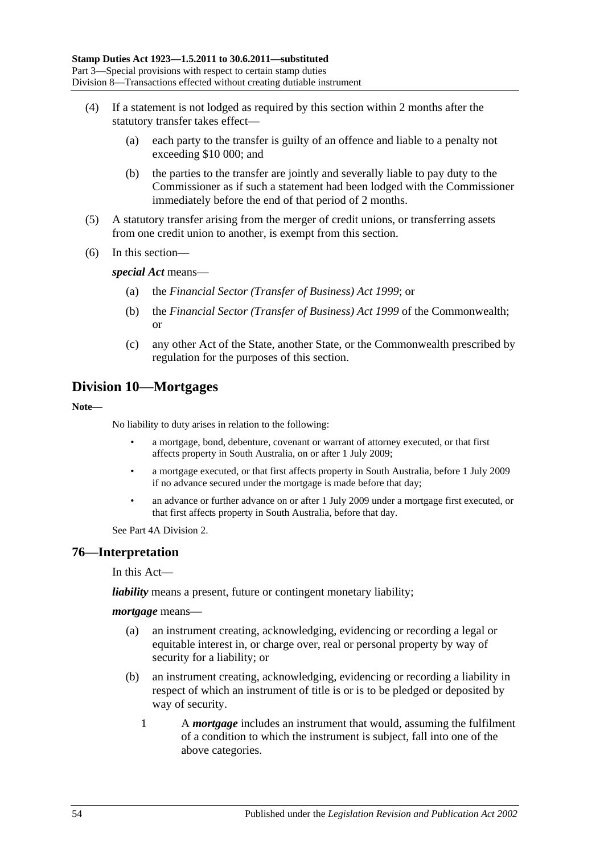- (4) If a statement is not lodged as required by this section within 2 months after the statutory transfer takes effect—
	- (a) each party to the transfer is guilty of an offence and liable to a penalty not exceeding \$10 000; and
	- (b) the parties to the transfer are jointly and severally liable to pay duty to the Commissioner as if such a statement had been lodged with the Commissioner immediately before the end of that period of 2 months.
- (5) A statutory transfer arising from the merger of credit unions, or transferring assets from one credit union to another, is exempt from this section.
- (6) In this section—

*special Act* means—

- (a) the *[Financial Sector \(Transfer of Business\) Act](http://www.legislation.sa.gov.au/index.aspx?action=legref&type=act&legtitle=Financial%20Sector%20(Transfer%20of%20Business)%20Act%201999) 1999*; or
- (b) the *Financial Sector (Transfer of Business) Act 1999* of the Commonwealth; or
- (c) any other Act of the State, another State, or the Commonwealth prescribed by regulation for the purposes of this section.

# **Division 10—Mortgages**

**Note—**

No liability to duty arises in relation to the following:

- a mortgage, bond, debenture, covenant or warrant of attorney executed, or that first affects property in South Australia, on or after 1 July 2009;
- a mortgage executed, or that first affects property in South Australia, before 1 July 2009 if no advance secured under the mortgage is made before that day;
- an advance or further advance on or after 1 July 2009 under a mortgage first executed, or that first affects property in South Australia, before that day.

Se[e Part 4A Division 2.](#page-94-0)

### **76—Interpretation**

In this Act—

*liability* means a present, future or contingent monetary liability;

#### *mortgage* means—

- (a) an instrument creating, acknowledging, evidencing or recording a legal or equitable interest in, or charge over, real or personal property by way of security for a liability; or
- (b) an instrument creating, acknowledging, evidencing or recording a liability in respect of which an instrument of title is or is to be pledged or deposited by way of security.
	- 1 A *mortgage* includes an instrument that would, assuming the fulfilment of a condition to which the instrument is subject, fall into one of the above categories.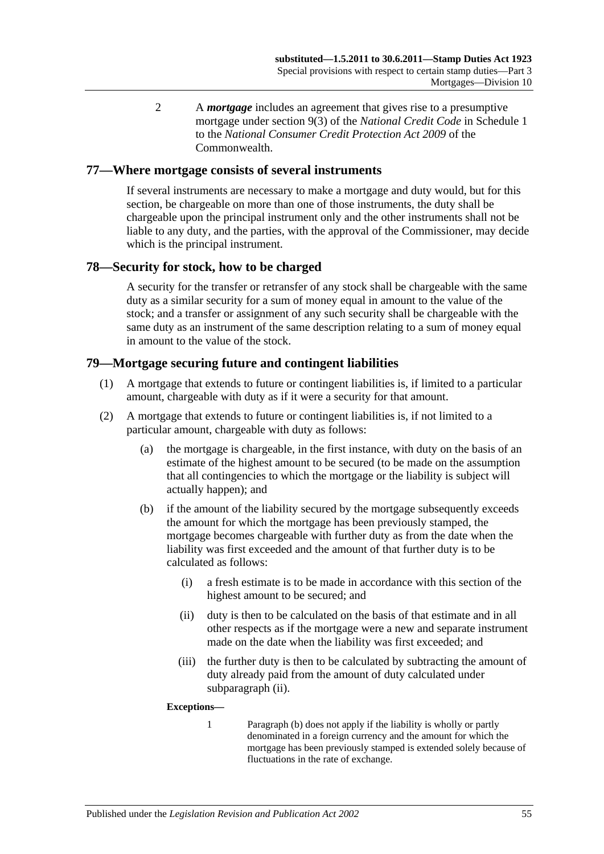2 A *mortgage* includes an agreement that gives rise to a presumptive mortgage under section 9(3) of the *National Credit Code* in Schedule 1 to the *National Consumer Credit Protection Act 2009* of the Commonwealth.

### **77—Where mortgage consists of several instruments**

If several instruments are necessary to make a mortgage and duty would, but for this section, be chargeable on more than one of those instruments, the duty shall be chargeable upon the principal instrument only and the other instruments shall not be liable to any duty, and the parties, with the approval of the Commissioner, may decide which is the principal instrument.

## **78—Security for stock, how to be charged**

A security for the transfer or retransfer of any stock shall be chargeable with the same duty as a similar security for a sum of money equal in amount to the value of the stock; and a transfer or assignment of any such security shall be chargeable with the same duty as an instrument of the same description relating to a sum of money equal in amount to the value of the stock.

## **79—Mortgage securing future and contingent liabilities**

- (1) A mortgage that extends to future or contingent liabilities is, if limited to a particular amount, chargeable with duty as if it were a security for that amount.
- <span id="page-72-2"></span><span id="page-72-1"></span>(2) A mortgage that extends to future or contingent liabilities is, if not limited to a particular amount, chargeable with duty as follows:
	- (a) the mortgage is chargeable, in the first instance, with duty on the basis of an estimate of the highest amount to be secured (to be made on the assumption that all contingencies to which the mortgage or the liability is subject will actually happen); and
	- (b) if the amount of the liability secured by the mortgage subsequently exceeds the amount for which the mortgage has been previously stamped, the mortgage becomes chargeable with further duty as from the date when the liability was first exceeded and the amount of that further duty is to be calculated as follows:
		- (i) a fresh estimate is to be made in accordance with this section of the highest amount to be secured; and
		- (ii) duty is then to be calculated on the basis of that estimate and in all other respects as if the mortgage were a new and separate instrument made on the date when the liability was first exceeded; and
		- (iii) the further duty is then to be calculated by subtracting the amount of duty already paid from the amount of duty calculated under [subparagraph](#page-72-0) (ii).

#### <span id="page-72-0"></span>**Exceptions—**

1 [Paragraph](#page-72-1) (b) does not apply if the liability is wholly or partly denominated in a foreign currency and the amount for which the mortgage has been previously stamped is extended solely because of fluctuations in the rate of exchange.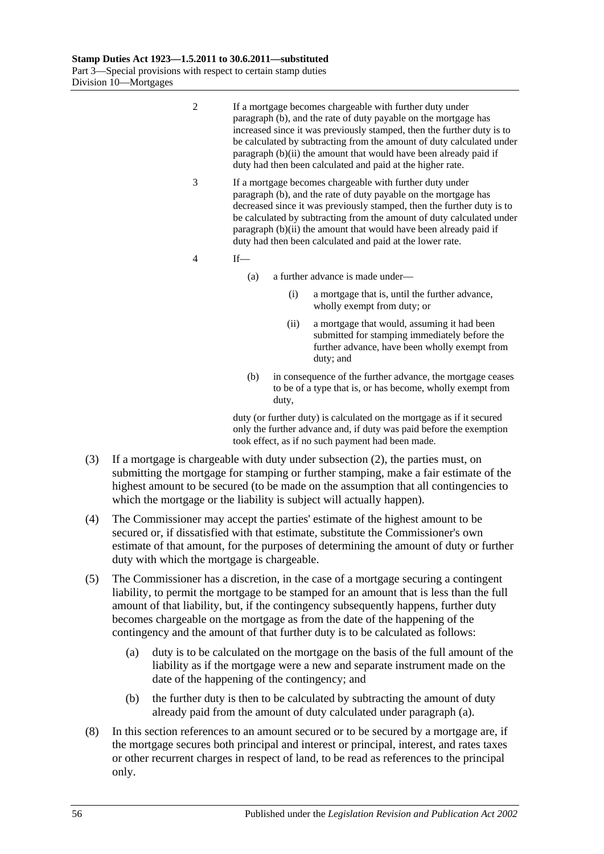2 If a mortgage becomes chargeable with further duty under [paragraph](#page-72-1) (b), and the rate of duty payable on the mortgage has increased since it was previously stamped, then the further duty is to be calculated by subtracting from the amount of duty calculated under [paragraph](#page-72-0) (b)(ii) the amount that would have been already paid if duty had then been calculated and paid at the higher rate.

- 3 If a mortgage becomes chargeable with further duty under [paragraph](#page-72-1) (b), and the rate of duty payable on the mortgage has decreased since it was previously stamped, then the further duty is to be calculated by subtracting from the amount of duty calculated under [paragraph](#page-72-0) (b)(ii) the amount that would have been already paid if duty had then been calculated and paid at the lower rate.
- 4 If—
	- (a) a further advance is made under—
		- (i) a mortgage that is, until the further advance, wholly exempt from duty; or
		- (ii) a mortgage that would, assuming it had been submitted for stamping immediately before the further advance, have been wholly exempt from duty; and
	- (b) in consequence of the further advance, the mortgage ceases to be of a type that is, or has become, wholly exempt from duty,

duty (or further duty) is calculated on the mortgage as if it secured only the further advance and, if duty was paid before the exemption took effect, as if no such payment had been made.

- (3) If a mortgage is chargeable with duty under [subsection](#page-72-2) (2), the parties must, on submitting the mortgage for stamping or further stamping, make a fair estimate of the highest amount to be secured (to be made on the assumption that all contingencies to which the mortgage or the liability is subject will actually happen).
- (4) The Commissioner may accept the parties' estimate of the highest amount to be secured or, if dissatisfied with that estimate, substitute the Commissioner's own estimate of that amount, for the purposes of determining the amount of duty or further duty with which the mortgage is chargeable.
- <span id="page-73-0"></span>(5) The Commissioner has a discretion, in the case of a mortgage securing a contingent liability, to permit the mortgage to be stamped for an amount that is less than the full amount of that liability, but, if the contingency subsequently happens, further duty becomes chargeable on the mortgage as from the date of the happening of the contingency and the amount of that further duty is to be calculated as follows:
	- (a) duty is to be calculated on the mortgage on the basis of the full amount of the liability as if the mortgage were a new and separate instrument made on the date of the happening of the contingency; and
	- (b) the further duty is then to be calculated by subtracting the amount of duty already paid from the amount of duty calculated under [paragraph](#page-73-0) (a).
- (8) In this section references to an amount secured or to be secured by a mortgage are, if the mortgage secures both principal and interest or principal, interest, and rates taxes or other recurrent charges in respect of land, to be read as references to the principal only.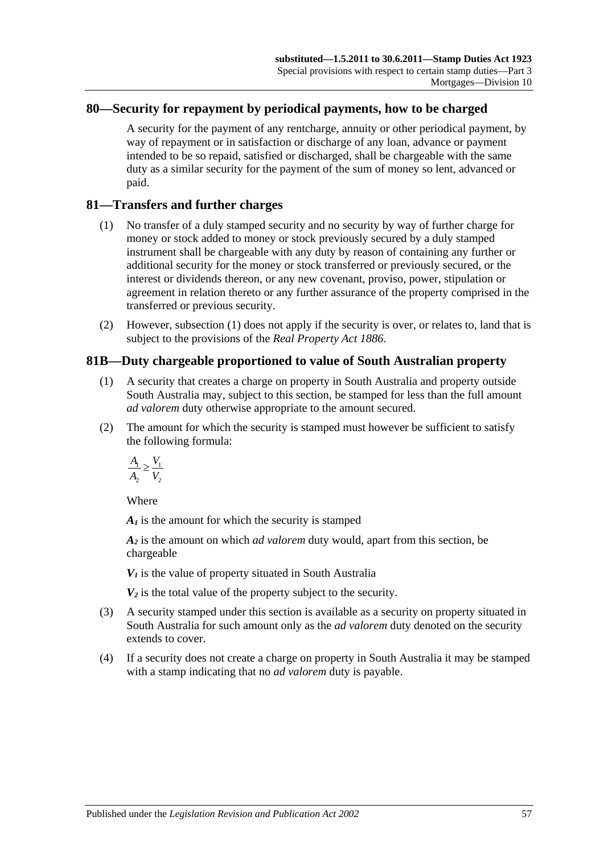### **80—Security for repayment by periodical payments, how to be charged**

A security for the payment of any rentcharge, annuity or other periodical payment, by way of repayment or in satisfaction or discharge of any loan, advance or payment intended to be so repaid, satisfied or discharged, shall be chargeable with the same duty as a similar security for the payment of the sum of money so lent, advanced or paid.

### <span id="page-74-0"></span>**81—Transfers and further charges**

- (1) No transfer of a duly stamped security and no security by way of further charge for money or stock added to money or stock previously secured by a duly stamped instrument shall be chargeable with any duty by reason of containing any further or additional security for the money or stock transferred or previously secured, or the interest or dividends thereon, or any new covenant, proviso, power, stipulation or agreement in relation thereto or any further assurance of the property comprised in the transferred or previous security.
- (2) However, [subsection](#page-74-0) (1) does not apply if the security is over, or relates to, land that is subject to the provisions of the *[Real Property Act](http://www.legislation.sa.gov.au/index.aspx?action=legref&type=act&legtitle=Real%20Property%20Act%201886) 1886*.

## **81B—Duty chargeable proportioned to value of South Australian property**

- (1) A security that creates a charge on property in South Australia and property outside South Australia may, subject to this section, be stamped for less than the full amount *ad valorem* duty otherwise appropriate to the amount secured.
- (2) The amount for which the security is stamped must however be sufficient to satisfy the following formula:

$$
\frac{A_1}{A_2} \ge \frac{V_1}{V_2}
$$

Where

*A1* is the amount for which the security is stamped

*A2* is the amount on which *ad valorem* duty would, apart from this section, be chargeable

 $V_1$  is the value of property situated in South Australia

 $V_2$  is the total value of the property subject to the security.

- (3) A security stamped under this section is available as a security on property situated in South Australia for such amount only as the *ad valorem* duty denoted on the security extends to cover.
- (4) If a security does not create a charge on property in South Australia it may be stamped with a stamp indicating that no *ad valorem* duty is payable.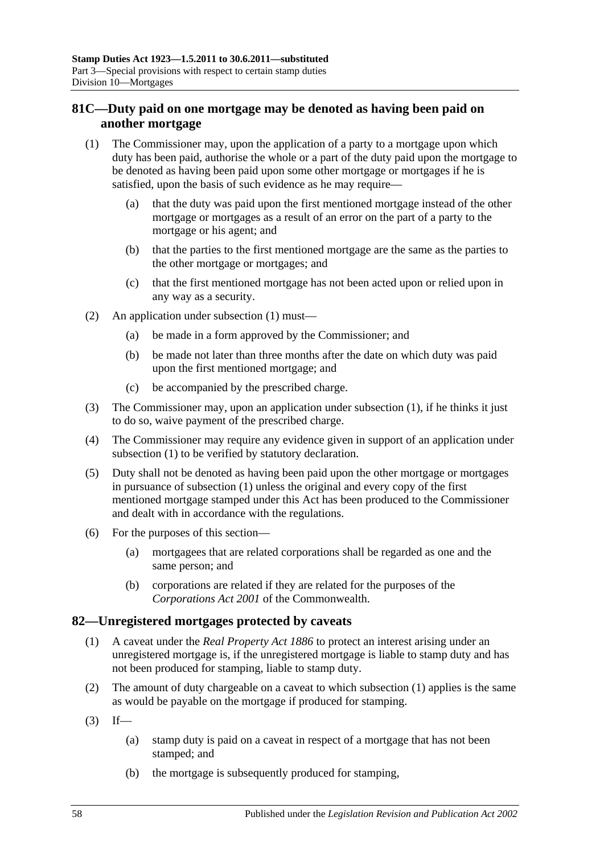## **81C—Duty paid on one mortgage may be denoted as having been paid on another mortgage**

- <span id="page-75-0"></span>(1) The Commissioner may, upon the application of a party to a mortgage upon which duty has been paid, authorise the whole or a part of the duty paid upon the mortgage to be denoted as having been paid upon some other mortgage or mortgages if he is satisfied, upon the basis of such evidence as he may require—
	- (a) that the duty was paid upon the first mentioned mortgage instead of the other mortgage or mortgages as a result of an error on the part of a party to the mortgage or his agent; and
	- (b) that the parties to the first mentioned mortgage are the same as the parties to the other mortgage or mortgages; and
	- (c) that the first mentioned mortgage has not been acted upon or relied upon in any way as a security.
- (2) An application under [subsection](#page-75-0) (1) must—
	- (a) be made in a form approved by the Commissioner; and
	- (b) be made not later than three months after the date on which duty was paid upon the first mentioned mortgage; and
	- (c) be accompanied by the prescribed charge.
- (3) The Commissioner may, upon an application under [subsection](#page-75-0) (1), if he thinks it just to do so, waive payment of the prescribed charge.
- (4) The Commissioner may require any evidence given in support of an application under [subsection](#page-75-0) (1) to be verified by statutory declaration.
- (5) Duty shall not be denoted as having been paid upon the other mortgage or mortgages in pursuance of [subsection](#page-75-0) (1) unless the original and every copy of the first mentioned mortgage stamped under this Act has been produced to the Commissioner and dealt with in accordance with the regulations.
- (6) For the purposes of this section—
	- (a) mortgagees that are related corporations shall be regarded as one and the same person; and
	- (b) corporations are related if they are related for the purposes of the *Corporations Act 2001* of the Commonwealth.

## <span id="page-75-1"></span>**82—Unregistered mortgages protected by caveats**

- (1) A caveat under the *[Real Property Act](http://www.legislation.sa.gov.au/index.aspx?action=legref&type=act&legtitle=Real%20Property%20Act%201886) 1886* to protect an interest arising under an unregistered mortgage is, if the unregistered mortgage is liable to stamp duty and has not been produced for stamping, liable to stamp duty.
- (2) The amount of duty chargeable on a caveat to which [subsection](#page-75-1) (1) applies is the same as would be payable on the mortgage if produced for stamping.
- $(3)$  If—
	- (a) stamp duty is paid on a caveat in respect of a mortgage that has not been stamped; and
	- (b) the mortgage is subsequently produced for stamping,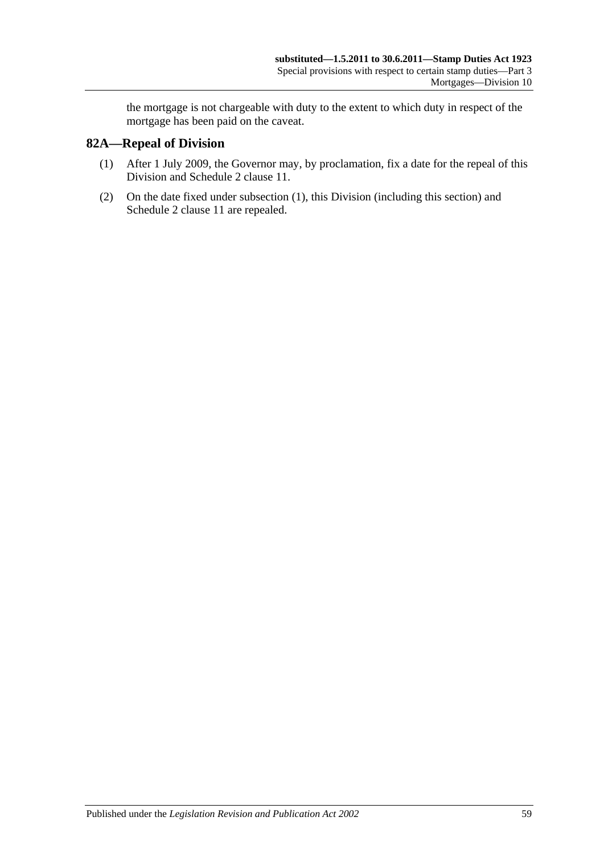the mortgage is not chargeable with duty to the extent to which duty in respect of the mortgage has been paid on the caveat.

## <span id="page-76-0"></span>**82A—Repeal of Division**

- (1) After 1 July 2009, the Governor may, by proclamation, fix a date for the repeal of this Division and Schedule 2 clause 11.
- (2) On the date fixed under [subsection](#page-76-0) (1), this Division (including this section) and Schedule 2 clause 11 are repealed.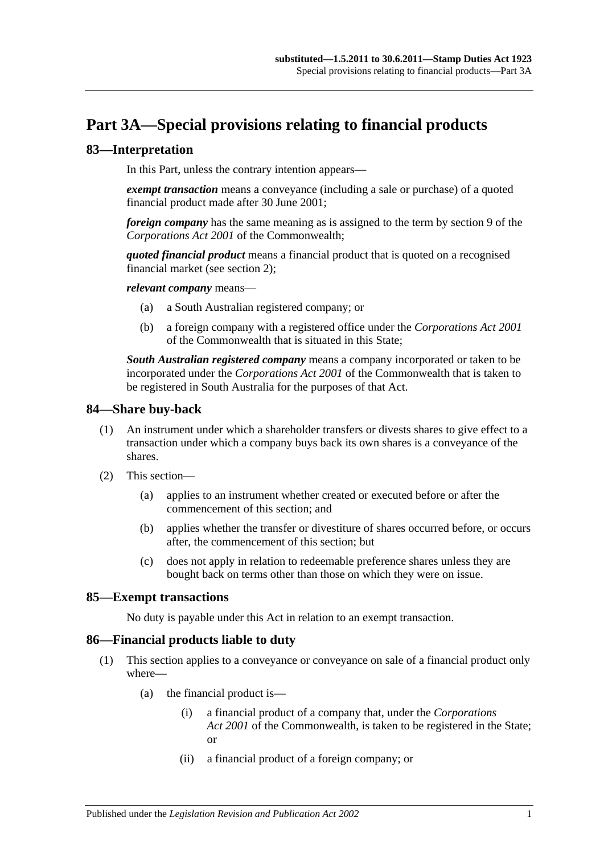# **Part 3A—Special provisions relating to financial products**

### **83—Interpretation**

In this Part, unless the contrary intention appears—

*exempt transaction* means a conveyance (including a sale or purchase) of a quoted financial product made after 30 June 2001;

*foreign company* has the same meaning as is assigned to the term by section 9 of the *Corporations Act 2001* of the Commonwealth;

*quoted financial product* means a financial product that is quoted on a recognised financial market (see [section](#page-6-0) 2);

*relevant company* means—

- (a) a South Australian registered company; or
- (b) a foreign company with a registered office under the *Corporations Act 2001* of the Commonwealth that is situated in this State;

*South Australian registered company* means a company incorporated or taken to be incorporated under the *Corporations Act 2001* of the Commonwealth that is taken to be registered in South Australia for the purposes of that Act.

#### **84—Share buy-back**

- (1) An instrument under which a shareholder transfers or divests shares to give effect to a transaction under which a company buys back its own shares is a conveyance of the shares.
- (2) This section—
	- (a) applies to an instrument whether created or executed before or after the commencement of this section; and
	- (b) applies whether the transfer or divestiture of shares occurred before, or occurs after, the commencement of this section; but
	- (c) does not apply in relation to redeemable preference shares unless they are bought back on terms other than those on which they were on issue.

### **85—Exempt transactions**

No duty is payable under this Act in relation to an exempt transaction.

#### <span id="page-78-0"></span>**86—Financial products liable to duty**

- (1) This section applies to a conveyance or conveyance on sale of a financial product only where—
	- (a) the financial product is—
		- (i) a financial product of a company that, under the *Corporations Act 2001* of the Commonwealth, is taken to be registered in the State; or
		- (ii) a financial product of a foreign company; or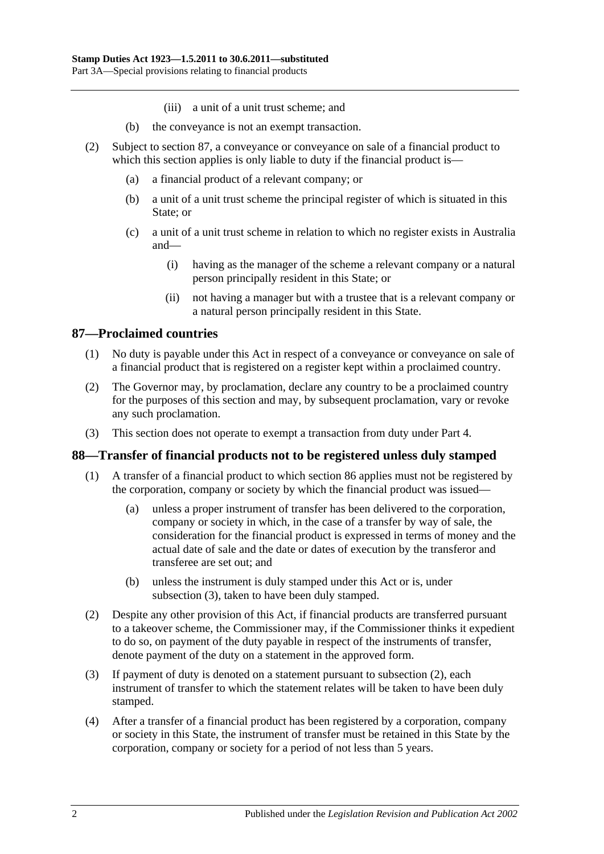- (iii) a unit of a unit trust scheme; and
- (b) the conveyance is not an exempt transaction.
- (2) Subject to [section](#page-79-0) 87, a conveyance or conveyance on sale of a financial product to which this section applies is only liable to duty if the financial product is—
	- (a) a financial product of a relevant company; or
	- (b) a unit of a unit trust scheme the principal register of which is situated in this State; or
	- (c) a unit of a unit trust scheme in relation to which no register exists in Australia and—
		- (i) having as the manager of the scheme a relevant company or a natural person principally resident in this State; or
		- (ii) not having a manager but with a trustee that is a relevant company or a natural person principally resident in this State.

## <span id="page-79-0"></span>**87—Proclaimed countries**

- (1) No duty is payable under this Act in respect of a conveyance or conveyance on sale of a financial product that is registered on a register kept within a proclaimed country.
- (2) The Governor may, by proclamation, declare any country to be a proclaimed country for the purposes of this section and may, by subsequent proclamation, vary or revoke any such proclamation.
- (3) This section does not operate to exempt a transaction from duty under [Part 4.](#page-82-0)

### **88—Transfer of financial products not to be registered unless duly stamped**

- (1) A transfer of a financial product to which [section](#page-78-0) 86 applies must not be registered by the corporation, company or society by which the financial product was issued—
	- (a) unless a proper instrument of transfer has been delivered to the corporation, company or society in which, in the case of a transfer by way of sale, the consideration for the financial product is expressed in terms of money and the actual date of sale and the date or dates of execution by the transferor and transferee are set out; and
	- (b) unless the instrument is duly stamped under this Act or is, under [subsection](#page-79-1) (3), taken to have been duly stamped.
- <span id="page-79-2"></span>(2) Despite any other provision of this Act, if financial products are transferred pursuant to a takeover scheme, the Commissioner may, if the Commissioner thinks it expedient to do so, on payment of the duty payable in respect of the instruments of transfer, denote payment of the duty on a statement in the approved form.
- <span id="page-79-1"></span>(3) If payment of duty is denoted on a statement pursuant to [subsection](#page-79-2) (2), each instrument of transfer to which the statement relates will be taken to have been duly stamped.
- (4) After a transfer of a financial product has been registered by a corporation, company or society in this State, the instrument of transfer must be retained in this State by the corporation, company or society for a period of not less than 5 years.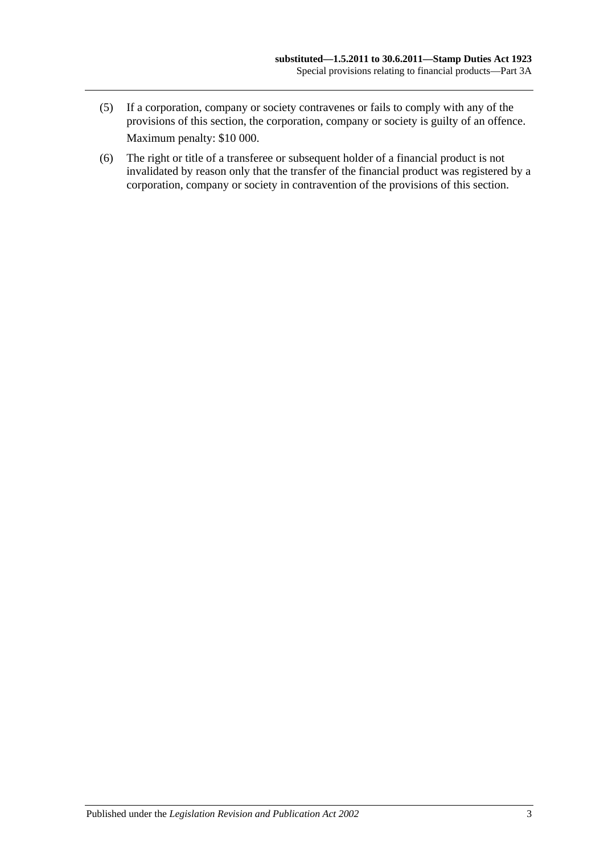- (5) If a corporation, company or society contravenes or fails to comply with any of the provisions of this section, the corporation, company or society is guilty of an offence. Maximum penalty: \$10 000.
- (6) The right or title of a transferee or subsequent holder of a financial product is not invalidated by reason only that the transfer of the financial product was registered by a corporation, company or society in contravention of the provisions of this section.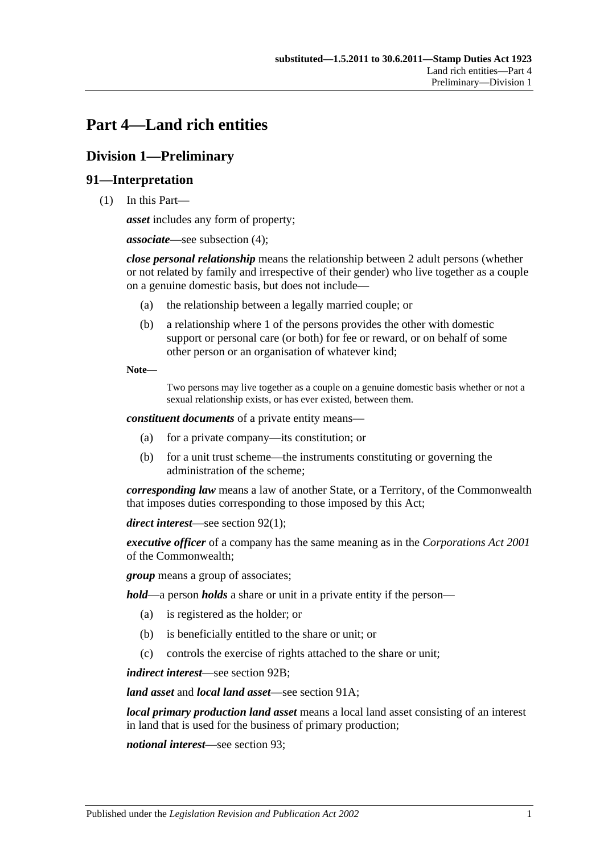# <span id="page-82-0"></span>**Part 4—Land rich entities**

# **Division 1—Preliminary**

## **91—Interpretation**

(1) In this Part—

*asset* includes any form of property;

*associate*—see [subsection](#page-84-0) (4);

*close personal relationship* means the relationship between 2 adult persons (whether or not related by family and irrespective of their gender) who live together as a couple on a genuine domestic basis, but does not include—

- (a) the relationship between a legally married couple; or
- (b) a relationship where 1 of the persons provides the other with domestic support or personal care (or both) for fee or reward, or on behalf of some other person or an organisation of whatever kind;

**Note—**

Two persons may live together as a couple on a genuine domestic basis whether or not a sexual relationship exists, or has ever existed, between them.

*constituent documents* of a private entity means—

- (a) for a private company—its constitution; or
- (b) for a unit trust scheme—the instruments constituting or governing the administration of the scheme;

*corresponding law* means a law of another State, or a Territory, of the Commonwealth that imposes duties corresponding to those imposed by this Act;

*direct interest*—see [section](#page-85-0) 92(1);

*executive officer* of a company has the same meaning as in the *Corporations Act 2001* of the Commonwealth;

*group* means a group of associates;

*hold*—a person *holds* a share or unit in a private entity if the person—

- (a) is registered as the holder; or
- (b) is beneficially entitled to the share or unit; or
- (c) controls the exercise of rights attached to the share or unit;

*indirect interest*—see [section](#page-86-0) 92B;

*land asset* and *local land asset*—see [section](#page-84-1) 91A;

*local primary production land asset* means a local land asset consisting of an interest in land that is used for the business of primary production;

*notional interest*—see [section](#page-86-1) 93;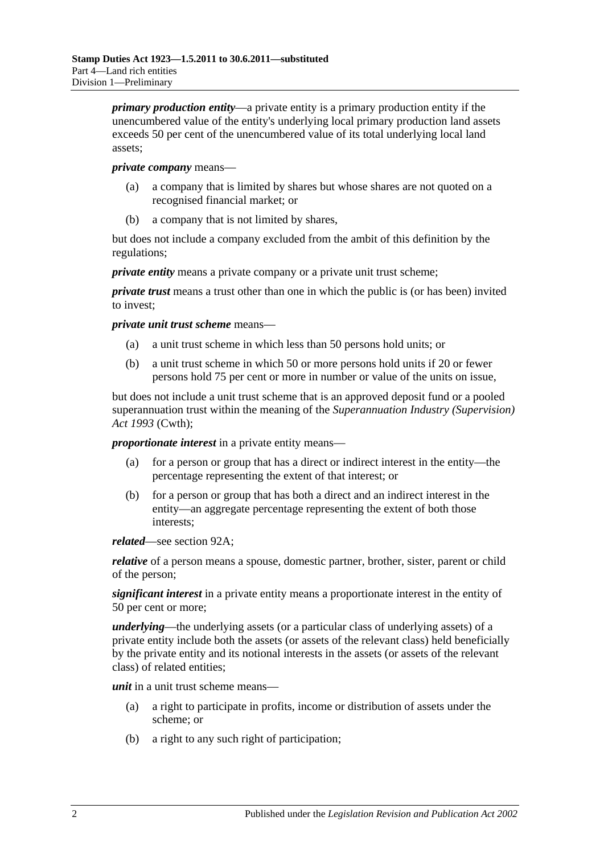*primary production entity*—a private entity is a primary production entity if the unencumbered value of the entity's underlying local primary production land assets exceeds 50 per cent of the unencumbered value of its total underlying local land assets;

#### *private company* means—

- (a) a company that is limited by shares but whose shares are not quoted on a recognised financial market; or
- (b) a company that is not limited by shares,

but does not include a company excluded from the ambit of this definition by the regulations;

*private entity* means a private company or a private unit trust scheme;

*private trust* means a trust other than one in which the public is (or has been) invited to invest;

*private unit trust scheme* means—

- (a) a unit trust scheme in which less than 50 persons hold units; or
- (b) a unit trust scheme in which 50 or more persons hold units if 20 or fewer persons hold 75 per cent or more in number or value of the units on issue,

but does not include a unit trust scheme that is an approved deposit fund or a pooled superannuation trust within the meaning of the *Superannuation Industry (Supervision) Act 1993* (Cwth);

*proportionate interest* in a private entity means—

- (a) for a person or group that has a direct or indirect interest in the entity—the percentage representing the extent of that interest; or
- (b) for a person or group that has both a direct and an indirect interest in the entity—an aggregate percentage representing the extent of both those interests;

*related*—see [section](#page-85-1) 92A;

*relative* of a person means a spouse, domestic partner, brother, sister, parent or child of the person;

*significant interest* in a private entity means a proportionate interest in the entity of 50 per cent or more;

*underlying*—the underlying assets (or a particular class of underlying assets) of a private entity include both the assets (or assets of the relevant class) held beneficially by the private entity and its notional interests in the assets (or assets of the relevant class) of related entities;

*unit* in a unit trust scheme means—

- (a) a right to participate in profits, income or distribution of assets under the scheme; or
- (b) a right to any such right of participation;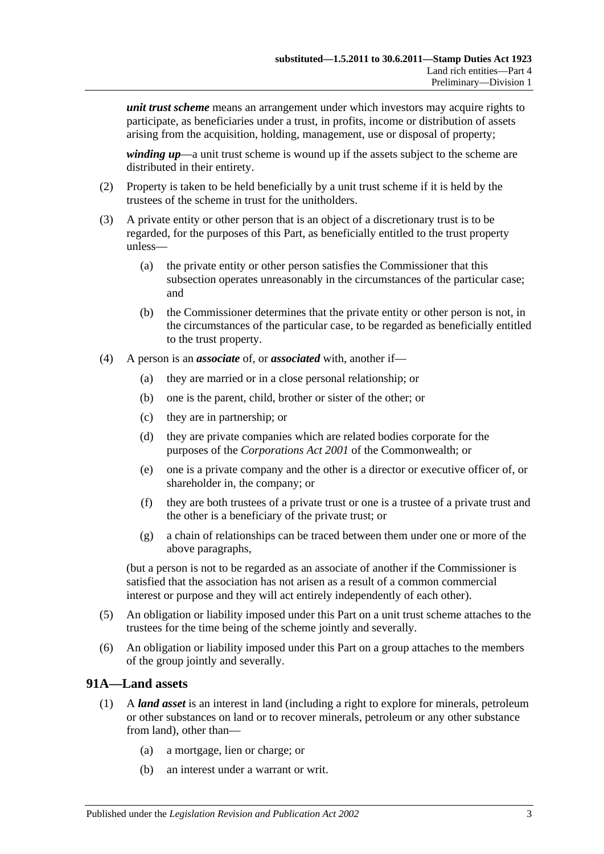*unit trust scheme* means an arrangement under which investors may acquire rights to participate, as beneficiaries under a trust, in profits, income or distribution of assets arising from the acquisition, holding, management, use or disposal of property;

*winding up*—a unit trust scheme is wound up if the assets subject to the scheme are distributed in their entirety.

- (2) Property is taken to be held beneficially by a unit trust scheme if it is held by the trustees of the scheme in trust for the unitholders.
- (3) A private entity or other person that is an object of a discretionary trust is to be regarded, for the purposes of this Part, as beneficially entitled to the trust property unless—
	- (a) the private entity or other person satisfies the Commissioner that this subsection operates unreasonably in the circumstances of the particular case; and
	- (b) the Commissioner determines that the private entity or other person is not, in the circumstances of the particular case, to be regarded as beneficially entitled to the trust property.
- <span id="page-84-0"></span>(4) A person is an *associate* of, or *associated* with, another if—
	- (a) they are married or in a close personal relationship; or
	- (b) one is the parent, child, brother or sister of the other; or
	- (c) they are in partnership; or
	- (d) they are private companies which are related bodies corporate for the purposes of the *Corporations Act 2001* of the Commonwealth; or
	- (e) one is a private company and the other is a director or executive officer of, or shareholder in, the company; or
	- (f) they are both trustees of a private trust or one is a trustee of a private trust and the other is a beneficiary of the private trust; or
	- (g) a chain of relationships can be traced between them under one or more of the above paragraphs,

(but a person is not to be regarded as an associate of another if the Commissioner is satisfied that the association has not arisen as a result of a common commercial interest or purpose and they will act entirely independently of each other).

- (5) An obligation or liability imposed under this Part on a unit trust scheme attaches to the trustees for the time being of the scheme jointly and severally.
- (6) An obligation or liability imposed under this Part on a group attaches to the members of the group jointly and severally.

#### <span id="page-84-1"></span>**91A—Land assets**

- (1) A *land asset* is an interest in land (including a right to explore for minerals, petroleum or other substances on land or to recover minerals, petroleum or any other substance from land), other than—
	- (a) a mortgage, lien or charge; or
	- (b) an interest under a warrant or writ.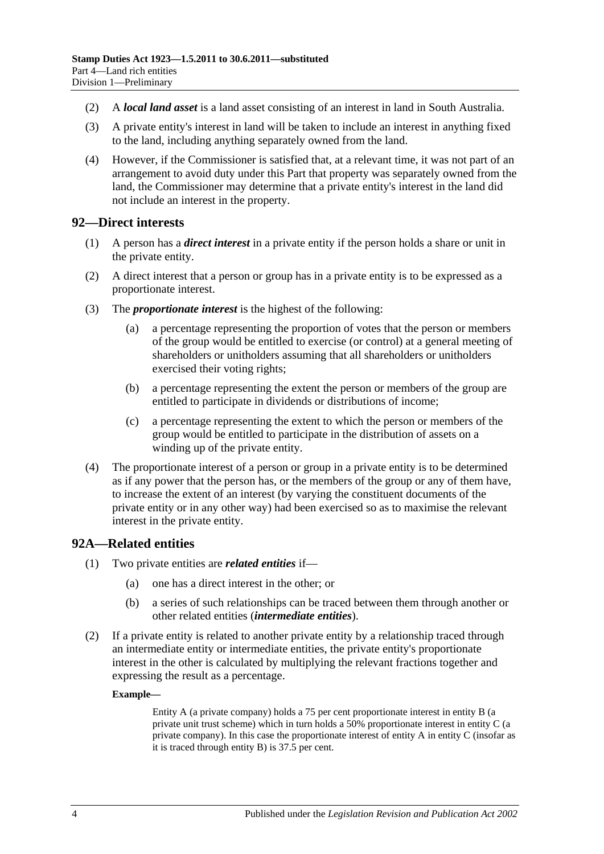- (2) A *local land asset* is a land asset consisting of an interest in land in South Australia.
- (3) A private entity's interest in land will be taken to include an interest in anything fixed to the land, including anything separately owned from the land.
- (4) However, if the Commissioner is satisfied that, at a relevant time, it was not part of an arrangement to avoid duty under this Part that property was separately owned from the land, the Commissioner may determine that a private entity's interest in the land did not include an interest in the property.

#### <span id="page-85-0"></span>**92—Direct interests**

- (1) A person has a *direct interest* in a private entity if the person holds a share or unit in the private entity.
- (2) A direct interest that a person or group has in a private entity is to be expressed as a proportionate interest.
- (3) The *proportionate interest* is the highest of the following:
	- (a) a percentage representing the proportion of votes that the person or members of the group would be entitled to exercise (or control) at a general meeting of shareholders or unitholders assuming that all shareholders or unitholders exercised their voting rights;
	- (b) a percentage representing the extent the person or members of the group are entitled to participate in dividends or distributions of income;
	- (c) a percentage representing the extent to which the person or members of the group would be entitled to participate in the distribution of assets on a winding up of the private entity.
- (4) The proportionate interest of a person or group in a private entity is to be determined as if any power that the person has, or the members of the group or any of them have, to increase the extent of an interest (by varying the constituent documents of the private entity or in any other way) had been exercised so as to maximise the relevant interest in the private entity.

### <span id="page-85-1"></span>**92A—Related entities**

- (1) Two private entities are *related entities* if—
	- (a) one has a direct interest in the other; or
	- (b) a series of such relationships can be traced between them through another or other related entities (*intermediate entities*).
- (2) If a private entity is related to another private entity by a relationship traced through an intermediate entity or intermediate entities, the private entity's proportionate interest in the other is calculated by multiplying the relevant fractions together and expressing the result as a percentage.

#### **Example—**

Entity A (a private company) holds a 75 per cent proportionate interest in entity B (a private unit trust scheme) which in turn holds a 50% proportionate interest in entity C (a private company). In this case the proportionate interest of entity A in entity C (insofar as it is traced through entity B) is 37.5 per cent.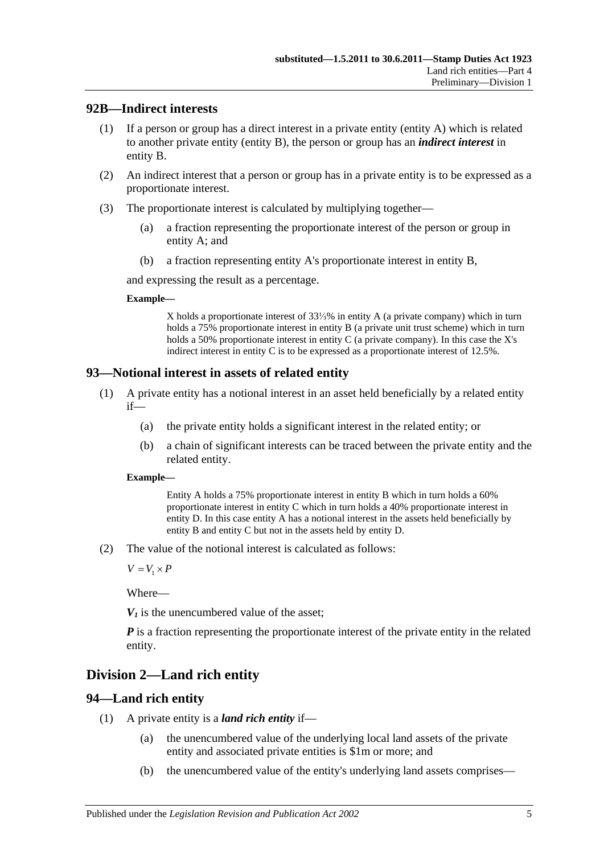### <span id="page-86-0"></span>**92B—Indirect interests**

- (1) If a person or group has a direct interest in a private entity (entity A) which is related to another private entity (entity B), the person or group has an *indirect interest* in entity B.
- (2) An indirect interest that a person or group has in a private entity is to be expressed as a proportionate interest.
- (3) The proportionate interest is calculated by multiplying together—
	- (a) a fraction representing the proportionate interest of the person or group in entity A; and
	- (b) a fraction representing entity A's proportionate interest in entity B,

and expressing the result as a percentage.

#### **Example—**

X holds a proportionate interest of 33⅓% in entity A (a private company) which in turn holds a 75% proportionate interest in entity B (a private unit trust scheme) which in turn holds a 50% proportionate interest in entity C (a private company). In this case the X's indirect interest in entity C is to be expressed as a proportionate interest of 12.5%.

## <span id="page-86-1"></span>**93—Notional interest in assets of related entity**

- (1) A private entity has a notional interest in an asset held beneficially by a related entity if—
	- (a) the private entity holds a significant interest in the related entity; or
	- (b) a chain of significant interests can be traced between the private entity and the related entity.

#### **Example—**

Entity A holds a 75% proportionate interest in entity B which in turn holds a 60% proportionate interest in entity C which in turn holds a 40% proportionate interest in entity D. In this case entity A has a notional interest in the assets held beneficially by entity B and entity C but not in the assets held by entity D.

(2) The value of the notional interest is calculated as follows:

 $V = V_1 \times P$ 

Where—

 $V_1$  is the unencumbered value of the asset:

*P* is a fraction representing the proportionate interest of the private entity in the related entity.

# **Division 2—Land rich entity**

## <span id="page-86-2"></span>**94—Land rich entity**

- (1) A private entity is a *land rich entity* if—
	- (a) the unencumbered value of the underlying local land assets of the private entity and associated private entities is \$1m or more; and
	- (b) the unencumbered value of the entity's underlying land assets comprises—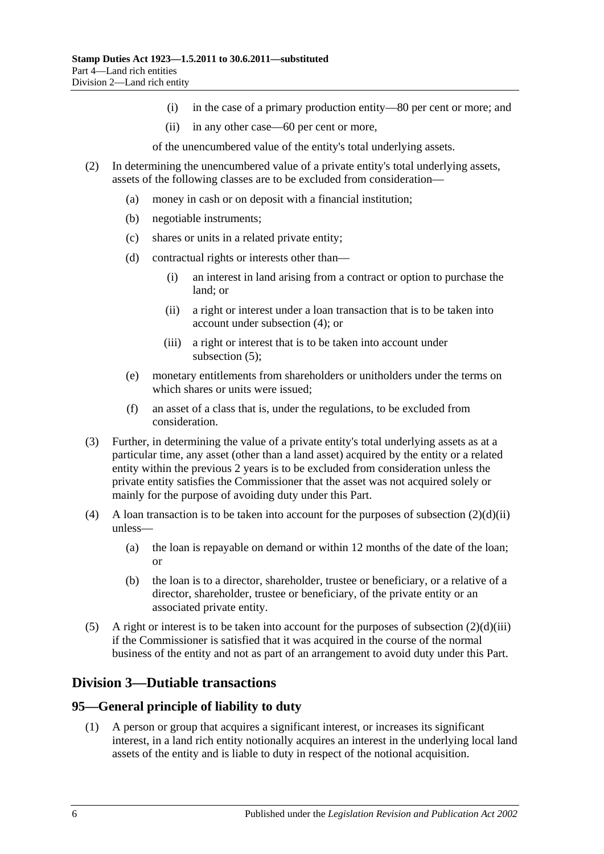- (i) in the case of a primary production entity—80 per cent or more; and
- (ii) in any other case—60 per cent or more,

of the unencumbered value of the entity's total underlying assets.

- <span id="page-87-2"></span>(2) In determining the unencumbered value of a private entity's total underlying assets, assets of the following classes are to be excluded from consideration—
	- (a) money in cash or on deposit with a financial institution;
	- (b) negotiable instruments;
	- (c) shares or units in a related private entity;
	- (d) contractual rights or interests other than—
		- (i) an interest in land arising from a contract or option to purchase the land; or
		- (ii) a right or interest under a loan transaction that is to be taken into account under [subsection](#page-87-0) (4); or
		- (iii) a right or interest that is to be taken into account under [subsection](#page-87-1) (5);
	- (e) monetary entitlements from shareholders or unitholders under the terms on which shares or units were issued;
	- (f) an asset of a class that is, under the regulations, to be excluded from consideration.
- <span id="page-87-3"></span>(3) Further, in determining the value of a private entity's total underlying assets as at a particular time, any asset (other than a land asset) acquired by the entity or a related entity within the previous 2 years is to be excluded from consideration unless the private entity satisfies the Commissioner that the asset was not acquired solely or mainly for the purpose of avoiding duty under this Part.
- <span id="page-87-0"></span>(4) A loan transaction is to be taken into account for the purposes of [subsection](#page-87-2)  $(2)(d)(ii)$ unless—
	- (a) the loan is repayable on demand or within 12 months of the date of the loan; or
	- (b) the loan is to a director, shareholder, trustee or beneficiary, or a relative of a director, shareholder, trustee or beneficiary, of the private entity or an associated private entity.
- <span id="page-87-1"></span>(5) A right or interest is to be taken into account for the purposes of [subsection](#page-87-3)  $(2)(d)(iii)$ if the Commissioner is satisfied that it was acquired in the course of the normal business of the entity and not as part of an arrangement to avoid duty under this Part.

## **Division 3—Dutiable transactions**

### **95—General principle of liability to duty**

(1) A person or group that acquires a significant interest, or increases its significant interest, in a land rich entity notionally acquires an interest in the underlying local land assets of the entity and is liable to duty in respect of the notional acquisition.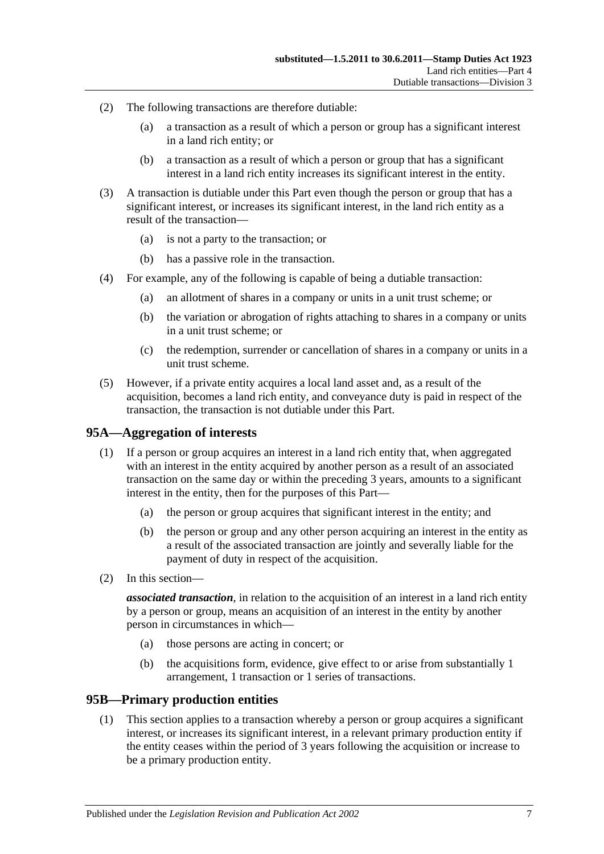- (2) The following transactions are therefore dutiable:
	- (a) a transaction as a result of which a person or group has a significant interest in a land rich entity; or
	- (b) a transaction as a result of which a person or group that has a significant interest in a land rich entity increases its significant interest in the entity.
- (3) A transaction is dutiable under this Part even though the person or group that has a significant interest, or increases its significant interest, in the land rich entity as a result of the transaction—
	- (a) is not a party to the transaction; or
	- (b) has a passive role in the transaction.
- (4) For example, any of the following is capable of being a dutiable transaction:
	- (a) an allotment of shares in a company or units in a unit trust scheme; or
	- (b) the variation or abrogation of rights attaching to shares in a company or units in a unit trust scheme; or
	- (c) the redemption, surrender or cancellation of shares in a company or units in a unit trust scheme.
- (5) However, if a private entity acquires a local land asset and, as a result of the acquisition, becomes a land rich entity, and conveyance duty is paid in respect of the transaction, the transaction is not dutiable under this Part.

### **95A—Aggregation of interests**

- (1) If a person or group acquires an interest in a land rich entity that, when aggregated with an interest in the entity acquired by another person as a result of an associated transaction on the same day or within the preceding 3 years, amounts to a significant interest in the entity, then for the purposes of this Part—
	- (a) the person or group acquires that significant interest in the entity; and
	- (b) the person or group and any other person acquiring an interest in the entity as a result of the associated transaction are jointly and severally liable for the payment of duty in respect of the acquisition.
- (2) In this section—

*associated transaction*, in relation to the acquisition of an interest in a land rich entity by a person or group, means an acquisition of an interest in the entity by another person in circumstances in which—

- (a) those persons are acting in concert; or
- (b) the acquisitions form, evidence, give effect to or arise from substantially 1 arrangement, 1 transaction or 1 series of transactions.

#### <span id="page-88-0"></span>**95B—Primary production entities**

(1) This section applies to a transaction whereby a person or group acquires a significant interest, or increases its significant interest, in a relevant primary production entity if the entity ceases within the period of 3 years following the acquisition or increase to be a primary production entity.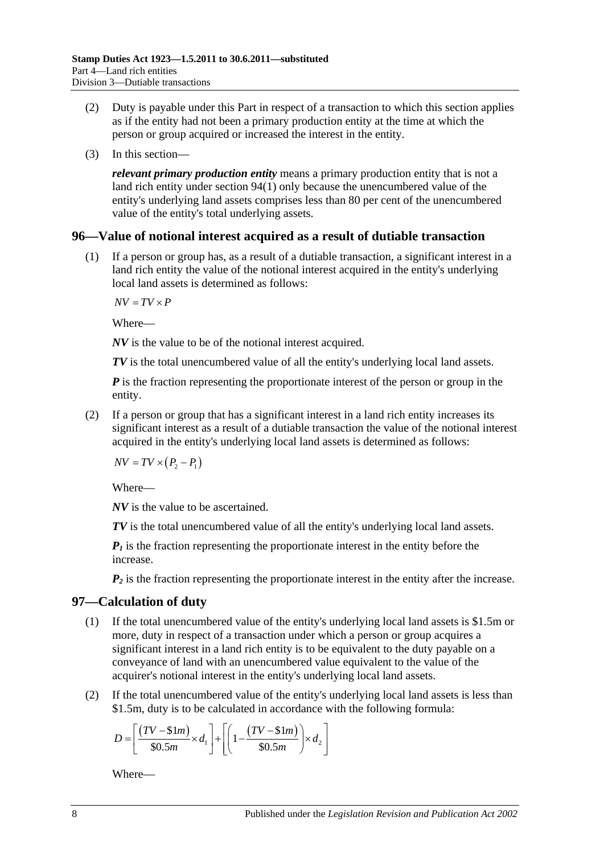- (2) Duty is payable under this Part in respect of a transaction to which this section applies as if the entity had not been a primary production entity at the time at which the person or group acquired or increased the interest in the entity.
- (3) In this section—

*relevant primary production entity* means a primary production entity that is not a land rich entity under [section](#page-86-2) 94(1) only because the unencumbered value of the entity's underlying land assets comprises less than 80 per cent of the unencumbered value of the entity's total underlying assets.

#### **96—Value of notional interest acquired as a result of dutiable transaction**

(1) If a person or group has, as a result of a dutiable transaction, a significant interest in a land rich entity the value of the notional interest acquired in the entity's underlying local land assets is determined as follows:

 $\overline{AV} = \overline{TV} \times \overline{P}$ 

Where—

*NV* is the value to be of the notional interest acquired.

*TV* is the total unencumbered value of all the entity's underlying local land assets.

*P* is the fraction representing the proportionate interest of the person or group in the entity.

(2) If a person or group that has a significant interest in a land rich entity increases its significant interest as a result of a dutiable transaction the value of the notional interest acquired in the entity's underlying local land assets is determined as follows:

 $NV = TV \times (P_2 - P_1)$ 

Where—

*NV* is the value to be ascertained.

*TV* is the total unencumbered value of all the entity's underlying local land assets.

 $P_1$  is the fraction representing the proportionate interest in the entity before the increase.

 $P_2$  is the fraction representing the proportionate interest in the entity after the increase.

### <span id="page-89-0"></span>**97—Calculation of duty**

- (1) If the total unencumbered value of the entity's underlying local land assets is \$1.5m or more, duty in respect of a transaction under which a person or group acquires a significant interest in a land rich entity is to be equivalent to the duty payable on a conveyance of land with an unencumbered value equivalent to the value of the acquirer's notional interest in the entity's underlying local land assets.
- (2) If the total unencumbered value of the entity's underlying local land assets is less than \$1.5m, duty is to be calculated in accordance with the following formula:

$$
D = \left[ \frac{(TV - $1m)}{$30.5m} \times d_1 \right] + \left[ \left( 1 - \frac{(TV - $1m)}{$30.5m} \right) \times d_2 \right]
$$

Where—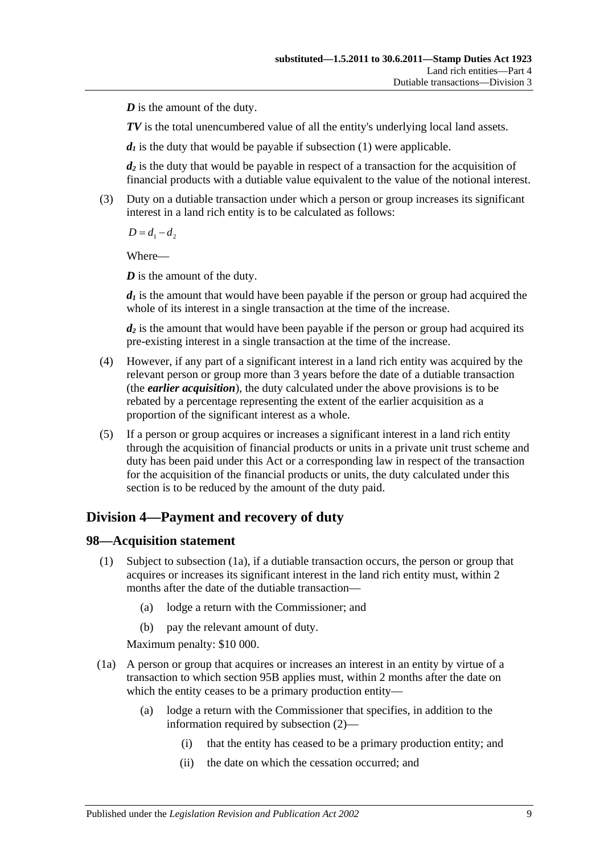*D* is the amount of the duty.

*TV* is the total unencumbered value of all the entity's underlying local land assets.

 $d_1$  is the duty that would be payable if [subsection](#page-89-0) (1) were applicable.

*d2* is the duty that would be payable in respect of a transaction for the acquisition of financial products with a dutiable value equivalent to the value of the notional interest.

(3) Duty on a dutiable transaction under which a person or group increases its significant interest in a land rich entity is to be calculated as follows:

 $D = d_1 - d_2$ 

Where—

*D* is the amount of the duty.

 $d_1$  is the amount that would have been payable if the person or group had acquired the whole of its interest in a single transaction at the time of the increase.

*d2* is the amount that would have been payable if the person or group had acquired its pre-existing interest in a single transaction at the time of the increase.

- (4) However, if any part of a significant interest in a land rich entity was acquired by the relevant person or group more than 3 years before the date of a dutiable transaction (the *earlier acquisition*), the duty calculated under the above provisions is to be rebated by a percentage representing the extent of the earlier acquisition as a proportion of the significant interest as a whole.
- (5) If a person or group acquires or increases a significant interest in a land rich entity through the acquisition of financial products or units in a private unit trust scheme and duty has been paid under this Act or a corresponding law in respect of the transaction for the acquisition of the financial products or units, the duty calculated under this section is to be reduced by the amount of the duty paid.

# **Division 4—Payment and recovery of duty**

### **98—Acquisition statement**

- (1) Subject to [subsection](#page-90-0) (1a), if a dutiable transaction occurs, the person or group that acquires or increases its significant interest in the land rich entity must, within 2 months after the date of the dutiable transaction—
	- (a) lodge a return with the Commissioner; and
	- (b) pay the relevant amount of duty.

Maximum penalty: \$10 000.

- <span id="page-90-0"></span>(1a) A person or group that acquires or increases an interest in an entity by virtue of a transaction to which [section](#page-88-0) 95B applies must, within 2 months after the date on which the entity ceases to be a primary production entity—
	- (a) lodge a return with the Commissioner that specifies, in addition to the information required by [subsection](#page-91-0) (2)—
		- (i) that the entity has ceased to be a primary production entity; and
		- (ii) the date on which the cessation occurred; and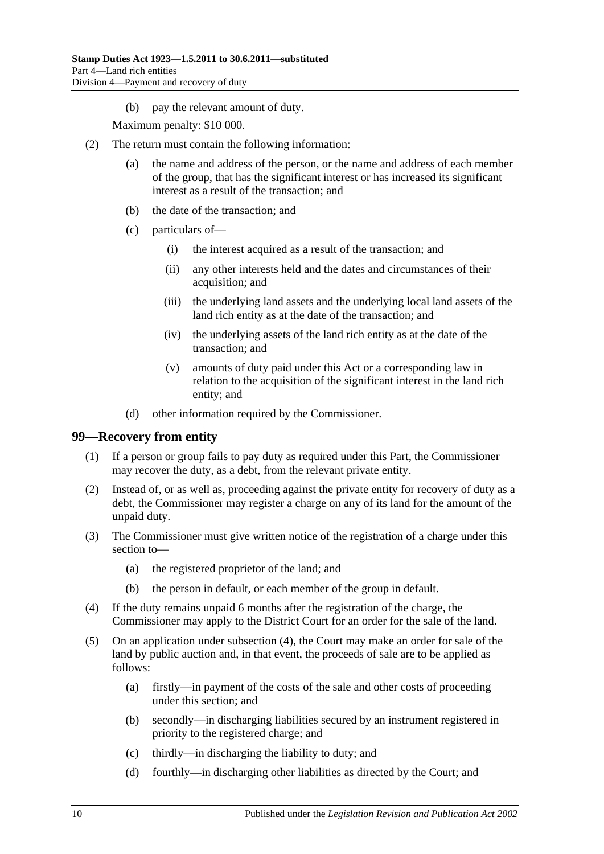(b) pay the relevant amount of duty.

Maximum penalty: \$10 000.

- <span id="page-91-0"></span>(2) The return must contain the following information:
	- (a) the name and address of the person, or the name and address of each member of the group, that has the significant interest or has increased its significant interest as a result of the transaction; and
	- (b) the date of the transaction; and
	- (c) particulars of—
		- (i) the interest acquired as a result of the transaction; and
		- (ii) any other interests held and the dates and circumstances of their acquisition; and
		- (iii) the underlying land assets and the underlying local land assets of the land rich entity as at the date of the transaction; and
		- (iv) the underlying assets of the land rich entity as at the date of the transaction; and
		- (v) amounts of duty paid under this Act or a corresponding law in relation to the acquisition of the significant interest in the land rich entity; and
	- (d) other information required by the Commissioner.

#### **99—Recovery from entity**

- (1) If a person or group fails to pay duty as required under this Part, the Commissioner may recover the duty, as a debt, from the relevant private entity.
- (2) Instead of, or as well as, proceeding against the private entity for recovery of duty as a debt, the Commissioner may register a charge on any of its land for the amount of the unpaid duty.
- (3) The Commissioner must give written notice of the registration of a charge under this section to—
	- (a) the registered proprietor of the land; and
	- (b) the person in default, or each member of the group in default.
- <span id="page-91-1"></span>(4) If the duty remains unpaid 6 months after the registration of the charge, the Commissioner may apply to the District Court for an order for the sale of the land.
- (5) On an application under [subsection](#page-91-1) (4), the Court may make an order for sale of the land by public auction and, in that event, the proceeds of sale are to be applied as follows:
	- (a) firstly—in payment of the costs of the sale and other costs of proceeding under this section; and
	- (b) secondly—in discharging liabilities secured by an instrument registered in priority to the registered charge; and
	- (c) thirdly—in discharging the liability to duty; and
	- (d) fourthly—in discharging other liabilities as directed by the Court; and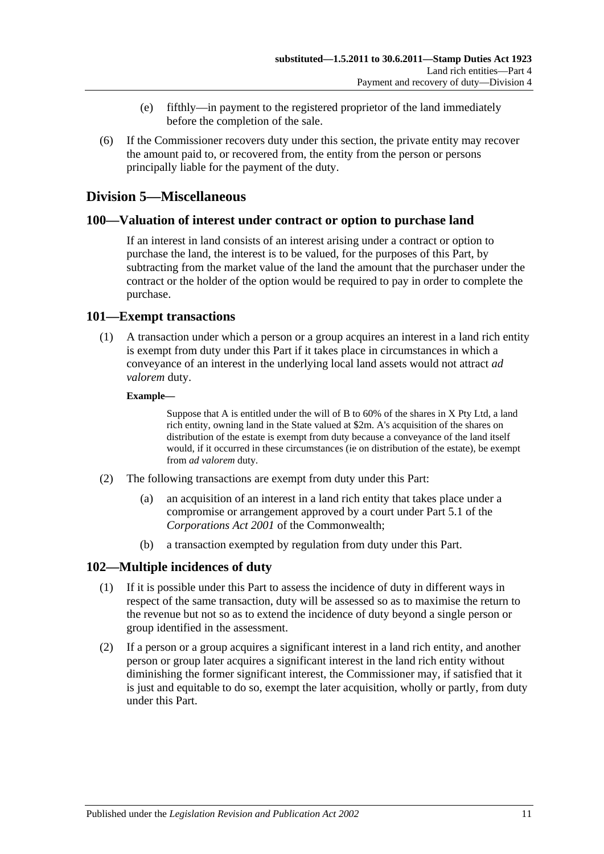- (e) fifthly—in payment to the registered proprietor of the land immediately before the completion of the sale.
- (6) If the Commissioner recovers duty under this section, the private entity may recover the amount paid to, or recovered from, the entity from the person or persons principally liable for the payment of the duty.

## **Division 5—Miscellaneous**

### **100—Valuation of interest under contract or option to purchase land**

If an interest in land consists of an interest arising under a contract or option to purchase the land, the interest is to be valued, for the purposes of this Part, by subtracting from the market value of the land the amount that the purchaser under the contract or the holder of the option would be required to pay in order to complete the purchase.

### **101—Exempt transactions**

(1) A transaction under which a person or a group acquires an interest in a land rich entity is exempt from duty under this Part if it takes place in circumstances in which a conveyance of an interest in the underlying local land assets would not attract *ad valorem* duty.

#### **Example—**

Suppose that A is entitled under the will of B to 60% of the shares in X Pty Ltd, a land rich entity, owning land in the State valued at \$2m. A's acquisition of the shares on distribution of the estate is exempt from duty because a conveyance of the land itself would, if it occurred in these circumstances (ie on distribution of the estate), be exempt from *ad valorem* duty.

- (2) The following transactions are exempt from duty under this Part:
	- (a) an acquisition of an interest in a land rich entity that takes place under a compromise or arrangement approved by a court under Part 5.1 of the *Corporations Act 2001* of the Commonwealth;
	- (b) a transaction exempted by regulation from duty under this Part.

## **102—Multiple incidences of duty**

- (1) If it is possible under this Part to assess the incidence of duty in different ways in respect of the same transaction, duty will be assessed so as to maximise the return to the revenue but not so as to extend the incidence of duty beyond a single person or group identified in the assessment.
- (2) If a person or a group acquires a significant interest in a land rich entity, and another person or group later acquires a significant interest in the land rich entity without diminishing the former significant interest, the Commissioner may, if satisfied that it is just and equitable to do so, exempt the later acquisition, wholly or partly, from duty under this Part.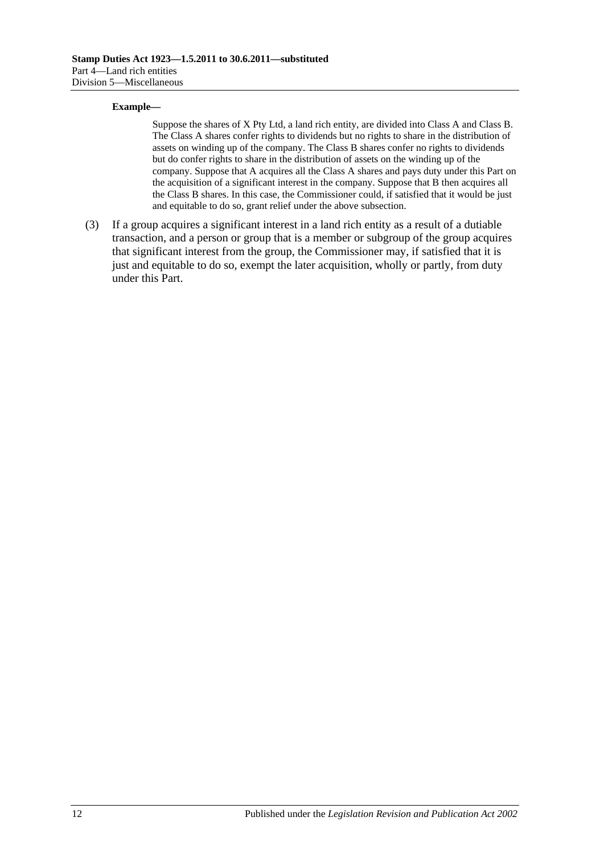#### **Example—**

Suppose the shares of X Pty Ltd, a land rich entity, are divided into Class A and Class B. The Class A shares confer rights to dividends but no rights to share in the distribution of assets on winding up of the company. The Class B shares confer no rights to dividends but do confer rights to share in the distribution of assets on the winding up of the company. Suppose that A acquires all the Class A shares and pays duty under this Part on the acquisition of a significant interest in the company. Suppose that B then acquires all the Class B shares. In this case, the Commissioner could, if satisfied that it would be just and equitable to do so, grant relief under the above subsection.

(3) If a group acquires a significant interest in a land rich entity as a result of a dutiable transaction, and a person or group that is a member or subgroup of the group acquires that significant interest from the group, the Commissioner may, if satisfied that it is just and equitable to do so, exempt the later acquisition, wholly or partly, from duty under this Part.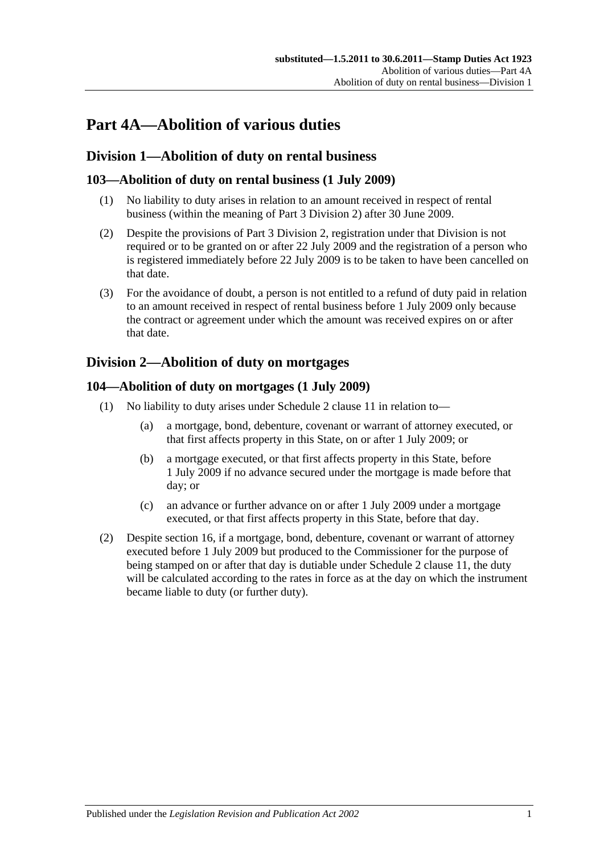# **Part 4A—Abolition of various duties**

# **Division 1—Abolition of duty on rental business**

## **103—Abolition of duty on rental business (1 July 2009)**

- (1) No liability to duty arises in relation to an amount received in respect of rental business (within the meaning of [Part 3 Division 2\)](#page-19-0) after 30 June 2009.
- (2) Despite the provisions of [Part 3 Division 2,](#page-19-0) registration under that Division is not required or to be granted on or after 22 July 2009 and the registration of a person who is registered immediately before 22 July 2009 is to be taken to have been cancelled on that date.
- (3) For the avoidance of doubt, a person is not entitled to a refund of duty paid in relation to an amount received in respect of rental business before 1 July 2009 only because the contract or agreement under which the amount was received expires on or after that date.

# <span id="page-94-0"></span>**Division 2—Abolition of duty on mortgages**

## **104—Abolition of duty on mortgages (1 July 2009)**

- (1) No liability to duty arises under Schedule 2 clause 11 in relation to—
	- (a) a mortgage, bond, debenture, covenant or warrant of attorney executed, or that first affects property in this State, on or after 1 July 2009; or
	- (b) a mortgage executed, or that first affects property in this State, before 1 July 2009 if no advance secured under the mortgage is made before that day; or
	- (c) an advance or further advance on or after 1 July 2009 under a mortgage executed, or that first affects property in this State, before that day.
- (2) Despite [section](#page-13-0) 16, if a mortgage, bond, debenture, covenant or warrant of attorney executed before 1 July 2009 but produced to the Commissioner for the purpose of being stamped on or after that day is dutiable under Schedule 2 clause 11, the duty will be calculated according to the rates in force as at the day on which the instrument became liable to duty (or further duty).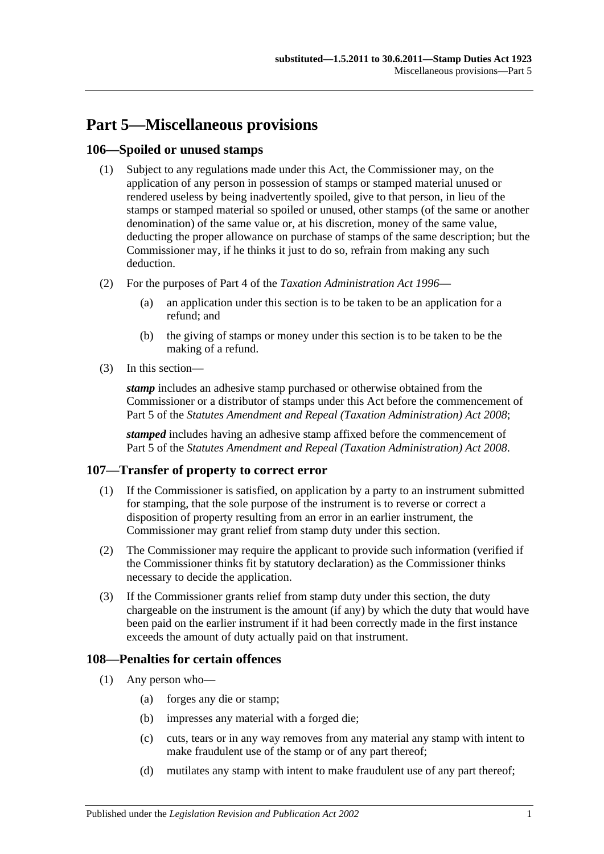# **Part 5—Miscellaneous provisions**

### **106—Spoiled or unused stamps**

- (1) Subject to any regulations made under this Act, the Commissioner may, on the application of any person in possession of stamps or stamped material unused or rendered useless by being inadvertently spoiled, give to that person, in lieu of the stamps or stamped material so spoiled or unused, other stamps (of the same or another denomination) of the same value or, at his discretion, money of the same value, deducting the proper allowance on purchase of stamps of the same description; but the Commissioner may, if he thinks it just to do so, refrain from making any such deduction.
- (2) For the purposes of Part 4 of the *[Taxation Administration Act](http://www.legislation.sa.gov.au/index.aspx?action=legref&type=act&legtitle=Taxation%20Administration%20Act%201996) 1996*
	- (a) an application under this section is to be taken to be an application for a refund; and
	- (b) the giving of stamps or money under this section is to be taken to be the making of a refund.
- (3) In this section—

*stamp* includes an adhesive stamp purchased or otherwise obtained from the Commissioner or a distributor of stamps under this Act before the commencement of Part 5 of the *[Statutes Amendment and Repeal \(Taxation Administration\) Act 2008](http://www.legislation.sa.gov.au/index.aspx?action=legref&type=act&legtitle=Statutes%20Amendment%20and%20Repeal%20(Taxation%20Administration)%20Act%202008)*;

*stamped* includes having an adhesive stamp affixed before the commencement of Part 5 of the *[Statutes Amendment and Repeal \(Taxation Administration\) Act 2008](http://www.legislation.sa.gov.au/index.aspx?action=legref&type=act&legtitle=Statutes%20Amendment%20and%20Repeal%20(Taxation%20Administration)%20Act%202008)*.

## **107—Transfer of property to correct error**

- (1) If the Commissioner is satisfied, on application by a party to an instrument submitted for stamping, that the sole purpose of the instrument is to reverse or correct a disposition of property resulting from an error in an earlier instrument, the Commissioner may grant relief from stamp duty under this section.
- (2) The Commissioner may require the applicant to provide such information (verified if the Commissioner thinks fit by statutory declaration) as the Commissioner thinks necessary to decide the application.
- (3) If the Commissioner grants relief from stamp duty under this section, the duty chargeable on the instrument is the amount (if any) by which the duty that would have been paid on the earlier instrument if it had been correctly made in the first instance exceeds the amount of duty actually paid on that instrument.

### **108—Penalties for certain offences**

- <span id="page-96-0"></span>(1) Any person who—
	- (a) forges any die or stamp;
	- (b) impresses any material with a forged die;
	- (c) cuts, tears or in any way removes from any material any stamp with intent to make fraudulent use of the stamp or of any part thereof;
	- (d) mutilates any stamp with intent to make fraudulent use of any part thereof;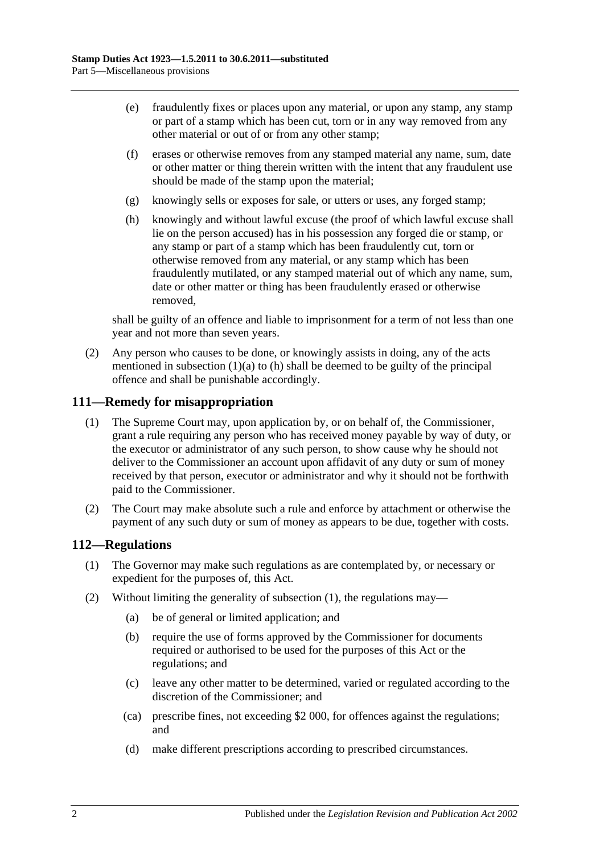- (e) fraudulently fixes or places upon any material, or upon any stamp, any stamp or part of a stamp which has been cut, torn or in any way removed from any other material or out of or from any other stamp;
- (f) erases or otherwise removes from any stamped material any name, sum, date or other matter or thing therein written with the intent that any fraudulent use should be made of the stamp upon the material;
- (g) knowingly sells or exposes for sale, or utters or uses, any forged stamp;
- <span id="page-97-0"></span>(h) knowingly and without lawful excuse (the proof of which lawful excuse shall lie on the person accused) has in his possession any forged die or stamp, or any stamp or part of a stamp which has been fraudulently cut, torn or otherwise removed from any material, or any stamp which has been fraudulently mutilated, or any stamped material out of which any name, sum, date or other matter or thing has been fraudulently erased or otherwise removed,

shall be guilty of an offence and liable to imprisonment for a term of not less than one year and not more than seven years.

(2) Any person who causes to be done, or knowingly assists in doing, any of the acts mentioned in [subsection](#page-96-0)  $(1)(a)$  to  $(h)$  shall be deemed to be guilty of the principal offence and shall be punishable accordingly.

#### **111—Remedy for misappropriation**

- (1) The Supreme Court may, upon application by, or on behalf of, the Commissioner, grant a rule requiring any person who has received money payable by way of duty, or the executor or administrator of any such person, to show cause why he should not deliver to the Commissioner an account upon affidavit of any duty or sum of money received by that person, executor or administrator and why it should not be forthwith paid to the Commissioner.
- (2) The Court may make absolute such a rule and enforce by attachment or otherwise the payment of any such duty or sum of money as appears to be due, together with costs.

### <span id="page-97-1"></span>**112—Regulations**

- (1) The Governor may make such regulations as are contemplated by, or necessary or expedient for the purposes of, this Act.
- (2) Without limiting the generality of [subsection](#page-97-1) (1), the regulations may—
	- (a) be of general or limited application; and
	- (b) require the use of forms approved by the Commissioner for documents required or authorised to be used for the purposes of this Act or the regulations; and
	- (c) leave any other matter to be determined, varied or regulated according to the discretion of the Commissioner; and
	- (ca) prescribe fines, not exceeding \$2 000, for offences against the regulations; and
	- (d) make different prescriptions according to prescribed circumstances.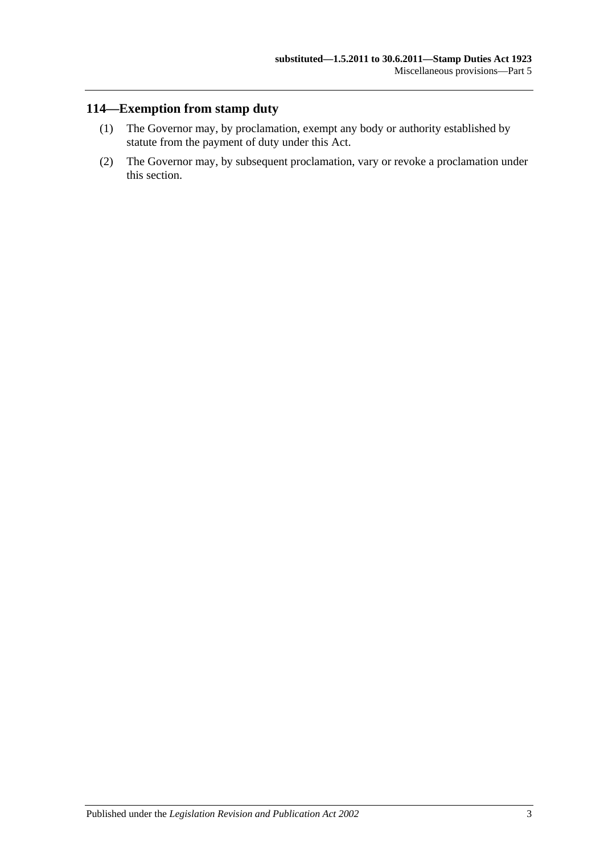# **114—Exemption from stamp duty**

- (1) The Governor may, by proclamation, exempt any body or authority established by statute from the payment of duty under this Act.
- (2) The Governor may, by subsequent proclamation, vary or revoke a proclamation under this section.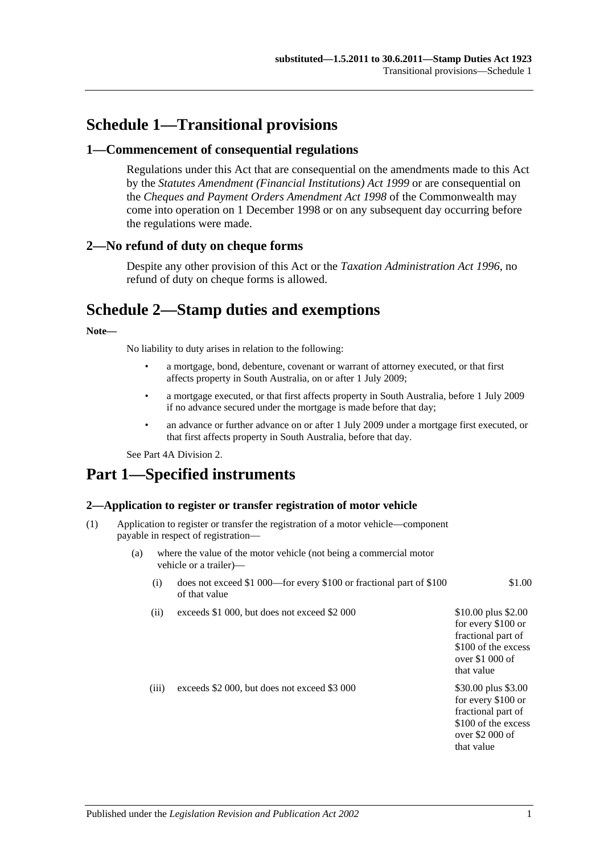# **Schedule 1—Transitional provisions**

#### **1—Commencement of consequential regulations**

Regulations under this Act that are consequential on the amendments made to this Act by the *[Statutes Amendment \(Financial Institutions\) Act](http://www.legislation.sa.gov.au/index.aspx?action=legref&type=act&legtitle=Statutes%20Amendment%20(Financial%20Institutions)%20Act%201999) 1999* or are consequential on the *Cheques and Payment Orders Amendment Act 1998* of the Commonwealth may come into operation on 1 December 1998 or on any subsequent day occurring before the regulations were made.

#### **2—No refund of duty on cheque forms**

Despite any other provision of this Act or the *[Taxation Administration Act](http://www.legislation.sa.gov.au/index.aspx?action=legref&type=act&legtitle=Taxation%20Administration%20Act%201996) 1996*, no refund of duty on cheque forms is allowed.

# **Schedule 2—Stamp duties and exemptions**

#### **Note—**

No liability to duty arises in relation to the following:

- a mortgage, bond, debenture, covenant or warrant of attorney executed, or that first affects property in South Australia, on or after 1 July 2009;
- a mortgage executed, or that first affects property in South Australia, before 1 July 2009 if no advance secured under the mortgage is made before that day;
- an advance or further advance on or after 1 July 2009 under a mortgage first executed, or that first affects property in South Australia, before that day.

Se[e Part 4A Division 2.](#page-94-0)

# **Part 1—Specified instruments**

#### **2—Application to register or transfer registration of motor vehicle**

- (1) Application to register or transfer the registration of a motor vehicle—component payable in respect of registration—
	- (a) where the value of the motor vehicle (not being a commercial motor vehicle or a trailer)—
		- (i) does not exceed \$1 000—for every \$100 or fractional part of \$100 of that value
		- (ii) exceeds  $$1\,000$ , but does not exceed  $$2\,000$   $$10.00$  plus  $$2.00$

(iii) exceeds  $$2,000$ , but does not exceed  $$3,000$  \$30.00 plus \$3.00

for every \$100 or fractional part of \$100 of the excess over \$2 000 of that value

for every \$100 or fractional part of \$100 of the excess over \$1 000 of that value

\$1.00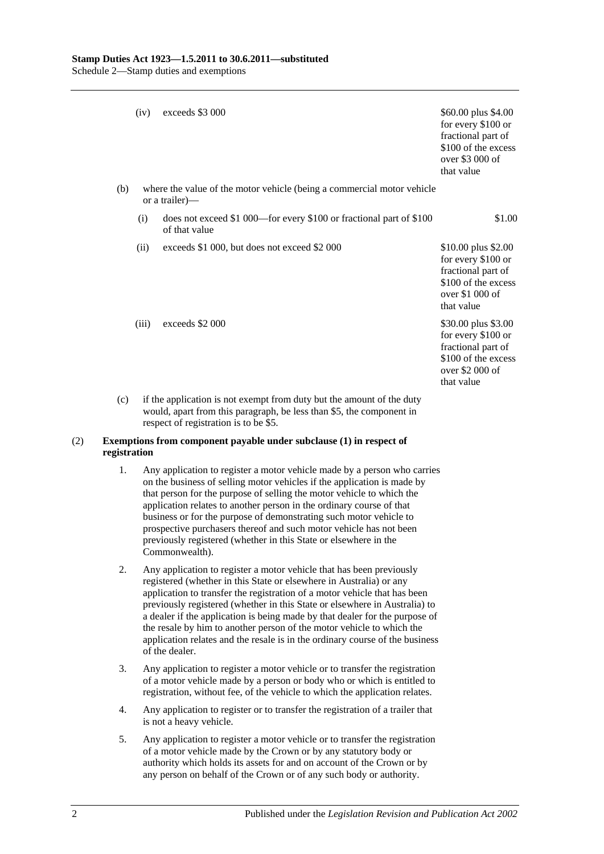|     | (iv)                                                                                                                                          | exceeds \$3 000                                                                          | \$60.00 plus \$4.00<br>for every \$100 or<br>fractional part of<br>\$100 of the excess<br>over \$3 000 of<br>that value  |  |  |
|-----|-----------------------------------------------------------------------------------------------------------------------------------------------|------------------------------------------------------------------------------------------|--------------------------------------------------------------------------------------------------------------------------|--|--|
| (b) |                                                                                                                                               | where the value of the motor vehicle (being a commercial motor vehicle<br>or a trailer)— |                                                                                                                          |  |  |
|     | (i)                                                                                                                                           | does not exceed \$1 000—for every \$100 or fractional part of \$100<br>of that value     | \$1.00                                                                                                                   |  |  |
|     | (ii)                                                                                                                                          | exceeds \$1 000, but does not exceed \$2 000                                             | \$10.00 plus \$2.00<br>for every \$100 or<br>fractional part of<br>\$100 of the excess<br>over $$1,000$ of<br>that value |  |  |
|     | (iii)                                                                                                                                         | exceeds \$2 000                                                                          | \$30.00 plus \$3.00<br>for every \$100 or<br>fractional part of<br>\$100 of the excess<br>over $$2000$ of<br>that value  |  |  |
| (c) | if the application is not exempt from duty but the amount of the duty<br>would, apart from this paragraph, be less than \$5, the component in |                                                                                          |                                                                                                                          |  |  |

#### respect of registration is to be \$5. (2) **Exemptions from component payable under subclause (1) in respect of registration**

- 1. Any application to register a motor vehicle made by a person who carries on the business of selling motor vehicles if the application is made by that person for the purpose of selling the motor vehicle to which the application relates to another person in the ordinary course of that business or for the purpose of demonstrating such motor vehicle to prospective purchasers thereof and such motor vehicle has not been previously registered (whether in this State or elsewhere in the Commonwealth).
- 2. Any application to register a motor vehicle that has been previously registered (whether in this State or elsewhere in Australia) or any application to transfer the registration of a motor vehicle that has been previously registered (whether in this State or elsewhere in Australia) to a dealer if the application is being made by that dealer for the purpose of the resale by him to another person of the motor vehicle to which the application relates and the resale is in the ordinary course of the business of the dealer.
- 3. Any application to register a motor vehicle or to transfer the registration of a motor vehicle made by a person or body who or which is entitled to registration, without fee, of the vehicle to which the application relates.
- 4. Any application to register or to transfer the registration of a trailer that is not a heavy vehicle.
- 5. Any application to register a motor vehicle or to transfer the registration of a motor vehicle made by the Crown or by any statutory body or authority which holds its assets for and on account of the Crown or by any person on behalf of the Crown or of any such body or authority.

2 Published under the *Legislation Revision and Publication Act 2002*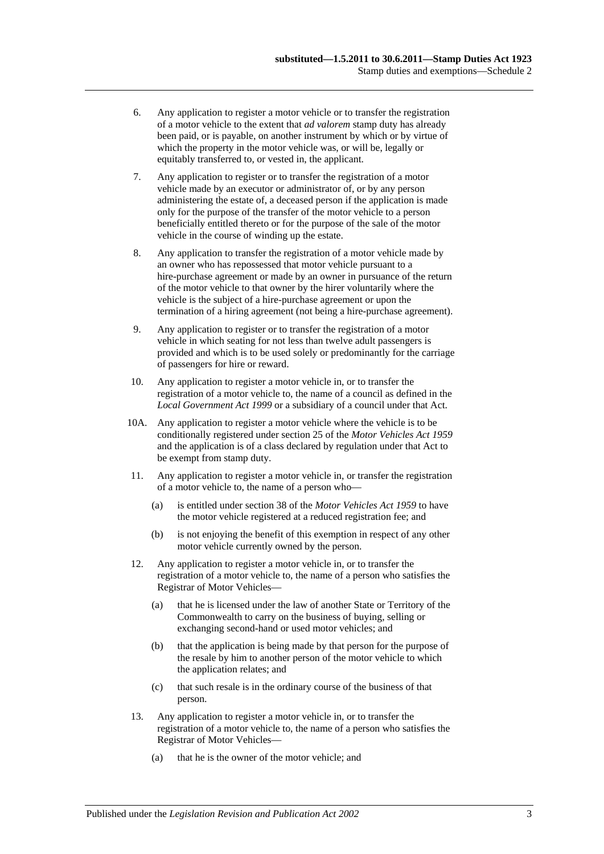- 6. Any application to register a motor vehicle or to transfer the registration of a motor vehicle to the extent that *ad valorem* stamp duty has already been paid, or is payable, on another instrument by which or by virtue of which the property in the motor vehicle was, or will be, legally or equitably transferred to, or vested in, the applicant.
- 7. Any application to register or to transfer the registration of a motor vehicle made by an executor or administrator of, or by any person administering the estate of, a deceased person if the application is made only for the purpose of the transfer of the motor vehicle to a person beneficially entitled thereto or for the purpose of the sale of the motor vehicle in the course of winding up the estate.
- 8. Any application to transfer the registration of a motor vehicle made by an owner who has repossessed that motor vehicle pursuant to a hire-purchase agreement or made by an owner in pursuance of the return of the motor vehicle to that owner by the hirer voluntarily where the vehicle is the subject of a hire-purchase agreement or upon the termination of a hiring agreement (not being a hire-purchase agreement).
- 9. Any application to register or to transfer the registration of a motor vehicle in which seating for not less than twelve adult passengers is provided and which is to be used solely or predominantly for the carriage of passengers for hire or reward.
- 10. Any application to register a motor vehicle in, or to transfer the registration of a motor vehicle to, the name of a council as defined in the *[Local Government Act](http://www.legislation.sa.gov.au/index.aspx?action=legref&type=act&legtitle=Local%20Government%20Act%201999) 1999* or a subsidiary of a council under that Act.
- 10A. Any application to register a motor vehicle where the vehicle is to be conditionally registered under section 25 of the *[Motor Vehicles Act](http://www.legislation.sa.gov.au/index.aspx?action=legref&type=act&legtitle=Motor%20Vehicles%20Act%201959) 1959* and the application is of a class declared by regulation under that Act to be exempt from stamp duty.
- 11. Any application to register a motor vehicle in, or transfer the registration of a motor vehicle to, the name of a person who—
	- (a) is entitled under section 38 of the *[Motor Vehicles Act](http://www.legislation.sa.gov.au/index.aspx?action=legref&type=act&legtitle=Motor%20Vehicles%20Act%201959) 1959* to have the motor vehicle registered at a reduced registration fee; and
	- (b) is not enjoying the benefit of this exemption in respect of any other motor vehicle currently owned by the person.
- 12. Any application to register a motor vehicle in, or to transfer the registration of a motor vehicle to, the name of a person who satisfies the Registrar of Motor Vehicles—
	- (a) that he is licensed under the law of another State or Territory of the Commonwealth to carry on the business of buying, selling or exchanging second-hand or used motor vehicles; and
	- (b) that the application is being made by that person for the purpose of the resale by him to another person of the motor vehicle to which the application relates; and
	- (c) that such resale is in the ordinary course of the business of that person.
- 13. Any application to register a motor vehicle in, or to transfer the registration of a motor vehicle to, the name of a person who satisfies the Registrar of Motor Vehicles—
	- (a) that he is the owner of the motor vehicle; and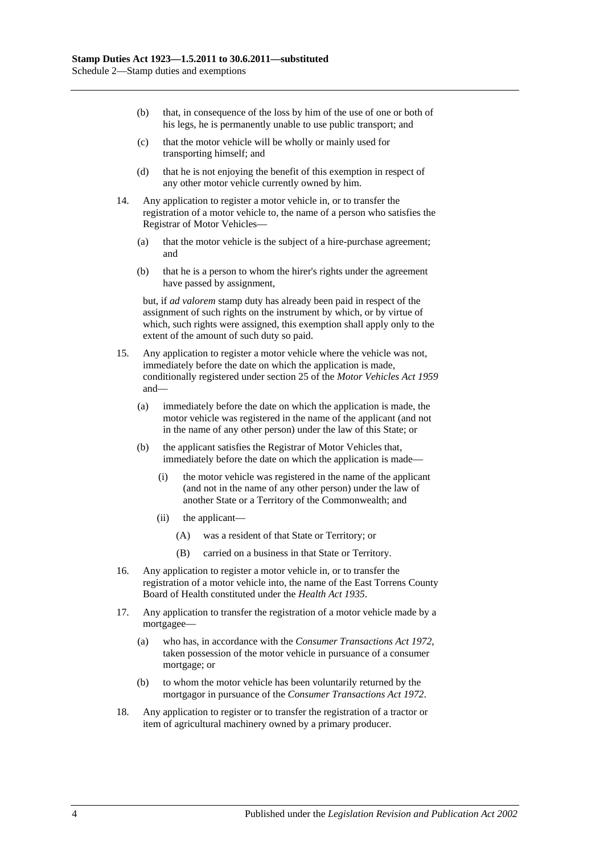- (b) that, in consequence of the loss by him of the use of one or both of his legs, he is permanently unable to use public transport; and
- (c) that the motor vehicle will be wholly or mainly used for transporting himself; and
- (d) that he is not enjoying the benefit of this exemption in respect of any other motor vehicle currently owned by him.
- 14. Any application to register a motor vehicle in, or to transfer the registration of a motor vehicle to, the name of a person who satisfies the Registrar of Motor Vehicles—
	- (a) that the motor vehicle is the subject of a hire-purchase agreement; and
	- (b) that he is a person to whom the hirer's rights under the agreement have passed by assignment,

but, if *ad valorem* stamp duty has already been paid in respect of the assignment of such rights on the instrument by which, or by virtue of which, such rights were assigned, this exemption shall apply only to the extent of the amount of such duty so paid.

- 15. Any application to register a motor vehicle where the vehicle was not, immediately before the date on which the application is made, conditionally registered under section 25 of the *[Motor Vehicles Act](http://www.legislation.sa.gov.au/index.aspx?action=legref&type=act&legtitle=Motor%20Vehicles%20Act%201959) 1959* and—
	- (a) immediately before the date on which the application is made, the motor vehicle was registered in the name of the applicant (and not in the name of any other person) under the law of this State; or
	- (b) the applicant satisfies the Registrar of Motor Vehicles that, immediately before the date on which the application is made—
		- (i) the motor vehicle was registered in the name of the applicant (and not in the name of any other person) under the law of another State or a Territory of the Commonwealth; and
		- (ii) the applicant—
			- (A) was a resident of that State or Territory; or
			- (B) carried on a business in that State or Territory.
- 16. Any application to register a motor vehicle in, or to transfer the registration of a motor vehicle into, the name of the East Torrens County Board of Health constituted under the *[Health Act](http://www.legislation.sa.gov.au/index.aspx?action=legref&type=act&legtitle=Health%20Act%201935) 1935*.
- 17. Any application to transfer the registration of a motor vehicle made by a mortgagee—
	- (a) who has, in accordance with the *[Consumer Transactions Act](http://www.legislation.sa.gov.au/index.aspx?action=legref&type=act&legtitle=Consumer%20Transactions%20Act%201972) 1972*, taken possession of the motor vehicle in pursuance of a consumer mortgage; or
	- (b) to whom the motor vehicle has been voluntarily returned by the mortgagor in pursuance of the *[Consumer Transactions Act](http://www.legislation.sa.gov.au/index.aspx?action=legref&type=act&legtitle=Consumer%20Transactions%20Act%201972) 1972*.
- 18. Any application to register or to transfer the registration of a tractor or item of agricultural machinery owned by a primary producer.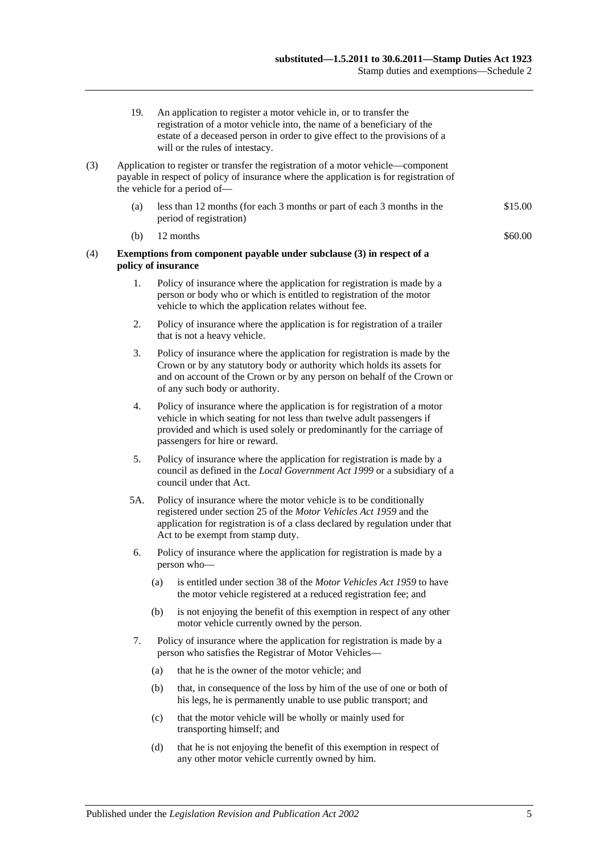- 19. An application to register a motor vehicle in, or to transfer the registration of a motor vehicle into, the name of a beneficiary of the estate of a deceased person in order to give effect to the provisions of a will or the rules of intestacy.
- (3) Application to register or transfer the registration of a motor vehicle—component payable in respect of policy of insurance where the application is for registration of the vehicle for a period of—
	- (a) less than 12 months (for each 3 months or part of each 3 months in the period of registration) \$15.00
	- (b)  $12$  months  $\$60.00$
- (4) **Exemptions from component payable under subclause (3) in respect of a policy of insurance**
	- 1. Policy of insurance where the application for registration is made by a person or body who or which is entitled to registration of the motor vehicle to which the application relates without fee.
	- 2. Policy of insurance where the application is for registration of a trailer that is not a heavy vehicle.
	- 3. Policy of insurance where the application for registration is made by the Crown or by any statutory body or authority which holds its assets for and on account of the Crown or by any person on behalf of the Crown or of any such body or authority.
	- 4. Policy of insurance where the application is for registration of a motor vehicle in which seating for not less than twelve adult passengers if provided and which is used solely or predominantly for the carriage of passengers for hire or reward.
	- 5. Policy of insurance where the application for registration is made by a council as defined in the *[Local Government Act](http://www.legislation.sa.gov.au/index.aspx?action=legref&type=act&legtitle=Local%20Government%20Act%201999) 1999* or a subsidiary of a council under that Act.
	- 5A. Policy of insurance where the motor vehicle is to be conditionally registered under section 25 of the *[Motor Vehicles Act](http://www.legislation.sa.gov.au/index.aspx?action=legref&type=act&legtitle=Motor%20Vehicles%20Act%201959) 1959* and the application for registration is of a class declared by regulation under that Act to be exempt from stamp duty.
	- 6. Policy of insurance where the application for registration is made by a person who—
		- (a) is entitled under section 38 of the *[Motor Vehicles Act](http://www.legislation.sa.gov.au/index.aspx?action=legref&type=act&legtitle=Motor%20Vehicles%20Act%201959) 1959* to have the motor vehicle registered at a reduced registration fee; and
		- (b) is not enjoying the benefit of this exemption in respect of any other motor vehicle currently owned by the person.
	- 7. Policy of insurance where the application for registration is made by a person who satisfies the Registrar of Motor Vehicles—
		- (a) that he is the owner of the motor vehicle; and
		- (b) that, in consequence of the loss by him of the use of one or both of his legs, he is permanently unable to use public transport; and
		- (c) that the motor vehicle will be wholly or mainly used for transporting himself; and
		- (d) that he is not enjoying the benefit of this exemption in respect of any other motor vehicle currently owned by him.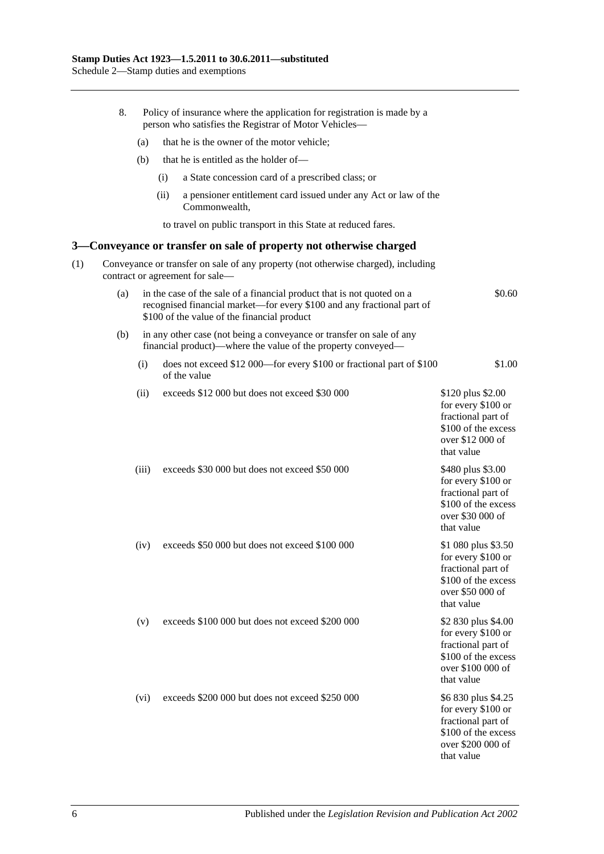|     | 8.                                                                                                                   | Policy of insurance where the application for registration is made by a<br>person who satisfies the Registrar of Motor Vehicles- |      |                                                                                                                                                                                                 |                                                                                                                           |  |  |  |  |  |
|-----|----------------------------------------------------------------------------------------------------------------------|----------------------------------------------------------------------------------------------------------------------------------|------|-------------------------------------------------------------------------------------------------------------------------------------------------------------------------------------------------|---------------------------------------------------------------------------------------------------------------------------|--|--|--|--|--|
|     |                                                                                                                      | (a)                                                                                                                              |      | that he is the owner of the motor vehicle;                                                                                                                                                      |                                                                                                                           |  |  |  |  |  |
|     |                                                                                                                      | (b)                                                                                                                              |      | that he is entitled as the holder of—                                                                                                                                                           |                                                                                                                           |  |  |  |  |  |
|     |                                                                                                                      |                                                                                                                                  | (i)  | a State concession card of a prescribed class; or                                                                                                                                               |                                                                                                                           |  |  |  |  |  |
|     |                                                                                                                      |                                                                                                                                  | (ii) | a pensioner entitlement card issued under any Act or law of the<br>Commonwealth,                                                                                                                |                                                                                                                           |  |  |  |  |  |
|     |                                                                                                                      |                                                                                                                                  |      | to travel on public transport in this State at reduced fares.                                                                                                                                   |                                                                                                                           |  |  |  |  |  |
|     |                                                                                                                      |                                                                                                                                  |      | 3—Conveyance or transfer on sale of property not otherwise charged                                                                                                                              |                                                                                                                           |  |  |  |  |  |
| (1) | Conveyance or transfer on sale of any property (not otherwise charged), including<br>contract or agreement for sale- |                                                                                                                                  |      |                                                                                                                                                                                                 |                                                                                                                           |  |  |  |  |  |
|     | (a)                                                                                                                  |                                                                                                                                  |      | in the case of the sale of a financial product that is not quoted on a<br>recognised financial market-for every \$100 and any fractional part of<br>\$100 of the value of the financial product | \$0.60                                                                                                                    |  |  |  |  |  |
|     | (b)                                                                                                                  |                                                                                                                                  |      | in any other case (not being a conveyance or transfer on sale of any<br>financial product)—where the value of the property conveyed—                                                            |                                                                                                                           |  |  |  |  |  |
|     |                                                                                                                      | (i)                                                                                                                              |      | does not exceed \$12 000—for every \$100 or fractional part of \$100<br>of the value                                                                                                            | \$1.00                                                                                                                    |  |  |  |  |  |
|     |                                                                                                                      | (ii)                                                                                                                             |      | exceeds \$12 000 but does not exceed \$30 000                                                                                                                                                   | \$120 plus \$2.00<br>for every \$100 or<br>fractional part of<br>\$100 of the excess<br>over \$12 000 of<br>that value    |  |  |  |  |  |
|     |                                                                                                                      | (iii)                                                                                                                            |      | exceeds \$30 000 but does not exceed \$50 000                                                                                                                                                   | \$480 plus \$3.00<br>for every \$100 or<br>fractional part of<br>\$100 of the excess<br>over \$30 000 of<br>that value    |  |  |  |  |  |
|     |                                                                                                                      | (iv)                                                                                                                             |      | exceeds \$50 000 but does not exceed \$100 000                                                                                                                                                  | \$1 080 plus \$3.50<br>for every \$100 or<br>fractional part of<br>\$100 of the excess<br>over \$50 000 of<br>that value  |  |  |  |  |  |
|     |                                                                                                                      | (v)                                                                                                                              |      | exceeds \$100,000 but does not exceed \$200,000                                                                                                                                                 | \$2 830 plus \$4.00<br>for every \$100 or<br>fractional part of<br>\$100 of the excess<br>over \$100 000 of<br>that value |  |  |  |  |  |
|     |                                                                                                                      | (vi)                                                                                                                             |      | exceeds \$200 000 but does not exceed \$250 000                                                                                                                                                 | \$6 830 plus \$4.25<br>for every \$100 or<br>fractional part of<br>\$100 of the excess<br>over \$200 000 of<br>that value |  |  |  |  |  |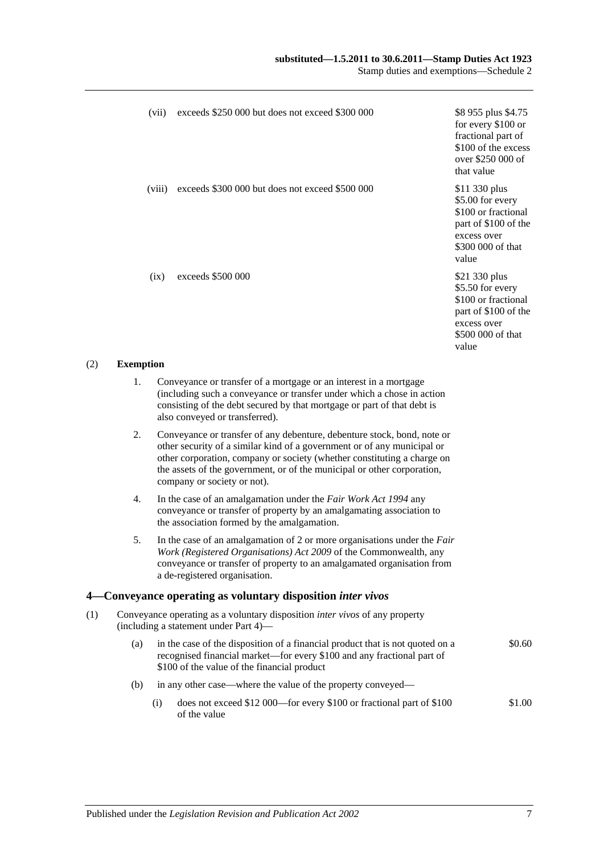| (vii)            | exceeds \$250 000 but does not exceed \$300 000                   | \$8 955 plus \$4.75<br>for every \$100 or<br>fractional part of<br>\$100 of the excess<br>over \$250 000 of<br>that value     |
|------------------|-------------------------------------------------------------------|-------------------------------------------------------------------------------------------------------------------------------|
| (viii)           | exceeds \$300 000 but does not exceed \$500 000                   | \$11 330 plus<br>\$5.00 for every<br>\$100 or fractional<br>part of \$100 of the<br>excess over<br>\$300 000 of that<br>value |
| (ix)             | exceeds \$500 000                                                 | \$21 330 plus<br>\$5.50 for every<br>\$100 or fractional<br>part of \$100 of the<br>excess over<br>\$500 000 of that<br>value |
| <b>Exemption</b> |                                                                   |                                                                                                                               |
| 1.               | Conveyance or transfer of a mortgage or an interest in a mortgage |                                                                                                                               |
|                  |                                                                   |                                                                                                                               |

- $(2)$ 
	- 1. Conveyance or transfer of a mortgage or an interest in a mortgage (including such a conveyance or transfer under which a chose in action consisting of the debt secured by that mortgage or part of that debt is also conveyed or transferred).
	- 2. Conveyance or transfer of any debenture, debenture stock, bond, note or other security of a similar kind of a government or of any municipal or other corporation, company or society (whether constituting a charge on the assets of the government, or of the municipal or other corporation, company or society or not).
	- 4. In the case of an amalgamation under the *[Fair Work Act](http://www.legislation.sa.gov.au/index.aspx?action=legref&type=act&legtitle=Fair%20Work%20Act%201994) 1994* any conveyance or transfer of property by an amalgamating association to the association formed by the amalgamation.
	- 5. In the case of an amalgamation of 2 or more organisations under the *[Fair](http://www.legislation.sa.gov.au/index.aspx?action=legref&type=act&legtitle=Fair%20Work%20(Registered%20Organisations)%20Act%202009)  [Work \(Registered Organisations\) Act](http://www.legislation.sa.gov.au/index.aspx?action=legref&type=act&legtitle=Fair%20Work%20(Registered%20Organisations)%20Act%202009) 2009* of the Commonwealth, any conveyance or transfer of property to an amalgamated organisation from a de-registered organisation.

#### **4—Conveyance operating as voluntary disposition** *inter vivos*

- (1) Conveyance operating as a voluntary disposition *inter vivos* of any property (including a statement under [Part 4\)](#page-82-0)—
	- (a) in the case of the disposition of a financial product that is not quoted on a recognised financial market—for every \$100 and any fractional part of \$100 of the value of the financial product \$0.60
	- (b) in any other case—where the value of the property conveyed—
		- (i) does not exceed \$12 000—for every \$100 or fractional part of \$100 of the value \$1.00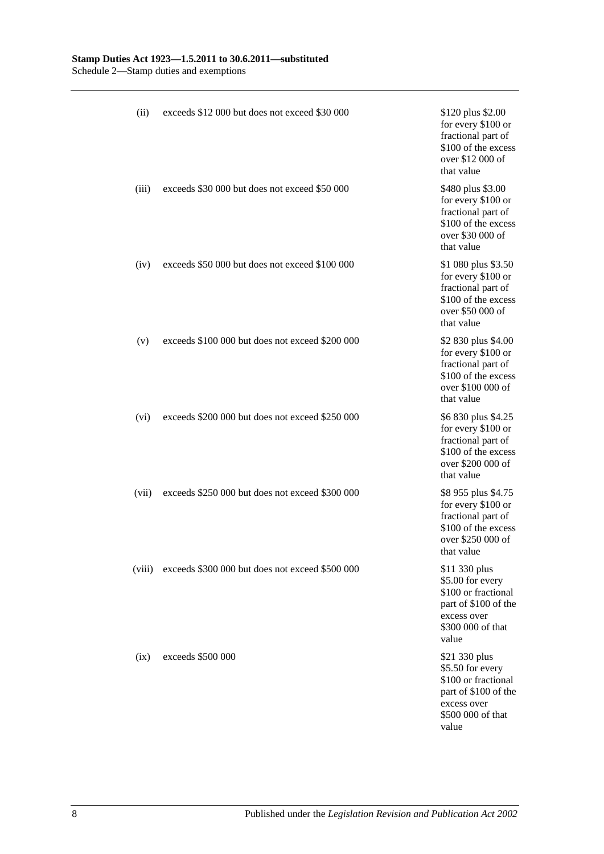| (ii)   | exceeds \$12 000 but does not exceed \$30 000   | \$120 plus \$2.00<br>for every \$100 or<br>fractional part of<br>\$100 of the excess<br>over \$12 000 of<br>that value        |
|--------|-------------------------------------------------|-------------------------------------------------------------------------------------------------------------------------------|
| (iii)  | exceeds \$30 000 but does not exceed \$50 000   | \$480 plus \$3.00<br>for every \$100 or<br>fractional part of<br>\$100 of the excess<br>over \$30 000 of<br>that value        |
| (iv)   | exceeds \$50 000 but does not exceed \$100 000  | \$1 080 plus \$3.50<br>for every \$100 or<br>fractional part of<br>\$100 of the excess<br>over \$50 000 of<br>that value      |
| (v)    | exceeds \$100 000 but does not exceed \$200 000 | \$2 830 plus \$4.00<br>for every \$100 or<br>fractional part of<br>\$100 of the excess<br>over \$100 000 of<br>that value     |
| (vi)   | exceeds \$200 000 but does not exceed \$250 000 | \$6 830 plus \$4.25<br>for every \$100 or<br>fractional part of<br>\$100 of the excess<br>over \$200 000 of<br>that value     |
| (vii)  | exceeds \$250 000 but does not exceed \$300 000 | \$8 955 plus \$4.75<br>for every \$100 or<br>fractional part of<br>\$100 of the excess<br>over \$250 000 of<br>that value     |
| (viii) | exceeds \$300 000 but does not exceed \$500 000 | \$11 330 plus<br>\$5.00 for every<br>\$100 or fractional<br>part of \$100 of the<br>excess over<br>\$300 000 of that<br>value |
| (ix)   | exceeds \$500 000                               | \$21 330 plus<br>\$5.50 for every<br>\$100 or fractional<br>part of \$100 of the<br>excess over<br>\$500 000 of that<br>value |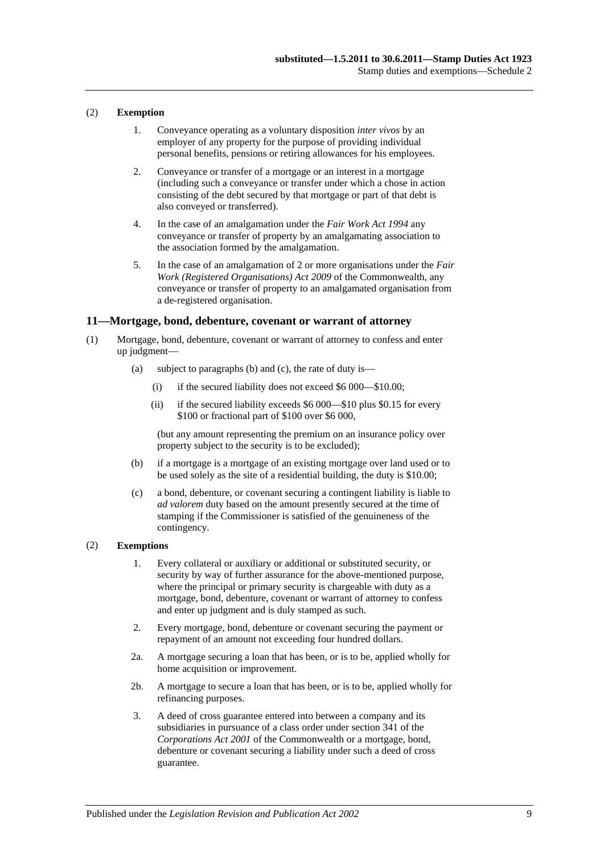### (2) **Exemption**

- 1. Conveyance operating as a voluntary disposition *inter vivos* by an employer of any property for the purpose of providing individual personal benefits, pensions or retiring allowances for his employees.
- 2. Conveyance or transfer of a mortgage or an interest in a mortgage (including such a conveyance or transfer under which a chose in action consisting of the debt secured by that mortgage or part of that debt is also conveyed or transferred).
- 4. In the case of an amalgamation under the *[Fair Work Act](http://www.legislation.sa.gov.au/index.aspx?action=legref&type=act&legtitle=Fair%20Work%20Act%201994) 1994* any conveyance or transfer of property by an amalgamating association to the association formed by the amalgamation.
- 5. In the case of an amalgamation of 2 or more organisations under the *[Fair](http://www.legislation.sa.gov.au/index.aspx?action=legref&type=act&legtitle=Fair%20Work%20(Registered%20Organisations)%20Act%202009)  [Work \(Registered Organisations\) Act](http://www.legislation.sa.gov.au/index.aspx?action=legref&type=act&legtitle=Fair%20Work%20(Registered%20Organisations)%20Act%202009) 2009* of the Commonwealth, any conveyance or transfer of property to an amalgamated organisation from a de-registered organisation.

### **11—Mortgage, bond, debenture, covenant or warrant of attorney**

- (1) Mortgage, bond, debenture, covenant or warrant of attorney to confess and enter up judgment—
	- (a) subject to paragraphs (b) and (c), the rate of duty is—
		- (i) if the secured liability does not exceed \$6 000—\$10.00;
		- (ii) if the secured liability exceeds \$6 000—\$10 plus \$0.15 for every \$100 or fractional part of \$100 over \$6 000,

(but any amount representing the premium on an insurance policy over property subject to the security is to be excluded);

- (b) if a mortgage is a mortgage of an existing mortgage over land used or to be used solely as the site of a residential building, the duty is \$10.00;
- (c) a bond, debenture, or covenant securing a contingent liability is liable to *ad valorem* duty based on the amount presently secured at the time of stamping if the Commissioner is satisfied of the genuineness of the contingency.

### (2) **Exemptions**

- 1. Every collateral or auxiliary or additional or substituted security, or security by way of further assurance for the above-mentioned purpose, where the principal or primary security is chargeable with duty as a mortgage, bond, debenture, covenant or warrant of attorney to confess and enter up judgment and is duly stamped as such.
- 2. Every mortgage, bond, debenture or covenant securing the payment or repayment of an amount not exceeding four hundred dollars.
- 2a. A mortgage securing a loan that has been, or is to be, applied wholly for home acquisition or improvement.
- 2b. A mortgage to secure a loan that has been, or is to be, applied wholly for refinancing purposes.
- 3. A deed of cross guarantee entered into between a company and its subsidiaries in pursuance of a class order under section 341 of the *Corporations Act 2001* of the Commonwealth or a mortgage, bond, debenture or covenant securing a liability under such a deed of cross guarantee.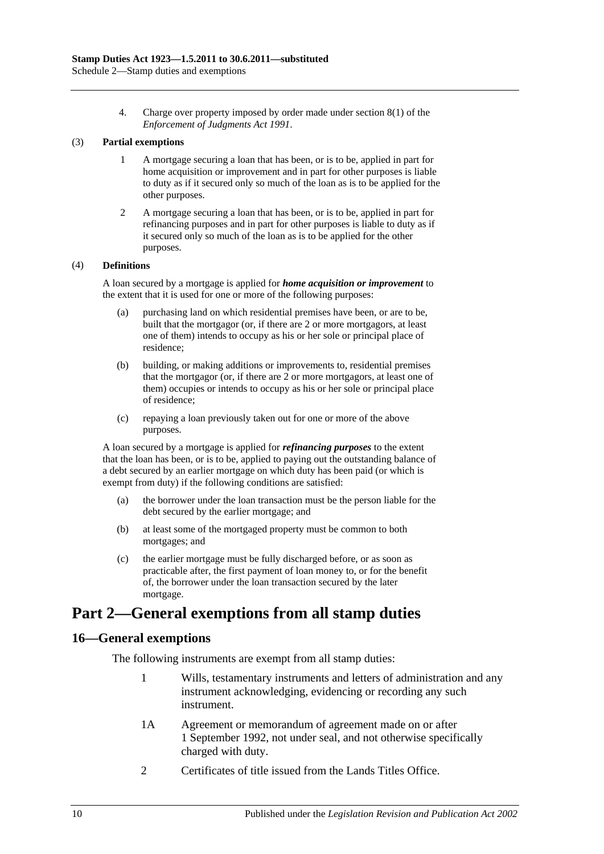4. Charge over property imposed by order made under section 8(1) of the *[Enforcement of Judgments Act](http://www.legislation.sa.gov.au/index.aspx?action=legref&type=act&legtitle=Enforcement%20of%20Judgments%20Act%201991) 1991*.

### (3) **Partial exemptions**

- 1 A mortgage securing a loan that has been, or is to be, applied in part for home acquisition or improvement and in part for other purposes is liable to duty as if it secured only so much of the loan as is to be applied for the other purposes.
- 2 A mortgage securing a loan that has been, or is to be, applied in part for refinancing purposes and in part for other purposes is liable to duty as if it secured only so much of the loan as is to be applied for the other purposes.

### (4) **Definitions**

A loan secured by a mortgage is applied for *home acquisition or improvement* to the extent that it is used for one or more of the following purposes:

- (a) purchasing land on which residential premises have been, or are to be, built that the mortgagor (or, if there are 2 or more mortgagors, at least one of them) intends to occupy as his or her sole or principal place of residence;
- (b) building, or making additions or improvements to, residential premises that the mortgagor (or, if there are 2 or more mortgagors, at least one of them) occupies or intends to occupy as his or her sole or principal place of residence;
- (c) repaying a loan previously taken out for one or more of the above purposes.

A loan secured by a mortgage is applied for *refinancing purposes* to the extent that the loan has been, or is to be, applied to paying out the outstanding balance of a debt secured by an earlier mortgage on which duty has been paid (or which is exempt from duty) if the following conditions are satisfied:

- (a) the borrower under the loan transaction must be the person liable for the debt secured by the earlier mortgage; and
- (b) at least some of the mortgaged property must be common to both mortgages; and
- (c) the earlier mortgage must be fully discharged before, or as soon as practicable after, the first payment of loan money to, or for the benefit of, the borrower under the loan transaction secured by the later mortgage.

# **Part 2—General exemptions from all stamp duties**

### **16—General exemptions**

The following instruments are exempt from all stamp duties:

- 1 Wills, testamentary instruments and letters of administration and any instrument acknowledging, evidencing or recording any such instrument.
- 1A Agreement or memorandum of agreement made on or after 1 September 1992, not under seal, and not otherwise specifically charged with duty.
- 2 Certificates of title issued from the Lands Titles Office.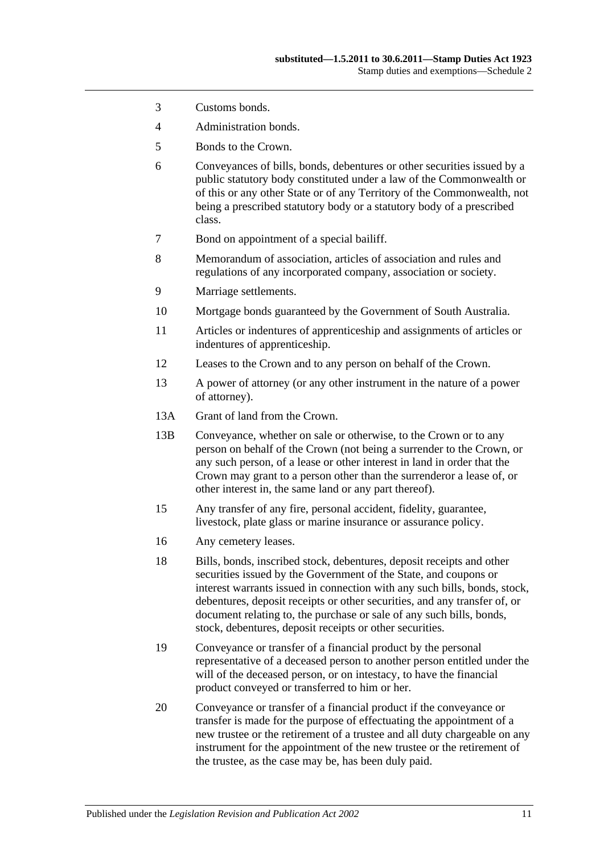- 3 Customs bonds.
- 4 Administration bonds.
- 5 Bonds to the Crown.
- 6 Conveyances of bills, bonds, debentures or other securities issued by a public statutory body constituted under a law of the Commonwealth or of this or any other State or of any Territory of the Commonwealth, not being a prescribed statutory body or a statutory body of a prescribed class.
- 7 Bond on appointment of a special bailiff.
- 8 Memorandum of association, articles of association and rules and regulations of any incorporated company, association or society.
- 9 Marriage settlements.
- 10 Mortgage bonds guaranteed by the Government of South Australia.
- 11 Articles or indentures of apprenticeship and assignments of articles or indentures of apprenticeship.
- 12 Leases to the Crown and to any person on behalf of the Crown.
- 13 A power of attorney (or any other instrument in the nature of a power of attorney).
- 13A Grant of land from the Crown.
- 13B Conveyance, whether on sale or otherwise, to the Crown or to any person on behalf of the Crown (not being a surrender to the Crown, or any such person, of a lease or other interest in land in order that the Crown may grant to a person other than the surrenderor a lease of, or other interest in, the same land or any part thereof).
- 15 Any transfer of any fire, personal accident, fidelity, guarantee, livestock, plate glass or marine insurance or assurance policy.
- 16 Any cemetery leases.
- 18 Bills, bonds, inscribed stock, debentures, deposit receipts and other securities issued by the Government of the State, and coupons or interest warrants issued in connection with any such bills, bonds, stock, debentures, deposit receipts or other securities, and any transfer of, or document relating to, the purchase or sale of any such bills, bonds, stock, debentures, deposit receipts or other securities.
- 19 Conveyance or transfer of a financial product by the personal representative of a deceased person to another person entitled under the will of the deceased person, or on intestacy, to have the financial product conveyed or transferred to him or her.
- 20 Conveyance or transfer of a financial product if the conveyance or transfer is made for the purpose of effectuating the appointment of a new trustee or the retirement of a trustee and all duty chargeable on any instrument for the appointment of the new trustee or the retirement of the trustee, as the case may be, has been duly paid.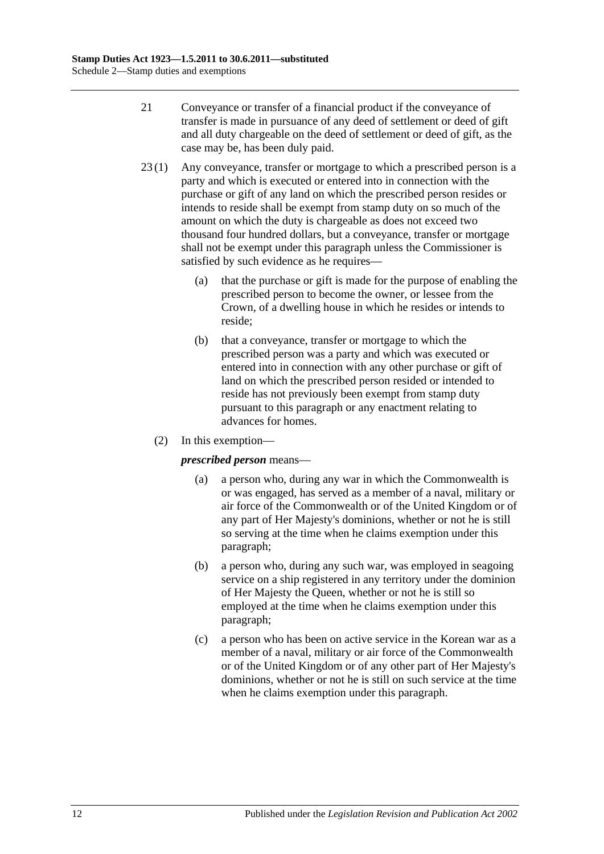- 21 Conveyance or transfer of a financial product if the conveyance of transfer is made in pursuance of any deed of settlement or deed of gift and all duty chargeable on the deed of settlement or deed of gift, as the case may be, has been duly paid.
- 23 (1) Any conveyance, transfer or mortgage to which a prescribed person is a party and which is executed or entered into in connection with the purchase or gift of any land on which the prescribed person resides or intends to reside shall be exempt from stamp duty on so much of the amount on which the duty is chargeable as does not exceed two thousand four hundred dollars, but a conveyance, transfer or mortgage shall not be exempt under this paragraph unless the Commissioner is satisfied by such evidence as he requires—
	- (a) that the purchase or gift is made for the purpose of enabling the prescribed person to become the owner, or lessee from the Crown, of a dwelling house in which he resides or intends to reside;
	- (b) that a conveyance, transfer or mortgage to which the prescribed person was a party and which was executed or entered into in connection with any other purchase or gift of land on which the prescribed person resided or intended to reside has not previously been exempt from stamp duty pursuant to this paragraph or any enactment relating to advances for homes.
	- (2) In this exemption—

### <span id="page-111-0"></span>*prescribed person* means—

- (a) a person who, during any war in which the Commonwealth is or was engaged, has served as a member of a naval, military or air force of the Commonwealth or of the United Kingdom or of any part of Her Majesty's dominions, whether or not he is still so serving at the time when he claims exemption under this paragraph;
- <span id="page-111-1"></span>(b) a person who, during any such war, was employed in seagoing service on a ship registered in any territory under the dominion of Her Majesty the Queen, whether or not he is still so employed at the time when he claims exemption under this paragraph;
- <span id="page-111-2"></span>(c) a person who has been on active service in the Korean war as a member of a naval, military or air force of the Commonwealth or of the United Kingdom or of any other part of Her Majesty's dominions, whether or not he is still on such service at the time when he claims exemption under this paragraph.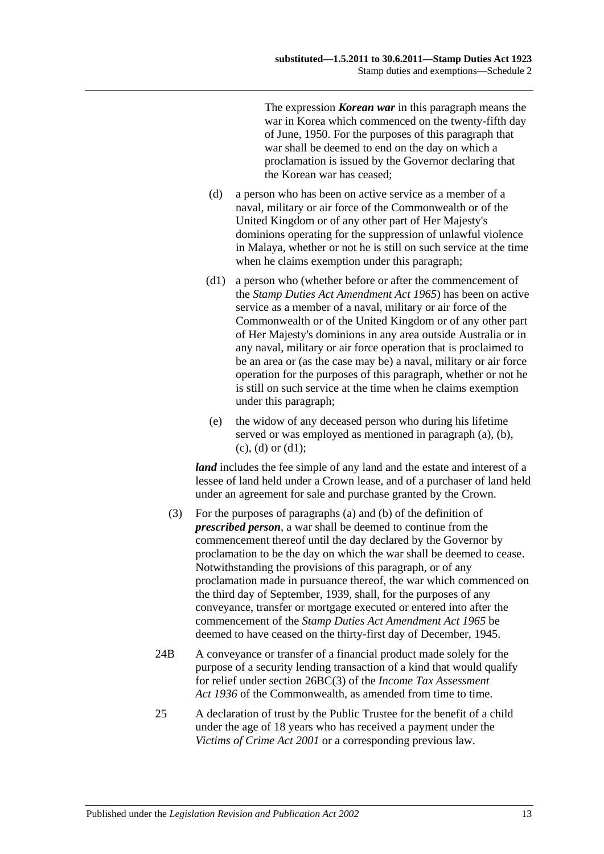The expression *Korean war* in this paragraph means the war in Korea which commenced on the twenty-fifth day of June, 1950. For the purposes of this paragraph that war shall be deemed to end on the day on which a proclamation is issued by the Governor declaring that the Korean war has ceased;

- <span id="page-112-0"></span>(d) a person who has been on active service as a member of a naval, military or air force of the Commonwealth or of the United Kingdom or of any other part of Her Majesty's dominions operating for the suppression of unlawful violence in Malaya, whether or not he is still on such service at the time when he claims exemption under this paragraph;
- <span id="page-112-1"></span>(d1) a person who (whether before or after the commencement of the *[Stamp Duties Act Amendment Act](http://www.legislation.sa.gov.au/index.aspx?action=legref&type=act&legtitle=Stamp%20Duties%20Act%20Amendment%20Act%201965) 1965*) has been on active service as a member of a naval, military or air force of the Commonwealth or of the United Kingdom or of any other part of Her Majesty's dominions in any area outside Australia or in any naval, military or air force operation that is proclaimed to be an area or (as the case may be) a naval, military or air force operation for the purposes of this paragraph, whether or not he is still on such service at the time when he claims exemption under this paragraph;
- (e) the widow of any deceased person who during his lifetime served or was employed as mentioned in [paragraph](#page-111-0) (a), [\(b\),](#page-111-1)  $(c)$ ,  $(d)$  or  $(d1)$ ;

*land* includes the fee simple of any land and the estate and interest of a lessee of land held under a Crown lease, and of a purchaser of land held under an agreement for sale and purchase granted by the Crown.

- (3) For the purposes of [paragraphs](#page-111-0) (a) and [\(b\)](#page-111-1) of the definition of *prescribed person*, a war shall be deemed to continue from the commencement thereof until the day declared by the Governor by proclamation to be the day on which the war shall be deemed to cease. Notwithstanding the provisions of this paragraph, or of any proclamation made in pursuance thereof, the war which commenced on the third day of September, 1939, shall, for the purposes of any conveyance, transfer or mortgage executed or entered into after the commencement of the *[Stamp Duties Act Amendment Act](http://www.legislation.sa.gov.au/index.aspx?action=legref&type=act&legtitle=Stamp%20Duties%20Act%20Amendment%20Act%201965) 1965* be deemed to have ceased on the thirty-first day of December, 1945.
- 24B A conveyance or transfer of a financial product made solely for the purpose of a security lending transaction of a kind that would qualify for relief under section 26BC(3) of the *Income Tax Assessment*  Act 1936 of the Commonwealth, as amended from time to time.
- 25 A declaration of trust by the Public Trustee for the benefit of a child under the age of 18 years who has received a payment under the *[Victims of Crime Act](http://www.legislation.sa.gov.au/index.aspx?action=legref&type=act&legtitle=Victims%20of%20Crime%20Act%202001) 2001* or a corresponding previous law.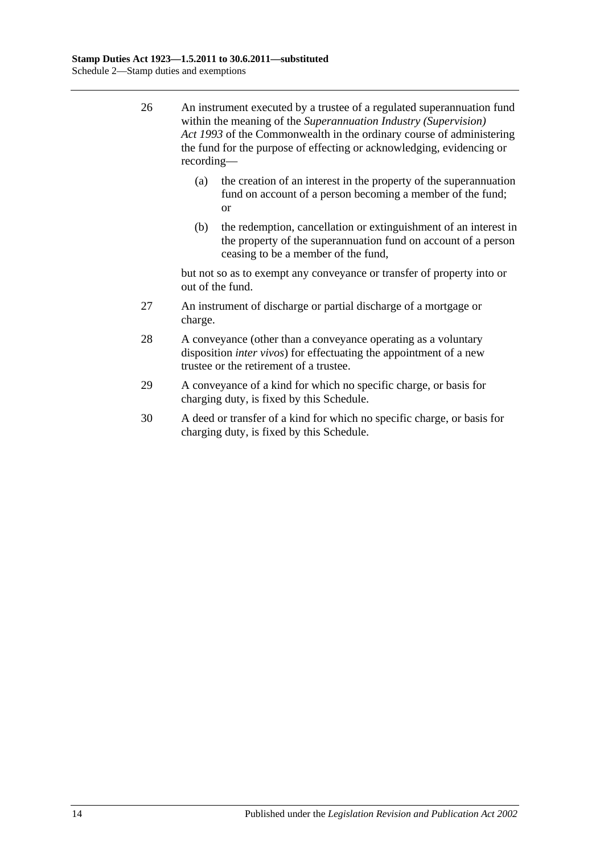- 26 An instrument executed by a trustee of a regulated superannuation fund within the meaning of the *Superannuation Industry (Supervision) Act 1993* of the Commonwealth in the ordinary course of administering the fund for the purpose of effecting or acknowledging, evidencing or recording—
	- (a) the creation of an interest in the property of the superannuation fund on account of a person becoming a member of the fund; or
	- (b) the redemption, cancellation or extinguishment of an interest in the property of the superannuation fund on account of a person ceasing to be a member of the fund,

but not so as to exempt any conveyance or transfer of property into or out of the fund.

- 27 An instrument of discharge or partial discharge of a mortgage or charge.
- 28 A conveyance (other than a conveyance operating as a voluntary disposition *inter vivos*) for effectuating the appointment of a new trustee or the retirement of a trustee.
- 29 A conveyance of a kind for which no specific charge, or basis for charging duty, is fixed by this Schedule.
- 30 A deed or transfer of a kind for which no specific charge, or basis for charging duty, is fixed by this Schedule.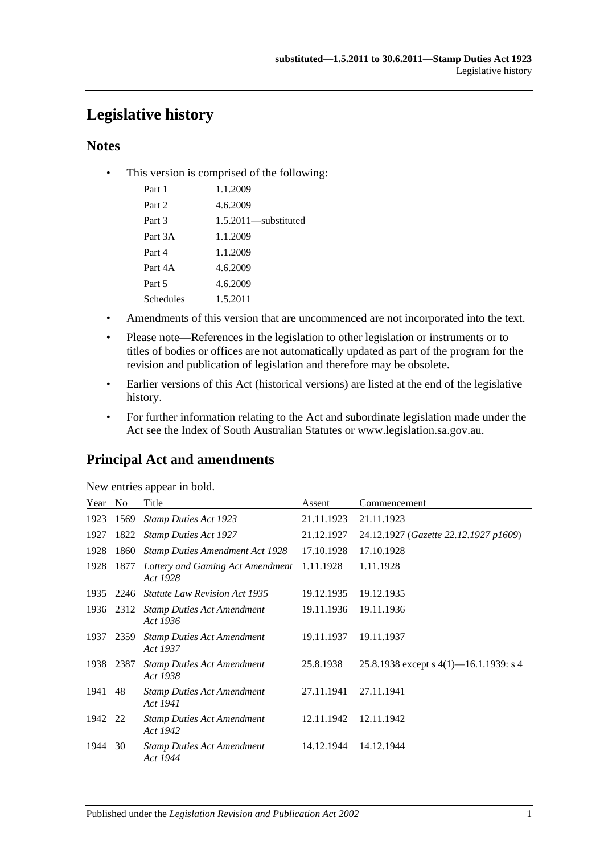# **Legislative history**

### **Notes**

• This version is comprised of the following:

| Part 1    | 1.1.2009                |
|-----------|-------------------------|
| Part 2    | 4.6.2009                |
| Part 3    | $1.5.2011$ —substituted |
| Part 3A   | 1.1.2009                |
| Part 4    | 1.1.2009                |
| Part 4A   | 4.6.2009                |
| Part 5    | 4.6.2009                |
| Schedules | 1.5.2011                |

- Amendments of this version that are uncommenced are not incorporated into the text.
- Please note—References in the legislation to other legislation or instruments or to titles of bodies or offices are not automatically updated as part of the program for the revision and publication of legislation and therefore may be obsolete.
- Earlier versions of this Act (historical versions) are listed at the end of the legislative history.
- For further information relating to the Act and subordinate legislation made under the Act see the Index of South Australian Statutes or www.legislation.sa.gov.au.

# **Principal Act and amendments**

| New entries appear in bold. |  |  |
|-----------------------------|--|--|

| Year | No.       | Title                                         | Assent     | Commencement                              |
|------|-----------|-----------------------------------------------|------------|-------------------------------------------|
| 1923 | 1569      | <b>Stamp Duties Act 1923</b>                  | 21.11.1923 | 21.11.1923                                |
| 1927 | 1822      | <b>Stamp Duties Act 1927</b>                  | 21.12.1927 | 24.12.1927 (Gazette 22.12.1927 p1609)     |
| 1928 | 1860      | <b>Stamp Duties Amendment Act 1928</b>        | 17.10.1928 | 17.10.1928                                |
| 1928 | 1877      | Lottery and Gaming Act Amendment<br>Act 1928  | 1.11.1928  | 1.11.1928                                 |
| 1935 | 2246      | <b>Statute Law Revision Act 1935</b>          | 19.12.1935 | 19.12.1935                                |
|      | 1936 2312 | <b>Stamp Duties Act Amendment</b><br>Act 1936 | 19.11.1936 | 19.11.1936                                |
| 1937 | 2359      | <b>Stamp Duties Act Amendment</b><br>Act 1937 | 19.11.1937 | 19.11.1937                                |
| 1938 | 2387      | <b>Stamp Duties Act Amendment</b><br>Act 1938 | 25.8.1938  | 25.8.1938 except s $4(1)$ —16.1.1939: s 4 |
| 1941 | 48        | <b>Stamp Duties Act Amendment</b><br>Act 1941 | 27.11.1941 | 27.11.1941                                |
| 1942 | 22        | <b>Stamp Duties Act Amendment</b><br>Act 1942 | 12.11.1942 | 12.11.1942                                |
| 1944 | 30        | <b>Stamp Duties Act Amendment</b><br>Act 1944 | 14.12.1944 | 14.12.1944                                |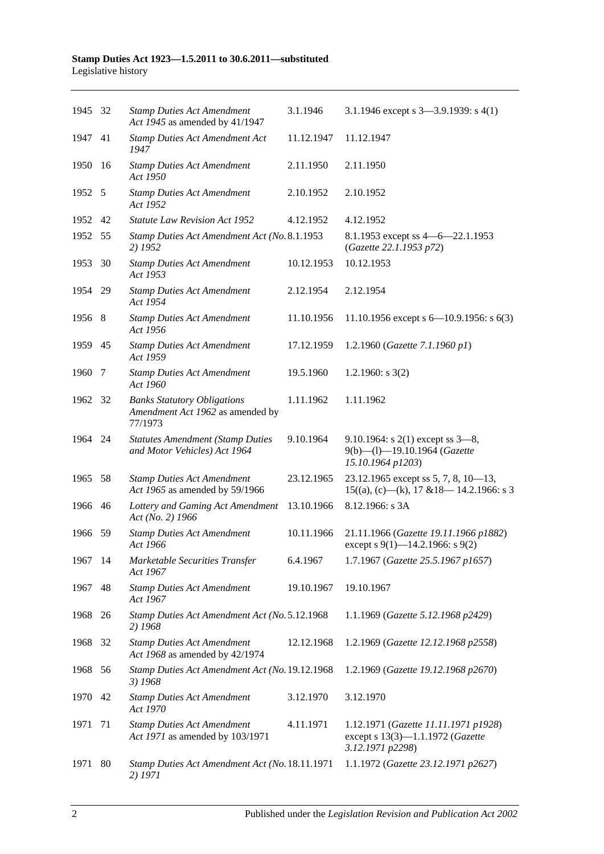| 1945 32 |      | <b>Stamp Duties Act Amendment</b><br>Act 1945 as amended by 41/1947               | 3.1.1946   | 3.1.1946 except s $3-3.9.1939$ : s $4(1)$                                                    |
|---------|------|-----------------------------------------------------------------------------------|------------|----------------------------------------------------------------------------------------------|
| 1947    | 41   | <b>Stamp Duties Act Amendment Act</b><br>1947                                     | 11.12.1947 | 11.12.1947                                                                                   |
| 1950    | 16   | <b>Stamp Duties Act Amendment</b><br>Act 1950                                     | 2.11.1950  | 2.11.1950                                                                                    |
| 1952 5  |      | <b>Stamp Duties Act Amendment</b><br>Act 1952                                     | 2.10.1952  | 2.10.1952                                                                                    |
| 1952 42 |      | <b>Statute Law Revision Act 1952</b>                                              | 4.12.1952  | 4.12.1952                                                                                    |
| 1952    | 55   | Stamp Duties Act Amendment Act (No. 8.1.1953<br>2) 1952                           |            | 8.1.1953 except ss 4 - 6 - 22.1.1953<br>(Gazette 22.1.1953 p72)                              |
| 1953    | 30   | <b>Stamp Duties Act Amendment</b><br>Act 1953                                     | 10.12.1953 | 10.12.1953                                                                                   |
| 1954    | - 29 | <b>Stamp Duties Act Amendment</b><br>Act 1954                                     | 2.12.1954  | 2.12.1954                                                                                    |
| 1956 8  |      | <b>Stamp Duties Act Amendment</b><br>Act 1956                                     | 11.10.1956 | 11.10.1956 except s $6-10.9.1956$ : s $6(3)$                                                 |
| 1959    | 45   | <b>Stamp Duties Act Amendment</b><br>Act 1959                                     | 17.12.1959 | 1.2.1960 (Gazette 7.1.1960 p1)                                                               |
| 1960    | -7   | <b>Stamp Duties Act Amendment</b><br>Act 1960                                     | 19.5.1960  | 1.2.1960: $s$ 3(2)                                                                           |
| 1962 32 |      | <b>Banks Statutory Obligations</b><br>Amendment Act 1962 as amended by<br>77/1973 | 1.11.1962  | 1.11.1962                                                                                    |
| 1964 24 |      | <b>Statutes Amendment (Stamp Duties</b><br>and Motor Vehicles) Act 1964           | 9.10.1964  | 9.10.1964: s $2(1)$ except ss $3-8$ ,<br>9(b)-(l)-19.10.1964 (Gazette<br>15.10.1964 p1203)   |
| 1965    | 58   | <b>Stamp Duties Act Amendment</b><br>Act 1965 as amended by 59/1966               | 23.12.1965 | 23.12.1965 except ss 5, 7, 8, 10-13,<br>$15((a), (c)$ —(k), 17 & 18—14.2.1966: s 3           |
| 1966    | 46   | Lottery and Gaming Act Amendment<br>Act (No. 2) 1966                              | 13.10.1966 | 8.12.1966: s 3A                                                                              |
| 1966    | -59  | <b>Stamp Duties Act Amendment</b><br>Act 1966                                     | 10.11.1966 | 21.11.1966 (Gazette 19.11.1966 p1882)<br>except s 9(1)-14.2.1966: s 9(2)                     |
| 1967 14 |      | Marketable Securities Transfer<br>Act 1967                                        | 6.4.1967   | 1.7.1967 (Gazette 25.5.1967 p1657)                                                           |
| 1967    | 48   | <b>Stamp Duties Act Amendment</b><br>Act 1967                                     | 19.10.1967 | 19.10.1967                                                                                   |
| 1968    | -26  | Stamp Duties Act Amendment Act (No. 5.12.1968<br>2) 1968                          |            | 1.1.1969 (Gazette 5.12.1968 p2429)                                                           |
| 1968    | 32   | <b>Stamp Duties Act Amendment</b><br>Act 1968 as amended by 42/1974               | 12.12.1968 | 1.2.1969 (Gazette 12.12.1968 p2558)                                                          |
| 1968    | - 56 | Stamp Duties Act Amendment Act (No. 19.12.1968<br>3) 1968                         |            | 1.2.1969 (Gazette 19.12.1968 p2670)                                                          |
| 1970    | 42   | <b>Stamp Duties Act Amendment</b><br>Act 1970                                     | 3.12.1970  | 3.12.1970                                                                                    |
| 1971    | 71   | <b>Stamp Duties Act Amendment</b><br>Act 1971 as amended by 103/1971              | 4.11.1971  | 1.12.1971 (Gazette 11.11.1971 p1928)<br>except s 13(3)-1.1.1972 (Gazette<br>3.12.1971 p2298) |
| 1971    | 80   | Stamp Duties Act Amendment Act (No. 18.11.1971<br>2) 1971                         |            | 1.1.1972 (Gazette 23.12.1971 p2627)                                                          |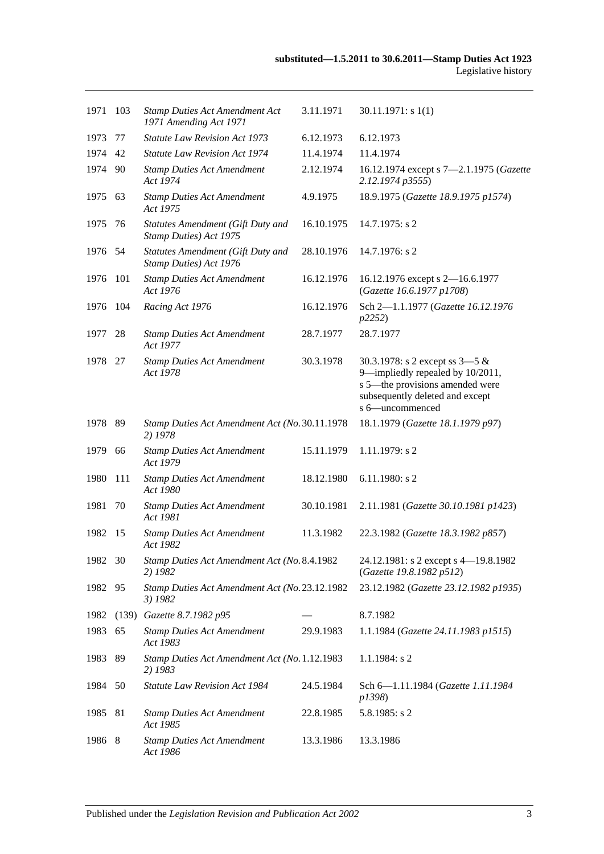| 1971    | 103   | <b>Stamp Duties Act Amendment Act</b><br>1971 Amending Act 1971    | 3.11.1971  | 30.11.1971: s1(1)                                                                                                                                             |
|---------|-------|--------------------------------------------------------------------|------------|---------------------------------------------------------------------------------------------------------------------------------------------------------------|
| 1973    | 77    | <b>Statute Law Revision Act 1973</b>                               | 6.12.1973  | 6.12.1973                                                                                                                                                     |
| 1974    | 42    | <b>Statute Law Revision Act 1974</b>                               | 11.4.1974  | 11.4.1974                                                                                                                                                     |
| 1974    | -90   | <b>Stamp Duties Act Amendment</b><br>Act 1974                      | 2.12.1974  | 16.12.1974 except s 7-2.1.1975 (Gazette<br>2.12.1974 p3555)                                                                                                   |
| 1975 63 |       | <b>Stamp Duties Act Amendment</b><br>Act 1975                      | 4.9.1975   | 18.9.1975 (Gazette 18.9.1975 p1574)                                                                                                                           |
| 1975    | - 76  | <b>Statutes Amendment (Gift Duty and</b><br>Stamp Duties) Act 1975 | 16.10.1975 | $14.7.1975$ : s 2                                                                                                                                             |
| 1976 54 |       | <b>Statutes Amendment (Gift Duty and</b><br>Stamp Duties) Act 1976 | 28.10.1976 | 14.7.1976: s 2                                                                                                                                                |
| 1976    | 101   | <b>Stamp Duties Act Amendment</b><br>Act 1976                      | 16.12.1976 | 16.12.1976 except s 2-16.6.1977<br>(Gazette 16.6.1977 p1708)                                                                                                  |
| 1976    | 104   | Racing Act 1976                                                    | 16.12.1976 | Sch 2-1.1.1977 (Gazette 16.12.1976<br>p2252)                                                                                                                  |
| 1977    | -28   | <b>Stamp Duties Act Amendment</b><br>Act 1977                      | 28.7.1977  | 28.7.1977                                                                                                                                                     |
| 1978 27 |       | <b>Stamp Duties Act Amendment</b><br>Act 1978                      | 30.3.1978  | 30.3.1978: s 2 except ss $3-5 &$<br>9-impliedly repealed by 10/2011,<br>s 5-the provisions amended were<br>subsequently deleted and except<br>s 6-uncommenced |
| 1978 89 |       | Stamp Duties Act Amendment Act (No. 30.11.1978)<br>2) 1978         |            | 18.1.1979 (Gazette 18.1.1979 p97)                                                                                                                             |
| 1979    | 66    | <b>Stamp Duties Act Amendment</b><br>Act 1979                      | 15.11.1979 | 1.11.1979: s 2                                                                                                                                                |
| 1980    | 111   | <b>Stamp Duties Act Amendment</b><br>Act 1980                      | 18.12.1980 | $6.11.1980$ : s 2                                                                                                                                             |
| 1981    | 70    | <b>Stamp Duties Act Amendment</b><br>Act 1981                      | 30.10.1981 | 2.11.1981 (Gazette 30.10.1981 p1423)                                                                                                                          |
| 1982    | -15   | <b>Stamp Duties Act Amendment</b><br>Act 1982                      | 11.3.1982  | 22.3.1982 (Gazette 18.3.1982 p857)                                                                                                                            |
| 1982    | - 30  | Stamp Duties Act Amendment Act (No. 8.4.1982<br>2) 1982            |            | 24.12.1981: s 2 except s 4-19.8.1982<br>(Gazette 19.8.1982 p512)                                                                                              |
| 1982 95 |       | Stamp Duties Act Amendment Act (No. 23.12.1982<br>3) 1982          |            | 23.12.1982 (Gazette 23.12.1982 p1935)                                                                                                                         |
| 1982    | (139) | Gazette 8.7.1982 p95                                               |            | 8.7.1982                                                                                                                                                      |
| 1983    | 65    | <b>Stamp Duties Act Amendment</b><br>Act 1983                      | 29.9.1983  | 1.1.1984 (Gazette 24.11.1983 p1515)                                                                                                                           |
| 1983    | 89    | Stamp Duties Act Amendment Act (No. 1.12.1983<br>2) 1983           |            | $1.1.1984$ : s 2                                                                                                                                              |
| 1984 50 |       | Statute Law Revision Act 1984                                      | 24.5.1984  | Sch 6-1.11.1984 (Gazette 1.11.1984<br>p1398)                                                                                                                  |
| 1985    | 81    | <b>Stamp Duties Act Amendment</b><br>Act 1985                      | 22.8.1985  | $5.8.1985$ : s 2                                                                                                                                              |
| 1986 8  |       | <b>Stamp Duties Act Amendment</b><br>Act 1986                      | 13.3.1986  | 13.3.1986                                                                                                                                                     |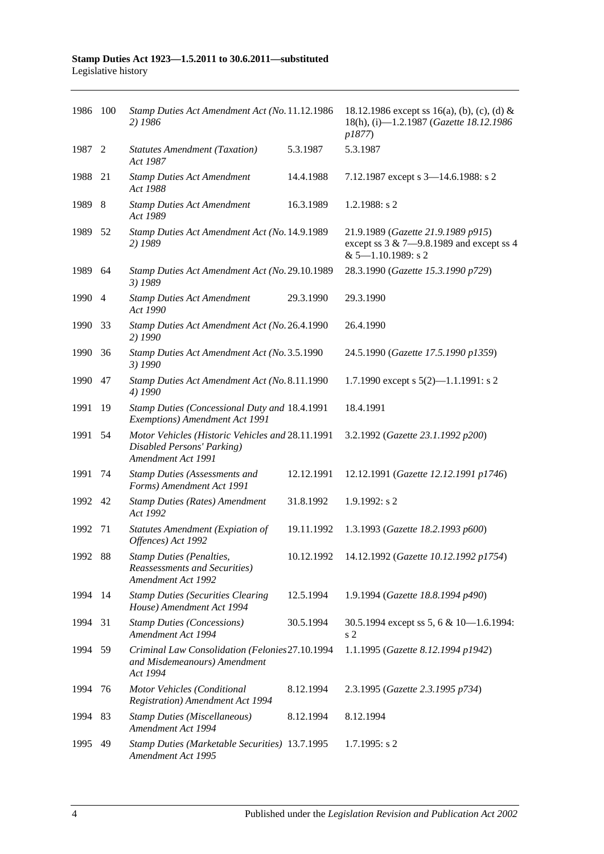| 1986 100 |      | Stamp Duties Act Amendment Act (No. 11.12.1986<br>2) 1986                                            |            | 18.12.1986 except ss 16(a), (b), (c), (d) &<br>18(h), (i)-1.2.1987 (Gazette 18.12.1986<br><i>p1877</i> )      |
|----------|------|------------------------------------------------------------------------------------------------------|------------|---------------------------------------------------------------------------------------------------------------|
| 1987 2   |      | <b>Statutes Amendment (Taxation)</b><br>Act 1987                                                     | 5.3.1987   | 5.3.1987                                                                                                      |
| 1988     | 21   | <b>Stamp Duties Act Amendment</b><br>Act 1988                                                        | 14.4.1988  | 7.12.1987 except s 3-14.6.1988: s 2                                                                           |
| 1989     | -8   | <b>Stamp Duties Act Amendment</b><br>Act 1989                                                        | 16.3.1989  | 1.2.1988: s 2                                                                                                 |
| 1989     | - 52 | Stamp Duties Act Amendment Act (No. 14.9.1989<br>2) 1989                                             |            | 21.9.1989 (Gazette 21.9.1989 p915)<br>except ss $3 & 7 - 9.8.1989$ and except ss 4<br>$& 5 - 1.10.1989$ : s 2 |
| 1989     | 64   | Stamp Duties Act Amendment Act (No. 29.10.1989<br>3) 1989                                            |            | 28.3.1990 (Gazette 15.3.1990 p729)                                                                            |
| 1990 4   |      | <b>Stamp Duties Act Amendment</b><br>Act 1990                                                        | 29.3.1990  | 29.3.1990                                                                                                     |
| 1990     | 33   | Stamp Duties Act Amendment Act (No. 26.4.1990<br>2) 1990                                             |            | 26.4.1990                                                                                                     |
| 1990     | 36   | Stamp Duties Act Amendment Act (No. 3.5.1990<br>3) 1990                                              |            | 24.5.1990 (Gazette 17.5.1990 p1359)                                                                           |
| 1990     | 47   | Stamp Duties Act Amendment Act (No. 8.11.1990<br>4) 1990                                             |            | 1.7.1990 except s $5(2)$ —1.1.1991: s 2                                                                       |
| 1991     | 19   | Stamp Duties (Concessional Duty and 18.4.1991<br>Exemptions) Amendment Act 1991                      |            | 18.4.1991                                                                                                     |
| 1991     | 54   | Motor Vehicles (Historic Vehicles and 28.11.1991<br>Disabled Persons' Parking)<br>Amendment Act 1991 |            | 3.2.1992 (Gazette 23.1.1992 p200)                                                                             |
| 1991     | 74   | <b>Stamp Duties (Assessments and</b><br>Forms) Amendment Act 1991                                    | 12.12.1991 | 12.12.1991 (Gazette 12.12.1991 p1746)                                                                         |
| 1992 42  |      | <b>Stamp Duties (Rates) Amendment</b><br>Act 1992                                                    | 31.8.1992  | 1.9.1992: s2                                                                                                  |
| 1992     | 71   | Statutes Amendment (Expiation of<br>Offences) Act 1992                                               | 19.11.1992 | 1.3.1993 (Gazette 18.2.1993 p600)                                                                             |
| 1992 88  |      | <b>Stamp Duties (Penalties,</b><br><b>Reassessments and Securities</b> )<br>Amendment Act 1992       | 10.12.1992 | 14.12.1992 (Gazette 10.12.1992 p1754)                                                                         |
| 1994 14  |      | <b>Stamp Duties (Securities Clearing</b><br>House) Amendment Act 1994                                | 12.5.1994  | 1.9.1994 (Gazette 18.8.1994 p490)                                                                             |
| 1994     | 31   | <b>Stamp Duties (Concessions)</b><br>Amendment Act 1994                                              | 30.5.1994  | 30.5.1994 except ss 5, 6 & 10-1.6.1994:<br>s <sub>2</sub>                                                     |
| 1994     | -59  | Criminal Law Consolidation (Felonies27.10.1994<br>and Misdemeanours) Amendment<br>Act 1994           |            | 1.1.1995 (Gazette 8.12.1994 p1942)                                                                            |
| 1994     | 76   | Motor Vehicles (Conditional<br><b>Registration</b> ) Amendment Act 1994                              | 8.12.1994  | 2.3.1995 (Gazette 2.3.1995 p734)                                                                              |
| 1994     | 83   | <b>Stamp Duties (Miscellaneous)</b><br>Amendment Act 1994                                            | 8.12.1994  | 8.12.1994                                                                                                     |
| 1995     | 49   | Stamp Duties (Marketable Securities) 13.7.1995<br>Amendment Act 1995                                 |            | 1.7.1995: s2                                                                                                  |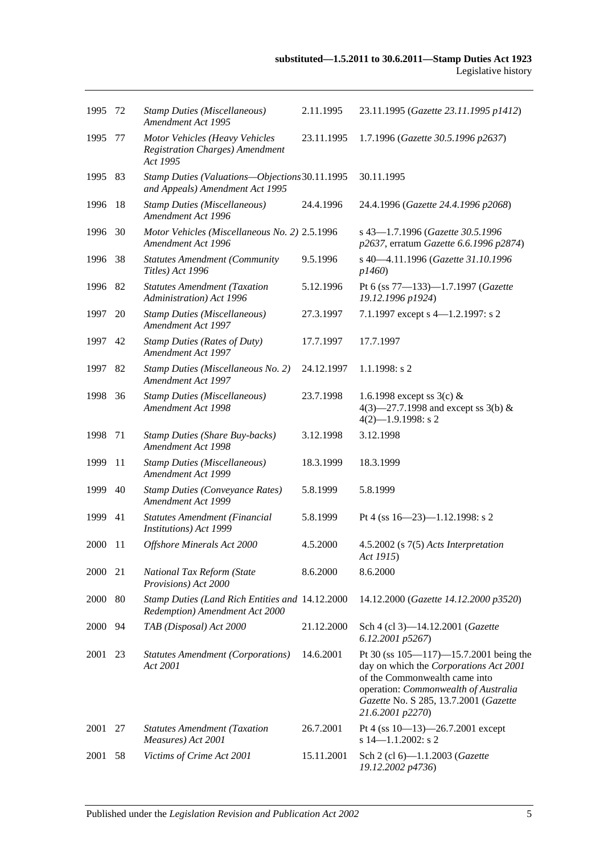| 1995    | -72 | <b>Stamp Duties (Miscellaneous)</b><br>Amendment Act 1995                            | 2.11.1995  | 23.11.1995 (Gazette 23.11.1995 p1412)                                                                                                                                                                                        |
|---------|-----|--------------------------------------------------------------------------------------|------------|------------------------------------------------------------------------------------------------------------------------------------------------------------------------------------------------------------------------------|
| 1995    | 77  | Motor Vehicles (Heavy Vehicles<br><b>Registration Charges)</b> Amendment<br>Act 1995 | 23.11.1995 | 1.7.1996 (Gazette 30.5.1996 p2637)                                                                                                                                                                                           |
| 1995    | 83  | Stamp Duties (Valuations-Objections 30.11.1995<br>and Appeals) Amendment Act 1995    |            | 30.11.1995                                                                                                                                                                                                                   |
| 1996    | 18  | <b>Stamp Duties (Miscellaneous)</b><br>Amendment Act 1996                            | 24.4.1996  | 24.4.1996 (Gazette 24.4.1996 p2068)                                                                                                                                                                                          |
| 1996    | 30  | Motor Vehicles (Miscellaneous No. 2) 2.5.1996<br>Amendment Act 1996                  |            | s 43-1.7.1996 (Gazette 30.5.1996<br>p2637, erratum Gazette 6.6.1996 p2874)                                                                                                                                                   |
| 1996    | 38  | <b>Statutes Amendment (Community</b><br>Titles) Act 1996                             | 9.5.1996   | s 40-4.11.1996 (Gazette 31.10.1996<br>p1460)                                                                                                                                                                                 |
| 1996    | 82  | <b>Statutes Amendment (Taxation</b><br>Administration) Act 1996                      | 5.12.1996  | Pt 6 (ss 77-133)-1.7.1997 (Gazette<br>19.12.1996 p1924)                                                                                                                                                                      |
| 1997    | 20  | <b>Stamp Duties (Miscellaneous)</b><br>Amendment Act 1997                            | 27.3.1997  | 7.1.1997 except s 4-1.2.1997: s 2                                                                                                                                                                                            |
| 1997    | 42  | <b>Stamp Duties (Rates of Duty)</b><br>Amendment Act 1997                            | 17.7.1997  | 17.7.1997                                                                                                                                                                                                                    |
| 1997    | 82  | Stamp Duties (Miscellaneous No. 2)<br><b>Amendment Act 1997</b>                      | 24.12.1997 | 1.1.1998: s2                                                                                                                                                                                                                 |
| 1998    | 36  | <b>Stamp Duties (Miscellaneous)</b><br>Amendment Act 1998                            | 23.7.1998  | 1.6.1998 except ss $3(c)$ &<br>4(3)–27.7.1998 and except ss 3(b) &<br>$4(2)$ -1.9.1998: s 2                                                                                                                                  |
| 1998    | 71  | <b>Stamp Duties (Share Buy-backs)</b><br>Amendment Act 1998                          | 3.12.1998  | 3.12.1998                                                                                                                                                                                                                    |
| 1999    | 11  | <b>Stamp Duties (Miscellaneous)</b><br>Amendment Act 1999                            | 18.3.1999  | 18.3.1999                                                                                                                                                                                                                    |
| 1999    | 40  | <b>Stamp Duties (Conveyance Rates)</b><br>Amendment Act 1999                         | 5.8.1999   | 5.8.1999                                                                                                                                                                                                                     |
| 1999    | 41  | <b>Statutes Amendment (Financial</b><br>Institutions) Act 1999                       | 5.8.1999   | Pt 4 (ss $16 - 23$ )-1.12.1998: s 2                                                                                                                                                                                          |
| 2000    | -11 | Offshore Minerals Act 2000                                                           | 4.5.2000   | 4.5.2002 (s 7(5) Acts Interpretation<br>Act 1915)                                                                                                                                                                            |
| 2000    | 21  | National Tax Reform (State<br>Provisions) Act 2000                                   | 8.6.2000   | 8.6.2000                                                                                                                                                                                                                     |
| 2000 80 |     | Stamp Duties (Land Rich Entities and 14.12.2000<br>Redemption) Amendment Act 2000    |            | 14.12.2000 (Gazette 14.12.2000 p3520)                                                                                                                                                                                        |
| 2000    | 94  | TAB (Disposal) Act 2000                                                              | 21.12.2000 | Sch 4 (cl 3)-14.12.2001 (Gazette<br>6.12.2001 p5267)                                                                                                                                                                         |
| 2001    | 23  | <b>Statutes Amendment (Corporations)</b><br>Act 2001                                 | 14.6.2001  | Pt 30 (ss $105 - 117$ ) -15.7.2001 being the<br>day on which the Corporations Act 2001<br>of the Commonwealth came into<br>operation: Commonwealth of Australia<br>Gazette No. S 285, 13.7.2001 (Gazette<br>21.6.2001 p2270) |
| 2001    | 27  | <b>Statutes Amendment (Taxation</b><br>Measures) Act 2001                            | 26.7.2001  | Pt 4 (ss $10-13$ )-26.7.2001 except<br>s $14 - 1.1.2002$ : s 2                                                                                                                                                               |
| 2001    | 58  | Victims of Crime Act 2001                                                            | 15.11.2001 | Sch 2 (cl 6)-1.1.2003 (Gazette<br>19.12.2002 p4736)                                                                                                                                                                          |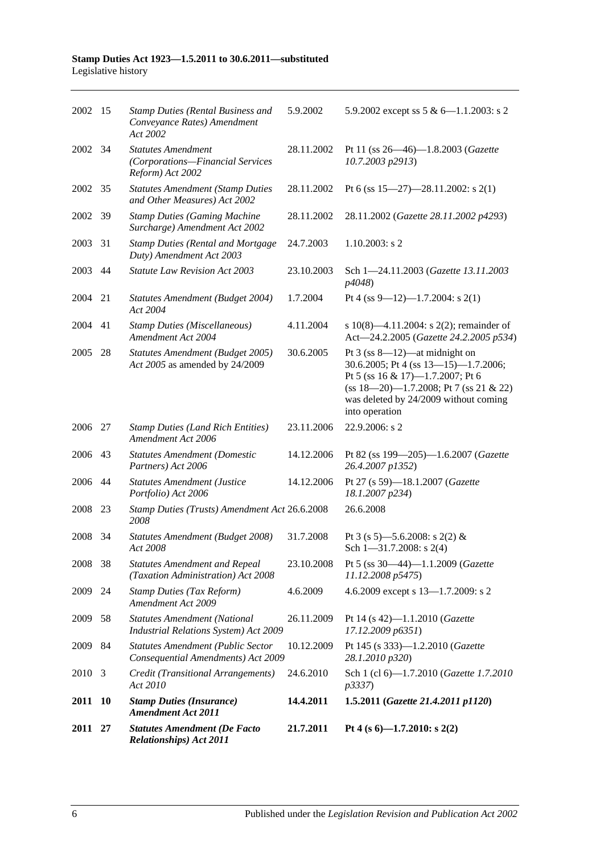| 2011 27 |           | <b>Statutes Amendment (De Facto</b><br><b>Relationships</b> ) Act 2011              | 21.7.2011  | Pt 4 (s $6$ )-1.7.2010: s 2(2)                                                                                                                                                                                             |
|---------|-----------|-------------------------------------------------------------------------------------|------------|----------------------------------------------------------------------------------------------------------------------------------------------------------------------------------------------------------------------------|
| 2011    | <b>10</b> | <b>Stamp Duties (Insurance)</b><br><b>Amendment Act 2011</b>                        | 14.4.2011  | 1.5.2011 (Gazette 21.4.2011 p1120)                                                                                                                                                                                         |
| 2010    | 3         | Credit (Transitional Arrangements)<br>Act 2010                                      | 24.6.2010  | Sch 1 (cl 6)-1.7.2010 (Gazette 1.7.2010<br>p3337)                                                                                                                                                                          |
| 2009    | 84        | <b>Statutes Amendment (Public Sector</b><br>Consequential Amendments) Act 2009      | 10.12.2009 | Pt 145 (s 333)-1.2.2010 (Gazette<br>28.1.2010 p320)                                                                                                                                                                        |
| 2009    | 58        | <b>Statutes Amendment (National</b><br><b>Industrial Relations System) Act 2009</b> | 26.11.2009 | Pt 14 (s 42)-1.1.2010 (Gazette<br>17.12.2009 p6351)                                                                                                                                                                        |
| 2009    | 24        | <b>Stamp Duties (Tax Reform)</b><br>Amendment Act 2009                              | 4.6.2009   | 4.6.2009 except s 13-1.7.2009: s 2                                                                                                                                                                                         |
| 2008    | 38        | <b>Statutes Amendment and Repeal</b><br>(Taxation Administration) Act 2008          | 23.10.2008 | Pt 5 (ss 30-44)-1.1.2009 (Gazette<br>11.12.2008 p5475)                                                                                                                                                                     |
| 2008    | 34        | Statutes Amendment (Budget 2008)<br>Act 2008                                        | 31.7.2008  | Pt 3 (s 5)—5.6.2008: s 2(2) &<br>Sch $1 - 31.7.2008$ : s 2(4)                                                                                                                                                              |
| 2008    | 23        | Stamp Duties (Trusts) Amendment Act 26.6.2008<br>2008                               |            | 26.6.2008                                                                                                                                                                                                                  |
| 2006 44 |           | <b>Statutes Amendment (Justice</b><br>Portfolio) Act 2006                           | 14.12.2006 | Pt 27 (s 59)-18.1.2007 (Gazette<br>18.1.2007 p234)                                                                                                                                                                         |
| 2006    | 43        | <b>Statutes Amendment (Domestic</b><br>Partners) Act 2006                           | 14.12.2006 | Pt 82 (ss 199-205)-1.6.2007 (Gazette<br>26.4.2007 p1352)                                                                                                                                                                   |
| 2006 27 |           | <b>Stamp Duties (Land Rich Entities)</b><br>Amendment Act 2006                      | 23.11.2006 | 22.9.2006: s 2                                                                                                                                                                                                             |
| 2005    | 28        | Statutes Amendment (Budget 2005)<br>Act 2005 as amended by 24/2009                  | 30.6.2005  | Pt $3$ (ss $8-12$ )—at midnight on<br>30.6.2005; Pt 4 (ss 13-15)-1.7.2006;<br>Pt 5 (ss $16 \& 17$ )-1.7.2007; Pt 6<br>$(ss 18-20)$ -1.7.2008; Pt 7 (ss 21 & 22)<br>was deleted by 24/2009 without coming<br>into operation |
| 2004    | 41        | <b>Stamp Duties (Miscellaneous)</b><br>Amendment Act 2004                           | 4.11.2004  | s $10(8)$ —4.11.2004: s $2(2)$ ; remainder of<br>Act-24.2.2005 (Gazette 24.2.2005 p534)                                                                                                                                    |
| 2004    | 21        | Statutes Amendment (Budget 2004)<br>Act 2004                                        | 1.7.2004   | Pt 4 (ss 9-12)-1.7.2004: s 2(1)                                                                                                                                                                                            |
| 2003    | 44        | <b>Statute Law Revision Act 2003</b>                                                | 23.10.2003 | Sch 1-24.11.2003 (Gazette 13.11.2003<br><i>p4048</i> )                                                                                                                                                                     |
| 2003    | 31        | <b>Stamp Duties (Rental and Mortgage</b><br>Duty) Amendment Act 2003                | 24.7.2003  | $1.10.2003$ : s 2                                                                                                                                                                                                          |
| 2002    | -39       | <b>Stamp Duties (Gaming Machine</b><br>Surcharge) Amendment Act 2002                | 28.11.2002 | 28.11.2002 (Gazette 28.11.2002 p4293)                                                                                                                                                                                      |
| 2002 35 |           | <b>Statutes Amendment (Stamp Duties</b><br>and Other Measures) Act 2002             | 28.11.2002 | Pt 6 (ss $15-27$ )-28.11.2002: s 2(1)                                                                                                                                                                                      |
| 2002    | - 34      | <b>Statutes Amendment</b><br>(Corporations-Financial Services<br>Reform) Act 2002   | 28.11.2002 | Pt 11 (ss 26—46)—1.8.2003 (Gazette<br>10.7.2003 p2913)                                                                                                                                                                     |
| 2002 15 |           | <b>Stamp Duties (Rental Business and</b><br>Conveyance Rates) Amendment<br>Act 2002 | 5.9.2002   | 5.9.2002 except ss $5 & 6 - 1.1.2003$ : s 2                                                                                                                                                                                |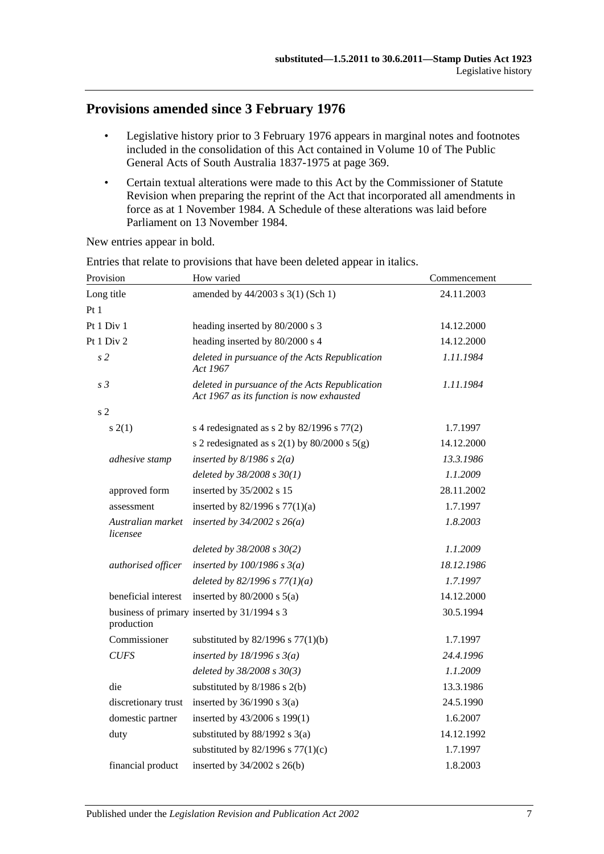# **Provisions amended since 3 February 1976**

- Legislative history prior to 3 February 1976 appears in marginal notes and footnotes included in the consolidation of this Act contained in Volume 10 of The Public General Acts of South Australia 1837-1975 at page 369.
- Certain textual alterations were made to this Act by the Commissioner of Statute Revision when preparing the reprint of the Act that incorporated all amendments in force as at 1 November 1984. A Schedule of these alterations was laid before Parliament on 13 November 1984.

New entries appear in bold.

| How varied                                                                                  | Commencement |  |
|---------------------------------------------------------------------------------------------|--------------|--|
| amended by 44/2003 s 3(1) (Sch 1)                                                           | 24.11.2003   |  |
|                                                                                             |              |  |
| heading inserted by 80/2000 s 3                                                             | 14.12.2000   |  |
| heading inserted by 80/2000 s 4                                                             | 14.12.2000   |  |
| deleted in pursuance of the Acts Republication<br>Act 1967                                  | 1.11.1984    |  |
| deleted in pursuance of the Acts Republication<br>Act 1967 as its function is now exhausted | 1.11.1984    |  |
|                                                                                             |              |  |
| s 4 redesignated as s $2$ by $82/1996$ s $77(2)$                                            | 1.7.1997     |  |
| s 2 redesignated as s $2(1)$ by $80/2000$ s $5(g)$                                          | 14.12.2000   |  |
| inserted by $8/1986$ s $2(a)$                                                               | 13.3.1986    |  |
| deleted by $38/2008 s 30(1)$                                                                | 1.1.2009     |  |
| inserted by 35/2002 s 15                                                                    | 28.11.2002   |  |
| inserted by $82/1996$ s $77(1)(a)$                                                          | 1.7.1997     |  |
| inserted by $34/2002$ s $26(a)$                                                             | 1.8.2003     |  |
| deleted by 38/2008 s 30(2)                                                                  | 1.1.2009     |  |
| inserted by $100/1986$ s $3(a)$                                                             | 18.12.1986   |  |
| deleted by $82/1996 s 77(1)(a)$                                                             | 1.7.1997     |  |
| inserted by $80/2000$ s $5(a)$                                                              | 14.12.2000   |  |
| business of primary inserted by 31/1994 s 3                                                 | 30.5.1994    |  |
| substituted by $82/1996$ s $77(1)(b)$                                                       | 1.7.1997     |  |
| inserted by $18/1996 s 3(a)$                                                                | 24.4.1996    |  |
| deleted by 38/2008 s 30(3)                                                                  | 1.1.2009     |  |
| substituted by 8/1986 s 2(b)                                                                | 13.3.1986    |  |
| inserted by $36/1990$ s $3(a)$                                                              | 24.5.1990    |  |
| inserted by 43/2006 s 199(1)                                                                | 1.6.2007     |  |
| substituted by $88/1992$ s $3(a)$                                                           | 14.12.1992   |  |
| substituted by $82/1996$ s $77(1)(c)$                                                       | 1.7.1997     |  |
| inserted by $34/2002$ s $26(b)$                                                             | 1.8.2003     |  |
|                                                                                             |              |  |

Entries that relate to provisions that have been deleted appear in italics.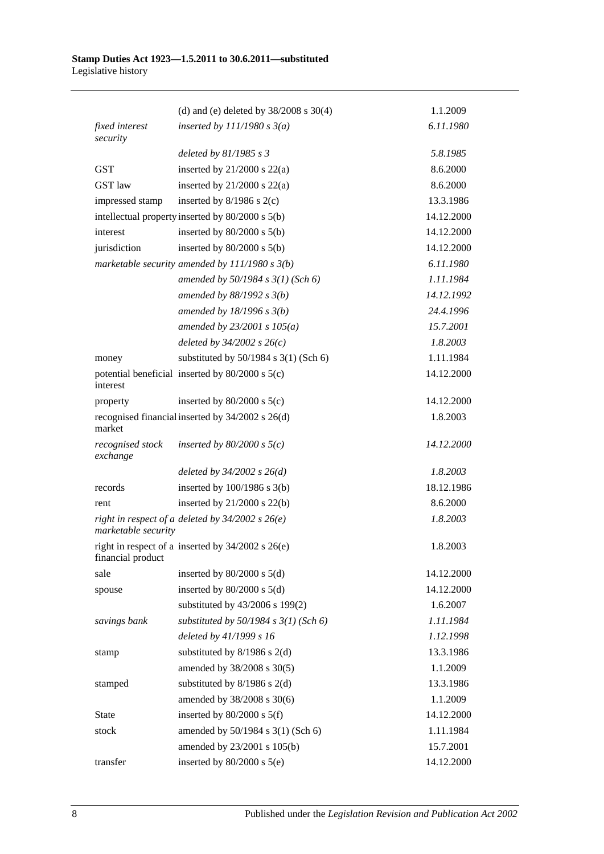|                              | (d) and (e) deleted by $38/2008$ s $30(4)$            | 1.1.2009   |
|------------------------------|-------------------------------------------------------|------------|
| fixed interest               | inserted by $111/1980 s 3(a)$                         | 6.11.1980  |
| security                     | deleted by $81/1985 s 3$                              | 5.8.1985   |
| <b>GST</b>                   | inserted by $21/2000$ s $22(a)$                       | 8.6.2000   |
| <b>GST</b> law               | inserted by $21/2000$ s $22(a)$                       | 8.6.2000   |
| impressed stamp              | inserted by $8/1986$ s $2(c)$                         | 13.3.1986  |
|                              | intellectual property inserted by 80/2000 s 5(b)      | 14.12.2000 |
| interest                     | inserted by $80/2000$ s $5(b)$                        | 14.12.2000 |
| jurisdiction                 | inserted by $80/2000$ s $5(b)$                        | 14.12.2000 |
|                              | marketable security amended by $111/1980 s 3(b)$      | 6.11.1980  |
|                              | amended by $50/1984$ s $3(1)$ (Sch 6)                 | 1.11.1984  |
|                              | amended by $88/1992$ s $3(b)$                         | 14.12.1992 |
|                              | amended by $18/1996$ s $3(b)$                         | 24.4.1996  |
|                              | amended by $23/2001 s 105(a)$                         | 15.7.2001  |
|                              | deleted by $34/2002$ s $26(c)$                        | 1.8.2003   |
| money                        | substituted by $50/1984$ s $3(1)$ (Sch 6)             | 1.11.1984  |
|                              | potential beneficial inserted by $80/2000$ s $5(c)$   | 14.12.2000 |
| interest                     |                                                       |            |
| property                     | inserted by $80/2000$ s $5(c)$                        | 14.12.2000 |
| market                       | recognised financial inserted by 34/2002 s 26(d)      | 1.8.2003   |
| recognised stock<br>exchange | inserted by $80/2000$ s $5(c)$                        | 14.12.2000 |
|                              | deleted by $34/2002$ s $26(d)$                        | 1.8.2003   |
| records                      | inserted by $100/1986$ s $3(b)$                       | 18.12.1986 |
| rent                         | inserted by $21/2000$ s $22(b)$                       | 8.6.2000   |
| marketable security          | right in respect of a deleted by $34/2002$ s $26(e)$  | 1.8.2003   |
| financial product            | right in respect of a inserted by $34/2002$ s $26(e)$ | 1.8.2003   |
| sale                         | inserted by $80/2000$ s $5(d)$                        | 14.12.2000 |
| spouse                       | inserted by $80/2000$ s $5(d)$                        | 14.12.2000 |
|                              | substituted by 43/2006 s 199(2)                       | 1.6.2007   |
| savings bank                 | substituted by $50/1984$ s $3(1)$ (Sch 6)             | 1.11.1984  |
|                              | deleted by 41/1999 s 16                               | 1.12.1998  |
| stamp                        | substituted by $8/1986$ s $2(d)$                      | 13.3.1986  |
|                              | amended by 38/2008 s 30(5)                            | 1.1.2009   |
| stamped                      | substituted by $8/1986$ s $2(d)$                      | 13.3.1986  |
|                              | amended by 38/2008 s 30(6)                            | 1.1.2009   |
| State                        | inserted by $80/2000$ s $5(f)$                        | 14.12.2000 |
| stock                        | amended by 50/1984 s 3(1) (Sch 6)                     | 1.11.1984  |
|                              | amended by 23/2001 s 105(b)                           | 15.7.2001  |
| transfer                     | inserted by $80/2000$ s $5(e)$                        | 14.12.2000 |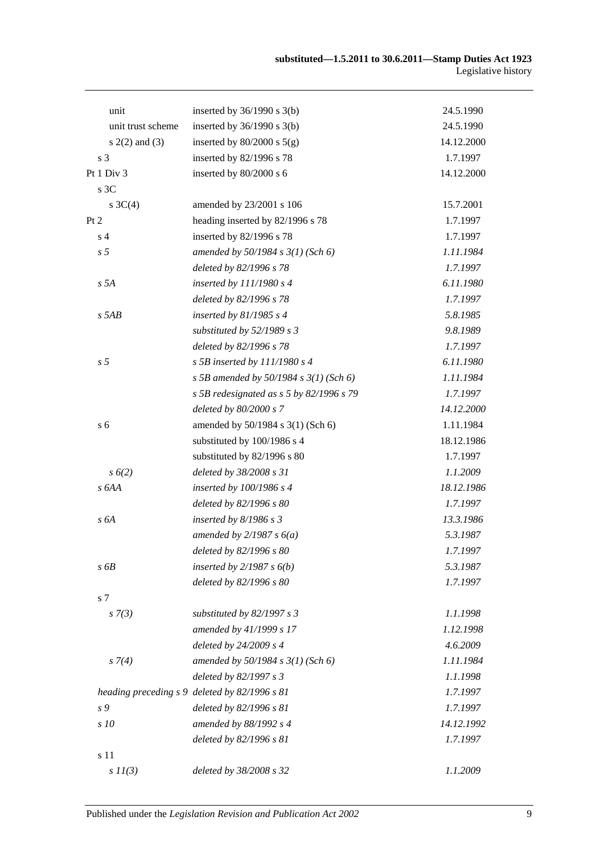| unit               | inserted by $36/1990$ s $3(b)$                | 24.5.1990  |
|--------------------|-----------------------------------------------|------------|
| unit trust scheme  | inserted by $36/1990$ s $3(b)$                | 24.5.1990  |
| $s(2(2)$ and $(3)$ | inserted by $80/2000$ s $5(g)$                | 14.12.2000 |
| s <sub>3</sub>     | inserted by 82/1996 s 78                      | 1.7.1997   |
| Pt 1 Div 3         | inserted by 80/2000 s 6                       | 14.12.2000 |
| s 3C               |                                               |            |
| s $3C(4)$          | amended by 23/2001 s 106                      | 15.7.2001  |
| Pt 2               | heading inserted by 82/1996 s 78              | 1.7.1997   |
| s <sub>4</sub>     | inserted by 82/1996 s 78                      | 1.7.1997   |
| s <sub>5</sub>     | amended by $50/1984$ s $3(1)$ (Sch 6)         | 1.11.1984  |
|                    | deleted by 82/1996 s 78                       | 1.7.1997   |
| s 5A               | inserted by $111/1980 s 4$                    | 6.11.1980  |
|                    | deleted by 82/1996 s 78                       | 1.7.1997   |
| $s$ 5AB            | inserted by $81/1985$ s 4                     | 5.8.1985   |
|                    | substituted by $52/1989$ s 3                  | 9.8.1989   |
|                    | deleted by 82/1996 s 78                       | 1.7.1997   |
| s <sub>5</sub>     | s 5B inserted by $111/1980$ s 4               | 6.11.1980  |
|                    | s 5B amended by 50/1984 s $3(1)$ (Sch 6)      | 1.11.1984  |
|                    | s 5B redesignated as $s$ 5 by 82/1996 s 79    | 1.7.1997   |
|                    | deleted by 80/2000 s 7                        | 14.12.2000 |
| s <sub>6</sub>     | amended by 50/1984 s 3(1) (Sch 6)             | 1.11.1984  |
|                    | substituted by 100/1986 s 4                   | 18.12.1986 |
|                    | substituted by 82/1996 s 80                   | 1.7.1997   |
| $s\,6(2)$          | deleted by 38/2008 s 31                       | 1.1.2009   |
| s 6AA              | inserted by $100/1986$ s 4                    | 18.12.1986 |
|                    | deleted by 82/1996 s 80                       | 1.7.1997   |
| s6A                | inserted by $8/1986 s 3$                      | 13.3.1986  |
|                    | amended by $2/1987 s 6(a)$                    | 5.3.1987   |
|                    | deleted by 82/1996 s 80                       | 1.7.1997   |
| s6B                | inserted by $2/1987 s 6(b)$                   | 5.3.1987   |
|                    | deleted by 82/1996 s 80                       | 1.7.1997   |
| s 7                |                                               |            |
| $s \, 7(3)$        | substituted by $82/1997 s 3$                  | 1.1.1998   |
|                    | amended by 41/1999 s 17                       | 1.12.1998  |
|                    | deleted by 24/2009 s 4                        | 4.6.2009   |
| $s \, 7(4)$        | amended by $50/1984 s 3(1)$ (Sch 6)           | 1.11.1984  |
|                    | deleted by 82/1997 s 3                        | 1.1.1998   |
|                    | heading preceding s 9 deleted by 82/1996 s 81 | 1.7.1997   |
| s 9                | deleted by 82/1996 s 81                       | 1.7.1997   |
| s 10               | amended by 88/1992 s 4                        | 14.12.1992 |
|                    | deleted by 82/1996 s 81                       | 1.7.1997   |
| s 11               |                                               |            |
| $s$ $11(3)$        | deleted by 38/2008 s 32                       | 1.1.2009   |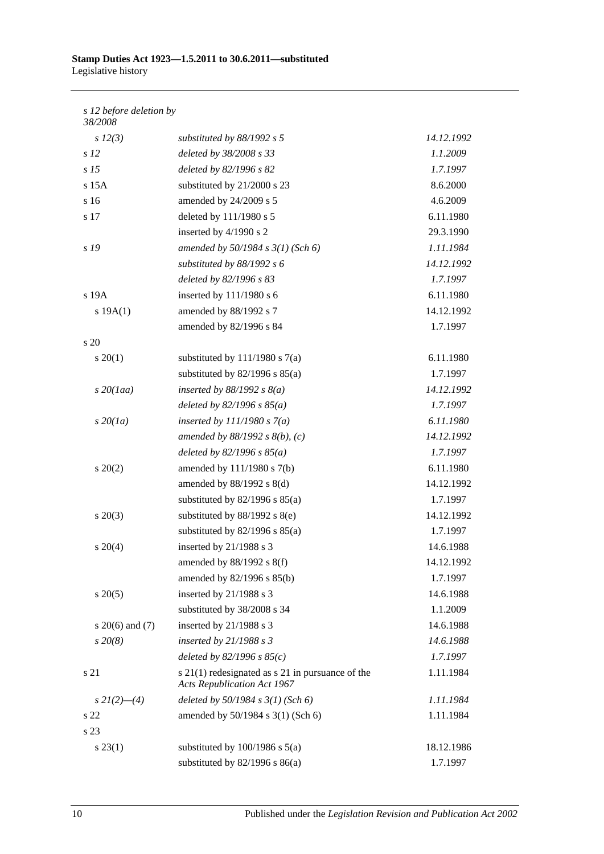### *s 12 before deletion by*

| 38/2008             |                                                                                            |            |
|---------------------|--------------------------------------------------------------------------------------------|------------|
| $s\ 12(3)$          | substituted by $88/1992$ s 5                                                               | 14.12.1992 |
| s <sub>12</sub>     | deleted by 38/2008 s 33                                                                    | 1.1.2009   |
| s <sub>15</sub>     | deleted by 82/1996 s 82                                                                    | 1.7.1997   |
| $s$ 15 $A$          | substituted by 21/2000 s 23                                                                | 8.6.2000   |
| s 16                | amended by 24/2009 s 5                                                                     | 4.6.2009   |
| s 17                | deleted by 111/1980 s 5                                                                    | 6.11.1980  |
|                     | inserted by 4/1990 s 2                                                                     | 29.3.1990  |
| s <sub>19</sub>     | amended by $50/1984 s 3(1)$ (Sch 6)                                                        | 1.11.1984  |
|                     | substituted by $88/1992 s 6$                                                               | 14.12.1992 |
|                     | deleted by 82/1996 s 83                                                                    | 1.7.1997   |
| s 19A               | inserted by 111/1980 s 6                                                                   | 6.11.1980  |
| s 19A(1)            | amended by 88/1992 s 7                                                                     | 14.12.1992 |
|                     | amended by 82/1996 s 84                                                                    | 1.7.1997   |
| $\frac{1}{20}$      |                                                                                            |            |
| $s \ 20(1)$         | substituted by $111/1980$ s $7(a)$                                                         | 6.11.1980  |
|                     | substituted by $82/1996$ s $85(a)$                                                         | 1.7.1997   |
| $s$ 20(1aa)         | inserted by $88/1992 s 8(a)$                                                               | 14.12.1992 |
|                     | deleted by $82/1996 s 85(a)$                                                               | 1.7.1997   |
| $s\,20(1a)$         | inserted by $111/1980 s 7(a)$                                                              | 6.11.1980  |
|                     | amended by $88/1992 s 8(b)$ , (c)                                                          | 14.12.1992 |
|                     | deleted by $82/1996 s 85(a)$                                                               | 1.7.1997   |
| $s \ 20(2)$         | amended by $111/1980$ s $7(b)$                                                             | 6.11.1980  |
|                     | amended by $88/1992$ s $8(d)$                                                              | 14.12.1992 |
|                     | substituted by $82/1996$ s $85(a)$                                                         | 1.7.1997   |
| $s\,20(3)$          | substituted by $88/1992$ s $8(e)$                                                          | 14.12.1992 |
|                     | substituted by $82/1996$ s $85(a)$                                                         | 1.7.1997   |
| $s \ 20(4)$         | inserted by 21/1988 s 3                                                                    | 14.6.1988  |
|                     | amended by $88/1992$ s $8(f)$                                                              | 14.12.1992 |
|                     | amended by 82/1996 s 85(b)                                                                 | 1.7.1997   |
| $s \, 20(5)$        | inserted by 21/1988 s 3                                                                    | 14.6.1988  |
|                     | substituted by 38/2008 s 34                                                                | 1.1.2009   |
| s $20(6)$ and $(7)$ | inserted by 21/1988 s 3                                                                    | 14.6.1988  |
| $s\,20(8)$          | inserted by $21/1988 s 3$                                                                  | 14.6.1988  |
|                     | deleted by $82/1996 s 85(c)$                                                               | 1.7.1997   |
| s 21                | $s$ 21(1) redesignated as $s$ 21 in pursuance of the<br><b>Acts Republication Act 1967</b> | 1.11.1984  |
| $s\,2I(2)$ —(4)     | deleted by $50/1984$ s $3(1)$ (Sch 6)                                                      | 1.11.1984  |
| s 22                | amended by 50/1984 s 3(1) (Sch 6)                                                          | 1.11.1984  |
| s 23                |                                                                                            |            |
| $s\,23(1)$          | substituted by $100/1986$ s $5(a)$                                                         | 18.12.1986 |
|                     | substituted by $82/1996$ s $86(a)$                                                         | 1.7.1997   |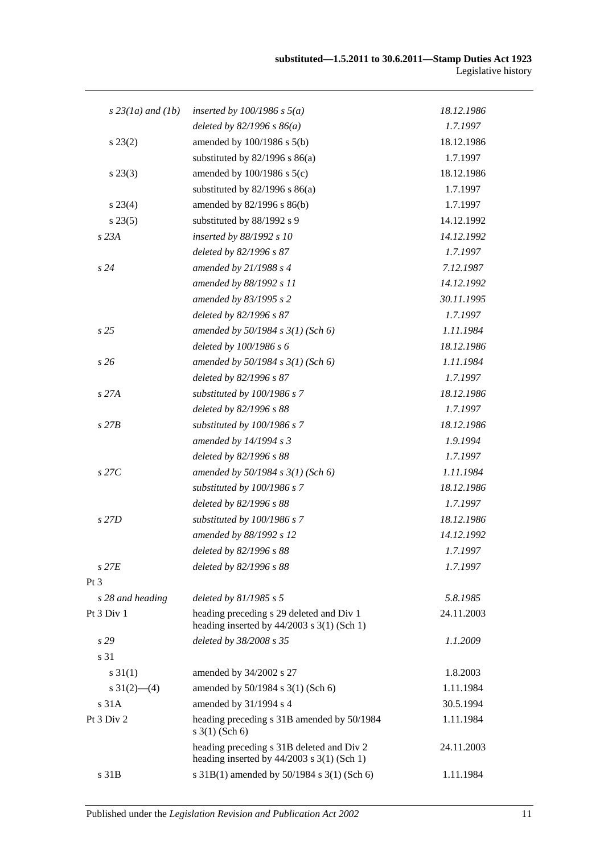| $s$ 23(1a) and (1b) | inserted by $100/1986$ s $5(a)$                                                           | 18.12.1986 |
|---------------------|-------------------------------------------------------------------------------------------|------------|
|                     | deleted by $82/1996 s 86(a)$                                                              | 1.7.1997   |
| $s\,23(2)$          | amended by $100/1986$ s $5(b)$                                                            | 18.12.1986 |
|                     | substituted by $82/1996$ s $86(a)$                                                        | 1.7.1997   |
| $s\,23(3)$          | amended by $100/1986$ s $5(c)$                                                            | 18.12.1986 |
|                     | substituted by $82/1996$ s $86(a)$                                                        | 1.7.1997   |
| $s\,23(4)$          | amended by 82/1996 s 86(b)                                                                | 1.7.1997   |
| s 23(5)             | substituted by 88/1992 s 9                                                                | 14.12.1992 |
| s 23A               | inserted by 88/1992 s 10                                                                  | 14.12.1992 |
|                     | deleted by 82/1996 s 87                                                                   | 1.7.1997   |
| s24                 | amended by $21/1988 s 4$                                                                  | 7.12.1987  |
|                     | amended by 88/1992 s 11                                                                   | 14.12.1992 |
|                     | amended by 83/1995 s 2                                                                    | 30.11.1995 |
|                     | deleted by 82/1996 s 87                                                                   | 1.7.1997   |
| s <sub>25</sub>     | amended by $50/1984 s 3(1)$ (Sch 6)                                                       | 1.11.1984  |
|                     | deleted by 100/1986 s 6                                                                   | 18.12.1986 |
| s26                 | amended by $50/1984 s 3(1)$ (Sch 6)                                                       | 1.11.1984  |
|                     | deleted by 82/1996 s 87                                                                   | 1.7.1997   |
| s 27A               | substituted by 100/1986 s 7                                                               | 18.12.1986 |
|                     | deleted by 82/1996 s 88                                                                   | 1.7.1997   |
| $s$ 27 $B$          | substituted by 100/1986 s 7                                                               | 18.12.1986 |
|                     | amended by $14/1994 s 3$                                                                  | 1.9.1994   |
|                     | deleted by 82/1996 s 88                                                                   | 1.7.1997   |
| $s$ 27 $C$          | amended by $50/1984 s 3(1)$ (Sch 6)                                                       | 1.11.1984  |
|                     | substituted by 100/1986 s 7                                                               | 18.12.1986 |
|                     | deleted by 82/1996 s 88                                                                   | 1.7.1997   |
| s 27D               | substituted by 100/1986 s 7                                                               | 18.12.1986 |
|                     | amended by 88/1992 s 12                                                                   | 14.12.1992 |
|                     | deleted by 82/1996 s 88                                                                   | 1.7.1997   |
| $s$ 27 $E$          | deleted by 82/1996 s 88                                                                   | 1.7.1997   |
| Pt <sub>3</sub>     |                                                                                           |            |
| s 28 and heading    | deleted by $81/1985 s 5$                                                                  | 5.8.1985   |
| Pt 3 Div 1          | heading preceding s 29 deleted and Div 1<br>heading inserted by $44/2003$ s 3(1) (Sch 1)  | 24.11.2003 |
| s29                 | deleted by 38/2008 s 35                                                                   | 1.1.2009   |
| s 31                |                                                                                           |            |
| $s \, 31(1)$        | amended by 34/2002 s 27                                                                   | 1.8.2003   |
| s $31(2)$ —(4)      | amended by $50/1984$ s $3(1)$ (Sch 6)                                                     | 1.11.1984  |
| s 31A               | amended by 31/1994 s 4                                                                    | 30.5.1994  |
| Pt 3 Div 2          | heading preceding s 31B amended by 50/1984<br>$s \; 3(1)$ (Sch 6)                         | 1.11.1984  |
|                     | heading preceding s 31B deleted and Div 2<br>heading inserted by $44/2003$ s 3(1) (Sch 1) | 24.11.2003 |
| s 31B               | s 31B(1) amended by 50/1984 s 3(1) (Sch 6)                                                | 1.11.1984  |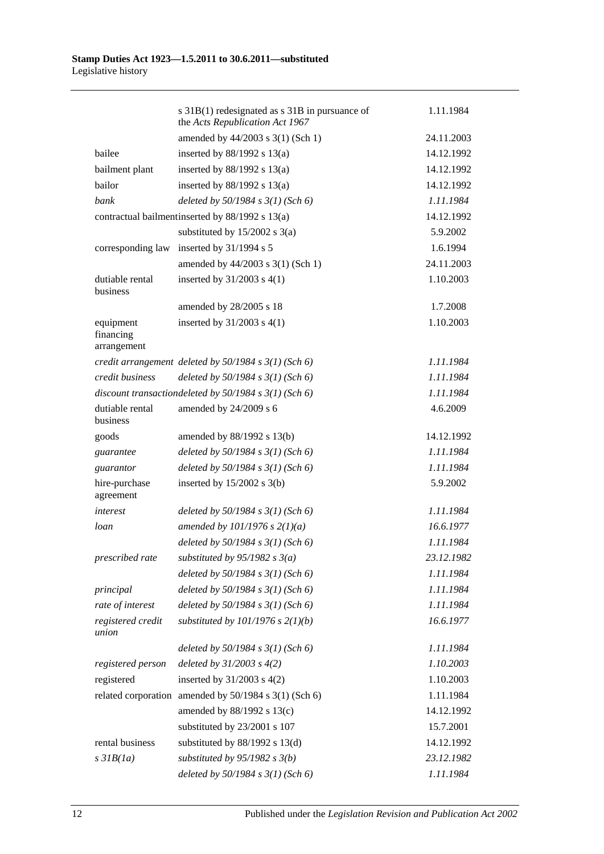|                                       | s 31B(1) redesignated as s 31B in pursuance of<br>the Acts Republication Act 1967 | 1.11.1984  |
|---------------------------------------|-----------------------------------------------------------------------------------|------------|
|                                       | amended by 44/2003 s 3(1) (Sch 1)                                                 | 24.11.2003 |
| bailee                                | inserted by $88/1992$ s $13(a)$                                                   | 14.12.1992 |
| bailment plant                        | inserted by $88/1992$ s $13(a)$                                                   | 14.12.1992 |
| bailor                                | inserted by $88/1992$ s $13(a)$                                                   | 14.12.1992 |
| bank                                  | deleted by $50/1984$ s $3(1)$ (Sch 6)                                             | 1.11.1984  |
|                                       | contractual bailment inserted by 88/1992 s 13(a)                                  | 14.12.1992 |
|                                       | substituted by $15/2002$ s 3(a)                                                   | 5.9.2002   |
| corresponding law                     | inserted by 31/1994 s 5                                                           | 1.6.1994   |
|                                       | amended by 44/2003 s 3(1) (Sch 1)                                                 | 24.11.2003 |
| dutiable rental<br>business           | inserted by $31/2003$ s $4(1)$                                                    | 1.10.2003  |
|                                       | amended by 28/2005 s 18                                                           | 1.7.2008   |
| equipment<br>financing<br>arrangement | inserted by $31/2003$ s $4(1)$                                                    | 1.10.2003  |
|                                       | credit arrangement deleted by $50/1984$ s $3(1)$ (Sch 6)                          | 1.11.1984  |
| credit business                       | deleted by $50/1984 s 3(1)$ (Sch 6)                                               | 1.11.1984  |
|                                       | discount transactiondeleted by $50/1984$ s $3(1)$ (Sch 6)                         | 1.11.1984  |
| dutiable rental<br>business           | amended by 24/2009 s 6                                                            | 4.6.2009   |
| goods                                 | amended by 88/1992 s 13(b)                                                        | 14.12.1992 |
| guarantee                             | deleted by $50/1984$ s $3(1)$ (Sch 6)                                             | 1.11.1984  |
| guarantor                             | deleted by $50/1984$ s $3(1)$ (Sch 6)                                             | 1.11.1984  |
| hire-purchase<br>agreement            | inserted by $15/2002$ s 3(b)                                                      | 5.9.2002   |
| interest                              | deleted by $50/1984$ s $3(1)$ (Sch 6)                                             | 1.11.1984  |
| loan                                  | amended by $101/1976$ s $2(1)(a)$                                                 | 16.6.1977  |
|                                       | deleted by $50/1984$ s $3(1)$ (Sch 6)                                             | 1.11.1984  |
| prescribed rate                       | substituted by $95/1982$ s $3(a)$                                                 | 23.12.1982 |
|                                       | deleted by $50/1984$ s $3(1)$ (Sch 6)                                             | 1.11.1984  |
| principal                             | deleted by $50/1984 s 3(1)$ (Sch 6)                                               | 1.11.1984  |
| rate of interest                      | deleted by $50/1984$ s $3(1)$ (Sch 6)                                             | 1.11.1984  |
| registered credit<br>union            | substituted by $101/1976$ s $2(1)(b)$                                             | 16.6.1977  |
|                                       | deleted by $50/1984$ s $3(1)$ (Sch 6)                                             | 1.11.1984  |
| registered person                     | deleted by $31/2003$ s $4(2)$                                                     | 1.10.2003  |
| registered                            | inserted by $31/2003$ s $4(2)$                                                    | 1.10.2003  |
|                                       | related corporation amended by 50/1984 s 3(1) (Sch 6)                             | 1.11.1984  |
|                                       | amended by 88/1992 s 13(c)                                                        | 14.12.1992 |
|                                       | substituted by 23/2001 s 107                                                      | 15.7.2001  |
| rental business                       | substituted by $88/1992$ s $13(d)$                                                | 14.12.1992 |
| $s$ 31 $B(1a)$                        | substituted by $95/1982$ s $3(b)$                                                 | 23.12.1982 |
|                                       | deleted by $50/1984$ s $3(1)$ (Sch 6)                                             | 1.11.1984  |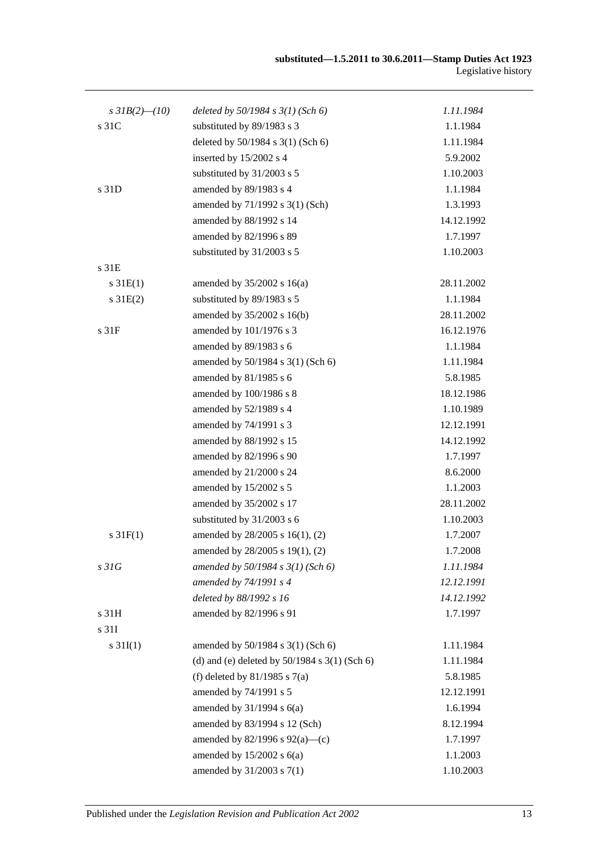| s $3IB(2)$ - (10) | deleted by $50/1984$ s $3(1)$ (Sch 6)             | 1.11.1984  |
|-------------------|---------------------------------------------------|------------|
| s 31C             | substituted by 89/1983 s 3                        | 1.1.1984   |
|                   | deleted by 50/1984 s 3(1) (Sch 6)                 | 1.11.1984  |
|                   | inserted by 15/2002 s 4                           | 5.9.2002   |
|                   | substituted by 31/2003 s 5                        | 1.10.2003  |
| s 31D             | amended by 89/1983 s 4                            | 1.1.1984   |
|                   | amended by 71/1992 s 3(1) (Sch)                   | 1.3.1993   |
|                   | amended by 88/1992 s 14                           | 14.12.1992 |
|                   | amended by 82/1996 s 89                           | 1.7.1997   |
|                   | substituted by 31/2003 s 5                        | 1.10.2003  |
| s 31E             |                                                   |            |
| $s \, 31E(1)$     | amended by $35/2002$ s 16(a)                      | 28.11.2002 |
| $s \, 31E(2)$     | substituted by 89/1983 s 5                        | 1.1.1984   |
|                   | amended by 35/2002 s 16(b)                        | 28.11.2002 |
| s <sub>31F</sub>  | amended by 101/1976 s 3                           | 16.12.1976 |
|                   | amended by 89/1983 s 6                            | 1.1.1984   |
|                   | amended by 50/1984 s 3(1) (Sch 6)                 | 1.11.1984  |
|                   | amended by 81/1985 s 6                            | 5.8.1985   |
|                   | amended by 100/1986 s 8                           | 18.12.1986 |
|                   | amended by 52/1989 s 4                            | 1.10.1989  |
|                   | amended by 74/1991 s 3                            | 12.12.1991 |
|                   | amended by 88/1992 s 15                           | 14.12.1992 |
|                   | amended by 82/1996 s 90                           | 1.7.1997   |
|                   | amended by 21/2000 s 24                           | 8.6.2000   |
|                   | amended by 15/2002 s 5                            | 1.1.2003   |
|                   | amended by 35/2002 s 17                           | 28.11.2002 |
|                   | substituted by 31/2003 s 6                        | 1.10.2003  |
| $s \, 31F(1)$     | amended by 28/2005 s 16(1), (2)                   | 1.7.2007   |
|                   | amended by 28/2005 s 19(1), (2)                   | 1.7.2008   |
| s31G              | amended by $50/1984$ s $3(1)$ (Sch 6)             | 1.11.1984  |
|                   | amended by 74/1991 s 4                            | 12.12.1991 |
|                   | deleted by 88/1992 s 16                           | 14.12.1992 |
| s 31H             | amended by 82/1996 s 91                           | 1.7.1997   |
| s 31I             |                                                   |            |
| $s \, 31I(1)$     | amended by 50/1984 s 3(1) (Sch 6)                 | 1.11.1984  |
|                   | (d) and (e) deleted by $50/1984$ s $3(1)$ (Sch 6) | 1.11.1984  |
|                   | (f) deleted by $81/1985$ s $7(a)$                 | 5.8.1985   |
|                   | amended by 74/1991 s 5                            | 12.12.1991 |
|                   | amended by $31/1994$ s $6(a)$                     | 1.6.1994   |
|                   | amended by 83/1994 s 12 (Sch)                     | 8.12.1994  |
|                   | amended by $82/1996$ s $92(a)$ —(c)               | 1.7.1997   |
|                   | amended by $15/2002$ s $6(a)$                     | 1.1.2003   |
|                   | amended by 31/2003 s 7(1)                         | 1.10.2003  |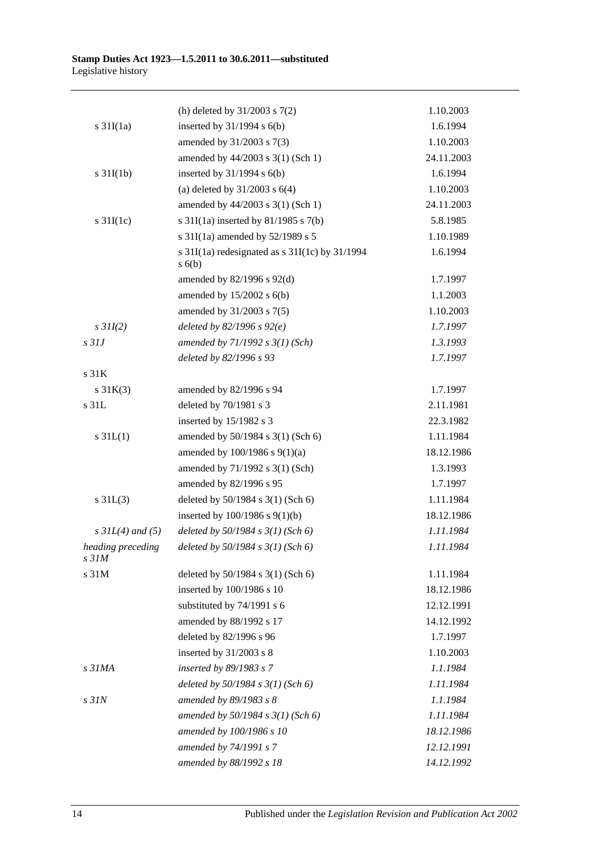|                            | (h) deleted by $31/2003$ s $7(2)$                            | 1.10.2003  |
|----------------------------|--------------------------------------------------------------|------------|
| $s \frac{31I(1a)}{2}$      | inserted by $31/1994$ s $6(b)$                               | 1.6.1994   |
|                            | amended by 31/2003 s 7(3)                                    | 1.10.2003  |
|                            | amended by 44/2003 s 3(1) (Sch 1)                            | 24.11.2003 |
| $s \frac{31I(1b)}{2}$      | inserted by $31/1994$ s $6(b)$                               | 1.6.1994   |
|                            | (a) deleted by $31/2003$ s $6(4)$                            | 1.10.2003  |
|                            | amended by 44/2003 s 3(1) (Sch 1)                            | 24.11.2003 |
| s $31I(1c)$                | s $31I(1a)$ inserted by $81/1985$ s $7(b)$                   | 5.8.1985   |
|                            | s 31I(1a) amended by 52/1989 s 5                             | 1.10.1989  |
|                            | s $31I(1a)$ redesignated as s $31I(1c)$ by $31/1994$<br>s(6) | 1.6.1994   |
|                            | amended by 82/1996 s 92(d)                                   | 1.7.1997   |
|                            | amended by $15/2002$ s $6(b)$                                | 1.1.2003   |
|                            | amended by 31/2003 s 7(5)                                    | 1.10.2003  |
| $s$ 31I(2)                 | deleted by $82/1996 s 92(e)$                                 | 1.7.1997   |
| $s$ 31J                    | amended by $71/1992 s 3(1)$ (Sch)                            | 1.3.1993   |
|                            | deleted by 82/1996 s 93                                      | 1.7.1997   |
| s 31K                      |                                                              |            |
| $s \, 31K(3)$              | amended by 82/1996 s 94                                      | 1.7.1997   |
| s 31L                      | deleted by 70/1981 s 3                                       | 2.11.1981  |
|                            | inserted by 15/1982 s 3                                      | 22.3.1982  |
| $s \, 31L(1)$              | amended by 50/1984 s 3(1) (Sch 6)                            | 1.11.1984  |
|                            | amended by 100/1986 s 9(1)(a)                                | 18.12.1986 |
|                            | amended by 71/1992 s 3(1) (Sch)                              | 1.3.1993   |
|                            | amended by 82/1996 s 95                                      | 1.7.1997   |
| $s \, 31L(3)$              | deleted by 50/1984 s 3(1) (Sch 6)                            | 1.11.1984  |
|                            | inserted by $100/1986$ s $9(1)(b)$                           | 18.12.1986 |
| $s \, 3IL(4)$ and (5)      | deleted by $50/1984$ s $3(1)$ (Sch 6)                        | 1.11.1984  |
| heading preceding<br>s 31M | deleted by $50/1984 s 3(1)$ (Sch 6)                          | 1.11.1984  |
| s 31M                      | deleted by $50/1984$ s $3(1)$ (Sch 6)                        | 1.11.1984  |
|                            | inserted by 100/1986 s 10                                    | 18.12.1986 |
|                            | substituted by 74/1991 s 6                                   | 12.12.1991 |
|                            | amended by 88/1992 s 17                                      | 14.12.1992 |
|                            | deleted by 82/1996 s 96                                      | 1.7.1997   |
|                            | inserted by 31/2003 s 8                                      | 1.10.2003  |
| s <sub>31MA</sub>          | inserted by 89/1983 s 7                                      | 1.1.1984   |
|                            | deleted by $50/1984$ s $3(1)$ (Sch 6)                        | 1.11.1984  |
| $s$ 31 $N$                 | amended by 89/1983 s 8                                       | 1.1.1984   |
|                            | amended by $50/1984 s 3(1)$ (Sch 6)                          | 1.11.1984  |
|                            | amended by 100/1986 s 10                                     | 18.12.1986 |
|                            | amended by 74/1991 s 7                                       | 12.12.1991 |
|                            | amended by 88/1992 s 18                                      | 14.12.1992 |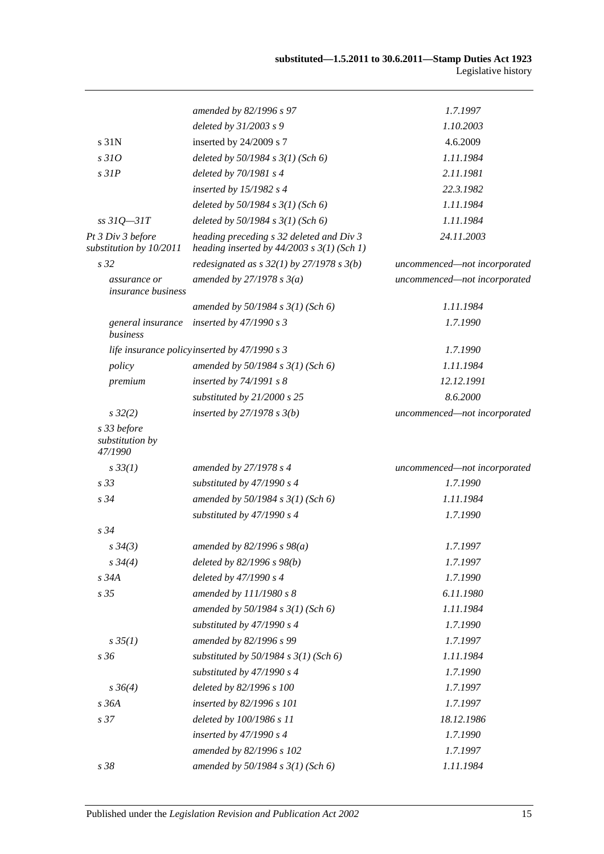|                                              | amended by 82/1996 s 97                                                                    | 1.7.1997                     |
|----------------------------------------------|--------------------------------------------------------------------------------------------|------------------------------|
|                                              | deleted by 31/2003 s 9                                                                     | 1.10.2003                    |
| s 31N                                        | inserted by 24/2009 s 7                                                                    | 4.6.2009                     |
| s310                                         | deleted by $50/1984 s 3(1)$ (Sch 6)                                                        | 1.11.1984                    |
| $s$ 31 $P$                                   | deleted by $70/1981 s4$                                                                    | 2.11.1981                    |
|                                              | inserted by 15/1982 s 4                                                                    | 22.3.1982                    |
|                                              | deleted by $50/1984 s 3(1)$ (Sch 6)                                                        | 1.11.1984                    |
| $ss31Q - 31T$                                | deleted by 50/1984 s 3(1) (Sch 6)                                                          | 1.11.1984                    |
| Pt 3 Div 3 before<br>substitution by 10/2011 | heading preceding s 32 deleted and Div 3<br>heading inserted by $44/2003$ s $3(1)$ (Sch 1) | 24.11.2003                   |
| s <sub>32</sub>                              | redesignated as $s$ 32(1) by 27/1978 $s$ 3(b)                                              | uncommenced-not incorporated |
| assurance or<br><i>insurance business</i>    | amended by $27/1978 s 3(a)$                                                                | uncommenced-not incorporated |
|                                              | amended by $50/1984$ s $3(1)$ (Sch 6)                                                      | 1.11.1984                    |
| general insurance<br>business                | inserted by $47/1990 s3$                                                                   | 1.7.1990                     |
|                                              | life insurance policyinserted by 47/1990 s 3                                               | 1.7.1990                     |
| policy                                       | amended by $50/1984 s 3(1)$ (Sch 6)                                                        | 1.11.1984                    |
| premium                                      | inserted by 74/1991 s 8                                                                    | 12.12.1991                   |
|                                              | substituted by 21/2000 s 25                                                                | 8.6.2000                     |
| $s\,32(2)$                                   | inserted by $27/1978 s 3(b)$                                                               | uncommenced-not incorporated |
| s 33 before<br>substitution by<br>47/1990    |                                                                                            |                              |
| $s \, 33(1)$                                 | amended by 27/1978 s 4                                                                     | uncommenced-not incorporated |
| s <sub>33</sub>                              | substituted by 47/1990 s 4                                                                 | 1.7.1990                     |
| $s\,34$                                      | amended by $50/1984 s 3(1)$ (Sch 6)                                                        | 1.11.1984                    |
|                                              | substituted by 47/1990 s 4                                                                 | 1.7.1990                     |
| s34                                          |                                                                                            |                              |
| $s \, 34(3)$                                 | amended by $82/1996 s 98(a)$                                                               | 1.7.1997                     |
| $s \frac{34}{4}$                             | deleted by $82/1996 s 98(b)$                                                               | 1.7.1997                     |
| s34A                                         | deleted by 47/1990 s 4                                                                     | 1.7.1990                     |
| s <sub>35</sub>                              | amended by 111/1980 s 8                                                                    | 6.11.1980                    |
|                                              | amended by $50/1984 s 3(1)$ (Sch 6)                                                        | 1.11.1984                    |
|                                              | substituted by 47/1990 s 4                                                                 | 1.7.1990                     |
| $s \, 35(1)$                                 | amended by 82/1996 s 99                                                                    | 1.7.1997                     |
| s36                                          | substituted by $50/1984$ s $3(1)$ (Sch 6)                                                  | 1.11.1984                    |
|                                              | substituted by $47/1990 s 4$                                                               | 1.7.1990                     |
| $s \, 36(4)$                                 | deleted by 82/1996 s 100                                                                   | 1.7.1997                     |
| s 36A                                        | inserted by 82/1996 s 101                                                                  | 1.7.1997                     |
| s 37                                         | deleted by 100/1986 s 11                                                                   | 18.12.1986                   |
|                                              | inserted by $47/1990 s 4$                                                                  | 1.7.1990                     |
|                                              | amended by 82/1996 s 102                                                                   | 1.7.1997                     |
| s 38                                         | amended by $50/1984 s 3(1)$ (Sch 6)                                                        | 1.11.1984                    |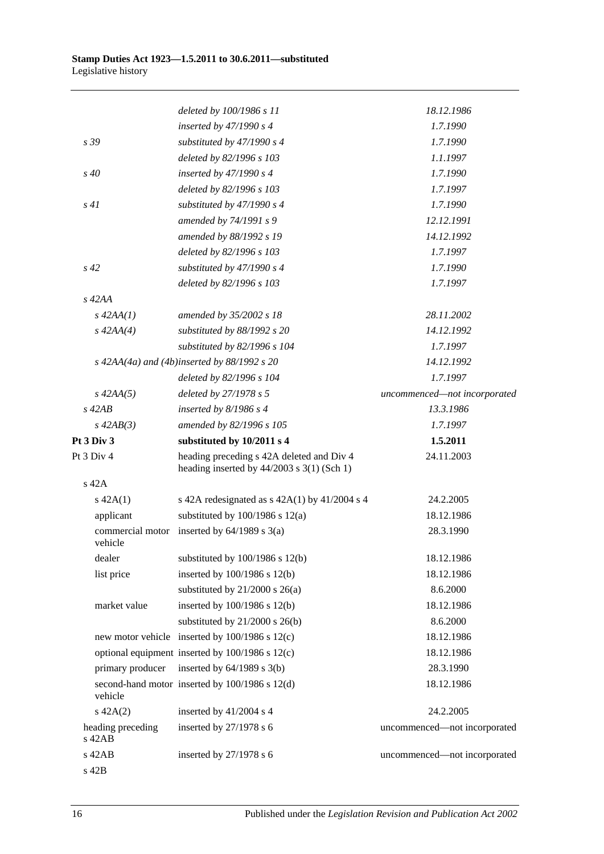|                               | deleted by 100/1986 s 11                                                                  | 18.12.1986                   |
|-------------------------------|-------------------------------------------------------------------------------------------|------------------------------|
|                               | inserted by $47/1990 s 4$                                                                 | 1.7.1990                     |
| s 39                          | substituted by $47/1990 s 4$                                                              | 1.7.1990                     |
|                               | deleted by 82/1996 s 103                                                                  | 1.1.1997                     |
| $s\,40$                       | inserted by $47/1990 s 4$                                                                 | 1.7.1990                     |
|                               | deleted by 82/1996 s 103                                                                  | 1.7.1997                     |
| s41                           | substituted by $47/1990 s 4$                                                              | 1.7.1990                     |
|                               | amended by 74/1991 s 9                                                                    | 12.12.1991                   |
|                               | amended by 88/1992 s 19                                                                   | 14.12.1992                   |
|                               | deleted by 82/1996 s 103                                                                  | 1.7.1997                     |
| $s\,42$                       | substituted by $47/1990 s 4$                                                              | 1.7.1990                     |
|                               | deleted by 82/1996 s 103                                                                  | 1.7.1997                     |
| $s\,42AA$                     |                                                                                           |                              |
| $s\,42AA(1)$                  | amended by 35/2002 s 18                                                                   | 28.11.2002                   |
| $s\,42AA(4)$                  | substituted by 88/1992 s 20                                                               | 14.12.1992                   |
|                               | substituted by 82/1996 s 104                                                              | 1.7.1997                     |
|                               | $s$ 42AA(4a) and (4b)inserted by 88/1992 s 20                                             | 14.12.1992                   |
|                               | deleted by 82/1996 s 104                                                                  | 1.7.1997                     |
| $s\,42AA(5)$                  | deleted by 27/1978 s 5                                                                    | uncommenced-not incorporated |
| $s\ 42AB$                     | inserted by $8/1986$ s 4                                                                  | 13.3.1986                    |
| $s\,42AB(3)$                  | amended by 82/1996 s 105                                                                  | 1.7.1997                     |
| Pt 3 Div 3                    | substituted by 10/2011 s 4                                                                | 1.5.2011                     |
| Pt 3 Div 4                    | heading preceding s 42A deleted and Div 4<br>heading inserted by $44/2003$ s 3(1) (Sch 1) | 24.11.2003                   |
| $s$ 42A                       |                                                                                           |                              |
| $s\ 42A(1)$                   | s 42A redesignated as $s$ 42A(1) by 41/2004 s 4                                           | 24.2.2005                    |
| applicant                     | substituted by $100/1986$ s $12(a)$                                                       | 18.12.1986                   |
| vehicle                       | commercial motor inserted by $64/1989$ s $3(a)$                                           | 28.3.1990                    |
| dealer                        | substituted by $100/1986$ s $12(b)$                                                       | 18.12.1986                   |
| list price                    | inserted by 100/1986 s 12(b)                                                              | 18.12.1986                   |
|                               | substituted by $21/2000$ s $26(a)$                                                        | 8.6.2000                     |
| market value                  | inserted by 100/1986 s 12(b)                                                              | 18.12.1986                   |
|                               | substituted by $21/2000$ s $26(b)$                                                        | 8.6.2000                     |
|                               | new motor vehicle inserted by 100/1986 s 12(c)                                            | 18.12.1986                   |
|                               | optional equipment inserted by 100/1986 s 12(c)                                           | 18.12.1986                   |
| primary producer              | inserted by $64/1989$ s $3(b)$                                                            | 28.3.1990                    |
| vehicle                       | second-hand motor inserted by 100/1986 s 12(d)                                            | 18.12.1986                   |
| $s\ 42A(2)$                   | inserted by 41/2004 s 4                                                                   | 24.2.2005                    |
| heading preceding<br>$s$ 42AB | inserted by $27/1978$ s 6                                                                 | uncommenced—not incorporated |
| s 42AB                        | inserted by $27/1978$ s 6                                                                 | uncommenced-not incorporated |
| s 42B                         |                                                                                           |                              |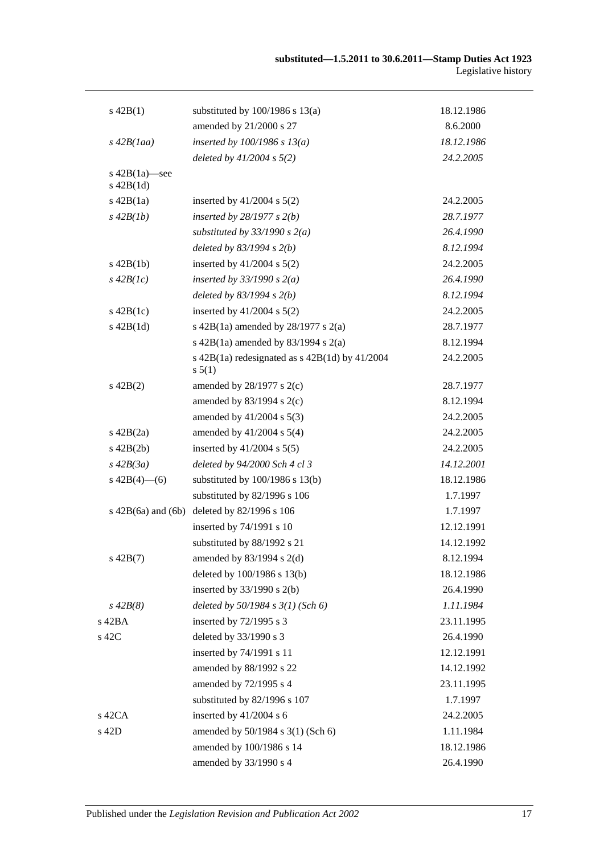| $s\ 42B(1)$                      | substituted by $100/1986$ s $13(a)$                            | 18.12.1986 |
|----------------------------------|----------------------------------------------------------------|------------|
|                                  | amended by 21/2000 s 27                                        | 8.6.2000   |
| $s\,42B(1aa)$                    | inserted by $100/1986$ s $13(a)$                               | 18.12.1986 |
|                                  | deleted by $41/2004$ s $5(2)$                                  | 24.2.2005  |
| s $42B(1a)$ —see<br>$s\ 42B(1d)$ |                                                                |            |
| $s\ 42B(1a)$                     | inserted by $41/2004$ s $5(2)$                                 | 24.2.2005  |
| $s\,42B(1b)$                     | inserted by $28/1977 s 2(b)$                                   | 28.7.1977  |
|                                  | substituted by $33/1990 s 2(a)$                                | 26.4.1990  |
|                                  | deleted by $83/1994 s 2(b)$                                    | 8.12.1994  |
| $s\ 42B(1b)$                     | inserted by $41/2004$ s $5(2)$                                 | 24.2.2005  |
| $s\,42B(lc)$                     | inserted by $33/1990$ s $2(a)$                                 | 26.4.1990  |
|                                  | deleted by $83/1994 s 2(b)$                                    | 8.12.1994  |
| $s\ 42B(1c)$                     | inserted by $41/2004$ s $5(2)$                                 | 24.2.2005  |
| $s\ 42B(1d)$                     | s 42B(1a) amended by $28/1977$ s $2(a)$                        | 28.7.1977  |
|                                  | s 42B(1a) amended by 83/1994 s 2(a)                            | 8.12.1994  |
|                                  | s $42B(1a)$ redesignated as s $42B(1d)$ by $41/2004$<br>s 5(1) | 24.2.2005  |
| $s\ 42B(2)$                      | amended by $28/1977$ s $2(c)$                                  | 28.7.1977  |
|                                  | amended by $83/1994$ s 2(c)                                    | 8.12.1994  |
|                                  | amended by $41/2004$ s $5(3)$                                  | 24.2.2005  |
| $s\ 42B(2a)$                     | amended by $41/2004$ s $5(4)$                                  | 24.2.2005  |
| $s\ 42B(2b)$                     | inserted by $41/2004$ s $5(5)$                                 | 24.2.2005  |
| $s\,42B(3a)$                     | deleted by 94/2000 Sch 4 cl 3                                  | 14.12.2001 |
| s $42B(4)$ - (6)                 | substituted by $100/1986$ s $13(b)$                            | 18.12.1986 |
|                                  | substituted by 82/1996 s 106                                   | 1.7.1997   |
| $s\ 42B(6a)$ and $(6b)$          | deleted by 82/1996 s 106                                       | 1.7.1997   |
|                                  | inserted by 74/1991 s 10                                       | 12.12.1991 |
|                                  | substituted by 88/1992 s 21                                    | 14.12.1992 |
| $s\ 42B(7)$                      | amended by 83/1994 s 2(d)                                      | 8.12.1994  |
|                                  | deleted by 100/1986 s 13(b)                                    | 18.12.1986 |
|                                  | inserted by $33/1990$ s 2(b)                                   | 26.4.1990  |
| $s\,42B(8)$                      | deleted by $50/1984$ s $3(1)$ (Sch 6)                          | 1.11.1984  |
| s 42BA                           | inserted by $72/1995$ s 3                                      | 23.11.1995 |
| s 42C                            | deleted by 33/1990 s 3                                         | 26.4.1990  |
|                                  | inserted by 74/1991 s 11                                       | 12.12.1991 |
|                                  | amended by 88/1992 s 22                                        | 14.12.1992 |
|                                  | amended by 72/1995 s 4                                         | 23.11.1995 |
|                                  | substituted by 82/1996 s 107                                   | 1.7.1997   |
| $s$ 42CA                         | inserted by $41/2004$ s 6                                      | 24.2.2005  |
| s 42D                            | amended by 50/1984 s 3(1) (Sch 6)                              | 1.11.1984  |
|                                  | amended by 100/1986 s 14                                       | 18.12.1986 |
|                                  | amended by 33/1990 s 4                                         | 26.4.1990  |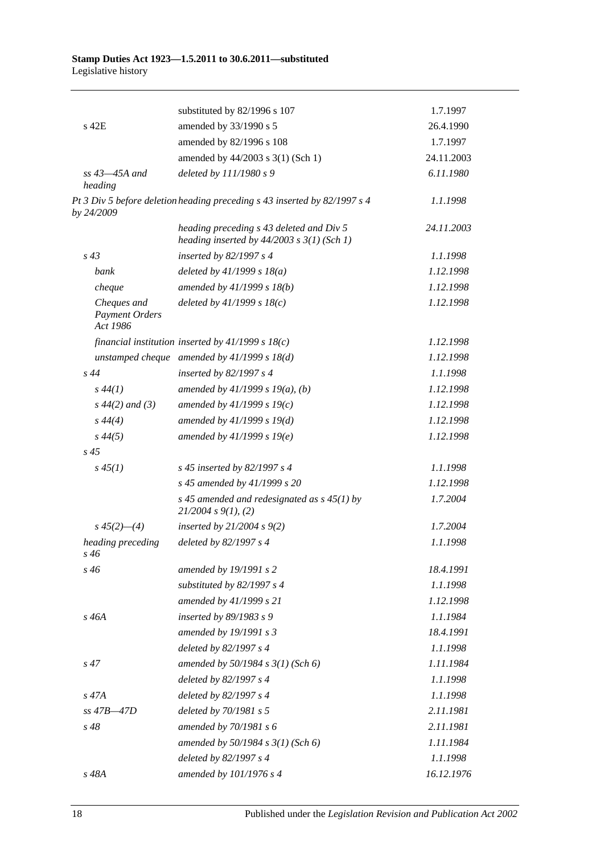|                                                  | substituted by 82/1996 s 107                                                               | 1.7.1997   |
|--------------------------------------------------|--------------------------------------------------------------------------------------------|------------|
| s 42E                                            | amended by 33/1990 s 5                                                                     | 26.4.1990  |
|                                                  | amended by 82/1996 s 108                                                                   | 1.7.1997   |
|                                                  | amended by 44/2003 s 3(1) (Sch 1)                                                          | 24.11.2003 |
| $ss$ 43–45A and<br>heading                       | deleted by 111/1980 s 9                                                                    | 6.11.1980  |
| by 24/2009                                       | Pt 3 Div 5 before deletion heading preceding s 43 inserted by 82/1997 s 4                  | 1.1.1998   |
|                                                  | heading preceding s 43 deleted and Div 5<br>heading inserted by $44/2003$ s $3(1)$ (Sch 1) | 24.11.2003 |
| $s\,43$                                          | inserted by 82/1997 s 4                                                                    | 1.1.1998   |
| bank                                             | deleted by $41/1999 s 18(a)$                                                               | 1.12.1998  |
| cheque                                           | amended by 41/1999 s 18(b)                                                                 | 1.12.1998  |
| Cheques and<br><b>Payment Orders</b><br>Act 1986 | deleted by $41/1999 s 18(c)$                                                               | 1.12.1998  |
|                                                  | financial institution inserted by $41/1999 s 18(c)$                                        | 1.12.1998  |
|                                                  | unstamped cheque amended by $41/1999 s 18(d)$                                              | 1.12.1998  |
| $s\,44$                                          | inserted by 82/1997 s 4                                                                    | 1.1.1998   |
| $s\,44(1)$                                       | amended by $41/1999 s 19(a)$ , (b)                                                         | 1.12.1998  |
| $s\,44(2)$ and (3)                               | amended by $41/1999 s 19(c)$                                                               | 1.12.1998  |
| $s\,44(4)$                                       | amended by 41/1999 s 19(d)                                                                 | 1.12.1998  |
| $s\,44(5)$                                       | amended by 41/1999 s 19(e)                                                                 | 1.12.1998  |
| $s\,45$                                          |                                                                                            |            |
| $s\,45(1)$                                       | s 45 inserted by 82/1997 s 4                                                               | 1.1.1998   |
|                                                  | s 45 amended by 41/1999 s 20                                                               | 1.12.1998  |
|                                                  | s 45 amended and redesignated as $s$ 45(1) by<br>21/2004 s 9(1), (2)                       | 1.7.2004   |
| $s\,45(2)$ —(4)                                  | inserted by $21/2004 s 9(2)$                                                               | 1.7.2004   |
| heading preceding<br>s 46                        | deleted by 82/1997 s 4                                                                     | 1.1.1998   |
| $s\,46$                                          | amended by 19/1991 s 2                                                                     | 18.4.1991  |
|                                                  | substituted by $82/1997 s 4$                                                               | 1.1.1998   |
|                                                  | amended by 41/1999 s 21                                                                    | 1.12.1998  |
| s 46A                                            | inserted by 89/1983 s 9                                                                    | 1.1.1984   |
|                                                  | amended by 19/1991 s 3                                                                     | 18.4.1991  |
|                                                  | deleted by 82/1997 s 4                                                                     | 1.1.1998   |
| $s\,47$                                          | amended by $50/1984 s 3(1)$ (Sch 6)                                                        | 1.11.1984  |
|                                                  | deleted by 82/1997 s 4                                                                     | 1.1.1998   |
| $s\,47A$                                         | deleted by 82/1997 s 4                                                                     | 1.1.1998   |
| ss 47B-47D                                       | deleted by 70/1981 s 5                                                                     | 2.11.1981  |
| $s\,48$                                          | amended by 70/1981 s 6                                                                     | 2.11.1981  |
|                                                  | amended by $50/1984 s 3(1)$ (Sch 6)                                                        | 1.11.1984  |
|                                                  | deleted by 82/1997 s 4                                                                     | 1.1.1998   |
| s 48A                                            | amended by 101/1976 s 4                                                                    | 16.12.1976 |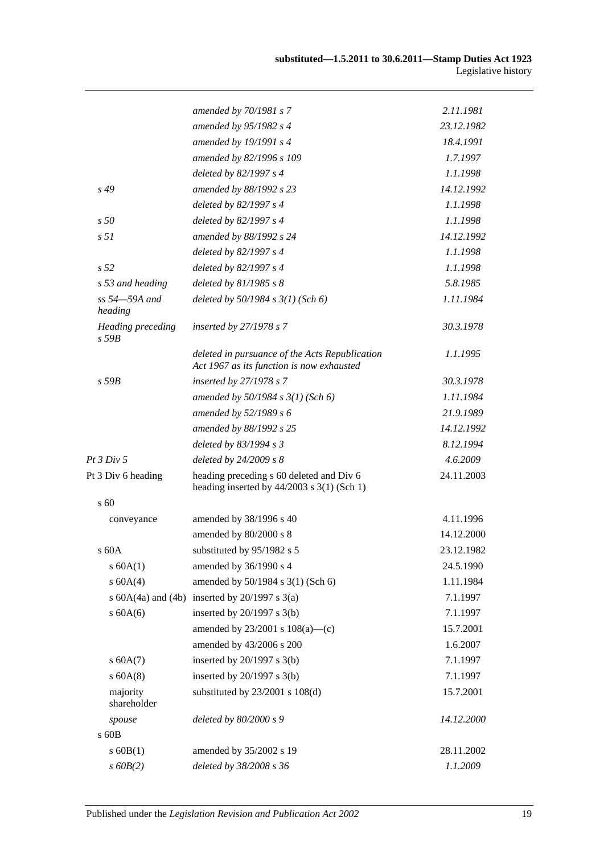|                                 | amended by 70/1981 s 7                                                                      | 2.11.1981  |
|---------------------------------|---------------------------------------------------------------------------------------------|------------|
|                                 | amended by 95/1982 s 4                                                                      | 23.12.1982 |
|                                 | amended by 19/1991 s 4                                                                      | 18.4.1991  |
|                                 | amended by 82/1996 s 109                                                                    | 1.7.1997   |
|                                 | deleted by 82/1997 s 4                                                                      | 1.1.1998   |
| s 49                            | amended by 88/1992 s 23                                                                     | 14.12.1992 |
|                                 | deleted by 82/1997 s 4                                                                      | 1.1.1998   |
| s50                             | deleted by 82/1997 s 4                                                                      | 1.1.1998   |
| s <sub>51</sub>                 | amended by 88/1992 s 24                                                                     | 14.12.1992 |
|                                 | deleted by 82/1997 s 4                                                                      | 1.1.1998   |
| s <sub>52</sub>                 | deleted by 82/1997 s 4                                                                      | 1.1.1998   |
| s 53 and heading                | deleted by $81/1985 s 8$                                                                    | 5.8.1985   |
| ss 54-59A and<br>heading        | deleted by $50/1984$ s $3(1)$ (Sch 6)                                                       | 1.11.1984  |
| Heading preceding<br>$s$ 59 $B$ | inserted by $27/1978 s 7$                                                                   | 30.3.1978  |
|                                 | deleted in pursuance of the Acts Republication<br>Act 1967 as its function is now exhausted | 1.1.1995   |
| $s$ 59 $B$                      | inserted by 27/1978 s 7                                                                     | 30.3.1978  |
|                                 | amended by $50/1984$ s $3(1)$ (Sch 6)                                                       | 1.11.1984  |
|                                 | amended by 52/1989 s 6                                                                      | 21.9.1989  |
|                                 | amended by 88/1992 s 25                                                                     | 14.12.1992 |
|                                 | deleted by 83/1994 s 3                                                                      | 8.12.1994  |
| Pt $3 Div 5$                    | deleted by $24/2009 s 8$                                                                    | 4.6.2009   |
| Pt 3 Div 6 heading              | heading preceding s 60 deleted and Div 6<br>heading inserted by $44/2003$ s 3(1) (Sch 1)    | 24.11.2003 |
| $\sqrt{60}$                     |                                                                                             |            |
| conveyance                      | amended by 38/1996 s 40                                                                     | 4.11.1996  |
|                                 | amended by 80/2000 s 8                                                                      | 14.12.2000 |
| s 60A                           | substituted by 95/1982 s 5                                                                  | 23.12.1982 |
| s 60A(1)                        | amended by 36/1990 s 4                                                                      | 24.5.1990  |
| s 60A(4)                        | amended by 50/1984 s 3(1) (Sch 6)                                                           | 1.11.1984  |
|                                 | s $60A(4a)$ and $(4b)$ inserted by $20/1997$ s $3(a)$                                       | 7.1.1997   |
| $s$ 60A(6)                      | inserted by $20/1997$ s $3(b)$                                                              | 7.1.1997   |
|                                 | amended by $23/2001$ s $108(a)$ —(c)                                                        | 15.7.2001  |
|                                 | amended by 43/2006 s 200                                                                    | 1.6.2007   |
| s 60A(7)                        | inserted by $20/1997$ s $3(b)$                                                              | 7.1.1997   |
| $s$ 60A(8)                      | inserted by $20/1997$ s $3(b)$                                                              | 7.1.1997   |
| majority<br>shareholder         | substituted by $23/2001$ s $108(d)$                                                         | 15.7.2001  |
| spouse                          | deleted by 80/2000 s 9                                                                      | 14.12.2000 |
| s 60B                           |                                                                                             |            |
| $s$ 60B(1)                      | amended by 35/2002 s 19                                                                     | 28.11.2002 |
| $s$ 60 $B(2)$                   | deleted by 38/2008 s 36                                                                     | 1.1.2009   |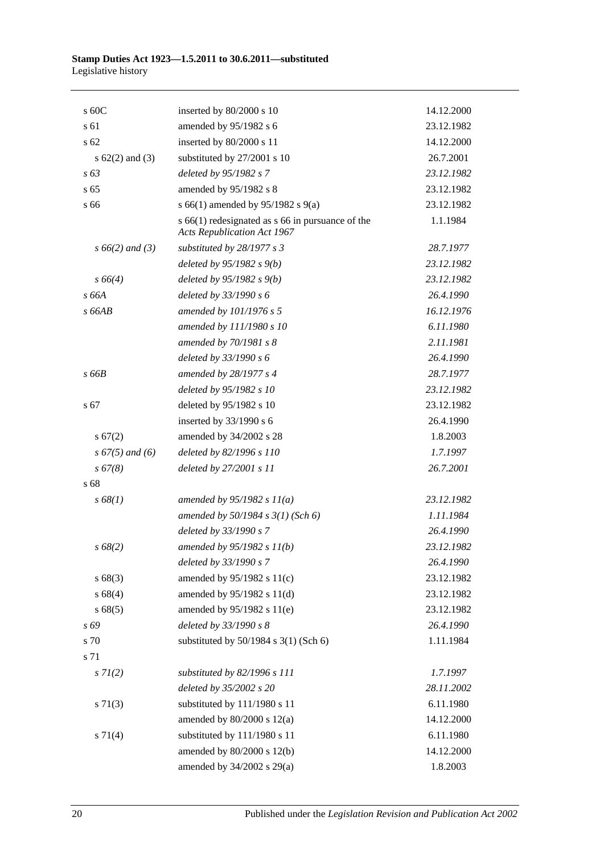| s 60C               | inserted by 80/2000 s 10                                                                   | 14.12.2000 |
|---------------------|--------------------------------------------------------------------------------------------|------------|
| s 61                | amended by 95/1982 s 6                                                                     | 23.12.1982 |
| s <sub>62</sub>     | inserted by 80/2000 s 11                                                                   | 14.12.2000 |
| s $62(2)$ and $(3)$ | substituted by 27/2001 s 10                                                                | 26.7.2001  |
| s 63                | deleted by 95/1982 s 7                                                                     | 23.12.1982 |
| s <sub>65</sub>     | amended by 95/1982 s 8                                                                     | 23.12.1982 |
| s 66                | s 66(1) amended by 95/1982 s 9(a)                                                          | 23.12.1982 |
|                     | $s$ 66(1) redesignated as $s$ 66 in pursuance of the<br><b>Acts Republication Act 1967</b> | 1.1.1984   |
| $s\,66(2)$ and (3)  | substituted by 28/1977 s 3                                                                 | 28.7.1977  |
|                     | deleted by $95/1982 s(9)$                                                                  | 23.12.1982 |
| $s\,66(4)$          | deleted by $95/1982 s 9(b)$                                                                | 23.12.1982 |
| s 66A               | deleted by 33/1990 s 6                                                                     | 26.4.1990  |
| s66AB               | amended by 101/1976 s 5                                                                    | 16.12.1976 |
|                     | amended by 111/1980 s 10                                                                   | 6.11.1980  |
|                     | amended by 70/1981 s 8                                                                     | 2.11.1981  |
|                     | deleted by 33/1990 s 6                                                                     | 26.4.1990  |
| $s$ 66 $B$          | amended by 28/1977 s 4                                                                     | 28.7.1977  |
|                     | deleted by 95/1982 s 10                                                                    | 23.12.1982 |
| s 67                | deleted by 95/1982 s 10                                                                    | 23.12.1982 |
|                     | inserted by $33/1990$ s 6                                                                  | 26.4.1990  |
| s 67(2)             | amended by 34/2002 s 28                                                                    | 1.8.2003   |
| $s\,67(5)$ and (6)  | deleted by 82/1996 s 110                                                                   | 1.7.1997   |
| s 67(8)             | deleted by 27/2001 s 11                                                                    | 26.7.2001  |
| s 68                |                                                                                            |            |
| s 68(1)             | amended by $95/1982 s 11(a)$                                                               | 23.12.1982 |
|                     | amended by $50/1984$ s $3(1)$ (Sch 6)                                                      | 1.11.1984  |
|                     | deleted by 33/1990 s 7                                                                     | 26.4.1990  |
| $s\,68(2)$          | amended by 95/1982 s 11(b)                                                                 | 23.12.1982 |
|                     | deleted by 33/1990 s 7                                                                     | 26.4.1990  |
| s68(3)              | amended by 95/1982 s 11(c)                                                                 | 23.12.1982 |
| s68(4)              | amended by 95/1982 s 11(d)                                                                 | 23.12.1982 |
| s 68(5)             | amended by 95/1982 s 11(e)                                                                 | 23.12.1982 |
| s 69                | deleted by 33/1990 s 8                                                                     | 26.4.1990  |
| s 70                | substituted by $50/1984$ s $3(1)$ (Sch 6)                                                  | 1.11.1984  |
| s 71                |                                                                                            |            |
| $s \, 7l(2)$        | substituted by 82/1996 s 111                                                               | 1.7.1997   |
|                     | deleted by 35/2002 s 20                                                                    | 28.11.2002 |
| $s \, 71(3)$        | substituted by 111/1980 s 11                                                               | 6.11.1980  |
|                     | amended by $80/2000$ s $12(a)$                                                             | 14.12.2000 |
| $s \, 71(4)$        | substituted by 111/1980 s 11                                                               | 6.11.1980  |
|                     | amended by 80/2000 s 12(b)                                                                 | 14.12.2000 |
|                     | amended by 34/2002 s 29(a)                                                                 | 1.8.2003   |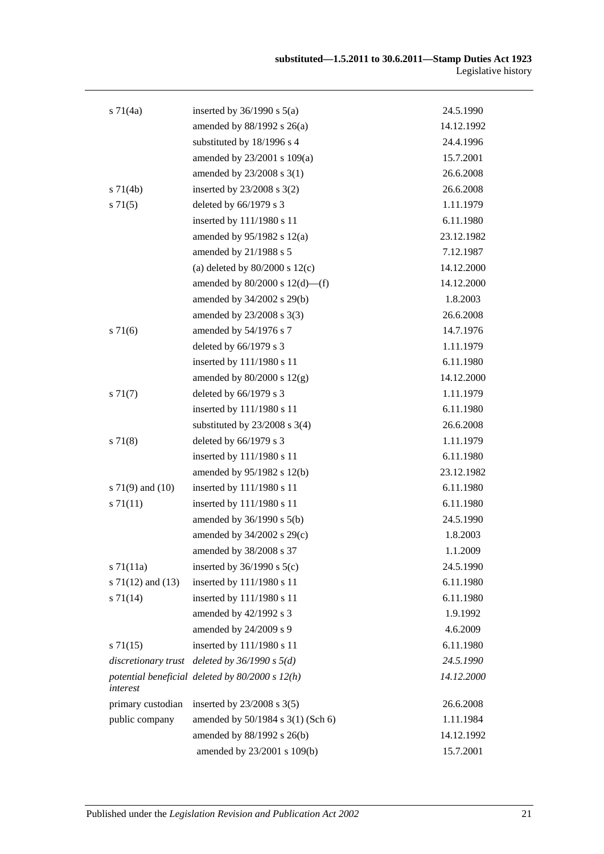| $s \, 71(4a)$         | inserted by $36/1990$ s $5(a)$                    | 24.5.1990  |
|-----------------------|---------------------------------------------------|------------|
|                       | amended by $88/1992$ s $26(a)$                    | 14.12.1992 |
|                       | substituted by 18/1996 s 4                        | 24.4.1996  |
|                       | amended by 23/2001 s 109(a)                       | 15.7.2001  |
|                       | amended by 23/2008 s 3(1)                         | 26.6.2008  |
| $s \, 71(4b)$         | inserted by $23/2008$ s $3(2)$                    | 26.6.2008  |
| $s \, 71(5)$          | deleted by 66/1979 s 3                            | 1.11.1979  |
|                       | inserted by 111/1980 s 11                         | 6.11.1980  |
|                       | amended by $95/1982$ s $12(a)$                    | 23.12.1982 |
|                       | amended by 21/1988 s 5                            | 7.12.1987  |
|                       | (a) deleted by $80/2000$ s $12(c)$                | 14.12.2000 |
|                       | amended by $80/2000$ s $12(d)$ —(f)               | 14.12.2000 |
|                       | amended by 34/2002 s 29(b)                        | 1.8.2003   |
|                       | amended by 23/2008 s 3(3)                         | 26.6.2008  |
| s 71(6)               | amended by 54/1976 s 7                            | 14.7.1976  |
|                       | deleted by 66/1979 s 3                            | 1.11.1979  |
|                       | inserted by 111/1980 s 11                         | 6.11.1980  |
|                       | amended by $80/2000$ s $12(g)$                    | 14.12.2000 |
| $s \, 71(7)$          | deleted by 66/1979 s 3                            | 1.11.1979  |
|                       | inserted by 111/1980 s 11                         | 6.11.1980  |
|                       | substituted by $23/2008$ s 3(4)                   | 26.6.2008  |
| s 71(8)               | deleted by 66/1979 s 3                            | 1.11.1979  |
|                       | inserted by 111/1980 s 11                         | 6.11.1980  |
|                       | amended by 95/1982 s 12(b)                        | 23.12.1982 |
| s $71(9)$ and $(10)$  | inserted by 111/1980 s 11                         | 6.11.1980  |
| s 71(11)              | inserted by 111/1980 s 11                         | 6.11.1980  |
|                       | amended by 36/1990 s 5(b)                         | 24.5.1990  |
|                       | amended by $34/2002$ s $29(c)$                    | 1.8.2003   |
|                       | amended by $38/2008$ s 37                         | 1.1.2009   |
| $s \, 71(11a)$        | inserted by $36/1990$ s $5(c)$                    | 24.5.1990  |
| s $71(12)$ and $(13)$ | inserted by 111/1980 s 11                         | 6.11.1980  |
| $s \, 71(14)$         | inserted by 111/1980 s 11                         | 6.11.1980  |
|                       | amended by 42/1992 s 3                            | 1.9.1992   |
|                       | amended by 24/2009 s 9                            | 4.6.2009   |
| s71(15)               | inserted by 111/1980 s 11                         | 6.11.1980  |
|                       | discretionary trust deleted by $36/1990 s 5(d)$   | 24.5.1990  |
| interest              | potential beneficial deleted by $80/2000 s 12(h)$ | 14.12.2000 |
| primary custodian     | inserted by $23/2008$ s $3(5)$                    | 26.6.2008  |
| public company        | amended by 50/1984 s 3(1) (Sch 6)                 | 1.11.1984  |
|                       | amended by 88/1992 s 26(b)                        | 14.12.1992 |
|                       | amended by 23/2001 s 109(b)                       | 15.7.2001  |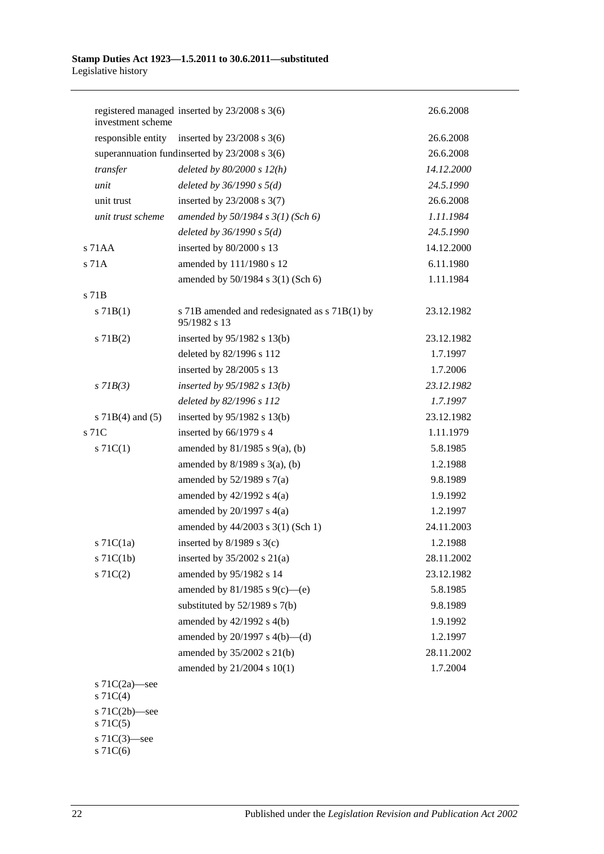| investment scheme                 | registered managed inserted by 23/2008 s 3(6)                 | 26.6.2008  |
|-----------------------------------|---------------------------------------------------------------|------------|
|                                   | responsible entity inserted by $23/2008$ s 3(6)               | 26.6.2008  |
|                                   | superannuation fundinserted by $23/2008$ s $3(6)$             | 26.6.2008  |
| transfer                          | deleted by $80/2000 s 12(h)$                                  | 14.12.2000 |
| unit                              | deleted by $36/1990 s 5(d)$                                   | 24.5.1990  |
| unit trust                        | inserted by $23/2008$ s $3(7)$                                | 26.6.2008  |
| unit trust scheme                 | amended by $50/1984 s 3(1)$ (Sch 6)                           | 1.11.1984  |
|                                   | deleted by $36/1990 s 5(d)$                                   | 24.5.1990  |
| $s$ 71AA                          | inserted by 80/2000 s 13                                      | 14.12.2000 |
| $s$ 71 $A$                        | amended by 111/1980 s 12                                      | 6.11.1980  |
|                                   | amended by 50/1984 s 3(1) (Sch 6)                             | 1.11.1984  |
| $s$ 71 $B$                        |                                                               |            |
| $s \, 71B(1)$                     | s 71B amended and redesignated as s 71B(1) by<br>95/1982 s 13 | 23.12.1982 |
| $s$ 71B(2)                        | inserted by $95/1982$ s 13(b)                                 | 23.12.1982 |
|                                   | deleted by 82/1996 s 112                                      | 1.7.1997   |
|                                   | inserted by 28/2005 s 13                                      | 1.7.2006   |
| $s$ 71 $B(3)$                     | inserted by 95/1982 s 13(b)                                   | 23.12.1982 |
|                                   | deleted by 82/1996 s 112                                      | 1.7.1997   |
| s $71B(4)$ and $(5)$              | inserted by $95/1982$ s 13(b)                                 | 23.12.1982 |
| s 71C                             | inserted by 66/1979 s 4                                       | 1.11.1979  |
| $s \, 71C(1)$                     | amended by $81/1985$ s $9(a)$ , (b)                           | 5.8.1985   |
|                                   | amended by $8/1989$ s $3(a)$ , (b)                            | 1.2.1988   |
|                                   | amended by $52/1989$ s $7(a)$                                 | 9.8.1989   |
|                                   | amended by $42/1992$ s $4(a)$                                 | 1.9.1992   |
|                                   | amended by $20/1997$ s $4(a)$                                 | 1.2.1997   |
|                                   | amended by 44/2003 s 3(1) (Sch 1)                             | 24.11.2003 |
| $s$ 71 $C(1a)$                    | inserted by $8/1989$ s $3(c)$                                 | 1.2.1988   |
| $s$ 71 $C(1b)$                    | inserted by $35/2002$ s $21(a)$                               | 28.11.2002 |
| $s \, 71C(2)$                     | amended by 95/1982 s 14                                       | 23.12.1982 |
|                                   | amended by 81/1985 s 9(c)—(e)                                 | 5.8.1985   |
|                                   | substituted by $52/1989$ s $7(b)$                             | 9.8.1989   |
|                                   | amended by 42/1992 s 4(b)                                     | 1.9.1992   |
|                                   | amended by $20/1997$ s $4(b)$ —(d)                            | 1.2.1997   |
|                                   | amended by 35/2002 s 21(b)                                    | 28.11.2002 |
|                                   | amended by 21/2004 s 10(1)                                    | 1.7.2004   |
| s $71C(2a)$ —see<br>$s \, 71C(4)$ |                                                               |            |
| s 71C(2b)-see<br>$s \, 71C(5)$    |                                                               |            |
| s $71C(3)$ —see                   |                                                               |            |

s  $71C(6)$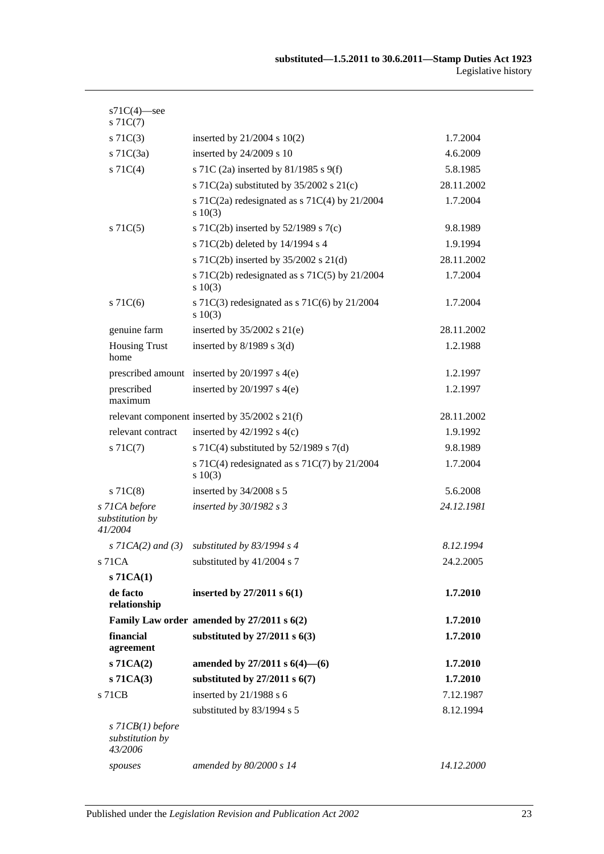| $s71C(4)$ -see<br>$s \, 71C(7)$                  |                                                              |            |
|--------------------------------------------------|--------------------------------------------------------------|------------|
| $s \, 71C(3)$                                    | inserted by $21/2004$ s $10(2)$                              | 1.7.2004   |
| $s$ 71C(3a)                                      | inserted by 24/2009 s 10                                     | 4.6.2009   |
| $s \, 71C(4)$                                    | s 71C (2a) inserted by 81/1985 s 9(f)                        | 5.8.1985   |
|                                                  | s 71C(2a) substituted by $35/2002$ s 21(c)                   | 28.11.2002 |
|                                                  | s 71C(2a) redesignated as s 71C(4) by 21/2004<br>$s \ 10(3)$ | 1.7.2004   |
| $s$ 71 $C(5)$                                    | s 71C(2b) inserted by $52/1989$ s 7(c)                       | 9.8.1989   |
|                                                  | s 71C(2b) deleted by 14/1994 s 4                             | 1.9.1994   |
|                                                  | s 71C(2b) inserted by 35/2002 s 21(d)                        | 28.11.2002 |
|                                                  | s 71C(2b) redesignated as s 71C(5) by 21/2004<br>$s\ 10(3)$  | 1.7.2004   |
| $s$ 71 $C(6)$                                    | s 71C(3) redesignated as s 71C(6) by $21/2004$<br>$s\ 10(3)$ | 1.7.2004   |
| genuine farm                                     | inserted by $35/2002$ s $21(e)$                              | 28.11.2002 |
| <b>Housing Trust</b><br>home                     | inserted by $8/1989$ s 3(d)                                  | 1.2.1988   |
|                                                  | prescribed amount inserted by $20/1997$ s $4(e)$             | 1.2.1997   |
| prescribed<br>maximum                            | inserted by $20/1997$ s $4(e)$                               | 1.2.1997   |
|                                                  | relevant component inserted by $35/2002$ s $21(f)$           | 28.11.2002 |
| relevant contract                                | inserted by $42/1992$ s $4(c)$                               | 1.9.1992   |
| $s \, 71C(7)$                                    | s 71C(4) substituted by $52/1989$ s 7(d)                     | 9.8.1989   |
|                                                  | s 71C(4) redesignated as s 71C(7) by $21/2004$<br>s 10(3)    | 1.7.2004   |
| $s$ 71 $C(8)$                                    | inserted by 34/2008 s 5                                      | 5.6.2008   |
| s 71CA before<br>substitution by<br>41/2004      | inserted by $30/1982 s3$                                     | 24.12.1981 |
| $s$ 71CA(2) and (3)                              | substituted by $83/1994$ s 4                                 | 8.12.1994  |
| s 71 CA                                          | substituted by 41/2004 s 7                                   | 24.2.2005  |
| $s$ 71 $CA(1)$                                   |                                                              |            |
| de facto<br>relationship                         | inserted by $27/2011 s 6(1)$                                 | 1.7.2010   |
|                                                  | Family Law order amended by 27/2011 s 6(2)                   | 1.7.2010   |
| financial<br>agreement                           | substituted by $27/2011$ s $6(3)$                            | 1.7.2010   |
| $s$ 71CA $(2)$                                   | amended by 27/2011 s $6(4)$ — $(6)$                          | 1.7.2010   |
| $s$ 71 $CA(3)$                                   | substituted by $27/2011$ s $6(7)$                            | 1.7.2010   |
| s 71CB                                           | inserted by 21/1988 s 6                                      | 7.12.1987  |
|                                                  | substituted by 83/1994 s 5                                   | 8.12.1994  |
| $s$ 71CB(1) before<br>substitution by<br>43/2006 |                                                              |            |
| spouses                                          | amended by 80/2000 s 14                                      | 14.12.2000 |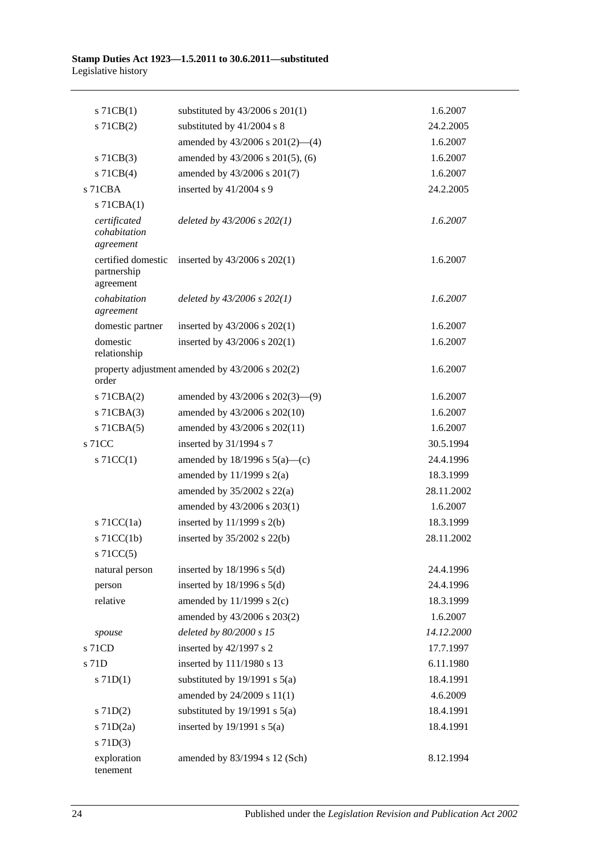| $s$ 71CB(1)                                    | substituted by $43/2006$ s $201(1)$             | 1.6.2007   |
|------------------------------------------------|-------------------------------------------------|------------|
| s 71CB(2)                                      | substituted by 41/2004 s 8                      | 24.2.2005  |
|                                                | amended by $43/2006$ s $201(2)$ —(4)            | 1.6.2007   |
| $s$ 71CB(3)                                    | amended by 43/2006 s 201(5), (6)                | 1.6.2007   |
| $s$ 71CB(4)                                    | amended by 43/2006 s 201(7)                     | 1.6.2007   |
| s 71CBA                                        | inserted by 41/2004 s 9                         | 24.2.2005  |
| $s$ 71CBA $(1)$                                |                                                 |            |
| certificated<br>cohabitation<br>agreement      | deleted by $43/2006$ s $202(1)$                 | 1.6.2007   |
| certified domestic<br>partnership<br>agreement | inserted by $43/2006$ s $202(1)$                | 1.6.2007   |
| cohabitation<br>agreement                      | deleted by $43/2006$ s $202(1)$                 | 1.6.2007   |
| domestic partner                               | inserted by $43/2006$ s $202(1)$                | 1.6.2007   |
| domestic<br>relationship                       | inserted by 43/2006 s 202(1)                    | 1.6.2007   |
| order                                          | property adjustment amended by 43/2006 s 202(2) | 1.6.2007   |
| $s$ 71CBA $(2)$                                | amended by $43/2006$ s $202(3)$ — $(9)$         | 1.6.2007   |
| $s$ 71CBA $(3)$                                | amended by 43/2006 s 202(10)                    | 1.6.2007   |
| $s$ 71CBA $(5)$                                | amended by 43/2006 s 202(11)                    | 1.6.2007   |
| s 71CC                                         | inserted by 31/1994 s 7                         | 30.5.1994  |
| $\vert$ s 71CC(1)                              | amended by $18/1996$ s $5(a)$ —(c)              | 24.4.1996  |
|                                                | amended by $11/1999$ s $2(a)$                   | 18.3.1999  |
|                                                | amended by $35/2002$ s $22(a)$                  | 28.11.2002 |
|                                                | amended by 43/2006 s 203(1)                     | 1.6.2007   |
| s $71CC(1a)$                                   | inserted by $11/1999$ s $2(b)$                  | 18.3.1999  |
| $s$ 71CC(1b)                                   | inserted by $35/2002$ s $22(b)$                 | 28.11.2002 |
| $s$ 71 $CC(5)$                                 |                                                 |            |
| natural person                                 | inserted by $18/1996$ s $5(d)$                  | 24.4.1996  |
| person                                         | inserted by $18/1996$ s $5(d)$                  | 24.4.1996  |
| relative                                       | amended by $11/1999$ s $2(c)$                   | 18.3.1999  |
|                                                | amended by 43/2006 s 203(2)                     | 1.6.2007   |
| spouse                                         | deleted by 80/2000 s 15                         | 14.12.2000 |
| s 71CD                                         | inserted by 42/1997 s 2                         | 17.7.1997  |
| s 71D                                          | inserted by 111/1980 s 13                       | 6.11.1980  |
| $s$ 71D(1)                                     | substituted by $19/1991$ s $5(a)$               | 18.4.1991  |
|                                                | amended by 24/2009 s 11(1)                      | 4.6.2009   |
| $s$ 71D(2)                                     | substituted by $19/1991$ s $5(a)$               | 18.4.1991  |
| $s$ 71D $(2a)$                                 | inserted by $19/1991$ s $5(a)$                  | 18.4.1991  |
| $s$ 71D(3)                                     |                                                 |            |
| exploration<br>tenement                        | amended by 83/1994 s 12 (Sch)                   | 8.12.1994  |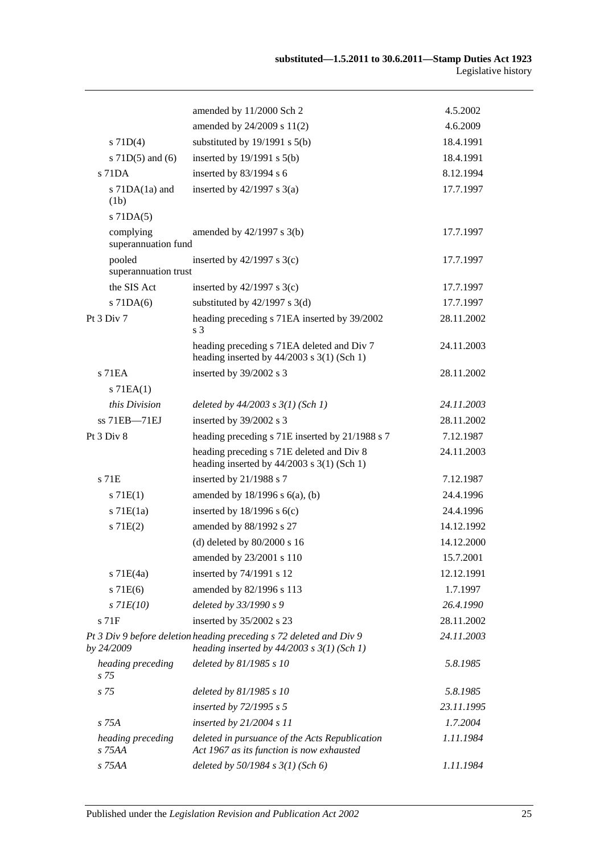|                                  | amended by 11/2000 Sch 2                                                                                              | 4.5.2002   |
|----------------------------------|-----------------------------------------------------------------------------------------------------------------------|------------|
|                                  | amended by 24/2009 s 11(2)                                                                                            | 4.6.2009   |
| $s$ 71D(4)                       | substituted by $19/1991$ s $5(b)$                                                                                     | 18.4.1991  |
| s $71D(5)$ and (6)               | inserted by $19/1991$ s $5(b)$                                                                                        | 18.4.1991  |
| $s$ 71DA                         | inserted by 83/1994 s 6                                                                                               | 8.12.1994  |
| s $71DA(1a)$ and<br>(1b)         | inserted by $42/1997$ s $3(a)$                                                                                        | 17.7.1997  |
| $s$ 71DA $(5)$                   |                                                                                                                       |            |
| complying<br>superannuation fund | amended by 42/1997 s 3(b)                                                                                             | 17.7.1997  |
| pooled<br>superannuation trust   | inserted by $42/1997$ s 3(c)                                                                                          | 17.7.1997  |
| the SIS Act                      | inserted by $42/1997$ s 3(c)                                                                                          | 17.7.1997  |
| $s$ 71DA $(6)$                   | substituted by $42/1997$ s 3(d)                                                                                       | 17.7.1997  |
| Pt $3$ Div $7$                   | heading preceding s 71EA inserted by 39/2002<br>s <sub>3</sub>                                                        | 28.11.2002 |
|                                  | heading preceding s 71EA deleted and Div 7<br>heading inserted by $44/2003$ s $3(1)$ (Sch 1)                          | 24.11.2003 |
| $s$ 71 $EA$                      | inserted by 39/2002 s 3                                                                                               | 28.11.2002 |
| $s$ 71EA $(1)$                   |                                                                                                                       |            |
| this Division                    | deleted by $44/2003$ s $3(1)$ (Sch 1)                                                                                 | 24.11.2003 |
| ss 71EB-71EJ                     | inserted by 39/2002 s 3                                                                                               | 28.11.2002 |
| Pt 3 Div 8                       | heading preceding s 71E inserted by 21/1988 s 7                                                                       | 7.12.1987  |
|                                  | heading preceding s 71E deleted and Div 8<br>heading inserted by $44/2003$ s 3(1) (Sch 1)                             | 24.11.2003 |
| $s$ 71 $E$                       | inserted by 21/1988 s 7                                                                                               | 7.12.1987  |
| s 71E(1)                         | amended by $18/1996$ s $6(a)$ , (b)                                                                                   | 24.4.1996  |
| $s$ 71 $E(1a)$                   | inserted by $18/1996$ s $6(c)$                                                                                        | 24.4.1996  |
| s 71E(2)                         | amended by 88/1992 s 27                                                                                               | 14.12.1992 |
|                                  | (d) deleted by $80/2000$ s 16                                                                                         | 14.12.2000 |
|                                  | amended by 23/2001 s 110                                                                                              | 15.7.2001  |
| $s$ 71 $E(4a)$                   | inserted by 74/1991 s 12                                                                                              | 12.12.1991 |
| s 71E(6)                         | amended by 82/1996 s 113                                                                                              | 1.7.1997   |
| $s$ 71 $E(10)$                   | deleted by 33/1990 s 9                                                                                                | 26.4.1990  |
| $s$ 71 $F$                       | inserted by 35/2002 s 23                                                                                              | 28.11.2002 |
| <i>by 24/2009</i>                | Pt 3 Div 9 before deletion heading preceding s 72 deleted and Div 9<br>heading inserted by $44/2003$ s $3(1)$ (Sch 1) | 24.11.2003 |
| heading preceding<br>s 75        | deleted by 81/1985 s 10                                                                                               | 5.8.1985   |
| s <sub>75</sub>                  | deleted by 81/1985 s 10                                                                                               | 5.8.1985   |
|                                  | inserted by 72/1995 s 5                                                                                               | 23.11.1995 |
| s 75A                            | inserted by $21/2004 s 11$                                                                                            | 1.7.2004   |
| heading preceding<br>$S$ 75AA    | deleted in pursuance of the Acts Republication<br>Act 1967 as its function is now exhausted                           | 1.11.1984  |
| s 75AA                           | deleted by 50/1984 s 3(1) (Sch 6)                                                                                     | 1.11.1984  |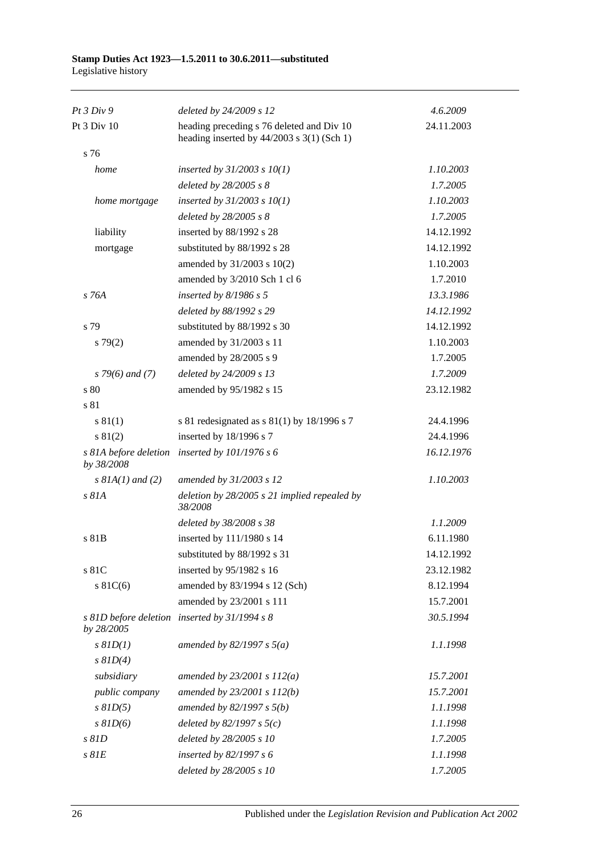| Pt 3 Div 9                          | deleted by 24/2009 s 12                                                                     | 4.6.2009   |
|-------------------------------------|---------------------------------------------------------------------------------------------|------------|
| Pt 3 Div 10                         | heading preceding s 76 deleted and Div 10<br>heading inserted by $44/2003$ s $3(1)$ (Sch 1) | 24.11.2003 |
| s 76                                |                                                                                             |            |
| home                                | inserted by $31/2003$ s $10(1)$                                                             | 1.10.2003  |
|                                     | deleted by $28/2005 s 8$                                                                    | 1.7.2005   |
| home mortgage                       | inserted by $31/2003$ s $10(1)$                                                             | 1.10.2003  |
|                                     | deleted by 28/2005 s 8                                                                      | 1.7.2005   |
| liability                           | inserted by 88/1992 s 28                                                                    | 14.12.1992 |
| mortgage                            | substituted by 88/1992 s 28                                                                 | 14.12.1992 |
|                                     | amended by 31/2003 s 10(2)                                                                  | 1.10.2003  |
|                                     | amended by 3/2010 Sch 1 cl 6                                                                | 1.7.2010   |
| s 76A                               | inserted by $8/1986$ s 5                                                                    | 13.3.1986  |
|                                     | deleted by 88/1992 s 29                                                                     | 14.12.1992 |
| s 79                                | substituted by 88/1992 s 30                                                                 | 14.12.1992 |
| $s \, 79(2)$                        | amended by 31/2003 s 11                                                                     | 1.10.2003  |
|                                     | amended by 28/2005 s 9                                                                      | 1.7.2005   |
| $s$ 79(6) and (7)                   | deleted by 24/2009 s 13                                                                     | 1.7.2009   |
| s 80                                | amended by 95/1982 s 15                                                                     | 23.12.1982 |
| s 81                                |                                                                                             |            |
| s 81(1)                             | s 81 redesignated as s $81(1)$ by 18/1996 s 7                                               | 24.4.1996  |
| s 81(2)                             | inserted by 18/1996 s 7                                                                     | 24.4.1996  |
| s 81A before deletion<br>by 38/2008 | inserted by $101/1976 s 6$                                                                  | 16.12.1976 |
| $s$ 81A(1) and (2)                  | amended by 31/2003 s 12                                                                     | 1.10.2003  |
| s 81A                               | deletion by $28/2005$ s 21 implied repealed by<br>38/2008                                   |            |
|                                     | deleted by 38/2008 s 38                                                                     | 1.1.2009   |
| s 81B                               | inserted by 111/1980 s 14                                                                   | 6.11.1980  |
|                                     | substituted by 88/1992 s 31                                                                 | 14.12.1992 |
| s 81C                               | inserted by 95/1982 s 16                                                                    | 23.12.1982 |
| $s \, 81C(6)$                       | amended by 83/1994 s 12 (Sch)                                                               | 8.12.1994  |
|                                     | amended by 23/2001 s 111                                                                    | 15.7.2001  |
| by 28/2005                          | s 81D before deletion inserted by 31/1994 s 8                                               | 30.5.1994  |
| $s$ $81D(1)$                        | amended by 82/1997 s $5(a)$                                                                 | 1.1.1998   |
| $s$ $81D(4)$                        |                                                                                             |            |
| subsidiary                          | amended by $23/2001 s 112(a)$                                                               | 15.7.2001  |
| public company                      | amended by 23/2001 s 112(b)                                                                 | 15.7.2001  |
| $s$ $81D(5)$                        | amended by $82/1997 s 5(b)$                                                                 | 1.1.1998   |
| $s$ $81D(6)$                        | deleted by $82/1997 s 5(c)$                                                                 | 1.1.1998   |
| s 81D                               | deleted by 28/2005 s 10                                                                     | 1.7.2005   |
| $s$ $81E$                           | inserted by 82/1997 s 6                                                                     | 1.1.1998   |
|                                     | deleted by 28/2005 s 10                                                                     | 1.7.2005   |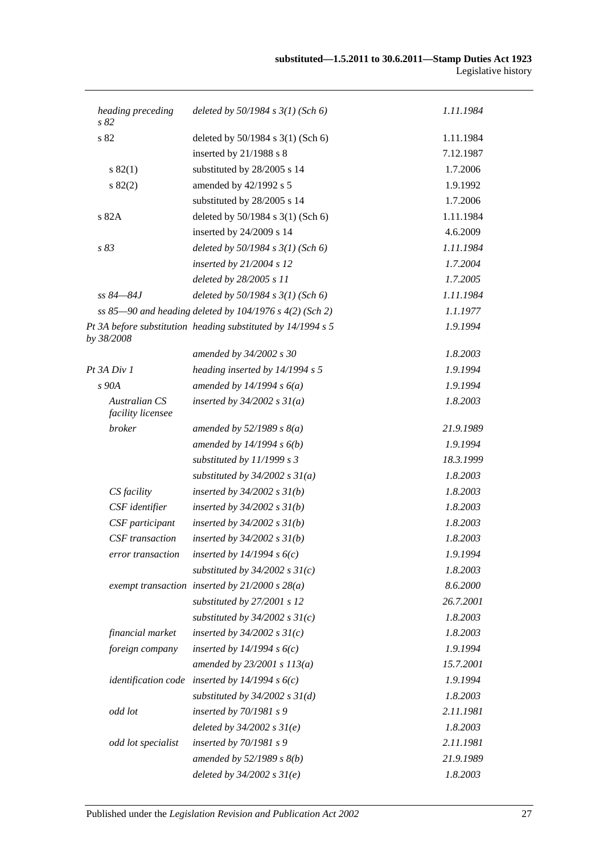| heading preceding<br>s 82                 | deleted by $50/1984$ s $3(1)$ (Sch 6)                        | 1.11.1984 |
|-------------------------------------------|--------------------------------------------------------------|-----------|
| s 82                                      | deleted by 50/1984 s 3(1) (Sch 6)                            | 1.11.1984 |
|                                           | inserted by 21/1988 s 8                                      | 7.12.1987 |
| s 82(1)                                   | substituted by 28/2005 s 14                                  | 1.7.2006  |
| s 82(2)                                   | amended by 42/1992 s 5                                       | 1.9.1992  |
|                                           | substituted by 28/2005 s 14                                  | 1.7.2006  |
| s 82A                                     | deleted by 50/1984 s 3(1) (Sch 6)                            | 1.11.1984 |
|                                           | inserted by 24/2009 s 14                                     | 4.6.2009  |
| s 83                                      | deleted by $50/1984$ s $3(1)$ (Sch 6)                        | 1.11.1984 |
|                                           | inserted by 21/2004 s 12                                     | 1.7.2004  |
|                                           | deleted by 28/2005 s 11                                      | 1.7.2005  |
| $ss 84 - 84J$                             | deleted by $50/1984$ s $3(1)$ (Sch 6)                        | 1.11.1984 |
|                                           | ss 85-90 and heading deleted by 104/1976 s 4(2) (Sch 2)      | 1.1.1977  |
| by 38/2008                                | Pt 3A before substitution heading substituted by 14/1994 s 5 | 1.9.1994  |
|                                           | amended by 34/2002 s 30                                      | 1.8.2003  |
| Pt 3A Div 1                               | heading inserted by 14/1994 s 5                              | 1.9.1994  |
| s90A                                      | amended by $14/1994 s 6(a)$                                  | 1.9.1994  |
| <b>Australian CS</b><br>facility licensee | inserted by $34/2002$ s $31(a)$                              | 1.8.2003  |
| broker                                    | amended by $52/1989 s 8(a)$                                  | 21.9.1989 |
|                                           | amended by $14/1994 s 6(b)$                                  | 1.9.1994  |
|                                           | substituted by 11/1999 s 3                                   | 18.3.1999 |
|                                           | substituted by $34/2002$ s $31(a)$                           | 1.8.2003  |
| CS facility                               | inserted by $34/2002$ s $31(b)$                              | 1.8.2003  |
| CSF identifier                            | inserted by $34/2002$ s $31(b)$                              | 1.8.2003  |
| CSF participant                           | inserted by $34/2002$ s $31(b)$                              | 1.8.2003  |
| CSF transaction                           | inserted by $34/2002$ s $31(b)$                              | 1.8.2003  |
| error transaction                         | inserted by $14/1994 s 6(c)$                                 | 1.9.1994  |
|                                           | substituted by $34/2002$ s $31(c)$                           | 1.8.2003  |
|                                           | exempt transaction inserted by $21/2000 s 28(a)$             | 8.6.2000  |
|                                           | substituted by 27/2001 s 12                                  | 26.7.2001 |
|                                           | substituted by $34/2002$ s $31(c)$                           | 1.8.2003  |
| financial market                          | inserted by $34/2002$ s $31(c)$                              | 1.8.2003  |
| foreign company                           | inserted by $14/1994 s 6(c)$                                 | 1.9.1994  |
|                                           | amended by $23/2001 s 113(a)$                                | 15.7.2001 |
|                                           | <i>identification code</i> inserted by $14/1994 s6(c)$       | 1.9.1994  |
|                                           | substituted by $34/2002$ s $31(d)$                           | 1.8.2003  |
| odd lot                                   | inserted by $70/1981 s$ 9                                    | 2.11.1981 |
|                                           | deleted by $34/2002$ s $31(e)$                               | 1.8.2003  |
| odd lot specialist                        | inserted by $70/1981 s$ 9                                    | 2.11.1981 |
|                                           | amended by $52/1989$ s $8(b)$                                | 21.9.1989 |
|                                           | deleted by $34/2002$ s $31(e)$                               | 1.8.2003  |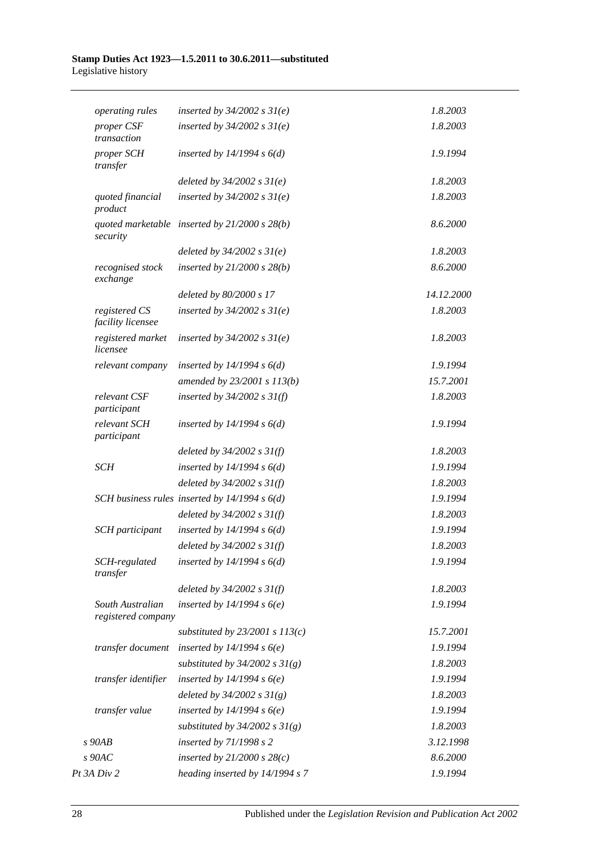| <i>operating rules</i>                 | inserted by $34/2002$ s $31(e)$                 | 1.8.2003   |
|----------------------------------------|-------------------------------------------------|------------|
| proper CSF<br>transaction              | inserted by $34/2002$ s $31(e)$                 | 1.8.2003   |
| proper SCH<br>transfer                 | inserted by $14/1994$ s $6(d)$                  | 1.9.1994   |
|                                        | deleted by $34/2002 s 31(e)$                    | 1.8.2003   |
| quoted financial<br>product            | inserted by $34/2002$ s $31(e)$                 | 1.8.2003   |
| security                               | quoted marketable inserted by $21/2000 s 28(b)$ | 8.6.2000   |
|                                        | deleted by $34/2002 s 31(e)$                    | 1.8.2003   |
| recognised stock<br>exchange           | inserted by $21/2000$ s $28(b)$                 | 8.6.2000   |
|                                        | deleted by 80/2000 s 17                         | 14.12.2000 |
| registered CS<br>facility licensee     | inserted by $34/2002$ s $31(e)$                 | 1.8.2003   |
| registered market<br>licensee          | inserted by $34/2002$ s $31(e)$                 | 1.8.2003   |
| relevant company                       | inserted by $14/1994 s 6(d)$                    | 1.9.1994   |
|                                        | amended by 23/2001 s 113(b)                     | 15.7.2001  |
| relevant CSF<br>participant            | inserted by $34/2002$ s $31(f)$                 | 1.8.2003   |
| relevant SCH<br>participant            | inserted by $14/1994 s 6(d)$                    | 1.9.1994   |
|                                        | deleted by $34/2002 s 31(f)$                    | 1.8.2003   |
| <b>SCH</b>                             | inserted by $14/1994 s 6(d)$                    | 1.9.1994   |
|                                        | deleted by $34/2002 s 31(f)$                    | 1.8.2003   |
|                                        | SCH business rules inserted by $14/1994 s 6(d)$ | 1.9.1994   |
|                                        | deleted by $34/2002 s 31(f)$                    | 1.8.2003   |
| <b>SCH</b> participant                 | inserted by $14/1994 s 6(d)$                    | 1.9.1994   |
|                                        | deleted by $34/2002 s 31(f)$                    | 1.8.2003   |
| SCH-regulated<br>transfer              | inserted by $14/1994 s 6(d)$                    | 1.9.1994   |
|                                        | deleted by $34/2002 s 31(f)$                    | 1.8.2003   |
| South Australian<br>registered company | inserted by $14/1994 s6(e)$                     | 1.9.1994   |
|                                        | substituted by $23/2001$ s $113(c)$             | 15.7.2001  |
| transfer document                      | inserted by $14/1994 s6(e)$                     | 1.9.1994   |
|                                        | substituted by $34/2002$ s $31(g)$              | 1.8.2003   |
| transfer identifier                    | inserted by $14/1994 s6(e)$                     | 1.9.1994   |
|                                        | deleted by $34/2002 s 31(g)$                    | 1.8.2003   |
| transfer value                         | inserted by $14/1994 s6(e)$                     | 1.9.1994   |
|                                        | substituted by $34/2002$ s $31(g)$              | 1.8.2003   |
| $s$ 90AB                               | inserted by $71/1998 s 2$                       | 3.12.1998  |
| $s$ 90AC                               | inserted by $21/2000 s 28(c)$                   | 8.6.2000   |
| Pt 3A Div 2                            | heading inserted by 14/1994 s 7                 | 1.9.1994   |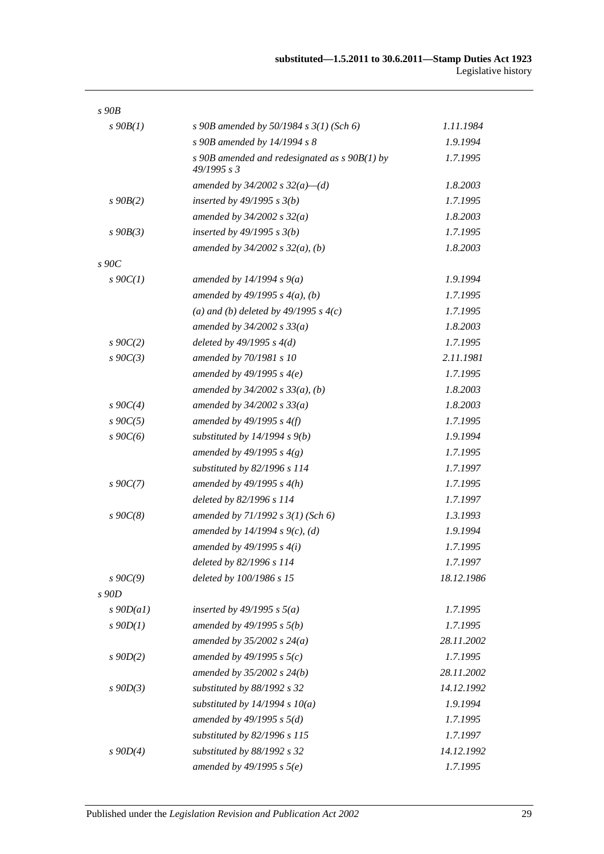| s90B             |                                                                |            |
|------------------|----------------------------------------------------------------|------------|
| $s\,90B(1)$      | s 90B amended by 50/1984 s $3(1)$ (Sch 6)                      | 1.11.1984  |
|                  | s 90B amended by 14/1994 s 8                                   | 1.9.1994   |
|                  | s 90B amended and redesignated as $s$ 90B(1) by<br>49/1995 s 3 | 1.7.1995   |
|                  | amended by $34/2002$ s $32(a)$ —(d)                            | 1.8.2003   |
| $s$ 90 $B(2)$    | inserted by $49/1995 s 3(b)$                                   | 1.7.1995   |
|                  | amended by $34/2002 s 32(a)$                                   | 1.8.2003   |
| $s\,90B(3)$      | inserted by $49/1995 s 3(b)$                                   | 1.7.1995   |
|                  | amended by $34/2002$ s $32(a)$ , (b)                           | 1.8.2003   |
| $s\,90C$         |                                                                |            |
| $s \cdot 90C(1)$ | amended by $14/1994 s 9(a)$                                    | 1.9.1994   |
|                  | amended by $49/1995 s 4(a)$ , (b)                              | 1.7.1995   |
|                  | (a) and (b) deleted by $49/1995 s 4(c)$                        | 1.7.1995   |
|                  | amended by $34/2002 s 33(a)$                                   | 1.8.2003   |
| $s \, 90C(2)$    | deleted by $49/1995 s 4(d)$                                    | 1.7.1995   |
| $s\ 90C(3)$      | amended by 70/1981 s 10                                        | 2.11.1981  |
|                  | amended by $49/1995 s 4(e)$                                    | 1.7.1995   |
|                  | amended by $34/2002$ s $33(a)$ , (b)                           | 1.8.2003   |
| $s \, 90C(4)$    | amended by $34/2002 s 33(a)$                                   | 1.8.2003   |
| $s \, 90C(5)$    | amended by $49/1995$ s $4(f)$                                  | 1.7.1995   |
| $s \, 90C(6)$    | substituted by $14/1994 s 9(b)$                                | 1.9.1994   |
|                  | amended by 49/1995 s $4(g)$                                    | 1.7.1995   |
|                  | substituted by 82/1996 s 114                                   | 1.7.1997   |
| $s \, 90C(7)$    | amended by $49/1995 s 4(h)$                                    | 1.7.1995   |
|                  | deleted by 82/1996 s 114                                       | 1.7.1997   |
| $s\,90C(8)$      | amended by 71/1992 s 3(1) (Sch 6)                              | 1.3.1993   |
|                  | amended by $14/1994 s 9(c)$ , (d)                              | 1.9.1994   |
|                  | amended by $49/1995 s 4(i)$                                    | 1.7.1995   |
|                  | deleted by 82/1996 s 114                                       | 1.7.1997   |
| $s\,90C(9)$      | deleted by 100/1986 s 15                                       | 18.12.1986 |
| s 90D            |                                                                |            |
| $s$ 90 $D(al)$   | inserted by 49/1995 s $5(a)$                                   | 1.7.1995   |
| $s$ 90D(1)       | amended by $49/1995 s 5(b)$                                    | 1.7.1995   |
|                  | amended by $35/2002 s 24(a)$                                   | 28.11.2002 |
| $s \, 90D(2)$    | amended by 49/1995 s $5(c)$                                    | 1.7.1995   |
|                  | amended by $35/2002 s 24(b)$                                   | 28.11.2002 |
| $s$ 90 $D(3)$    | substituted by 88/1992 s 32                                    | 14.12.1992 |
|                  | substituted by $14/1994 s 10(a)$                               | 1.9.1994   |
|                  | amended by $49/1995 s 5(d)$                                    | 1.7.1995   |
|                  | substituted by 82/1996 s 115                                   | 1.7.1997   |
| $s$ 90D(4)       | substituted by 88/1992 s 32                                    | 14.12.1992 |
|                  | amended by $49/1995 s 5(e)$                                    | 1.7.1995   |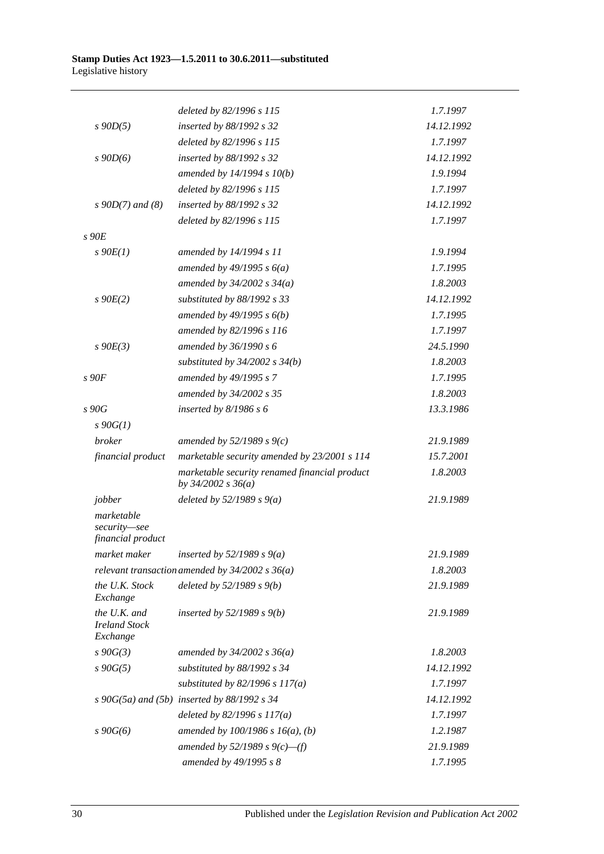|                                                  | deleted by 82/1996 s 115                                                | 1.7.1997   |
|--------------------------------------------------|-------------------------------------------------------------------------|------------|
| $s$ 90D(5)                                       | inserted by 88/1992 s 32                                                | 14.12.1992 |
|                                                  | deleted by 82/1996 s 115                                                | 1.7.1997   |
| $s$ 90 $D(6)$                                    | inserted by 88/1992 s 32                                                | 14.12.1992 |
|                                                  | amended by $14/1994 s 10(b)$                                            | 1.9.1994   |
|                                                  | deleted by 82/1996 s 115                                                | 1.7.1997   |
| $s \, 90D(7)$ and (8)                            | inserted by 88/1992 s 32                                                | 14.12.1992 |
|                                                  | deleted by 82/1996 s 115                                                | 1.7.1997   |
| $s$ 90 $E$                                       |                                                                         |            |
| $s\ 90E(1)$                                      | amended by 14/1994 s 11                                                 | 1.9.1994   |
|                                                  | amended by $49/1995 s 6(a)$                                             | 1.7.1995   |
|                                                  | amended by $34/2002$ s $34(a)$                                          | 1.8.2003   |
| $s$ 90 $E(2)$                                    | substituted by 88/1992 s 33                                             | 14.12.1992 |
|                                                  | amended by $49/1995 s 6(b)$                                             | 1.7.1995   |
|                                                  | amended by 82/1996 s 116                                                | 1.7.1997   |
| $s$ 90 $E(3)$                                    | amended by 36/1990 s 6                                                  | 24.5.1990  |
|                                                  | substituted by $34/2002$ s $34(b)$                                      | 1.8.2003   |
| $s$ 90 $F$                                       | amended by 49/1995 s 7                                                  | 1.7.1995   |
|                                                  | amended by 34/2002 s 35                                                 | 1.8.2003   |
| s90G                                             | inserted by $8/1986 s 6$                                                | 13.3.1986  |
| $s \, 90G(1)$                                    |                                                                         |            |
| <i>broker</i>                                    | amended by $52/1989 s 9(c)$                                             | 21.9.1989  |
| financial product                                | marketable security amended by 23/2001 s 114                            | 15.7.2001  |
|                                                  | marketable security renamed financial product<br>by $34/2002$ s $36(a)$ | 1.8.2003   |
| jobber                                           | deleted by $52/1989 s 9(a)$                                             | 21.9.1989  |
| marketable<br>security-see<br>financial product  |                                                                         |            |
| market maker                                     | inserted by 52/1989 s $9(a)$                                            | 21.9.1989  |
|                                                  | relevant transaction amended by $34/2002 s 36(a)$                       | 1.8.2003   |
| the U.K. Stock<br>Exchange                       | deleted by $52/1989 s 9(b)$                                             | 21.9.1989  |
| the U.K. and<br><b>Ireland Stock</b><br>Exchange | inserted by $52/1989 s 9(b)$                                            | 21.9.1989  |
| $s\,90G(3)$                                      | amended by $34/2002 s 36(a)$                                            | 1.8.2003   |
| $s\,90G(5)$                                      | substituted by 88/1992 s 34                                             | 14.12.1992 |
|                                                  | substituted by $82/1996$ s $117(a)$                                     | 1.7.1997   |
|                                                  | $s\ 90G(5a)$ and $(5b)$ inserted by 88/1992 s 34                        | 14.12.1992 |
|                                                  | deleted by $82/1996 s 117(a)$                                           | 1.7.1997   |
| $s\,90G(6)$                                      | amended by $100/1986$ s $16(a)$ , (b)                                   | 1.2.1987   |
|                                                  | amended by 52/1989 s $9(c)$ —(f)                                        | 21.9.1989  |
|                                                  | amended by 49/1995 s 8                                                  | 1.7.1995   |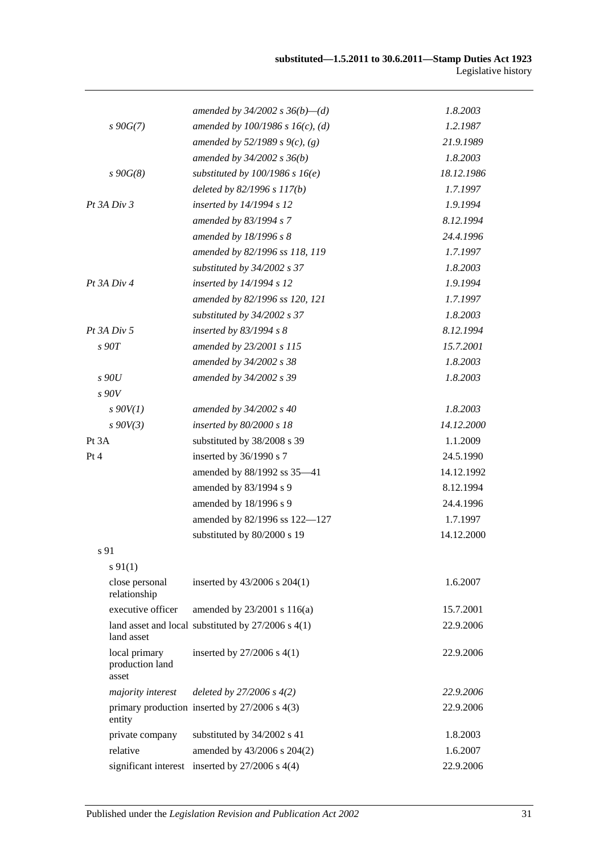|                                           | amended by $34/2002$ s $36(b)$ —(d)                    | 1.8.2003   |
|-------------------------------------------|--------------------------------------------------------|------------|
| $s\,90G(7)$                               | amended by $100/1986$ s $16(c)$ , (d)                  | 1.2.1987   |
|                                           | amended by 52/1989 s 9(c), (g)                         | 21.9.1989  |
|                                           | amended by $34/2002 s 36(b)$                           | 1.8.2003   |
| $s\,90G(8)$                               | substituted by $100/1986$ s $16(e)$                    | 18.12.1986 |
|                                           | deleted by 82/1996 s 117(b)                            | 1.7.1997   |
| $Pt$ 3A $Div$ 3                           | inserted by 14/1994 s 12                               | 1.9.1994   |
|                                           | amended by 83/1994 s 7                                 | 8.12.1994  |
|                                           | amended by 18/1996 s 8                                 | 24.4.1996  |
|                                           | amended by 82/1996 ss 118, 119                         | 1.7.1997   |
|                                           | substituted by $34/2002$ s 37                          | 1.8.2003   |
| Pt 3A Div 4                               | inserted by 14/1994 s 12                               | 1.9.1994   |
|                                           | amended by 82/1996 ss 120, 121                         | 1.7.1997   |
|                                           | substituted by 34/2002 s 37                            | 1.8.2003   |
| $Pt$ 3A $Div$ 5                           | inserted by $83/1994 s 8$                              | 8.12.1994  |
| $s$ 90 $T$                                | amended by 23/2001 s 115                               | 15.7.2001  |
|                                           | amended by 34/2002 s 38                                | 1.8.2003   |
| s90U                                      | amended by 34/2002 s 39                                | 1.8.2003   |
| s90V                                      |                                                        |            |
| $s$ 90V(1)                                | amended by 34/2002 s 40                                | 1.8.2003   |
| $s$ 90V(3)                                | inserted by 80/2000 s 18                               | 14.12.2000 |
| Pt 3A                                     | substituted by 38/2008 s 39                            | 1.1.2009   |
| Pt 4                                      | inserted by 36/1990 s 7                                | 24.5.1990  |
|                                           | amended by 88/1992 ss 35-41                            | 14.12.1992 |
|                                           | amended by 83/1994 s 9                                 | 8.12.1994  |
|                                           | amended by 18/1996 s 9                                 | 24.4.1996  |
|                                           | amended by 82/1996 ss 122-127                          | 1.7.1997   |
|                                           | substituted by 80/2000 s 19                            | 14.12.2000 |
| s 91                                      |                                                        |            |
| $s\ 91(1)$                                |                                                        |            |
| close personal<br>relationship            | inserted by 43/2006 s 204(1)                           | 1.6.2007   |
| executive officer                         | amended by 23/2001 s 116(a)                            | 15.7.2001  |
| land asset                                | land asset and local substituted by $27/2006$ s $4(1)$ | 22.9.2006  |
| local primary<br>production land<br>asset | inserted by 27/2006 s 4(1)                             | 22.9.2006  |
| majority interest                         | deleted by $27/2006 s 4(2)$                            | 22.9.2006  |
| entity                                    | primary production inserted by $27/2006$ s $4(3)$      | 22.9.2006  |
| private company                           | substituted by 34/2002 s 41                            | 1.8.2003   |
| relative                                  | amended by 43/2006 s 204(2)                            | 1.6.2007   |
|                                           | significant interest inserted by 27/2006 s 4(4)        | 22.9.2006  |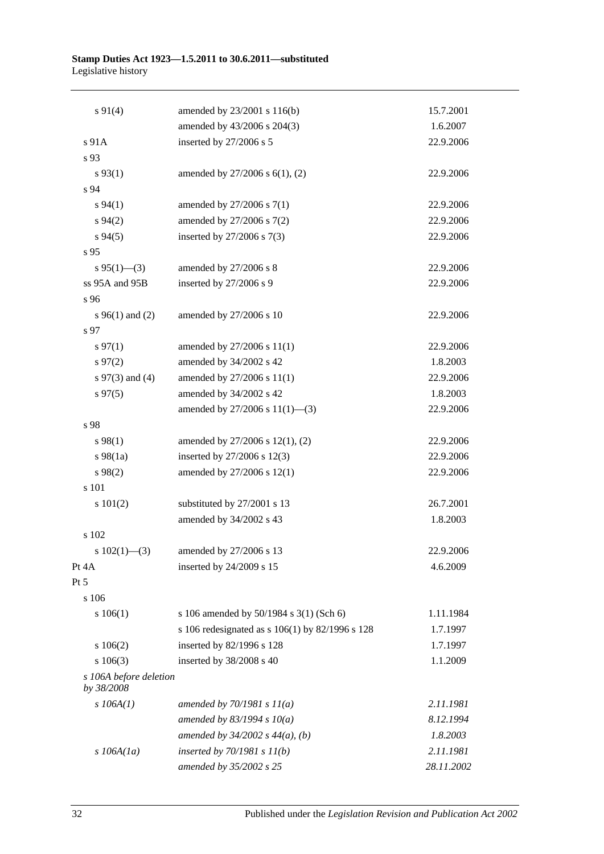| $s\ 91(4)$                           | amended by 23/2001 s 116(b)                     | 15.7.2001  |  |
|--------------------------------------|-------------------------------------------------|------------|--|
|                                      | amended by 43/2006 s 204(3)                     | 1.6.2007   |  |
| s 91A                                | inserted by 27/2006 s 5                         | 22.9.2006  |  |
| s 93                                 |                                                 |            |  |
| $s\,93(1)$                           | amended by 27/2006 s 6(1), (2)                  | 22.9.2006  |  |
| s 94                                 |                                                 |            |  |
| $s\,94(1)$                           | amended by 27/2006 s 7(1)                       | 22.9.2006  |  |
| $s\,94(2)$                           | amended by 27/2006 s 7(2)                       | 22.9.2006  |  |
| $s\,94(5)$                           | inserted by $27/2006$ s $7(3)$                  | 22.9.2006  |  |
| s 95                                 |                                                 |            |  |
| $s\,95(1)$ —(3)                      | amended by 27/2006 s 8                          | 22.9.2006  |  |
| ss 95A and 95B                       | inserted by 27/2006 s 9                         | 22.9.2006  |  |
| s 96                                 |                                                 |            |  |
| s $96(1)$ and (2)                    | amended by 27/2006 s 10                         | 22.9.2006  |  |
| s 97                                 |                                                 |            |  |
| $s\,97(1)$                           | amended by 27/2006 s 11(1)                      | 22.9.2006  |  |
| $s\,97(2)$                           | amended by 34/2002 s 42                         | 1.8.2003   |  |
| s $97(3)$ and (4)                    | amended by 27/2006 s 11(1)                      | 22.9.2006  |  |
| $s\,97(5)$                           | amended by 34/2002 s 42                         | 1.8.2003   |  |
|                                      | amended by 27/2006 s 11(1)-(3)                  | 22.9.2006  |  |
| s 98                                 |                                                 |            |  |
| $s\,98(1)$                           | amended by 27/2006 s 12(1), (2)                 | 22.9.2006  |  |
| $s\,98(1a)$                          | inserted by 27/2006 s 12(3)                     | 22.9.2006  |  |
| $s\,98(2)$                           | amended by 27/2006 s 12(1)                      | 22.9.2006  |  |
| s 101                                |                                                 |            |  |
| s 101(2)                             | substituted by 27/2001 s 13                     | 26.7.2001  |  |
|                                      | amended by 34/2002 s 43                         | 1.8.2003   |  |
| s 102                                |                                                 |            |  |
| s $102(1)$ —(3)                      | amended by 27/2006 s 13                         | 22.9.2006  |  |
| Pt 4A                                | inserted by 24/2009 s 15                        | 4.6.2009   |  |
| Pt 5                                 |                                                 |            |  |
| s 106                                |                                                 |            |  |
| s 106(1)                             | s 106 amended by 50/1984 s 3(1) (Sch 6)         | 1.11.1984  |  |
|                                      | s 106 redesignated as s 106(1) by 82/1996 s 128 | 1.7.1997   |  |
| 106(2)                               | inserted by 82/1996 s 128                       | 1.7.1997   |  |
| $s\ 106(3)$                          | inserted by 38/2008 s 40                        | 1.1.2009   |  |
| s 106A before deletion<br>by 38/2008 |                                                 |            |  |
| $s$ 106A(1)                          | amended by $70/1981 s 11(a)$                    | 2.11.1981  |  |
|                                      | amended by $83/1994 s 10(a)$                    | 8.12.1994  |  |
|                                      | amended by $34/2002$ s $44(a)$ , (b)            | 1.8.2003   |  |
| $s$ 106A(1a)                         | inserted by $70/1981 s 11(b)$                   | 2.11.1981  |  |
|                                      | amended by 35/2002 s 25                         | 28.11.2002 |  |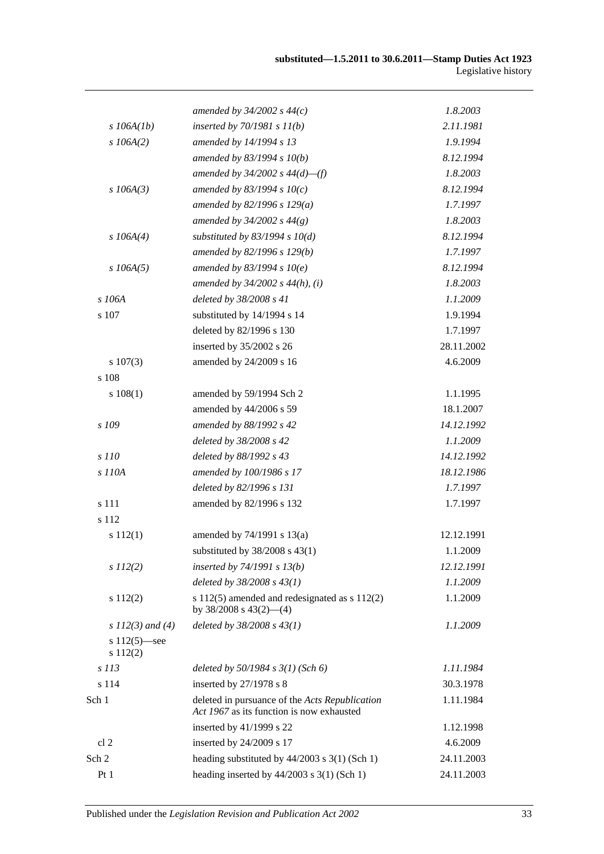|                             | amended by $34/2002$ s $44(c)$                                                              | 1.8.2003   |
|-----------------------------|---------------------------------------------------------------------------------------------|------------|
| $s$ 106A(1b)                | inserted by $70/1981 s 11(b)$                                                               | 2.11.1981  |
| $s$ 106A(2)                 | amended by 14/1994 s 13                                                                     | 1.9.1994   |
|                             | amended by $83/1994 s 10(b)$                                                                | 8.12.1994  |
|                             | amended by $34/2002$ s $44(d)$ —(f)                                                         | 1.8.2003   |
| $s$ 106A(3)                 | amended by 83/1994 s $10(c)$                                                                | 8.12.1994  |
|                             | amended by $82/1996 s 129(a)$                                                               | 1.7.1997   |
|                             | amended by $34/2002 s 44(g)$                                                                | 1.8.2003   |
| $s$ 106A(4)                 | substituted by $83/1994$ s $10(d)$                                                          | 8.12.1994  |
|                             | amended by 82/1996 s 129(b)                                                                 | 1.7.1997   |
| $s$ 106A(5)                 | amended by $83/1994 s 10(e)$                                                                | 8.12.1994  |
|                             | amended by $34/2002$ s $44(h)$ , (i)                                                        | 1.8.2003   |
| s 106A                      | deleted by 38/2008 s 41                                                                     | 1.1.2009   |
| s 107                       | substituted by 14/1994 s 14                                                                 | 1.9.1994   |
|                             | deleted by 82/1996 s 130                                                                    | 1.7.1997   |
|                             | inserted by 35/2002 s 26                                                                    | 28.11.2002 |
| $s\ 107(3)$                 | amended by 24/2009 s 16                                                                     | 4.6.2009   |
| s 108                       |                                                                                             |            |
| s 108(1)                    | amended by 59/1994 Sch 2                                                                    | 1.1.1995   |
|                             | amended by 44/2006 s 59                                                                     | 18.1.2007  |
| s 109                       | amended by 88/1992 s 42                                                                     | 14.12.1992 |
|                             | deleted by 38/2008 s 42                                                                     | 1.1.2009   |
| s 110                       | deleted by 88/1992 s 43                                                                     | 14.12.1992 |
| s 110A                      | amended by 100/1986 s 17                                                                    | 18.12.1986 |
|                             | deleted by 82/1996 s 131                                                                    | 1.7.1997   |
| s 111                       | amended by 82/1996 s 132                                                                    | 1.7.1997   |
| s 112                       |                                                                                             |            |
| s 112(1)                    | amended by 74/1991 s 13(a)                                                                  | 12.12.1991 |
|                             | substituted by $38/2008$ s $43(1)$                                                          | 1.1.2009   |
| $s\ 112(2)$                 | inserted by $74/1991 s 13(b)$                                                               | 12.12.1991 |
|                             | deleted by $38/2008 s 43(1)$                                                                | 1.1.2009   |
| s 112(2)                    | s $112(5)$ amended and redesignated as s $112(2)$<br>by $38/2008$ s $43(2)$ —(4)            | 1.1.2009   |
| s $112(3)$ and (4)          | deleted by $38/2008 s 43(1)$                                                                | 1.1.2009   |
| s $112(5)$ —see<br>s 112(2) |                                                                                             |            |
| s 113                       | deleted by $50/1984$ s $3(1)$ (Sch 6)                                                       | 1.11.1984  |
| s 114                       | inserted by 27/1978 s 8                                                                     | 30.3.1978  |
| Sch 1                       | deleted in pursuance of the Acts Republication<br>Act 1967 as its function is now exhausted | 1.11.1984  |
|                             | inserted by 41/1999 s 22                                                                    | 1.12.1998  |
| cl <sub>2</sub>             | inserted by 24/2009 s 17                                                                    | 4.6.2009   |
| Sch 2                       | heading substituted by $44/2003$ s 3(1) (Sch 1)                                             | 24.11.2003 |
| Pt1                         | heading inserted by $44/2003$ s 3(1) (Sch 1)                                                | 24.11.2003 |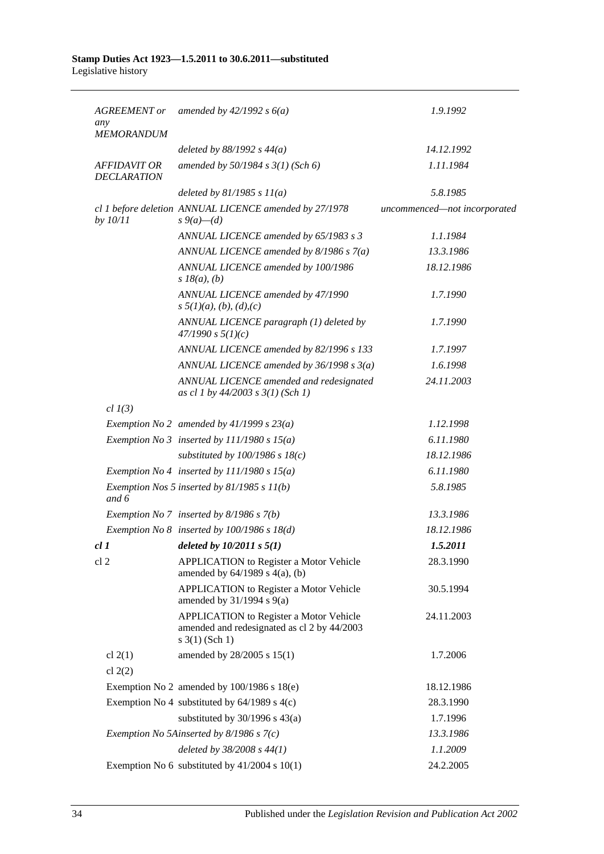| <b>AGREEMENT</b> or<br>any                | amended by $42/1992 s 6(a)$                                                                                          | 1.9.1992                     |
|-------------------------------------------|----------------------------------------------------------------------------------------------------------------------|------------------------------|
| <b>MEMORANDUM</b>                         |                                                                                                                      |                              |
|                                           | deleted by $88/1992$ s $44(a)$                                                                                       | 14.12.1992                   |
| <b>AFFIDAVIT OR</b><br><b>DECLARATION</b> | amended by $50/1984 s 3(1)$ (Sch 6)                                                                                  | 1.11.1984                    |
|                                           | deleted by $81/1985 s 11(a)$                                                                                         | 5.8.1985                     |
| by 10/11                                  | cl 1 before deletion ANNUAL LICENCE amended by 27/1978<br>$s \, 9(a) - (d)$                                          | uncommenced-not incorporated |
|                                           | ANNUAL LICENCE amended by 65/1983 s 3                                                                                | 1.1.1984                     |
|                                           | ANNUAL LICENCE amended by $8/1986 s 7(a)$                                                                            | 13.3.1986                    |
|                                           | ANNUAL LICENCE amended by 100/1986<br>$s$ 18( <i>a</i> ), ( <i>b</i> )                                               | 18.12.1986                   |
|                                           | ANNUAL LICENCE amended by 47/1990<br>$s \frac{5}{1}(a), (b), (d), (c)$                                               | 1.7.1990                     |
|                                           | ANNUAL LICENCE paragraph (1) deleted by<br>47/1990 s 5(1)(c)                                                         | 1.7.1990                     |
|                                           | ANNUAL LICENCE amended by 82/1996 s 133                                                                              | 1.7.1997                     |
|                                           | ANNUAL LICENCE amended by $36/1998 s 3(a)$                                                                           | 1.6.1998                     |
|                                           | ANNUAL LICENCE amended and redesignated<br>as cl 1 by 44/2003 s 3(1) (Sch 1)                                         | 24.11.2003                   |
| $cl$ $I(3)$                               |                                                                                                                      |                              |
|                                           | Exemption No 2 amended by $41/1999$ s $23(a)$                                                                        | 1.12.1998                    |
|                                           | Exemption No 3 inserted by $111/1980 s 15(a)$                                                                        | 6.11.1980                    |
|                                           | substituted by $100/1986$ s $18(c)$                                                                                  | 18.12.1986                   |
|                                           | Exemption No 4 inserted by $111/1980 s 15(a)$                                                                        | 6.11.1980                    |
| and $6$                                   | Exemption Nos 5 inserted by $81/1985 s 11(b)$                                                                        | 5.8.1985                     |
|                                           | Exemption No 7 inserted by $8/1986$ s $7(b)$                                                                         | 13.3.1986                    |
|                                           | Exemption No $8$ inserted by 100/1986 s 18(d)                                                                        | 18.12.1986                   |
| cl1                                       | deleted by $10/2011 s 5(1)$                                                                                          | 1.5.2011                     |
| cl <sub>2</sub>                           | <b>APPLICATION</b> to Register a Motor Vehicle<br>amended by $64/1989$ s $4(a)$ , (b)                                | 28.3.1990                    |
|                                           | <b>APPLICATION</b> to Register a Motor Vehicle<br>amended by $31/1994$ s $9(a)$                                      | 30.5.1994                    |
|                                           | <b>APPLICATION</b> to Register a Motor Vehicle<br>amended and redesignated as cl 2 by 44/2003<br>$s \; 3(1)$ (Sch 1) | 24.11.2003                   |
| cl $2(1)$                                 | amended by 28/2005 s 15(1)                                                                                           | 1.7.2006                     |
| cl $2(2)$                                 |                                                                                                                      |                              |
|                                           | Exemption No 2 amended by 100/1986 s 18(e)                                                                           | 18.12.1986                   |
|                                           | Exemption No 4 substituted by $64/1989$ s $4(c)$                                                                     | 28.3.1990                    |
|                                           | substituted by $30/1996$ s $43(a)$                                                                                   | 1.7.1996                     |
|                                           | Exemption No 5Ainserted by $8/1986$ s $7(c)$                                                                         | 13.3.1986                    |
|                                           | deleted by $38/2008 s 44(1)$                                                                                         | 1.1.2009                     |
|                                           | Exemption No 6 substituted by $41/2004$ s $10(1)$                                                                    | 24.2.2005                    |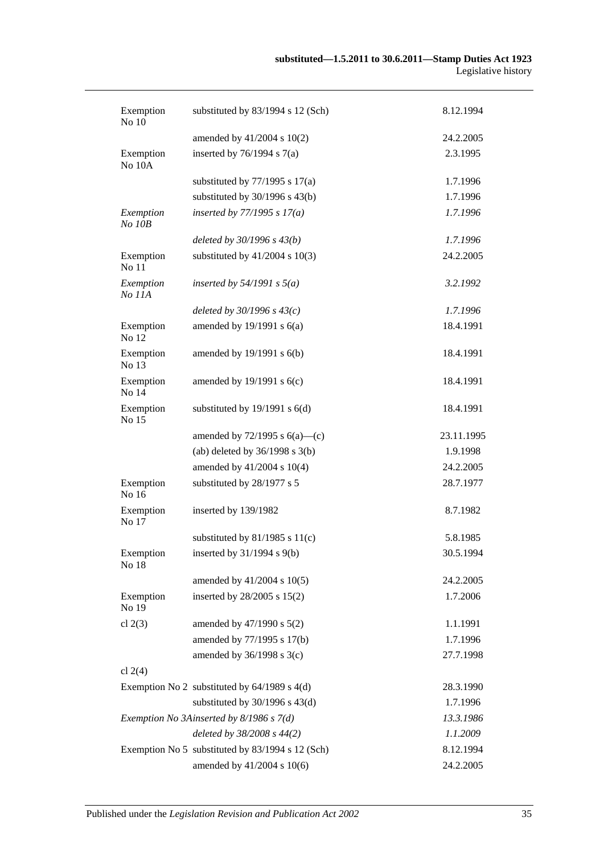| Exemption<br>No 10  | substituted by 83/1994 s 12 (Sch)                | 8.12.1994  |
|---------------------|--------------------------------------------------|------------|
|                     | amended by $41/2004$ s $10(2)$                   | 24.2.2005  |
| Exemption<br>No 10A | inserted by $76/1994$ s $7(a)$                   | 2.3.1995   |
|                     | substituted by $77/1995$ s $17(a)$               | 1.7.1996   |
|                     | substituted by $30/1996$ s $43(b)$               | 1.7.1996   |
| Exemption<br>No 10B | inserted by $77/1995 s 17(a)$                    | 1.7.1996   |
|                     | deleted by $30/1996 s 43(b)$                     | 1.7.1996   |
| Exemption<br>No 11  | substituted by $41/2004$ s $10(3)$               | 24.2.2005  |
| Exemption<br>No 11A | inserted by $54/1991$ s $5(a)$                   | 3.2.1992   |
|                     | deleted by $30/1996 s 43(c)$                     | 1.7.1996   |
| Exemption<br>No 12  | amended by $19/1991$ s $6(a)$                    | 18.4.1991  |
| Exemption<br>No 13  | amended by $19/1991$ s $6(b)$                    | 18.4.1991  |
| Exemption<br>No 14  | amended by $19/1991$ s $6(c)$                    | 18.4.1991  |
| Exemption<br>No 15  | substituted by $19/1991$ s $6(d)$                | 18.4.1991  |
|                     | amended by $72/1995$ s $6(a)$ —(c)               | 23.11.1995 |
|                     | (ab) deleted by $36/1998$ s $3(b)$               | 1.9.1998   |
|                     | amended by 41/2004 s 10(4)                       | 24.2.2005  |
| Exemption<br>No 16  | substituted by 28/1977 s 5                       | 28.7.1977  |
| Exemption<br>No 17  | inserted by 139/1982                             | 8.7.1982   |
|                     | substituted by $81/1985$ s $11(c)$               | 5.8.1985   |
| Exemption<br>No 18  | inserted by $31/1994$ s $9(b)$                   | 30.5.1994  |
|                     | amended by 41/2004 s 10(5)                       | 24.2.2005  |
| Exemption<br>No 19  | inserted by 28/2005 s 15(2)                      | 1.7.2006   |
| cl $2(3)$           | amended by $47/1990$ s $5(2)$                    | 1.1.1991   |
|                     | amended by 77/1995 s 17(b)                       | 1.7.1996   |
|                     | amended by 36/1998 s 3(c)                        | 27.7.1998  |
| cl $2(4)$           |                                                  |            |
|                     | Exemption No 2 substituted by $64/1989$ s $4(d)$ | 28.3.1990  |
|                     | substituted by $30/1996$ s $43(d)$               | 1.7.1996   |
|                     | Exemption No 3Ainserted by 8/1986 s 7(d)         | 13.3.1986  |
|                     | deleted by 38/2008 s 44(2)                       | 1.1.2009   |
|                     | Exemption No 5 substituted by 83/1994 s 12 (Sch) | 8.12.1994  |
|                     | amended by 41/2004 s 10(6)                       | 24.2.2005  |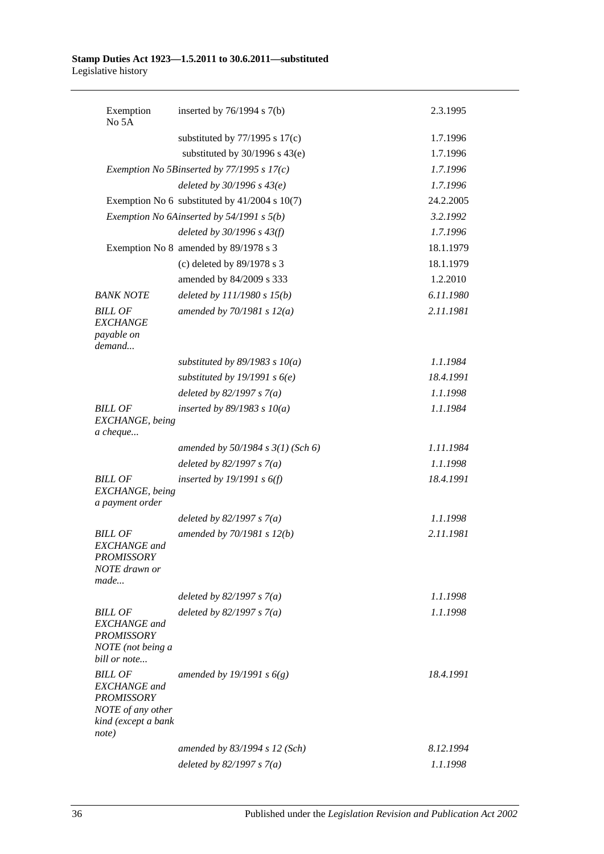| Exemption<br>No 5A                                                                                              | inserted by $76/1994$ s $7(b)$                  | 2.3.1995  |
|-----------------------------------------------------------------------------------------------------------------|-------------------------------------------------|-----------|
|                                                                                                                 | substituted by $77/1995$ s $17(c)$              | 1.7.1996  |
|                                                                                                                 | substituted by $30/1996$ s $43(e)$              | 1.7.1996  |
|                                                                                                                 | Exemption No 5Binserted by $77/1995$ s $17(c)$  | 1.7.1996  |
|                                                                                                                 | deleted by $30/1996 s 43(e)$                    | 1.7.1996  |
|                                                                                                                 | Exemption No 6 substituted by $41/2004$ s 10(7) | 24.2.2005 |
|                                                                                                                 | Exemption No 6Ainserted by 54/1991 s 5(b)       | 3.2.1992  |
|                                                                                                                 | deleted by $30/1996 s 43(f)$                    | 1.7.1996  |
|                                                                                                                 | Exemption No 8 amended by 89/1978 s 3           | 18.1.1979 |
|                                                                                                                 | (c) deleted by 89/1978 s 3                      | 18.1.1979 |
|                                                                                                                 | amended by 84/2009 s 333                        | 1.2.2010  |
| <b>BANK NOTE</b>                                                                                                | deleted by $111/1980 s 15(b)$                   | 6.11.1980 |
| <b>BILL OF</b><br><b>EXCHANGE</b><br>payable on                                                                 | amended by $70/1981 s 12(a)$                    | 2.11.1981 |
| demand                                                                                                          |                                                 |           |
|                                                                                                                 | substituted by 89/1983 s $10(a)$                | 1.1.1984  |
|                                                                                                                 | substituted by 19/1991 s $6(e)$                 | 18.4.1991 |
|                                                                                                                 | deleted by $82/1997 s 7(a)$                     | 1.1.1998  |
| <b>BILL OF</b><br>EXCHANGE, being<br>a cheque                                                                   | inserted by $89/1983$ s $10(a)$                 | 1.1.1984  |
|                                                                                                                 | amended by $50/1984$ s $3(1)$ (Sch 6)           | 1.11.1984 |
|                                                                                                                 | deleted by $82/1997 s 7(a)$                     | 1.1.1998  |
| <b>BILL OF</b><br>EXCHANGE, being<br>a payment order                                                            | inserted by $19/1991$ s $6(f)$                  | 18.4.1991 |
|                                                                                                                 | deleted by $82/1997 s 7(a)$                     | 1.1.1998  |
| <b>BILL OF</b><br><b>EXCHANGE</b> and<br><b>PROMISSORY</b><br>NOTE drawn or<br>made                             | amended by $70/1981 s 12(b)$                    | 2.11.1981 |
|                                                                                                                 | deleted by $82/1997 s 7(a)$                     | 1.1.1998  |
| <b>BILL OF</b><br><b>EXCHANGE</b> and<br><b>PROMISSORY</b><br>NOTE (not being a<br>bill or note                 | deleted by $82/1997 s 7(a)$                     | 1.1.1998  |
| <b>BILL OF</b><br><b>EXCHANGE</b> and<br><b>PROMISSORY</b><br>NOTE of any other<br>kind (except a bank<br>note) | amended by 19/1991 s $6(g)$                     | 18.4.1991 |
|                                                                                                                 | amended by 83/1994 s 12 (Sch)                   | 8.12.1994 |
|                                                                                                                 | deleted by $82/1997 s 7(a)$                     | 1.1.1998  |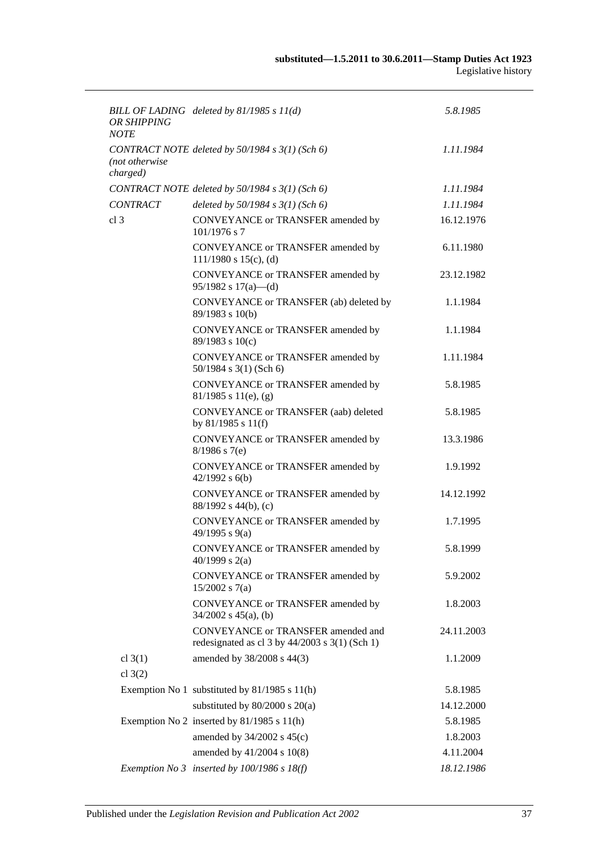| OR SHIPPING<br><b>NOTE</b> | BILL OF LADING deleted by $81/1985 s 11(d)$                                                | 5.8.1985   |
|----------------------------|--------------------------------------------------------------------------------------------|------------|
| (not otherwise<br>charged) | CONTRACT NOTE deleted by $50/1984 s 3(1)$ (Sch 6)                                          | 1.11.1984  |
|                            | CONTRACT NOTE deleted by 50/1984 s 3(1) (Sch 6)                                            | 1.11.1984  |
| <b>CONTRACT</b>            | deleted by $50/1984$ s $3(1)$ (Sch 6)                                                      | 1.11.1984  |
| cl <sub>3</sub>            | CONVEYANCE or TRANSFER amended by<br>101/1976 s 7                                          | 16.12.1976 |
|                            | CONVEYANCE or TRANSFER amended by<br>$111/1980$ s $15(c)$ , (d)                            | 6.11.1980  |
|                            | CONVEYANCE or TRANSFER amended by<br>$95/1982$ s $17(a)$ —(d)                              | 23.12.1982 |
|                            | CONVEYANCE or TRANSFER (ab) deleted by<br>89/1983 s 10(b)                                  | 1.1.1984   |
|                            | CONVEYANCE or TRANSFER amended by<br>89/1983 s 10(c)                                       | 1.1.1984   |
|                            | CONVEYANCE or TRANSFER amended by<br>$50/1984$ s 3(1) (Sch 6)                              | 1.11.1984  |
|                            | CONVEYANCE or TRANSFER amended by<br>$81/1985$ s $11(e)$ , (g)                             | 5.8.1985   |
|                            | CONVEYANCE or TRANSFER (aab) deleted<br>by $81/1985$ s $11(f)$                             | 5.8.1985   |
|                            | CONVEYANCE or TRANSFER amended by<br>$8/1986$ s 7(e)                                       | 13.3.1986  |
|                            | CONVEYANCE or TRANSFER amended by<br>$42/1992$ s $6(b)$                                    | 1.9.1992   |
|                            | CONVEYANCE or TRANSFER amended by<br>$88/1992$ s 44(b), (c)                                | 14.12.1992 |
|                            | CONVEYANCE or TRANSFER amended by<br>49/1995 s 9(a)                                        | 1.7.1995   |
|                            | CONVEYANCE or TRANSFER amended by<br>40/1999 s $2(a)$                                      | 5.8.1999   |
|                            | CONVEYANCE or TRANSFER amended by<br>$15/2002$ s 7(a)                                      | 5.9.2002   |
|                            | CONVEYANCE or TRANSFER amended by<br>$34/2002$ s $45(a)$ , (b)                             | 1.8.2003   |
|                            | CONVEYANCE or TRANSFER amended and<br>redesignated as cl $3$ by $44/2003$ s $3(1)$ (Sch 1) | 24.11.2003 |
| cl $3(1)$<br>cl $3(2)$     | amended by 38/2008 s 44(3)                                                                 | 1.1.2009   |
|                            | Exemption No 1 substituted by 81/1985 s 11(h)                                              | 5.8.1985   |
|                            | substituted by $80/2000$ s $20(a)$                                                         | 14.12.2000 |
|                            | Exemption No 2 inserted by 81/1985 s 11(h)                                                 | 5.8.1985   |
|                            | amended by $34/2002$ s $45(c)$                                                             | 1.8.2003   |
|                            | amended by 41/2004 s 10(8)                                                                 | 4.11.2004  |
|                            | Exemption No 3 inserted by $100/1986$ s $18(f)$                                            | 18.12.1986 |
|                            |                                                                                            |            |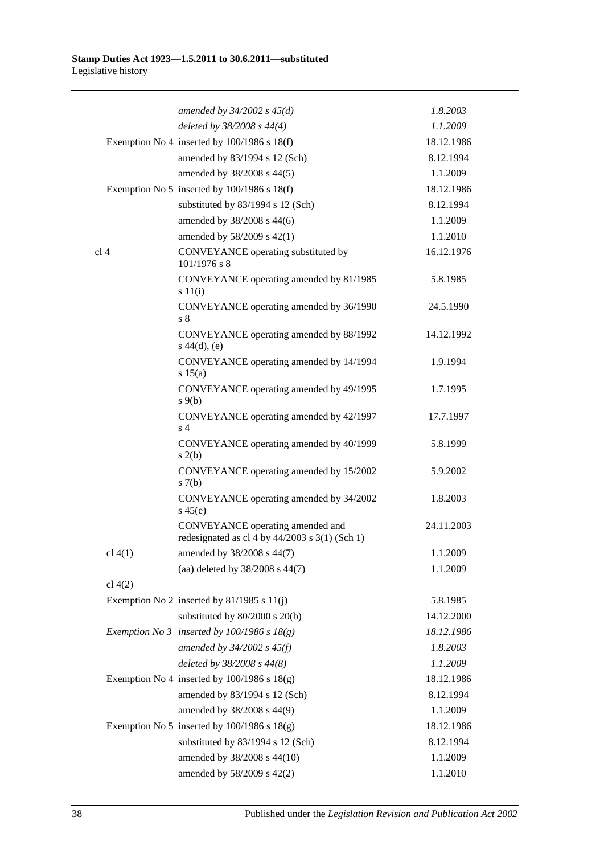|                 | amended by $34/2002$ s $45(d)$                                                       | 1.8.2003   |
|-----------------|--------------------------------------------------------------------------------------|------------|
|                 | deleted by 38/2008 s 44(4)                                                           | 1.1.2009   |
|                 | Exemption No 4 inserted by $100/1986$ s $18(f)$                                      | 18.12.1986 |
|                 | amended by 83/1994 s 12 (Sch)                                                        | 8.12.1994  |
|                 | amended by 38/2008 s 44(5)                                                           | 1.1.2009   |
|                 | Exemption No 5 inserted by $100/1986$ s $18(f)$                                      | 18.12.1986 |
|                 | substituted by 83/1994 s 12 (Sch)                                                    | 8.12.1994  |
|                 | amended by 38/2008 s 44(6)                                                           | 1.1.2009   |
|                 | amended by 58/2009 s 42(1)                                                           | 1.1.2010   |
| cl <sub>4</sub> | CONVEYANCE operating substituted by<br>101/1976 s 8                                  | 16.12.1976 |
|                 | CONVEYANCE operating amended by 81/1985<br>s 11(i)                                   | 5.8.1985   |
|                 | CONVEYANCE operating amended by 36/1990<br>s 8                                       | 24.5.1990  |
|                 | CONVEYANCE operating amended by 88/1992<br>$s\ 44(d), (e)$                           | 14.12.1992 |
|                 | CONVEYANCE operating amended by 14/1994<br>s 15(a)                                   | 1.9.1994   |
|                 | CONVEYANCE operating amended by 49/1995<br>$s \theta(b)$                             | 1.7.1995   |
|                 | CONVEYANCE operating amended by 42/1997<br>s <sub>4</sub>                            | 17.7.1997  |
|                 | CONVEYANCE operating amended by 40/1999<br>s(2(b)                                    | 5.8.1999   |
|                 | CONVEYANCE operating amended by 15/2002<br>s(7(b)                                    | 5.9.2002   |
|                 | CONVEYANCE operating amended by 34/2002<br>$s\,45(e)$                                | 1.8.2003   |
|                 | CONVEYANCE operating amended and<br>redesignated as cl 4 by $44/2003$ s 3(1) (Sch 1) | 24.11.2003 |
| cl 4(1)         | amended by 38/2008 s 44(7)                                                           | 1.1.2009   |
|                 | (aa) deleted by 38/2008 s 44(7)                                                      | 1.1.2009   |
| cl $4(2)$       |                                                                                      |            |
|                 | Exemption No 2 inserted by $81/1985$ s $11(j)$                                       | 5.8.1985   |
|                 | substituted by 80/2000 s 20(b)                                                       | 14.12.2000 |
|                 | Exemption No 3 inserted by $100/1986$ s $18(g)$                                      | 18.12.1986 |
|                 | amended by $34/2002$ s $45(f)$                                                       | 1.8.2003   |
|                 | deleted by 38/2008 s 44(8)                                                           | 1.1.2009   |
|                 | Exemption No 4 inserted by $100/1986$ s $18(g)$                                      | 18.12.1986 |
|                 | amended by 83/1994 s 12 (Sch)                                                        | 8.12.1994  |
|                 | amended by 38/2008 s 44(9)                                                           | 1.1.2009   |
|                 | Exemption No 5 inserted by $100/1986$ s $18(g)$                                      | 18.12.1986 |
|                 | substituted by 83/1994 s 12 (Sch)                                                    | 8.12.1994  |
|                 | amended by 38/2008 s 44(10)                                                          | 1.1.2009   |
|                 | amended by 58/2009 s 42(2)                                                           | 1.1.2010   |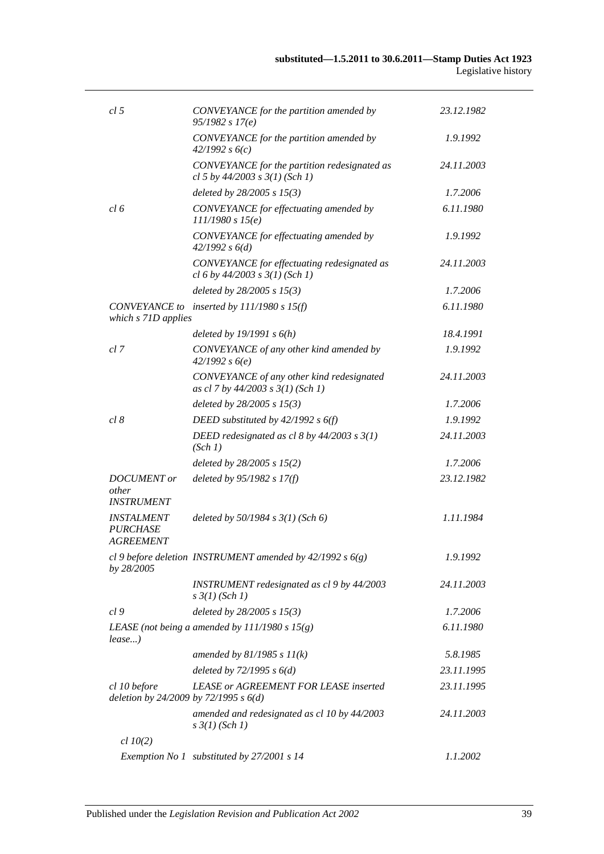| cl 5                                                     | CONVEYANCE for the partition amended by<br>95/1982 s 17(e)                         | 23.12.1982 |
|----------------------------------------------------------|------------------------------------------------------------------------------------|------------|
|                                                          | CONVEYANCE for the partition amended by<br>42/1992 s6(c)                           | 1.9.1992   |
|                                                          | CONVEYANCE for the partition redesignated as<br>cl 5 by $44/2003$ s $3(1)$ (Sch 1) | 24.11.2003 |
|                                                          | deleted by $28/2005$ s $15(3)$                                                     | 1.7.2006   |
| cl 6                                                     | CONVEYANCE for effectuating amended by<br>111/1980 s 15(e)                         | 6.11.1980  |
|                                                          | CONVEYANCE for effectuating amended by<br>42/1992 s 6(d)                           | 1.9.1992   |
|                                                          | CONVEYANCE for effectuating redesignated as<br>cl 6 by $44/2003$ s $3(1)$ (Sch 1)  | 24.11.2003 |
|                                                          | deleted by $28/2005$ s $15(3)$                                                     | 1.7.2006   |
| which s 71D applies                                      | CONVEYANCE to inserted by $111/1980 s 15(f)$                                       | 6.11.1980  |
|                                                          | deleted by $19/1991 s 6(h)$                                                        | 18.4.1991  |
| cl 7                                                     | CONVEYANCE of any other kind amended by<br>42/1992 s6(e)                           | 1.9.1992   |
|                                                          | CONVEYANCE of any other kind redesignated<br>as cl 7 by $44/2003$ s $3(1)$ (Sch 1) | 24.11.2003 |
|                                                          | deleted by $28/2005$ s $15(3)$                                                     | 1.7.2006   |
| cl 8                                                     | DEED substituted by $42/1992$ s $6(f)$                                             | 1.9.1992   |
|                                                          | DEED redesignated as cl 8 by 44/2003 s 3(1)<br>(Sch 1)                             | 24.11.2003 |
|                                                          | deleted by $28/2005$ s $15(2)$                                                     | 1.7.2006   |
| <b>DOCUMENT</b> or<br><i>other</i><br><b>INSTRUMENT</b>  | deleted by $95/1982 s 17(f)$                                                       | 23.12.1982 |
| <b>INSTALMENT</b><br><i>PURCHASE</i><br><b>AGREEMENT</b> | deleted by $50/1984$ s $3(1)$ (Sch 6)                                              | 1.11.1984  |
| by 28/2005                                               | cl 9 before deletion INSTRUMENT amended by $42/1992 s 6(g)$                        | 1.9.1992   |
|                                                          | INSTRUMENT redesignated as cl 9 by 44/2003<br>$s \frac{3}{1} (Sch 1)$              | 24.11.2003 |
| cl <sub>9</sub>                                          | deleted by $28/2005$ s $15(3)$                                                     | 1.7.2006   |
| lease)                                                   | LEASE (not being a amended by $111/1980 s 15(g)$ )                                 | 6.11.1980  |
|                                                          | amended by $81/1985 s 11(k)$                                                       | 5.8.1985   |
|                                                          | deleted by $72/1995 s 6(d)$                                                        | 23.11.1995 |
| cl 10 before<br>deletion by 24/2009 by 72/1995 s $6(d)$  | <b>LEASE or AGREEMENT FOR LEASE inserted</b>                                       | 23.11.1995 |
|                                                          | amended and redesignated as cl 10 by 44/2003<br>$s \frac{3}{1} (Sch 1)$            | 24.11.2003 |
| $cl$ 10(2)                                               |                                                                                    |            |
|                                                          | Exemption No 1 substituted by 27/2001 s 14                                         | 1.1.2002   |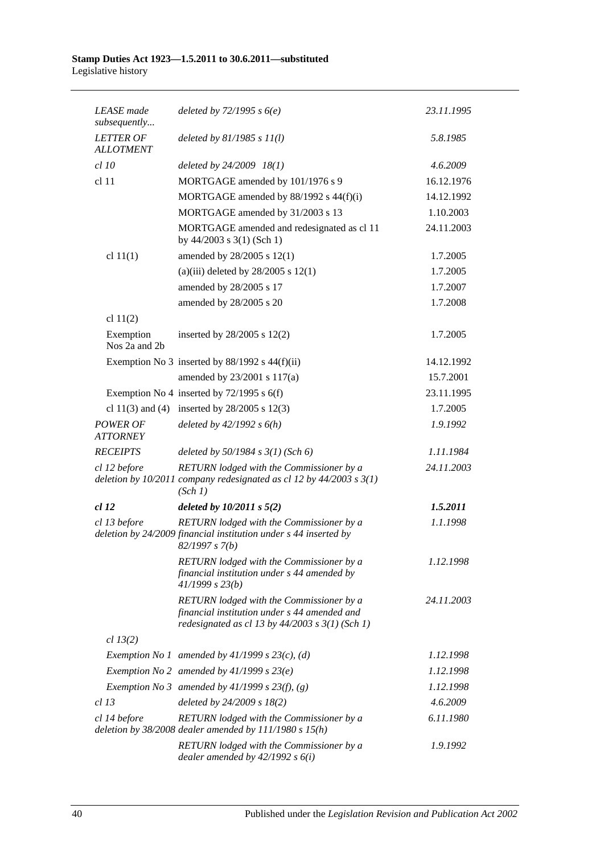| <b>LEASE</b> made<br>subsequently    | deleted by $72/1995 s 6(e)$                                                                                                                     | 23.11.1995 |
|--------------------------------------|-------------------------------------------------------------------------------------------------------------------------------------------------|------------|
| <b>LETTER OF</b><br><b>ALLOTMENT</b> | deleted by $81/1985 s 11(l)$                                                                                                                    | 5.8.1985   |
| $cl$ 10                              | deleted by 24/2009 18(1)                                                                                                                        | 4.6.2009   |
| cl <sub>11</sub>                     | MORTGAGE amended by 101/1976 s 9                                                                                                                | 16.12.1976 |
|                                      | MORTGAGE amended by 88/1992 s 44(f)(i)                                                                                                          | 14.12.1992 |
|                                      | MORTGAGE amended by 31/2003 s 13                                                                                                                | 1.10.2003  |
|                                      | MORTGAGE amended and redesignated as cl 11<br>by $44/2003$ s $3(1)$ (Sch 1)                                                                     | 24.11.2003 |
| cl $11(1)$                           | amended by 28/2005 s 12(1)                                                                                                                      | 1.7.2005   |
|                                      | (a)(iii) deleted by $28/2005$ s 12(1)                                                                                                           | 1.7.2005   |
|                                      | amended by 28/2005 s 17                                                                                                                         | 1.7.2007   |
|                                      | amended by 28/2005 s 20                                                                                                                         | 1.7.2008   |
| cl $11(2)$                           |                                                                                                                                                 |            |
| Exemption<br>Nos 2a and 2b           | inserted by $28/2005$ s $12(2)$                                                                                                                 | 1.7.2005   |
|                                      | Exemption No 3 inserted by $88/1992$ s $44(f)(ii)$                                                                                              | 14.12.1992 |
|                                      | amended by 23/2001 s 117(a)                                                                                                                     | 15.7.2001  |
|                                      | Exemption No 4 inserted by $72/1995$ s 6(f)                                                                                                     | 23.11.1995 |
|                                      | cl 11(3) and (4) inserted by $28/2005$ s 12(3)                                                                                                  | 1.7.2005   |
| <b>POWER OF</b><br><b>ATTORNEY</b>   | deleted by $42/1992 s 6(h)$                                                                                                                     | 1.9.1992   |
| <b>RECEIPTS</b>                      | deleted by $50/1984$ s $3(1)$ (Sch 6)                                                                                                           | 1.11.1984  |
| cl 12 before                         | RETURN lodged with the Commissioner by a<br>deletion by $10/2011$ company redesignated as cl 12 by $44/2003$ s $3(1)$<br>(Sch 1)                | 24.11.2003 |
| <i>cl</i> 12                         | deleted by $10/2011 s 5(2)$                                                                                                                     | 1.5.2011   |
| cl 13 before                         | RETURN lodged with the Commissioner by a<br>deletion by 24/2009 financial institution under s 44 inserted by<br>82/1997 s 7(b)                  | 1.1.1998   |
|                                      | RETURN lodged with the Commissioner by a<br>financial institution under s 44 amended by<br>41/1999 s 23(b)                                      | 1.12.1998  |
|                                      | RETURN lodged with the Commissioner by a<br>financial institution under s 44 amended and<br>redesignated as cl 13 by $44/2003$ s $3(1)$ (Sch 1) | 24.11.2003 |
| cl 13(2)                             |                                                                                                                                                 |            |
|                                      | Exemption No 1 amended by $41/1999$ s $23(c)$ , (d)                                                                                             | 1.12.1998  |
|                                      | Exemption No 2 amended by $41/1999$ s $23(e)$                                                                                                   | 1.12.1998  |
|                                      | Exemption No 3 amended by $41/1999$ s $23(f)$ , (g)                                                                                             | 1.12.1998  |
| cl 13                                | deleted by $24/2009 s 18(2)$                                                                                                                    | 4.6.2009   |
| cl 14 before                         | RETURN lodged with the Commissioner by a<br>deletion by $38/2008$ dealer amended by $111/1980$ s $15(h)$                                        | 6.11.1980  |
|                                      | RETURN lodged with the Commissioner by a<br>dealer amended by $42/1992 s 6(i)$                                                                  | 1.9.1992   |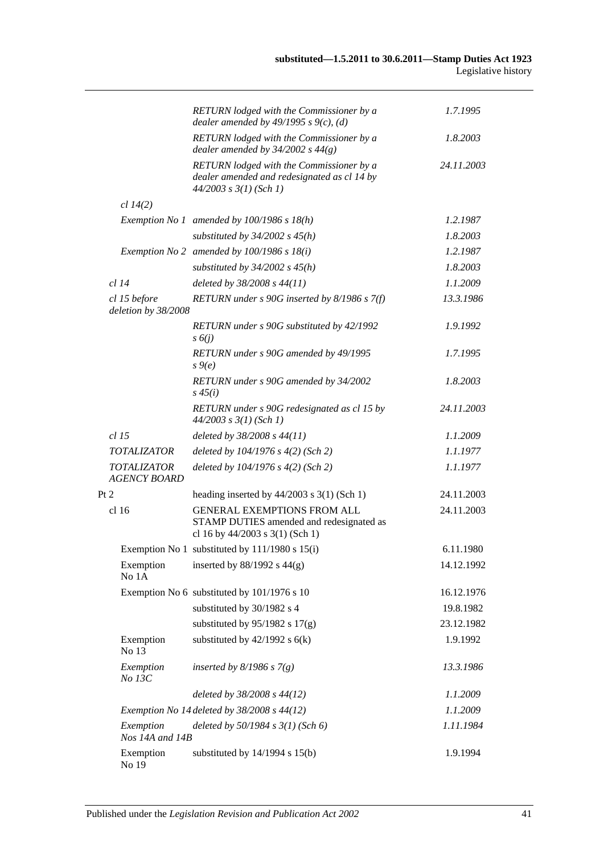|      |                                           | RETURN lodged with the Commissioner by a<br>dealer amended by $49/1995$ s $9(c)$ , (d)                                | 1.7.1995   |
|------|-------------------------------------------|-----------------------------------------------------------------------------------------------------------------------|------------|
|      |                                           | RETURN lodged with the Commissioner by a<br>dealer amended by $34/2002$ s $44(g)$                                     | 1.8.2003   |
|      |                                           | RETURN lodged with the Commissioner by a<br>dealer amended and redesignated as cl 14 by<br>$44/2003$ s $3(1)$ (Sch 1) | 24.11.2003 |
|      | cl 14(2)                                  |                                                                                                                       |            |
|      |                                           | Exemption No 1 amended by $100/1986$ s $18(h)$                                                                        | 1.2.1987   |
|      |                                           | substituted by $34/2002$ s $45(h)$                                                                                    | 1.8.2003   |
|      |                                           | Exemption No 2 amended by $100/1986$ s $18(i)$                                                                        | 1.2.1987   |
|      |                                           | substituted by $34/2002$ s $45(h)$                                                                                    | 1.8.2003   |
|      | $cl$ 14                                   | deleted by 38/2008 s 44(11)                                                                                           | 1.1.2009   |
|      | cl 15 before<br>deletion by 38/2008       | RETURN under $s$ 90G inserted by 8/1986 $s$ 7(f)                                                                      | 13.3.1986  |
|      |                                           | RETURN under s 90G substituted by 42/1992<br>$s\delta(j)$                                                             | 1.9.1992   |
|      |                                           | RETURN under s 90G amended by 49/1995<br>$s\theta(e)$                                                                 | 1.7.1995   |
|      |                                           | RETURN under s 90G amended by 34/2002<br>$s\,45(i)$                                                                   | 1.8.2003   |
|      |                                           | RETURN under s 90G redesignated as cl 15 by<br>$44/2003$ s $3(1)$ (Sch 1)                                             | 24.11.2003 |
|      | $cl$ 15                                   | deleted by 38/2008 s 44(11)                                                                                           | 1.1.2009   |
|      | <b>TOTALIZATOR</b>                        | deleted by $104/1976$ s $4(2)$ (Sch 2)                                                                                | 1.1.1977   |
|      | <b>TOTALIZATOR</b><br><b>AGENCY BOARD</b> | deleted by $104/1976$ s $4(2)$ (Sch 2)                                                                                | 1.1.1977   |
| Pt 2 |                                           | heading inserted by $44/2003$ s 3(1) (Sch 1)                                                                          | 24.11.2003 |
|      | cl 16                                     | <b>GENERAL EXEMPTIONS FROM ALL</b><br>STAMP DUTIES amended and redesignated as<br>cl 16 by 44/2003 s 3(1) (Sch 1)     | 24.11.2003 |
|      |                                           | Exemption No 1 substituted by 111/1980 s 15(i)                                                                        | 6.11.1980  |
|      | Exemption<br>No 1A                        | inserted by $88/1992$ s $44(g)$                                                                                       | 14.12.1992 |
|      |                                           | Exemption No 6 substituted by 101/1976 s 10                                                                           | 16.12.1976 |
|      |                                           | substituted by 30/1982 s 4                                                                                            | 19.8.1982  |
|      |                                           | substituted by $95/1982$ s $17(g)$                                                                                    | 23.12.1982 |
|      | Exemption<br>No 13                        | substituted by $42/1992$ s $6(k)$                                                                                     | 1.9.1992   |
|      | Exemption<br>No 13C                       | inserted by $8/1986$ s $7(g)$                                                                                         | 13.3.1986  |
|      |                                           | deleted by 38/2008 s 44(12)                                                                                           | 1.1.2009   |
|      |                                           | Exemption No 14 deleted by $38/2008$ s $44(12)$                                                                       | 1.1.2009   |
|      | Exemption<br>Nos 14A and 14B              | deleted by $50/1984$ s $3(1)$ (Sch 6)                                                                                 | 1.11.1984  |
|      | Exemption<br>No 19                        | substituted by $14/1994$ s $15(b)$                                                                                    | 1.9.1994   |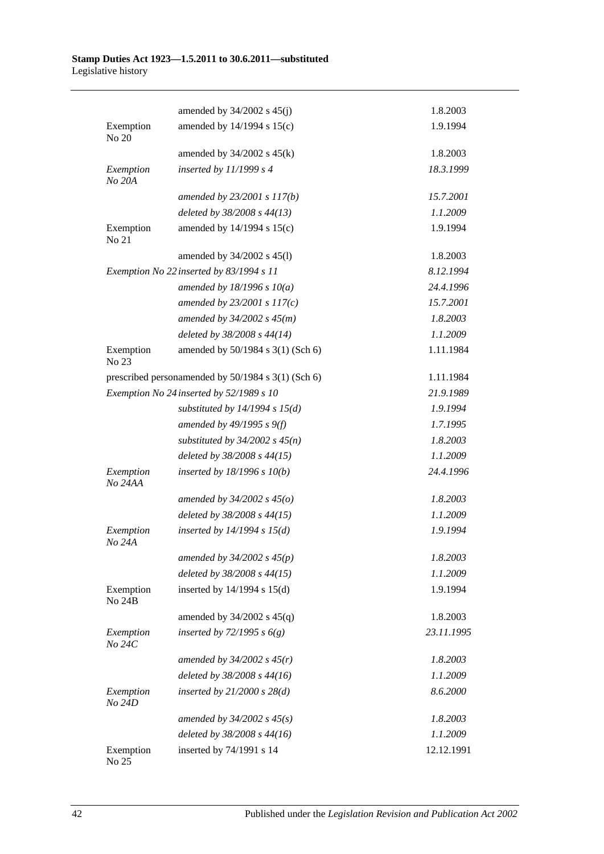|                            | amended by $34/2002$ s $45(j)$                     | 1.8.2003   |
|----------------------------|----------------------------------------------------|------------|
| Exemption<br>No 20         | amended by 14/1994 s 15(c)                         | 1.9.1994   |
|                            | amended by $34/2002$ s $45(k)$                     | 1.8.2003   |
| Exemption<br>No 20A        | inserted by $11/1999 s 4$                          | 18.3.1999  |
|                            | amended by 23/2001 s 117(b)                        | 15.7.2001  |
|                            | deleted by 38/2008 s 44(13)                        | 1.1.2009   |
| Exemption<br>No 21         | amended by 14/1994 s 15(c)                         | 1.9.1994   |
|                            | amended by 34/2002 s 45(l)                         | 1.8.2003   |
|                            | Exemption No 22 inserted by 83/1994 s 11           | 8.12.1994  |
|                            | amended by $18/1996 s 10(a)$                       | 24.4.1996  |
|                            | amended by $23/2001 s 117(c)$                      | 15.7.2001  |
|                            | amended by $34/2002 s 45(m)$                       | 1.8.2003   |
|                            | deleted by 38/2008 s 44(14)                        | 1.1.2009   |
| Exemption<br>No 23         | amended by 50/1984 s 3(1) (Sch 6)                  | 1.11.1984  |
|                            | prescribed personamended by 50/1984 s 3(1) (Sch 6) | 1.11.1984  |
|                            | Exemption No 24 inserted by 52/1989 s 10           | 21.9.1989  |
|                            | substituted by $14/1994$ s $15(d)$                 | 1.9.1994   |
|                            | amended by $49/1995 s 9(f)$                        | 1.7.1995   |
|                            | substituted by $34/2002$ s $45(n)$                 | 1.8.2003   |
|                            | deleted by 38/2008 s 44(15)                        | 1.1.2009   |
| Exemption<br>No 24AA       | inserted by $18/1996$ s $10(b)$                    | 24.4.1996  |
|                            | amended by $34/2002 s 45(0)$                       | 1.8.2003   |
|                            | deleted by 38/2008 s 44(15)                        | 1.1.2009   |
| Exemption<br>No 24A        | inserted by $14/1994$ s $15(d)$                    | 1.9.1994   |
|                            | amended by $34/2002 s 45(p)$                       | 1.8.2003   |
|                            | deleted by 38/2008 s 44(15)                        | 1.1.2009   |
| Exemption<br><b>No 24B</b> | inserted by $14/1994$ s $15(d)$                    | 1.9.1994   |
|                            | amended by $34/2002$ s $45(q)$                     | 1.8.2003   |
| Exemption<br>No 24C        | inserted by $72/1995 s 6(g)$                       | 23.11.1995 |
|                            | amended by $34/2002$ s $45(r)$                     | 1.8.2003   |
|                            | deleted by 38/2008 s 44(16)                        | 1.1.2009   |
| Exemption<br>No 24D        | inserted by $21/2000$ s $28(d)$                    | 8.6.2000   |
|                            | amended by $34/2002$ s $45(s)$                     | 1.8.2003   |
|                            | deleted by 38/2008 s 44(16)                        | 1.1.2009   |
| Exemption<br>No 25         | inserted by 74/1991 s 14                           | 12.12.1991 |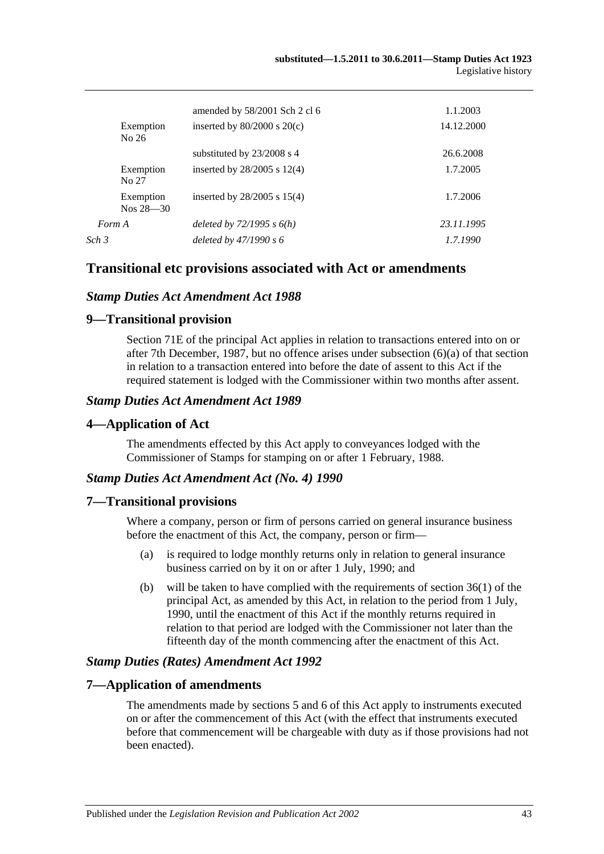| Exemption                  | amended by 58/2001 Sch 2 cl 6<br>inserted by $80/2000$ s $20(c)$ | 1.1.2003<br>14.12.2000 |
|----------------------------|------------------------------------------------------------------|------------------------|
| No 26                      |                                                                  |                        |
|                            | substituted by $23/2008$ s 4                                     | 26.6.2008              |
| Exemption<br>No 27         | inserted by $28/2005$ s 12(4)                                    | 1.7.2005               |
| Exemption<br>$Nos 28 - 30$ | inserted by $28/2005$ s $15(4)$                                  | 1.7.2006               |
| Form A                     | deleted by $72/1995 s 6(h)$                                      | 23.11.1995             |
| Sch 3                      | deleted by $47/1990 s 6$                                         | 1.7.1990               |
|                            |                                                                  |                        |

## **Transitional etc provisions associated with Act or amendments**

#### *Stamp Duties Act Amendment Act 1988*

#### **9—Transitional provision**

Section 71E of the principal Act applies in relation to transactions entered into on or after 7th December, 1987, but no offence arises under subsection (6)(a) of that section in relation to a transaction entered into before the date of assent to this Act if the required statement is lodged with the Commissioner within two months after assent.

#### *Stamp Duties Act Amendment Act 1989*

#### **4—Application of Act**

The amendments effected by this Act apply to conveyances lodged with the Commissioner of Stamps for stamping on or after 1 February, 1988.

#### *Stamp Duties Act Amendment Act (No. 4) 1990*

#### **7—Transitional provisions**

Where a company, person or firm of persons carried on general insurance business before the enactment of this Act, the company, person or firm—

- (a) is required to lodge monthly returns only in relation to general insurance business carried on by it on or after 1 July, 1990; and
- (b) will be taken to have complied with the requirements of section 36(1) of the principal Act, as amended by this Act, in relation to the period from 1 July, 1990, until the enactment of this Act if the monthly returns required in relation to that period are lodged with the Commissioner not later than the fifteenth day of the month commencing after the enactment of this Act.

#### *Stamp Duties (Rates) Amendment Act 1992*

#### **7—Application of amendments**

The amendments made by sections 5 and 6 of this Act apply to instruments executed on or after the commencement of this Act (with the effect that instruments executed before that commencement will be chargeable with duty as if those provisions had not been enacted).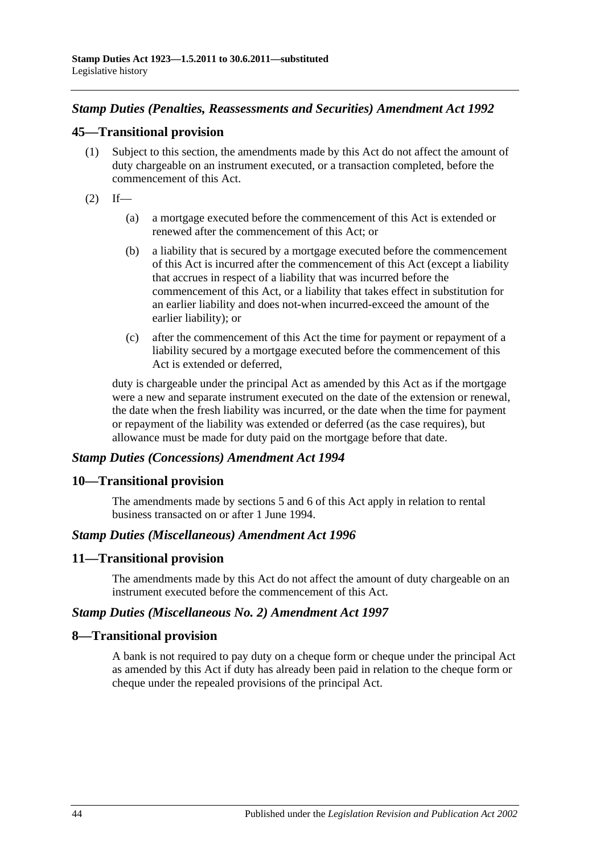# *Stamp Duties (Penalties, Reassessments and Securities) Amendment Act 1992*

# **45—Transitional provision**

- (1) Subject to this section, the amendments made by this Act do not affect the amount of duty chargeable on an instrument executed, or a transaction completed, before the commencement of this Act.
- $(2)$  If—
	- (a) a mortgage executed before the commencement of this Act is extended or renewed after the commencement of this Act; or
	- (b) a liability that is secured by a mortgage executed before the commencement of this Act is incurred after the commencement of this Act (except a liability that accrues in respect of a liability that was incurred before the commencement of this Act, or a liability that takes effect in substitution for an earlier liability and does not-when incurred-exceed the amount of the earlier liability); or
	- (c) after the commencement of this Act the time for payment or repayment of a liability secured by a mortgage executed before the commencement of this Act is extended or deferred,

duty is chargeable under the principal Act as amended by this Act as if the mortgage were a new and separate instrument executed on the date of the extension or renewal, the date when the fresh liability was incurred, or the date when the time for payment or repayment of the liability was extended or deferred (as the case requires), but allowance must be made for duty paid on the mortgage before that date.

## *Stamp Duties (Concessions) Amendment Act 1994*

### **10—Transitional provision**

The amendments made by sections 5 and 6 of this Act apply in relation to rental business transacted on or after 1 June 1994.

### *Stamp Duties (Miscellaneous) Amendment Act 1996*

### **11—Transitional provision**

The amendments made by this Act do not affect the amount of duty chargeable on an instrument executed before the commencement of this Act.

### *Stamp Duties (Miscellaneous No. 2) Amendment Act 1997*

### **8—Transitional provision**

A bank is not required to pay duty on a cheque form or cheque under the principal Act as amended by this Act if duty has already been paid in relation to the cheque form or cheque under the repealed provisions of the principal Act.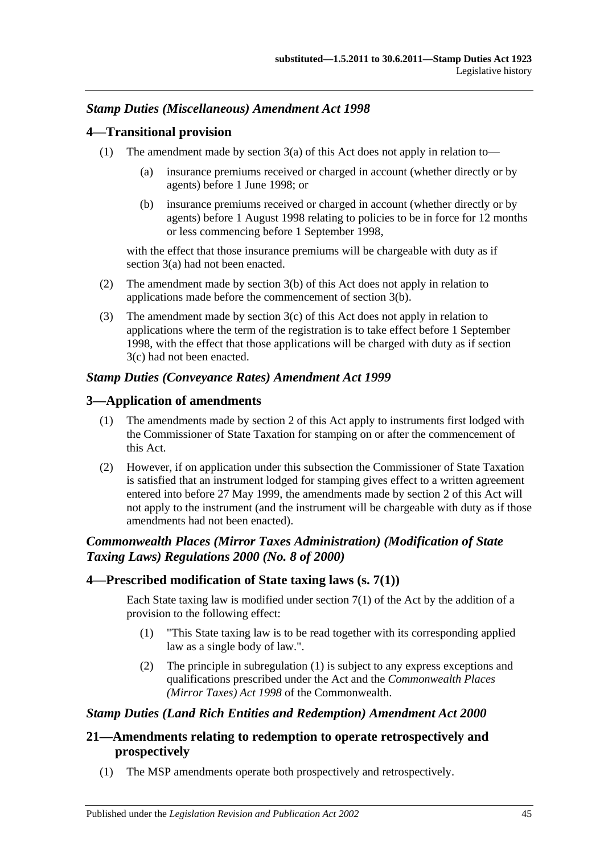# *Stamp Duties (Miscellaneous) Amendment Act 1998*

## **4—Transitional provision**

- (1) The amendment made by section  $3(a)$  of this Act does not apply in relation to—
	- (a) insurance premiums received or charged in account (whether directly or by agents) before 1 June 1998; or
	- (b) insurance premiums received or charged in account (whether directly or by agents) before 1 August 1998 relating to policies to be in force for 12 months or less commencing before 1 September 1998,

with the effect that those insurance premiums will be chargeable with duty as if section 3(a) had not been enacted.

- (2) The amendment made by section 3(b) of this Act does not apply in relation to applications made before the commencement of section 3(b).
- (3) The amendment made by section 3(c) of this Act does not apply in relation to applications where the term of the registration is to take effect before 1 September 1998, with the effect that those applications will be charged with duty as if section 3(c) had not been enacted.

## *Stamp Duties (Conveyance Rates) Amendment Act 1999*

# **3—Application of amendments**

- (1) The amendments made by section 2 of this Act apply to instruments first lodged with the Commissioner of State Taxation for stamping on or after the commencement of this Act.
- (2) However, if on application under this subsection the Commissioner of State Taxation is satisfied that an instrument lodged for stamping gives effect to a written agreement entered into before 27 May 1999, the amendments made by section 2 of this Act will not apply to the instrument (and the instrument will be chargeable with duty as if those amendments had not been enacted).

# *Commonwealth Places (Mirror Taxes Administration) (Modification of State Taxing Laws) Regulations 2000 (No. 8 of 2000)*

## **4—Prescribed modification of State taxing laws (s. 7(1))**

Each State taxing law is modified under section  $7(1)$  of the Act by the addition of a provision to the following effect:

- (1) "This State taxing law is to be read together with its corresponding applied law as a single body of law.".
- (2) The principle in subregulation (1) is subject to any express exceptions and qualifications prescribed under the Act and the *Commonwealth Places (Mirror Taxes) Act 1998* of the Commonwealth.

# *Stamp Duties (Land Rich Entities and Redemption) Amendment Act 2000*

# **21—Amendments relating to redemption to operate retrospectively and prospectively**

(1) The MSP amendments operate both prospectively and retrospectively.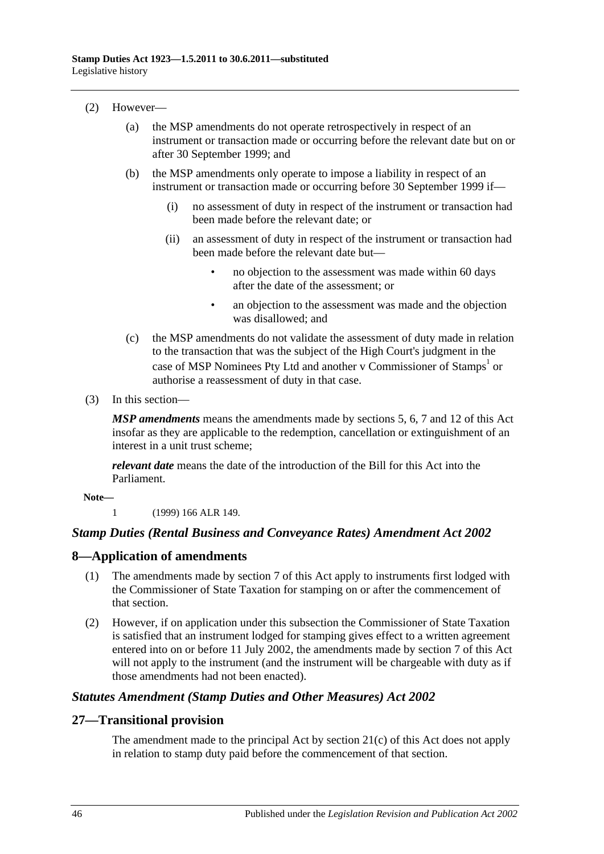- (2) However—
	- (a) the MSP amendments do not operate retrospectively in respect of an instrument or transaction made or occurring before the relevant date but on or after 30 September 1999; and
	- (b) the MSP amendments only operate to impose a liability in respect of an instrument or transaction made or occurring before 30 September 1999 if—
		- (i) no assessment of duty in respect of the instrument or transaction had been made before the relevant date; or
		- (ii) an assessment of duty in respect of the instrument or transaction had been made before the relevant date but—
			- no objection to the assessment was made within 60 days after the date of the assessment; or
			- an objection to the assessment was made and the objection was disallowed; and
	- (c) the MSP amendments do not validate the assessment of duty made in relation to the transaction that was the subject of the High Court's judgment in the case of MSP Nominees Pty Ltd and another v Commissioner of Stamps<sup>1</sup> or authorise a reassessment of duty in that case.
- (3) In this section—

*MSP amendments* means the amendments made by sections 5, 6, 7 and 12 of this Act insofar as they are applicable to the redemption, cancellation or extinguishment of an interest in a unit trust scheme;

*relevant date* means the date of the introduction of the Bill for this Act into the Parliament.

**Note—**

1 (1999) 166 ALR 149.

### *Stamp Duties (Rental Business and Conveyance Rates) Amendment Act 2002*

## **8—Application of amendments**

- (1) The amendments made by section 7 of this Act apply to instruments first lodged with the Commissioner of State Taxation for stamping on or after the commencement of that section.
- (2) However, if on application under this subsection the Commissioner of State Taxation is satisfied that an instrument lodged for stamping gives effect to a written agreement entered into on or before 11 July 2002, the amendments made by section 7 of this Act will not apply to the instrument (and the instrument will be chargeable with duty as if those amendments had not been enacted).

### *Statutes Amendment (Stamp Duties and Other Measures) Act 2002*

### **27—Transitional provision**

The amendment made to the principal Act by section 21(c) of this Act does not apply in relation to stamp duty paid before the commencement of that section.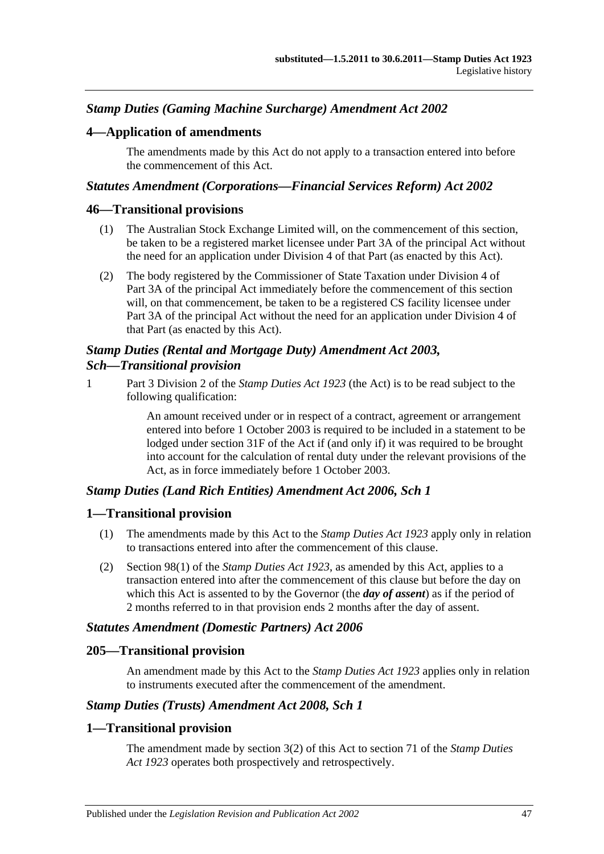# *Stamp Duties (Gaming Machine Surcharge) Amendment Act 2002*

## **4—Application of amendments**

The amendments made by this Act do not apply to a transaction entered into before the commencement of this Act.

### *Statutes Amendment (Corporations—Financial Services Reform) Act 2002*

### **46—Transitional provisions**

- (1) The Australian Stock Exchange Limited will, on the commencement of this section, be taken to be a registered market licensee under Part 3A of the principal Act without the need for an application under Division 4 of that Part (as enacted by this Act).
- (2) The body registered by the Commissioner of State Taxation under Division 4 of Part 3A of the principal Act immediately before the commencement of this section will, on that commencement, be taken to be a registered CS facility licensee under Part 3A of the principal Act without the need for an application under Division 4 of that Part (as enacted by this Act).

## *Stamp Duties (Rental and Mortgage Duty) Amendment Act 2003, Sch—Transitional provision*

1 Part 3 Division 2 of the *[Stamp Duties Act](http://www.legislation.sa.gov.au/index.aspx?action=legref&type=act&legtitle=Stamp%20Duties%20Act%201923) 1923* (the Act) is to be read subject to the following qualification:

> An amount received under or in respect of a contract, agreement or arrangement entered into before 1 October 2003 is required to be included in a statement to be lodged under section 31F of the Act if (and only if) it was required to be brought into account for the calculation of rental duty under the relevant provisions of the Act, as in force immediately before 1 October 2003.

## *Stamp Duties (Land Rich Entities) Amendment Act 2006, Sch 1*

## **1—Transitional provision**

- (1) The amendments made by this Act to the *[Stamp Duties Act](http://www.legislation.sa.gov.au/index.aspx?action=legref&type=act&legtitle=Stamp%20Duties%20Act%201923) 1923* apply only in relation to transactions entered into after the commencement of this clause.
- (2) Section 98(1) of the *[Stamp Duties Act](http://www.legislation.sa.gov.au/index.aspx?action=legref&type=act&legtitle=Stamp%20Duties%20Act%201923) 1923*, as amended by this Act, applies to a transaction entered into after the commencement of this clause but before the day on which this Act is assented to by the Governor (the *day of assent*) as if the period of 2 months referred to in that provision ends 2 months after the day of assent.

## *Statutes Amendment (Domestic Partners) Act 2006*

## **205—Transitional provision**

An amendment made by this Act to the *[Stamp Duties Act](http://www.legislation.sa.gov.au/index.aspx?action=legref&type=act&legtitle=Stamp%20Duties%20Act%201923) 1923* applies only in relation to instruments executed after the commencement of the amendment.

### *Stamp Duties (Trusts) Amendment Act 2008, Sch 1*

## **1—Transitional provision**

The amendment made by section 3(2) of this Act to section 71 of the *[Stamp Duties](http://www.legislation.sa.gov.au/index.aspx?action=legref&type=act&legtitle=Stamp%20Duties%20Act%201923)  Act [1923](http://www.legislation.sa.gov.au/index.aspx?action=legref&type=act&legtitle=Stamp%20Duties%20Act%201923)* operates both prospectively and retrospectively.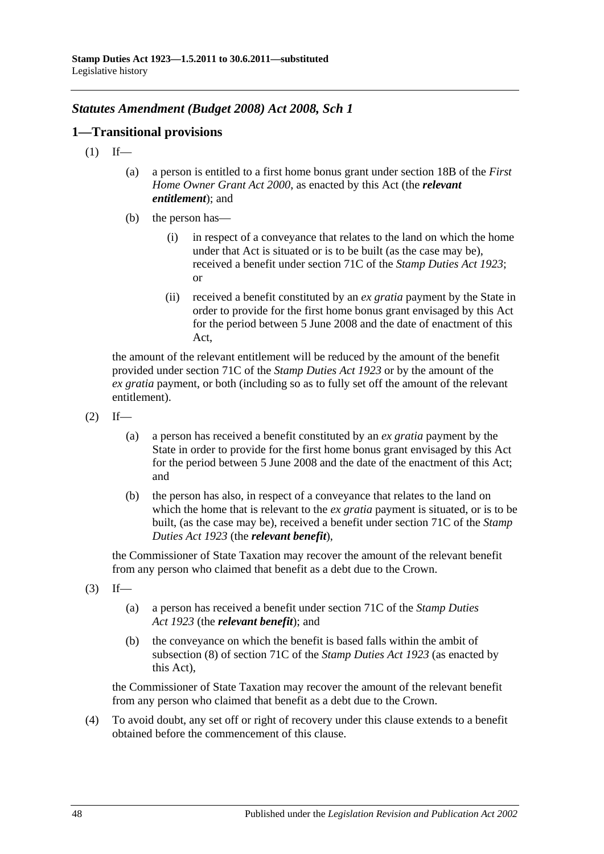# *Statutes Amendment (Budget 2008) Act 2008, Sch 1*

## **1—Transitional provisions**

- $(1)$  If—
	- (a) a person is entitled to a first home bonus grant under section 18B of the *[First](http://www.legislation.sa.gov.au/index.aspx?action=legref&type=act&legtitle=First%20Home%20Owner%20Grant%20Act%202000)  [Home Owner Grant Act](http://www.legislation.sa.gov.au/index.aspx?action=legref&type=act&legtitle=First%20Home%20Owner%20Grant%20Act%202000) 2000*, as enacted by this Act (the *relevant entitlement*); and
	- (b) the person has—
		- (i) in respect of a conveyance that relates to the land on which the home under that Act is situated or is to be built (as the case may be), received a benefit under section 71C of the *[Stamp Duties Act](http://www.legislation.sa.gov.au/index.aspx?action=legref&type=act&legtitle=Stamp%20Duties%20Act%201923) 1923*; or
		- (ii) received a benefit constituted by an *ex gratia* payment by the State in order to provide for the first home bonus grant envisaged by this Act for the period between 5 June 2008 and the date of enactment of this Act,

the amount of the relevant entitlement will be reduced by the amount of the benefit provided under section 71C of the *[Stamp Duties Act](http://www.legislation.sa.gov.au/index.aspx?action=legref&type=act&legtitle=Stamp%20Duties%20Act%201923) 1923* or by the amount of the *ex gratia* payment, or both (including so as to fully set off the amount of the relevant entitlement).

- $(2)$  If—
	- (a) a person has received a benefit constituted by an *ex gratia* payment by the State in order to provide for the first home bonus grant envisaged by this Act for the period between 5 June 2008 and the date of the enactment of this Act; and
	- (b) the person has also, in respect of a conveyance that relates to the land on which the home that is relevant to the *ex gratia* payment is situated, or is to be built, (as the case may be), received a benefit under section 71C of the *[Stamp](http://www.legislation.sa.gov.au/index.aspx?action=legref&type=act&legtitle=Stamp%20Duties%20Act%201923)  [Duties Act](http://www.legislation.sa.gov.au/index.aspx?action=legref&type=act&legtitle=Stamp%20Duties%20Act%201923) 1923* (the *relevant benefit*),

the Commissioner of State Taxation may recover the amount of the relevant benefit from any person who claimed that benefit as a debt due to the Crown.

- $(3)$  If—
	- (a) a person has received a benefit under section 71C of the *[Stamp Duties](http://www.legislation.sa.gov.au/index.aspx?action=legref&type=act&legtitle=Stamp%20Duties%20Act%201923)  Act [1923](http://www.legislation.sa.gov.au/index.aspx?action=legref&type=act&legtitle=Stamp%20Duties%20Act%201923)* (the *relevant benefit*); and
	- (b) the conveyance on which the benefit is based falls within the ambit of subsection (8) of section 71C of the *[Stamp Duties Act](http://www.legislation.sa.gov.au/index.aspx?action=legref&type=act&legtitle=Stamp%20Duties%20Act%201923) 1923* (as enacted by this Act),

the Commissioner of State Taxation may recover the amount of the relevant benefit from any person who claimed that benefit as a debt due to the Crown.

(4) To avoid doubt, any set off or right of recovery under this clause extends to a benefit obtained before the commencement of this clause.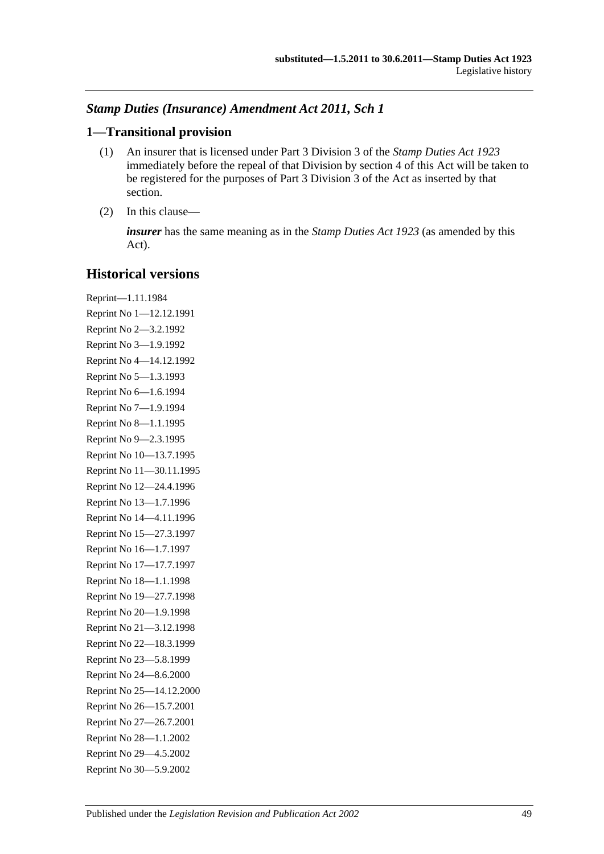# *Stamp Duties (Insurance) Amendment Act 2011, Sch 1*

## **1—Transitional provision**

- (1) An insurer that is licensed under Part 3 Division 3 of the *[Stamp Duties Act](http://www.legislation.sa.gov.au/index.aspx?action=legref&type=act&legtitle=Stamp%20Duties%20Act%201923) 1923* immediately before the repeal of that Division by section 4 of this Act will be taken to be registered for the purposes of Part 3 Division 3 of the Act as inserted by that section.
- (2) In this clause—

*insurer* has the same meaning as in the *[Stamp Duties Act](http://www.legislation.sa.gov.au/index.aspx?action=legref&type=act&legtitle=Stamp%20Duties%20Act%201923) 1923* (as amended by this Act).

# **Historical versions**

Reprint—1.11.1984 Reprint No 1—12.12.1991 Reprint No 2—3.2.1992 Reprint No 3—1.9.1992 Reprint No 4—14.12.1992 Reprint No 5—1.3.1993 Reprint No 6—1.6.1994 Reprint No 7—1.9.1994 Reprint No 8—1.1.1995 Reprint No 9—2.3.1995 Reprint No 10—13.7.1995 Reprint No 11—30.11.1995 Reprint No 12—24.4.1996 Reprint No 13—1.7.1996 Reprint No 14—4.11.1996 Reprint No 15—27.3.1997 Reprint No 16—1.7.1997 Reprint No 17—17.7.1997 Reprint No 18—1.1.1998 Reprint No 19—27.7.1998 Reprint No 20—1.9.1998 Reprint No 21—3.12.1998 Reprint No 22—18.3.1999 Reprint No 23—5.8.1999 Reprint No 24—8.6.2000 Reprint No 25—14.12.2000 Reprint No 26—15.7.2001 Reprint No 27—26.7.2001 Reprint No 28—1.1.2002 Reprint No 29—4.5.2002 Reprint No 30—5.9.2002